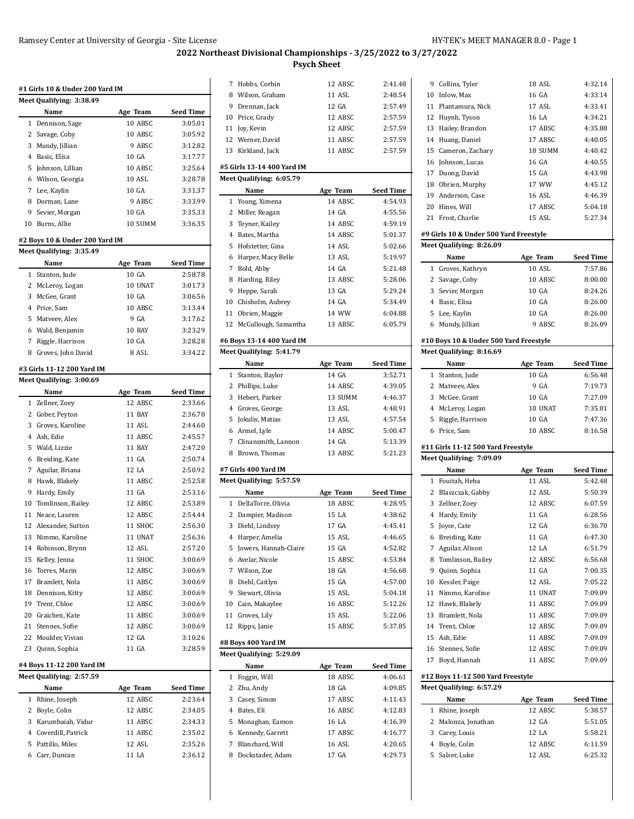Collins, Tyler 18 ASL 4:32.14 Inlow, Max 16 GA 4:33.14 Plantamura, Nick 17 ASL 4:33.41

## **2022 Northeast Divisional Championships - 3/25/2022 to 3/27/2022 Psych Sheet**

|              | Meet Qualifying: 3:38.49                                          |          |                    |
|--------------|-------------------------------------------------------------------|----------|--------------------|
|              | Name                                                              | Age Team | Seed Time          |
|              | 1 Dennison, Sage                                                  | 10 ABSC  | 3:05.01            |
|              | 2 Savage, Coby                                                    | 10 ABSC  | 3:05.92            |
| 3            | Mundy, Jillian                                                    | 9 ABSC   | 3:12.82            |
| 4            | Basic, Elisa                                                      | 10 GA    | 3:17.77            |
| 5            | Johnson, Lillian                                                  | 10 ABSC  | 3:25.64            |
|              | 6 Wilson, Georgia                                                 | 10 ASL   | 3:28.78            |
|              | 7 Lee, Kaylin                                                     | 10 GA    | 3:31.37            |
|              |                                                                   |          | 3:33.99            |
| 8            | Dorman, Lane                                                      | 9 ABSC   |                    |
| 9            | Sevier, Morgan                                                    | 10 GA    | 3:35.33<br>3:36.35 |
|              | 10 Burns, Allie                                                   | 10 SUMM  |                    |
|              | #2 Boys 10 & Under 200 Yard IM<br><b>Meet Qualifying: 3:35.49</b> |          |                    |
|              | Name                                                              | Age Team | Seed Time          |
| $\mathbf{1}$ | Stanton, Jude                                                     | 10 GA    | 2:58.78            |
|              | 2 McLeroy, Logan                                                  | 10 UNAT  | 3:01.73            |
| 3            | McGee, Grant                                                      | 10 GA    | 3:06.56            |
|              | 4 Price, Sam                                                      | 10 ABSC  | 3:13.44            |
|              |                                                                   |          |                    |
| 5            | Matveev, Alex                                                     | 9 GA     | 3:17.62            |
|              | 6 Wald, Benjamin                                                  | 10 BAY   | 3:23.29            |
| 7            | Riggle, Harrison                                                  | 10 GA    | 3:28.28            |
| 8            | Groves, John David                                                | 8 ASL    | 3:34.22            |
|              | #3 Girls 11-12 200 Yard IM                                        |          |                    |
|              | Meet Qualifying: 3:00.69                                          |          |                    |
|              | Name                                                              | Age Team | Seed Time          |
| $\mathbf{1}$ | Zellner, Zoey                                                     | 12 ABSC  | 2:33.66            |
|              | 2 Gober, Peyton                                                   | 11 BAY   | 2:36.78            |
| 3            | Groves, Karoline                                                  | 11 ASL   | 2:44.60            |
|              | 4 Ash, Edie                                                       | 11 ABSC  | 2:45.57            |
| 5            | Wald, Lizzie                                                      | 11 BAY   | 2:47.20            |
|              | 6 Breiding, Kate                                                  | 11 GA    | 2:50.74            |
|              | 7 Aguilar, Briana                                                 | 12 LA    | 2:50.92            |
|              | 8 Hawk, Blakely                                                   | 11 ABSC  | 2:52.58            |
| 9            | Hardy, Emily                                                      | 11 GA    | 2:53.16            |
|              | 10 Tomlinson, Bailey                                              | 12 ABSC  | 2:53.89            |
|              | 11 Neace, Lauren                                                  | 12 ABSC  | 2:54.44            |
| 12           | Alexander, Sutton                                                 | 11 SHOC  | 2:56.30            |
|              | 13 Nimmo, Karoline                                                | 11 UNAT  | 2:56.36            |
| 14           | Robinson, Brynn                                                   | 12 ASL   | 2:57.20            |
| 15           | Kelley, Jenna                                                     | 11 SHOC  | 3:00.69            |
|              | 16 Torres, Marin                                                  | 12 ABSC  | 3:00.69            |
|              | 17 Bramlett, Nola                                                 | 11 ABSC  | 3:00.69            |
|              | 18 Dennison, Kitty                                                | 12 ABSC  | 3:00.69            |
|              | 19 Trent, Chloe                                                   | 12 ABSC  | 3:00.69            |
|              | 20 Graichen, Kate                                                 | 11 ABSC  | 3:00.69            |
|              | 21 Stennes, Sofie                                                 | 12 ABSC  | 3:00.69            |
| 22           | Moulder, Vivian                                                   | 12 GA    | 3:10.26            |
|              |                                                                   | 11 GA    | 3:28.59            |
| 23           | Quinn, Sophia                                                     |          |                    |
|              | #4 Boys 11-12 200 Yard IM                                         |          |                    |
|              | Meet Qualifying: 2:57.59                                          |          |                    |
|              | Name                                                              | Age Team | Seed Time          |
|              | 1 Rhine, Joseph                                                   | 12 ABSC  | 2:23.64            |
|              | 2 Boyle, Colin                                                    | 12 ABSC  | 2:34.05            |
| 3            | Karumbaiah, Vidur                                                 | 11 ABSC  | 2:34.33            |
|              | 4 Coverdill, Patrick                                              | 11 ABSC  | 2:35.02            |
|              |                                                                   | 12 ASL   | 2:35.26            |
|              | 5 Pattillo, Miles<br>6 Carr, Duncan                               | 11 LA    | 2:36.12            |

| 7 Hobbs, Corbin<br>8 Wilson, Graham<br>9 Drennan, Jack<br>10 Price, Grady<br>11 Joy, Kevin<br>12 Werner, David<br>13 Kirkland, Jack<br>#5 Girls 13-14 400 Yard IM<br>Meet Qualifying: 6:05.79<br>Name<br>1 Young, Ximena<br>2 Miller, Reagan<br>3 Teyner, Kailey<br>4 Bates, Martha<br>5 Hofstetter, Gina<br>6 Harper, Macy Belle<br>7 Bold, Abby<br>8 Harding, Riley<br>9 Heppe, Sarah<br>10 Chisholm, Aubrey<br>11 Obrien, Maggie<br>12 McCullough, Samantha<br>#6 Boys 13-14 400 Yard IM<br>Meet Qualifying: 5:41.79<br>Name<br>Stanton, Baylor<br>$\mathbf{1}$<br>2 Phillips, Luke<br>3 Hebert, Parker<br>4 Groves, George<br>5 Jokulis, Matias | 12 ABSC<br>11 ASL<br>12 GA<br>12 ABSC<br>12 ABSC<br>11 ABSC<br>11 ABSC<br>Age Team<br>14 ABSC<br>14 GA<br>14 ABSC<br>14 ABSC<br>14 ASL<br>13 ASL<br>14 GA<br>13 ABSC<br>13 GA<br>14 GA<br>14 WW<br>13 ABSC<br>Age Team<br>14 GA<br>14 ABSC<br>13 SUMM<br>13 ASL<br>13 ASL | 2:41.48<br>2:48.54<br>2:57.49<br>2:57.59<br>2:57.59<br>2:57.59<br>2:57.59<br>Seed Time<br>4:54.93<br>4:55.56<br>4:59.19<br>5:01.37<br>5:02.66<br>5:19.97<br>5:21.48<br>5:28.06<br>5:29.24<br>5:34.49<br>6:04.88<br>6:05.79<br>Seed Time<br>3:52.71<br>4:39.05<br>4:46.37<br>4:48.91 |
|-----------------------------------------------------------------------------------------------------------------------------------------------------------------------------------------------------------------------------------------------------------------------------------------------------------------------------------------------------------------------------------------------------------------------------------------------------------------------------------------------------------------------------------------------------------------------------------------------------------------------------------------------------|---------------------------------------------------------------------------------------------------------------------------------------------------------------------------------------------------------------------------------------------------------------------------|-------------------------------------------------------------------------------------------------------------------------------------------------------------------------------------------------------------------------------------------------------------------------------------|
|                                                                                                                                                                                                                                                                                                                                                                                                                                                                                                                                                                                                                                                     |                                                                                                                                                                                                                                                                           |                                                                                                                                                                                                                                                                                     |
|                                                                                                                                                                                                                                                                                                                                                                                                                                                                                                                                                                                                                                                     |                                                                                                                                                                                                                                                                           |                                                                                                                                                                                                                                                                                     |
|                                                                                                                                                                                                                                                                                                                                                                                                                                                                                                                                                                                                                                                     |                                                                                                                                                                                                                                                                           |                                                                                                                                                                                                                                                                                     |
|                                                                                                                                                                                                                                                                                                                                                                                                                                                                                                                                                                                                                                                     |                                                                                                                                                                                                                                                                           |                                                                                                                                                                                                                                                                                     |
|                                                                                                                                                                                                                                                                                                                                                                                                                                                                                                                                                                                                                                                     |                                                                                                                                                                                                                                                                           |                                                                                                                                                                                                                                                                                     |
|                                                                                                                                                                                                                                                                                                                                                                                                                                                                                                                                                                                                                                                     |                                                                                                                                                                                                                                                                           |                                                                                                                                                                                                                                                                                     |
|                                                                                                                                                                                                                                                                                                                                                                                                                                                                                                                                                                                                                                                     |                                                                                                                                                                                                                                                                           |                                                                                                                                                                                                                                                                                     |
|                                                                                                                                                                                                                                                                                                                                                                                                                                                                                                                                                                                                                                                     |                                                                                                                                                                                                                                                                           |                                                                                                                                                                                                                                                                                     |
|                                                                                                                                                                                                                                                                                                                                                                                                                                                                                                                                                                                                                                                     |                                                                                                                                                                                                                                                                           |                                                                                                                                                                                                                                                                                     |
|                                                                                                                                                                                                                                                                                                                                                                                                                                                                                                                                                                                                                                                     |                                                                                                                                                                                                                                                                           |                                                                                                                                                                                                                                                                                     |
|                                                                                                                                                                                                                                                                                                                                                                                                                                                                                                                                                                                                                                                     |                                                                                                                                                                                                                                                                           |                                                                                                                                                                                                                                                                                     |
|                                                                                                                                                                                                                                                                                                                                                                                                                                                                                                                                                                                                                                                     |                                                                                                                                                                                                                                                                           |                                                                                                                                                                                                                                                                                     |
|                                                                                                                                                                                                                                                                                                                                                                                                                                                                                                                                                                                                                                                     |                                                                                                                                                                                                                                                                           |                                                                                                                                                                                                                                                                                     |
|                                                                                                                                                                                                                                                                                                                                                                                                                                                                                                                                                                                                                                                     |                                                                                                                                                                                                                                                                           |                                                                                                                                                                                                                                                                                     |
|                                                                                                                                                                                                                                                                                                                                                                                                                                                                                                                                                                                                                                                     |                                                                                                                                                                                                                                                                           |                                                                                                                                                                                                                                                                                     |
|                                                                                                                                                                                                                                                                                                                                                                                                                                                                                                                                                                                                                                                     |                                                                                                                                                                                                                                                                           |                                                                                                                                                                                                                                                                                     |
|                                                                                                                                                                                                                                                                                                                                                                                                                                                                                                                                                                                                                                                     |                                                                                                                                                                                                                                                                           |                                                                                                                                                                                                                                                                                     |
|                                                                                                                                                                                                                                                                                                                                                                                                                                                                                                                                                                                                                                                     |                                                                                                                                                                                                                                                                           |                                                                                                                                                                                                                                                                                     |
|                                                                                                                                                                                                                                                                                                                                                                                                                                                                                                                                                                                                                                                     |                                                                                                                                                                                                                                                                           |                                                                                                                                                                                                                                                                                     |
|                                                                                                                                                                                                                                                                                                                                                                                                                                                                                                                                                                                                                                                     |                                                                                                                                                                                                                                                                           |                                                                                                                                                                                                                                                                                     |
|                                                                                                                                                                                                                                                                                                                                                                                                                                                                                                                                                                                                                                                     |                                                                                                                                                                                                                                                                           |                                                                                                                                                                                                                                                                                     |
|                                                                                                                                                                                                                                                                                                                                                                                                                                                                                                                                                                                                                                                     |                                                                                                                                                                                                                                                                           |                                                                                                                                                                                                                                                                                     |
|                                                                                                                                                                                                                                                                                                                                                                                                                                                                                                                                                                                                                                                     |                                                                                                                                                                                                                                                                           |                                                                                                                                                                                                                                                                                     |
|                                                                                                                                                                                                                                                                                                                                                                                                                                                                                                                                                                                                                                                     |                                                                                                                                                                                                                                                                           |                                                                                                                                                                                                                                                                                     |
|                                                                                                                                                                                                                                                                                                                                                                                                                                                                                                                                                                                                                                                     |                                                                                                                                                                                                                                                                           |                                                                                                                                                                                                                                                                                     |
|                                                                                                                                                                                                                                                                                                                                                                                                                                                                                                                                                                                                                                                     |                                                                                                                                                                                                                                                                           |                                                                                                                                                                                                                                                                                     |
|                                                                                                                                                                                                                                                                                                                                                                                                                                                                                                                                                                                                                                                     |                                                                                                                                                                                                                                                                           |                                                                                                                                                                                                                                                                                     |
|                                                                                                                                                                                                                                                                                                                                                                                                                                                                                                                                                                                                                                                     |                                                                                                                                                                                                                                                                           |                                                                                                                                                                                                                                                                                     |
|                                                                                                                                                                                                                                                                                                                                                                                                                                                                                                                                                                                                                                                     |                                                                                                                                                                                                                                                                           |                                                                                                                                                                                                                                                                                     |
|                                                                                                                                                                                                                                                                                                                                                                                                                                                                                                                                                                                                                                                     |                                                                                                                                                                                                                                                                           |                                                                                                                                                                                                                                                                                     |
|                                                                                                                                                                                                                                                                                                                                                                                                                                                                                                                                                                                                                                                     |                                                                                                                                                                                                                                                                           |                                                                                                                                                                                                                                                                                     |
|                                                                                                                                                                                                                                                                                                                                                                                                                                                                                                                                                                                                                                                     |                                                                                                                                                                                                                                                                           | 4:57.54                                                                                                                                                                                                                                                                             |
| 6 Armel, Lyle                                                                                                                                                                                                                                                                                                                                                                                                                                                                                                                                                                                                                                       | 14 ABSC                                                                                                                                                                                                                                                                   | 5:00.47                                                                                                                                                                                                                                                                             |
|                                                                                                                                                                                                                                                                                                                                                                                                                                                                                                                                                                                                                                                     | 14 GA                                                                                                                                                                                                                                                                     |                                                                                                                                                                                                                                                                                     |
| 7 Clinansmith, Lannon                                                                                                                                                                                                                                                                                                                                                                                                                                                                                                                                                                                                                               |                                                                                                                                                                                                                                                                           | 5:13.39                                                                                                                                                                                                                                                                             |
| 8 Brown, Thomas                                                                                                                                                                                                                                                                                                                                                                                                                                                                                                                                                                                                                                     | 13 ABSC                                                                                                                                                                                                                                                                   | 5:21.23                                                                                                                                                                                                                                                                             |
| #7 Girls 400 Yard IM                                                                                                                                                                                                                                                                                                                                                                                                                                                                                                                                                                                                                                |                                                                                                                                                                                                                                                                           |                                                                                                                                                                                                                                                                                     |
| Meet Qualifying: 5:57.59                                                                                                                                                                                                                                                                                                                                                                                                                                                                                                                                                                                                                            |                                                                                                                                                                                                                                                                           |                                                                                                                                                                                                                                                                                     |
| Name                                                                                                                                                                                                                                                                                                                                                                                                                                                                                                                                                                                                                                                | Age Team                                                                                                                                                                                                                                                                  | Seed Time                                                                                                                                                                                                                                                                           |
| 1 DellaTorre, Olivia                                                                                                                                                                                                                                                                                                                                                                                                                                                                                                                                                                                                                                | 18 ABSC                                                                                                                                                                                                                                                                   | 4:28.95                                                                                                                                                                                                                                                                             |
| 2 Dampier, Madison                                                                                                                                                                                                                                                                                                                                                                                                                                                                                                                                                                                                                                  | 15 LA                                                                                                                                                                                                                                                                     | 4:38.62                                                                                                                                                                                                                                                                             |
| 3 Diehl, Lindsey                                                                                                                                                                                                                                                                                                                                                                                                                                                                                                                                                                                                                                    | 17 GA                                                                                                                                                                                                                                                                     | 4:45.41                                                                                                                                                                                                                                                                             |
| 4 Harper, Amelia                                                                                                                                                                                                                                                                                                                                                                                                                                                                                                                                                                                                                                    | 15 ASL                                                                                                                                                                                                                                                                    | 4:46.65                                                                                                                                                                                                                                                                             |
| 5 Jowers, Hannah-Claire                                                                                                                                                                                                                                                                                                                                                                                                                                                                                                                                                                                                                             | 15 GA                                                                                                                                                                                                                                                                     | 4:52.82                                                                                                                                                                                                                                                                             |
| 6 Avelar, Nicole                                                                                                                                                                                                                                                                                                                                                                                                                                                                                                                                                                                                                                    | 15 ABSC                                                                                                                                                                                                                                                                   | 4:53.84                                                                                                                                                                                                                                                                             |
| 7 Wilson, Zoe                                                                                                                                                                                                                                                                                                                                                                                                                                                                                                                                                                                                                                       | 18 GA                                                                                                                                                                                                                                                                     | 4:56.68                                                                                                                                                                                                                                                                             |
| 8 Diehl, Caitlyn                                                                                                                                                                                                                                                                                                                                                                                                                                                                                                                                                                                                                                    | 15 GA                                                                                                                                                                                                                                                                     | 4:57.00                                                                                                                                                                                                                                                                             |
| 9 Stewart, Olivia                                                                                                                                                                                                                                                                                                                                                                                                                                                                                                                                                                                                                                   | 15 ASL                                                                                                                                                                                                                                                                    | 5:04.18                                                                                                                                                                                                                                                                             |
|                                                                                                                                                                                                                                                                                                                                                                                                                                                                                                                                                                                                                                                     | 16 ABSC                                                                                                                                                                                                                                                                   | 5:12.26                                                                                                                                                                                                                                                                             |
|                                                                                                                                                                                                                                                                                                                                                                                                                                                                                                                                                                                                                                                     |                                                                                                                                                                                                                                                                           | 5:22.06                                                                                                                                                                                                                                                                             |
|                                                                                                                                                                                                                                                                                                                                                                                                                                                                                                                                                                                                                                                     |                                                                                                                                                                                                                                                                           | 5:37.85                                                                                                                                                                                                                                                                             |
|                                                                                                                                                                                                                                                                                                                                                                                                                                                                                                                                                                                                                                                     |                                                                                                                                                                                                                                                                           |                                                                                                                                                                                                                                                                                     |
| #8 Boys 400 Yard IM                                                                                                                                                                                                                                                                                                                                                                                                                                                                                                                                                                                                                                 |                                                                                                                                                                                                                                                                           |                                                                                                                                                                                                                                                                                     |
| Meet Qualifying: 5:29.09                                                                                                                                                                                                                                                                                                                                                                                                                                                                                                                                                                                                                            |                                                                                                                                                                                                                                                                           |                                                                                                                                                                                                                                                                                     |
| Name                                                                                                                                                                                                                                                                                                                                                                                                                                                                                                                                                                                                                                                | Age Team                                                                                                                                                                                                                                                                  | Seed Time                                                                                                                                                                                                                                                                           |
| 1 Foggin, Will                                                                                                                                                                                                                                                                                                                                                                                                                                                                                                                                                                                                                                      | 18 ABSC                                                                                                                                                                                                                                                                   | 4:06.61                                                                                                                                                                                                                                                                             |
| 2 Zhu, Andy                                                                                                                                                                                                                                                                                                                                                                                                                                                                                                                                                                                                                                         | 18 GA                                                                                                                                                                                                                                                                     | 4:09.85                                                                                                                                                                                                                                                                             |
| 3 Casey, Simon                                                                                                                                                                                                                                                                                                                                                                                                                                                                                                                                                                                                                                      | 17 ABSC                                                                                                                                                                                                                                                                   | 4:11.43                                                                                                                                                                                                                                                                             |
| 4 Bates, Eli                                                                                                                                                                                                                                                                                                                                                                                                                                                                                                                                                                                                                                        | 16 ABSC                                                                                                                                                                                                                                                                   | 4:12.83                                                                                                                                                                                                                                                                             |
| 5 Monaghan, Eamon                                                                                                                                                                                                                                                                                                                                                                                                                                                                                                                                                                                                                                   | 16 LA                                                                                                                                                                                                                                                                     | 4.16.39                                                                                                                                                                                                                                                                             |
| 6 Kennedy, Garrett                                                                                                                                                                                                                                                                                                                                                                                                                                                                                                                                                                                                                                  | 17 ABSC                                                                                                                                                                                                                                                                   | 4:16.77                                                                                                                                                                                                                                                                             |
| 7 Blanchard, Will                                                                                                                                                                                                                                                                                                                                                                                                                                                                                                                                                                                                                                   | 16 ASL                                                                                                                                                                                                                                                                    | 4:20.65                                                                                                                                                                                                                                                                             |
| 8 Dockstader, Adam                                                                                                                                                                                                                                                                                                                                                                                                                                                                                                                                                                                                                                  | 17 GA                                                                                                                                                                                                                                                                     | 4:29.73                                                                                                                                                                                                                                                                             |
|                                                                                                                                                                                                                                                                                                                                                                                                                                                                                                                                                                                                                                                     |                                                                                                                                                                                                                                                                           |                                                                                                                                                                                                                                                                                     |
|                                                                                                                                                                                                                                                                                                                                                                                                                                                                                                                                                                                                                                                     |                                                                                                                                                                                                                                                                           |                                                                                                                                                                                                                                                                                     |
|                                                                                                                                                                                                                                                                                                                                                                                                                                                                                                                                                                                                                                                     | 10 Cain, Makaylee<br>11 Groves, Lily<br>12 Ripps, Janie                                                                                                                                                                                                                   | 15 ASL<br>15 ABSC                                                                                                                                                                                                                                                                   |

|                                      | 12 Huynh, Tyson                        | 16 LA          | 4:34.21            |  |  |  |  |  |
|--------------------------------------|----------------------------------------|----------------|--------------------|--|--|--|--|--|
|                                      | 13 Hailey, Brandon                     | 17 ABSC        | 4:35.88            |  |  |  |  |  |
|                                      | 14 Huang, Daniel                       | 17 ABSC        | 4:40.05            |  |  |  |  |  |
|                                      | 15 Cameron, Zachary                    | 18 SUMM        | 4:40.42            |  |  |  |  |  |
|                                      | 16 Johnson, Lucas                      | 16 GA          | 4:40.55            |  |  |  |  |  |
|                                      | 17 Duong, David                        | 15 GA          | 4:43.98            |  |  |  |  |  |
|                                      | 18 Obrien, Murphy                      | 17 WW          | 4:45.12            |  |  |  |  |  |
|                                      | 19 Anderson, Case                      | 16 ASL         | 4:46.39            |  |  |  |  |  |
|                                      | 20 Hines, Will                         | 17 ABSC        | 5:04.18            |  |  |  |  |  |
|                                      | 21 Frost, Charlie                      | 15 ASL         | 5:27.34            |  |  |  |  |  |
|                                      |                                        |                |                    |  |  |  |  |  |
|                                      | #9 Girls 10 & Under 500 Yard Freestyle |                |                    |  |  |  |  |  |
|                                      | Meet Qualifying: 8:26.09               |                |                    |  |  |  |  |  |
|                                      | Name                                   | Age Team       | Seed Time          |  |  |  |  |  |
| $\mathbf{1}$                         | Groves, Kathryn                        | 10 ASL         | 7:57.86            |  |  |  |  |  |
|                                      | 2 Savage, Coby                         | 10 ABSC        | 8:00.00            |  |  |  |  |  |
|                                      | 3 Sevier, Morgan                       | 10 GA          | 8:24.26            |  |  |  |  |  |
|                                      | 4 Basic, Elisa                         | 10 GA          | 8:26.00            |  |  |  |  |  |
|                                      | 5 Lee, Kaylin                          | 10 GA          | 8:26.00            |  |  |  |  |  |
|                                      | 6 Mundy, Jillian                       | 9 ABSC         | 8:26.09            |  |  |  |  |  |
|                                      | #10 Boys 10 & Under 500 Yard Freestyle |                |                    |  |  |  |  |  |
|                                      | Meet Qualifying: 8:16.69               |                |                    |  |  |  |  |  |
| Name<br><b>Seed Time</b><br>Age Team |                                        |                |                    |  |  |  |  |  |
| $\mathbf{1}$                         | Stanton, Jude                          | 10 GA          | 6:56.48            |  |  |  |  |  |
|                                      | 2 Matveev, Alex                        | 9 GA           | 7:19.73            |  |  |  |  |  |
|                                      | 3 McGee, Grant                         | 10 GA          | 7:27.09            |  |  |  |  |  |
|                                      | 4 McLeroy, Logan                       | 10 UNAT        | 7:35.01            |  |  |  |  |  |
|                                      |                                        |                |                    |  |  |  |  |  |
| 5                                    | Riggle, Harrison                       | 10 GA          | 7:47.36            |  |  |  |  |  |
|                                      | 6 Price, Sam                           | 10 ABSC        | 8:16.58            |  |  |  |  |  |
|                                      | #11 Girls 11-12 500 Yard Freestyle     |                |                    |  |  |  |  |  |
|                                      | Meet Qualifying: 7:09.09               |                |                    |  |  |  |  |  |
|                                      |                                        |                | <b>Seed Time</b>   |  |  |  |  |  |
|                                      | Name                                   | Age Team       |                    |  |  |  |  |  |
|                                      | 1 Fouitah, Heba                        | 11 ASL         | 5:42.48            |  |  |  |  |  |
|                                      | 2 Blaszczak, Gabby                     | 12 ASL         | 5:50.39            |  |  |  |  |  |
|                                      | 3 Zellner, Zoey                        | 12 ABSC        | 6:07.59            |  |  |  |  |  |
|                                      |                                        | 11 GA          | 6:28.56            |  |  |  |  |  |
|                                      | 4 Hardy, Emily                         |                |                    |  |  |  |  |  |
| 5                                    | Joyce, Cate                            | 12 GA<br>11 GA | 6:36.70<br>6:47.30 |  |  |  |  |  |
|                                      | 6 Breiding, Kate                       | 12 LA          | 6:51.79            |  |  |  |  |  |
|                                      | 7 Aguilar, Alison                      | 12 ABSC        | 6:56.68            |  |  |  |  |  |
| 9                                    | 8 Tomlinson, Bailey                    |                |                    |  |  |  |  |  |
|                                      | Quinn, Sophia                          | 11 GA          | 7:00.35            |  |  |  |  |  |
|                                      | 10 Kessler, Paige                      | 12 ASL         | 7:05.22            |  |  |  |  |  |
|                                      | 11 Nimmo, Karoline                     | 11 UNAT        | 7:09.09            |  |  |  |  |  |
|                                      | 12 Hawk, Blakely                       | 11 ABSC        | 7:09.09            |  |  |  |  |  |
|                                      | 13 Bramlett, Nola                      | 11 ABSC        | 7:09.09            |  |  |  |  |  |
|                                      | 14 Trent, Chloe                        | 12 ABSC        | 7:09.09            |  |  |  |  |  |
|                                      | 15 Ash, Edie                           | 11 ABSC        | 7:09.09            |  |  |  |  |  |
|                                      | 16 Stennes, Sofie                      | 12 ABSC        | 7:09.09            |  |  |  |  |  |
|                                      | 17 Boyd, Hannah                        | 11 ABSC        | 7:09.09            |  |  |  |  |  |
|                                      | #12 Boys 11-12 500 Yard Freestyle      |                |                    |  |  |  |  |  |
|                                      | Meet Qualifying: 6:57.29               |                |                    |  |  |  |  |  |
|                                      | Name                                   | Age Team       | Seed Time          |  |  |  |  |  |
|                                      | 1 Rhine, Joseph                        | 12 ABSC        | 5:38.57            |  |  |  |  |  |
|                                      | 2 Malonza, Jonathan                    | 12 GA          | 5:51.05            |  |  |  |  |  |
|                                      |                                        | 12 LA          | 5:58.21            |  |  |  |  |  |
|                                      | 3 Carey, Louis                         | 12 ABSC        | 6:11.59            |  |  |  |  |  |
|                                      | 4 Boyle, Colin                         |                |                    |  |  |  |  |  |
|                                      | 5 Salser, Luke                         | 12 ASL         | 6:25.32            |  |  |  |  |  |
|                                      |                                        |                |                    |  |  |  |  |  |
|                                      |                                        |                |                    |  |  |  |  |  |
|                                      |                                        |                |                    |  |  |  |  |  |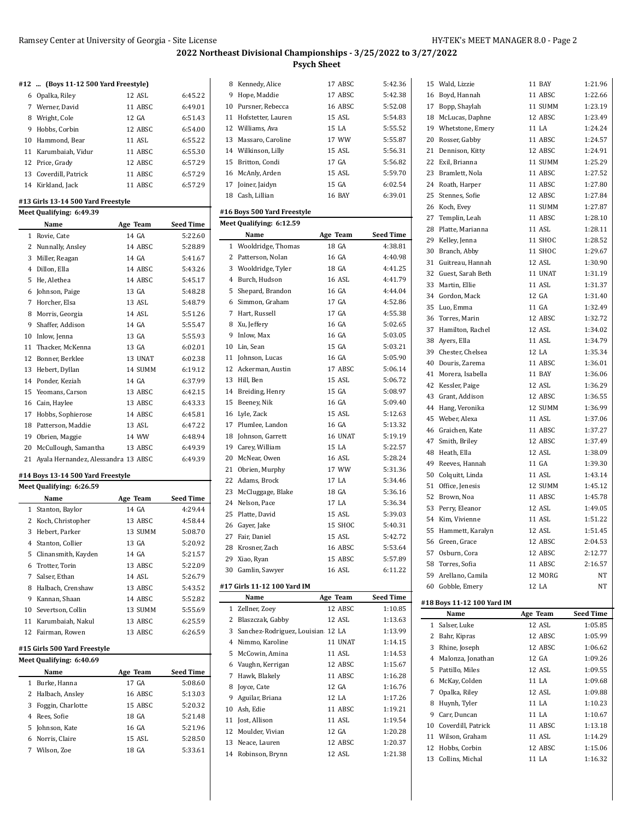Wald, Lizzie 11 BAY 1:21.96

#### **2022 Northeast Divisional Championships - 3/25/2022 to 3/27/2022 Psych Sheet**

#### **#12 ... (Boys 11-12 500 Yard Freestyle)**

| 6 Opalka, Riley       | 12 ASL  | 6:45.22 |
|-----------------------|---------|---------|
| 7 Werner, David       | 11 ABSC | 6:49.01 |
| 8 Wright, Cole        | 12 GA   | 6:51.43 |
| 9 Hobbs, Corbin       | 12 ABSC | 6:54.00 |
| 10 Hammond, Bear      | 11 ASL  | 6:55.22 |
| 11 Karumbaiah, Vidur  | 11 ABSC | 6:55.30 |
| 12 Price, Grady       | 12 ABSC | 6:57.29 |
| 13 Coverdill, Patrick | 11 ABSC | 6:57.29 |
| 14 Kirkland, Jack     | 11 ABSC | 6:57.29 |

#### **#13 Girls 13-14 500 Yard Freestyle**

|    | Meet Qualifying: 6:49.39            |          |                  |
|----|-------------------------------------|----------|------------------|
|    | Name                                | Age Team | <b>Seed Time</b> |
| 1  | Rovie, Cate                         | 14 GA    | 5:22.60          |
| 2  | Nunnally, Ansley                    | 14 ABSC  | 5:28.89          |
| 3  | Miller, Reagan                      | 14 GA    | 5:41.67          |
| 4  | Dillon, Ella                        | 14 ABSC  | 5:43.26          |
| 5  | He, Alethea                         | 14 ABSC  | 5:45.17          |
| 6  | Johnson, Paige                      | 13 GA    | 5:48.28          |
| 7  | Horcher, Elsa                       | 13 ASL   | 5:48.79          |
| 8  | Morris, Georgia                     | 14 ASL   | 5:51.26          |
| 9  | Shaffer, Addison                    | 14 GA    | 5:55.47          |
| 10 | Inlow, Jenna                        | 13 GA    | 5:55.93          |
| 11 | Thacker, McKenna                    | 13 GA    | 6:02.01          |
| 12 | Bonner, Berklee                     | 13 UNAT  | 6:02.38          |
| 13 | Hebert, Dyllan                      | 14 SUMM  | 6:19.12          |
| 14 | Ponder, Keziah                      | 14 GA    | 6:37.99          |
| 15 | Yeomans, Carson                     | 13 ABSC  | 6:42.15          |
| 16 | Cain, Haylee                        | 13 ABSC  | 6:43.33          |
| 17 | Hobbs, Sophierose                   | 14 ABSC  | 6:45.81          |
| 18 | Patterson, Maddie                   | 13 ASL   | 6:47.22          |
| 19 | Obrien, Maggie                      | 14 WW    | 6:48.94          |
| 20 | McCullough, Samantha                | 13 ABSC  | 6:49.39          |
| 21 | Ayala Hernandez, Alessandra 13 ABSC |          | 6:49.39          |

#### **#14 Boys 13-14 500 Yard Freestyle**

|    | Meet Qualifying: 6:26.59 |          |                  |  |  |  |  |
|----|--------------------------|----------|------------------|--|--|--|--|
|    | Name                     | Age Team | <b>Seed Time</b> |  |  |  |  |
|    | 1 Stanton, Baylor        | 14 GA    | 4:29.44          |  |  |  |  |
|    | 2 Koch, Christopher      | 13 ABSC  | 4:58.44          |  |  |  |  |
| 3  | Hebert, Parker           | 13 SUMM  | 5:08.70          |  |  |  |  |
|    | 4 Stanton, Collier       | 13 GA    | 5:20.92          |  |  |  |  |
|    | 5 Clinansmith, Kayden    | 14 GA    | 5:21.57          |  |  |  |  |
|    | 6 Trotter, Torin         | 13 ABSC  | 5:22.09          |  |  |  |  |
| 7  | Salser. Ethan            | 14 ASL   | 5:26.79          |  |  |  |  |
| 8  | Halbach, Crenshaw        | 13 ABSC  | 5:43.52          |  |  |  |  |
| 9  | Kannan, Shaan            | 14 ABSC  | 5:52.82          |  |  |  |  |
| 10 | Severtson, Collin        | 13 SUMM  | 5:55.69          |  |  |  |  |
|    | 11 Karumbaiah, Nakul     | 13 ABSC  | 6:25.59          |  |  |  |  |
| 12 | Fairman, Rowen           | 13 ABSC  | 6:26.59          |  |  |  |  |

#### **#15 Girls 500 Yard Freestyle**

|    | Meet Qualifying: 6:40.69 |          |                  |  |  |  |  |  |
|----|--------------------------|----------|------------------|--|--|--|--|--|
|    | Name                     | Age Team | <b>Seed Time</b> |  |  |  |  |  |
| 1  | Burke, Hanna             | 17 GA    | 5:08.60          |  |  |  |  |  |
|    | 2 Halbach, Ansley        | 16 ABSC  | 5:13.03          |  |  |  |  |  |
| 3  | Foggin, Charlotte        | 15 ABSC  | 5:20.32          |  |  |  |  |  |
| 4  | Rees. Sofie              | 18 GA    | 5:21.48          |  |  |  |  |  |
| 5. | Johnson, Kate            | 16 GA    | 5:21.96          |  |  |  |  |  |
| 6  | Norris, Claire           | 15 ASL   | 5:28.50          |  |  |  |  |  |
|    | Wilson, Zoe              | 18 GA    | 5:33.61          |  |  |  |  |  |

| 8 Kennedy, Alice      | 17 ABSC | 5:42.36 |
|-----------------------|---------|---------|
| 9 Hope, Maddie        | 17 ABSC | 5:42.38 |
| 10 Pursner, Rebecca   | 16 ABSC | 5:52.08 |
| 11 Hofstetter, Lauren | 15 ASL  | 5:54.83 |
| 12 Williams, Ava      | 15 LA   | 5:55.52 |
| 13 Massaro, Caroline  | 17 WW   | 5:55.87 |
| 14 Wilkinson, Lilly   | 15 ASL  | 5:56.31 |
| 15 Britton, Condi     | 17 GA   | 5:56.82 |
| 16 McAnly, Arden      | 15 ASL  | 5:59.70 |
| 17 Joiner, Jaidyn     | 15 GA   | 6:02.54 |
| 18 Cash, Lillian      | 16 BAY  | 6:39.01 |

## **#16 Boys 500 Yard Freestyle**

 $\overline{a}$ 

|             | Meet Qualifying: 6:12.59            |          |                  |
|-------------|-------------------------------------|----------|------------------|
|             | Name                                | Age Team | <b>Seed Time</b> |
| $\mathbf 1$ | Wooldridge, Thomas                  | 18 GA    | 4:38.81          |
|             | 2 Patterson, Nolan                  | 16 GA    | 4.40.98          |
|             | 3 Wooldridge, Tyler                 | 18 GA    | 4:41.25          |
|             | 4 Burch, Hudson                     | 16 ASL   | 4:41.79          |
| 5           | Shepard, Brandon                    | 16 GA    | 4.44.04          |
|             | 6 Simmon, Graham                    | 17 GA    | 4:52.86          |
|             | 7 Hart, Russell                     | 17 GA    | 4:55.38          |
|             | 8 Xu, Jeffery                       | 16 GA    | 5:02.65          |
| 9           | Inlow, Max                          | 16 GA    | 5:03.05          |
|             | 10 Lin, Sean                        | 15 GA    | 5:03.21          |
| 11          | Johnson, Lucas                      | 16 GA    | 5:05.90          |
|             | 12 Ackerman, Austin                 | 17 ABSC  | 5:06.14          |
|             | 13 Hill, Ben                        | 15 ASL   | 5:06.72          |
|             | 14 Breiding, Henry                  | 15 GA    | 5:08.97          |
| 15          | Beeney, Nik                         | 16 GA    | 5:09.40          |
| 16          | Lyle, Zack                          | 15 ASL   | 5:12.63          |
| 17          | Plumlee, Landon                     | 16 GA    | 5:13.32          |
| 18          | Johnson, Garrett                    | 16 UNAT  | 5:19.19          |
|             | 19 Carey, William                   | 15 LA    | 5:22.57          |
|             | 20 McNear, Owen                     | 16 ASL   | 5:28.24          |
| 21          | Obrien, Murphy                      | 17 WW    | 5:31.36          |
|             | 22 Adams, Brock                     | 17 LA    | 5:34.46          |
|             | 23 McCluggage, Blake                | 18 GA    | 5:36.16          |
|             | 24 Nelson, Pace                     | 17 LA    | 5:36.34          |
|             | 25 Platte, David                    | 15 ASL   | 5:39.03          |
|             | 26 Gayer, Jake                      | 15 SHOC  | 5:40.31          |
|             | 27 Fair, Daniel                     | 15 ASL   | 5:42.72          |
|             | 28 Krosner, Zach                    | 16 ABSC  | 5:53.64          |
| 29          | Xiao, Ryan                          | 15 ABSC  | 5:57.89          |
|             | 30 Gamlin, Sawyer                   | 16 ASL   | 6:11.22          |
|             | #17 Girls 11-12 100 Yard IM         |          |                  |
|             | Name                                | Age Team | <b>Seed Time</b> |
| 1           | Zellner, Zoey                       | 12 ABSC  | 1:10.85          |
|             | 2 Blaszczak, Gabby                  | 12 ASL   | 1:13.63          |
|             | 3 Sanchez-Rodriguez, Louisian 12 LA |          | 1:13.99          |
|             | 4 Nimmo, Karoline                   | 11 UNAT  | 1:14.15          |
|             | 5 McCowin, Amina                    | 11 ASL   | 1:14.53          |
|             | 6 Vaughn, Kerrigan                  | 12 ABSC  | 1:15.67          |
| 7           | Hawk, Blakely                       | 11 ABSC  | 1:16.28          |

 Joyce, Cate 12 GA 1:16.76 Aguilar, Briana 12 LA 1:17.26 Ash, Edie 11 ABSC 1:19.21 11 Jost, Allison 11 ASL 1:19.54 Moulder, Vivian 12 GA 1:20.28 13 Neace, Lauren 12 ABSC 1:20.37 Robinson, Brynn 12 ASL 1:21.38

|              | 16 Boyd, Hannah            | 11 ABSC  | 1:22.66          |
|--------------|----------------------------|----------|------------------|
|              | 17 Bopp, Shaylah           | 11 SUMM  | 1:23.19          |
|              | 18 McLucas, Daphne         | 12 ABSC  | 1:23.49          |
|              | 19 Whetstone, Emery        | 11 LA    | 1:24.24          |
|              | 20 Rosser, Gabby           | 11 ABSC  | 1:24.57          |
|              | 21 Dennison, Kitty         | 12 ABSC  | 1:24.91          |
|              | 22 Exil, Brianna           | 11 SUMM  | 1:25.29          |
| 23           |                            | 11 ABSC  | 1:27.52          |
|              | Bramlett, Nola             |          |                  |
|              | 24 Roath, Harper           | 11 ABSC  | 1:27.80          |
|              | 25 Stennes, Sofie          | 12 ABSC  | 1:27.84          |
|              | 26 Koch, Evey              | 11 SUMM  | 1:27.87          |
|              | 27 Templin, Leah           | 11 ABSC  | 1:28.10          |
| 28           | Platte, Marianna           | 11 ASL   | 1:28.11          |
|              | 29 Kelley, Jenna           | 11 SHOC  | 1:28.52          |
|              | 30 Branch, Abby            | 11 SHOC  | 1:29.67          |
|              | 31 Guitreau, Hannah        | 12 ASL   | 1:30.90          |
|              | 32 Guest, Sarah Beth       | 11 UNAT  | 1:31.19          |
|              | 33 Martin, Ellie           | 11 ASL   | 1:31.37          |
|              | 34 Gordon, Mack            | 12 GA    | 1:31.40          |
| 35           | Luo, Emma                  | 11 GA    | 1:32.49          |
|              | 36 Torres, Marin           | 12 ABSC  | 1:32.72          |
|              | 37 Hamilton, Rachel        | 12 ASL   | 1:34.02          |
|              | 38 Ayers, Ella             | 11 ASL   | 1:34.79          |
|              | 39 Chester, Chelsea        | 12 LA    | 1:35.34          |
| 40           | Douris, Zarema             | 11 ABSC  | 1:36.01          |
|              | 41 Morera, Isabella        | 11 BAY   | 1:36.06          |
|              | 42 Kessler, Paige          | 12 ASL   | 1:36.29          |
|              | 43 Grant, Addison          | 12 ABSC  | 1:36.55          |
|              |                            |          |                  |
|              | 44 Hang, Veronika          | 12 SUMM  | 1:36.99          |
|              | 45 Weber, Alexa            | 11 ASL   | 1:37.06          |
|              | 46 Graichen, Kate          | 11 ABSC  | 1:37.27          |
| 47           | Smith, Briley              | 12 ABSC  | 1:37.49          |
| 48           | Heath, Ella                | 12 ASL   | 1:38.09          |
|              | 49 Reeves, Hannah          | 11 GA    | 1:39.30          |
|              | 50 Colquitt, Linda         | 11 ASL   | 1:43.14          |
|              | 51 Office, Jenesis         | 12 SUMM  | 1:45.12          |
|              | 52 Brown, Noa              | 11 ABSC  | 1:45.78          |
|              | 53 Perry, Eleanor          | 12 ASL   | 1:49.05          |
|              | 54 Kim, Vivienne           | 11 ASL   | 1:51.22          |
|              | 55 Hammett, Karalyn        | 12 ASL   | 1:51.45          |
|              | 56 Green, Grace            | 12 ABSC  | 2:04.53          |
|              | 57 Osburn, Cora            | 12 ABSC  | 2:12.77          |
|              | 58 Torres, Sofia           | 11 ABSC  | 2:16.57          |
|              | 59 Arellano, Camila        | 12 MORG  | NΤ               |
|              | 60 Gobble, Emery           | 12 LA    | NΤ               |
|              |                            |          |                  |
|              | #18 Boys 11-12 100 Yard IM |          |                  |
|              | Name                       | Age Team | <b>Seed Time</b> |
| $\mathbf{1}$ | Salser, Luke               | 12 ASL   | 1:05.85          |
| 2            | Bahr, Kipras               | 12 ABSC  | 1:05.99          |
|              | 3 Rhine, Joseph            | 12 ABSC  | 1:06.62          |
|              | 4 Malonza, Jonathan        | 12 GA    | 1:09.26          |
| 5            | Pattillo, Miles            | 12 ASL   | 1:09.55          |
|              | 6 McKay, Colden            | 11 LA    | 1:09.68          |
|              | 7 Opalka, Riley            | 12 ASL   | 1:09.88          |
|              | 8 Huynh, Tyler             | 11 LA    | 1:10.23          |
|              | 9 Carr, Duncan             | 11 LA    | 1:10.67          |
|              | 10 Coverdill, Patrick      | 11 ABSC  | 1:13.18          |
|              |                            |          |                  |
|              | 11 Wilson, Graham          | 11 ASL   | 1:14.29          |

13 Collins, Michal 11 LA 1:16.32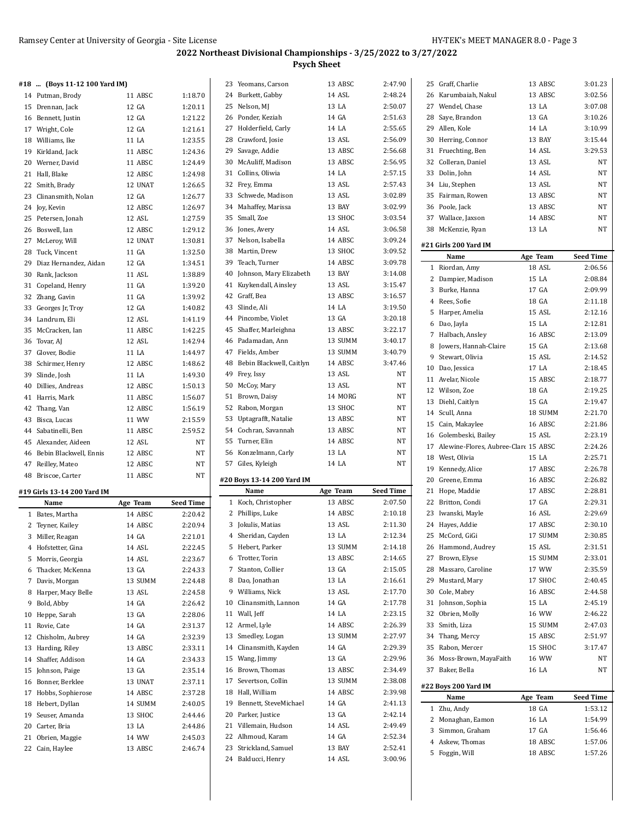| #18  (Boys 11-12 100 Yard IM) |          |                  |    | 23 Yeomans, Carson          | 13 ABSC  | 2:47.90          | 25 Graff, Charlie                       | 13 ABSC  | 3:01.23          |
|-------------------------------|----------|------------------|----|-----------------------------|----------|------------------|-----------------------------------------|----------|------------------|
| 14 Putman, Brody              | 11 ABSC  | 1:18.70          |    | 24 Burkett, Gabby           | 14 ASL   | 2:48.24          | 26 Karumbaiah, Nakul                    | 13 ABSC  | 3:02.56          |
| 15 Drennan, Jack              | 12 GA    | 1:20.11          |    | 25 Nelson, MJ               | 13 LA    | 2:50.07          | 27 Wendel, Chase                        | 13 LA    | 3:07.08          |
| 16 Bennett, Justin            | 12 GA    | 1:21.22          |    | 26 Ponder, Keziah           | 14 GA    | 2:51.63          | 28 Saye, Brandon                        | 13 GA    | 3:10.26          |
| 17 Wright, Cole               | 12 GA    | 1:21.61          |    | 27 Holderfield, Carly       | 14 LA    | 2:55.65          | 29 Allen, Kole                          | 14 LA    | 3:10.99          |
| 18 Williams, Ike              | 11 LA    | 1:23.55          |    | 28 Crawford, Josie          | 13 ASL   | 2:56.09          | 30 Herring, Connor                      | 13 BAY   | 3:15.44          |
| 19 Kirkland, Jack             | 11 ABSC  | 1:24.36          |    | 29 Savage, Addie            | 13 ABSC  | 2:56.68          | 31 Fruechting, Ben                      | 14 ASL   | 3:29.53          |
| 20 Werner, David              | 11 ABSC  | 1:24.49          |    | 30 McAuliff, Madison        | 13 ABSC  | 2:56.95          | 32 Colleran, Daniel                     | 13 ASL   | NT               |
| 21 Hall, Blake                | 12 ABSC  | 1:24.98          |    | 31 Collins, Oliwia          | 14 LA    | 2:57.15          | 33 Dolin, John                          | 14 ASL   | NT               |
| 22 Smith, Brady               | 12 UNAT  | 1:26.65          |    | 32 Frey, Emma               | 13 ASL   | 2:57.43          | 34 Liu, Stephen                         | 13 ASL   | <b>NT</b>        |
| 23 Clinansmith, Nolan         | 12 GA    | 1:26.77          |    | 33 Schwede, Madison         | 13 ASL   | 3:02.89          | 35 Fairman, Rowen                       | 13 ABSC  | NT               |
| 24 Joy, Kevin                 | 12 ABSC  | 1:26.97          |    | 34 Mahaffey, Marissa        | 13 BAY   | 3:02.99          | 36 Poole, Jack                          | 13 ABSC  | NT               |
| 25 Petersen, Jonah            | 12 ASL   | 1:27.59          |    | 35 Small, Zoe               | 13 SHOC  | 3:03.54          | 37 Wallace, Jaxson                      | 14 ABSC  | NT               |
| 26 Boswell, Ian               | 12 ABSC  | 1:29.12          |    | 36 Jones, Avery             | 14 ASL   | 3:06.58          | 38 McKenzie, Ryan                       | 13 LA    | NT               |
| 27 McLeroy, Will              | 12 UNAT  | 1:30.81          |    | 37 Nelson, Isabella         | 14 ABSC  | 3:09.24          |                                         |          |                  |
| 28 Tuck, Vincent              | 11 GA    | 1:32.50          |    | 38 Martin, Drew             | 13 SHOC  | 3:09.52          | #21 Girls 200 Yard IM                   |          |                  |
| 29 Diaz Hernandez, Aidan      | 12 GA    | 1:34.51          |    | 39 Teach, Turner            | 14 ABSC  | 3:09.78          | Name                                    | Age Team | <b>Seed Time</b> |
|                               |          |                  | 40 | Johnson, Mary Elizabeth     | 13 BAY   | 3:14.08          | 1 Riordan, Amy                          | 18 ASL   | 2:06.56          |
| 30 Rank, Jackson              | 11 ASL   | 1:38.89          |    |                             |          |                  | 2 Dampier, Madison                      | 15 LA    | 2:08.84          |
| 31 Copeland, Henry            | 11 GA    | 1:39.20          |    | 41 Kuykendall, Ainsley      | 13 ASL   | 3:15.47          | 3 Burke, Hanna                          | 17 GA    | 2:09.99          |
| 32 Zhang, Gavin               | 11 GA    | 1:39.92          |    | 42 Graff, Bea               | 13 ABSC  | 3:16.57          | 4 Rees, Sofie                           | 18 GA    | 2:11.18          |
| 33 Georges Jr, Troy           | 12 GA    | 1:40.82          |    | 43 Slinde, Ali              | 14 LA    | 3:19.50          | 5 Harper, Amelia                        | 15 ASL   | 2:12.16          |
| 34 Landrum, Eli               | 12 ASL   | 1:41.19          |    | 44 Pincombe, Violet         | 13 GA    | 3:20.18          | 6 Dao, Jayla                            | 15 LA    | 2:12.81          |
| 35 McCracken, Ian             | 11 ABSC  | 1:42.25          |    | 45 Shaffer, Marleighna      | 13 ABSC  | 3:22.17          | 7 Halbach, Ansley                       | 16 ABSC  | 2:13.09          |
| 36 Tovar, AJ                  | 12 ASL   | 1:42.94          |    | 46 Padamadan, Ann           | 13 SUMM  | 3:40.17          | 8 Jowers, Hannah-Claire                 | 15 GA    | 2:13.68          |
| 37 Glover, Bodie              | 11 LA    | 1:44.97          |    | 47 Fields, Amber            | 13 SUMM  | 3:40.79          | 9 Stewart, Olivia                       | 15 ASL   | 2:14.52          |
| 38 Schirmer, Henry            | 12 ABSC  | 1:48.62          |    | 48 Bebin Blackwell, Caitlyn | 14 ABSC  | 3:47.46          | 10 Dao, Jessica                         | 17 LA    | 2:18.45          |
| 39 Slinde, Josh               | 11 LA    | 1:49.30          |    | 49 Frey, Issy               | 13 ASL   | $_{\rm NT}$      |                                         |          |                  |
| 40 Dillies, Andreas           | 12 ABSC  | 1:50.13          |    | 50 McCoy, Mary              | 13 ASL   | NT               | 11 Avelar, Nicole                       | 15 ABSC  | 2:18.77          |
| 41 Harris, Mark               | 11 ABSC  | 1:56.07          |    | 51 Brown, Daisy             | 14 MORG  | NT               | 12 Wilson, Zoe                          | 18 GA    | 2:19.25          |
| 42 Thang, Van                 | 12 ABSC  | 1:56.19          |    | 52 Rabon, Morgan            | 13 SHOC  | NT               | 13 Diehl, Caitlyn                       | 15 GA    | 2:19.47          |
| 43 Bisca, Lucas               | 11 WW    | 2:15.59          |    | 53 Uptagrafft, Natalie      | 13 ABSC  | NT               | 14 Scull, Anna                          | 18 SUMM  | 2:21.70          |
| 44 Sabatinelli, Ben           | 11 ABSC  | 2:59.52          |    | 54 Cochran, Savannah        | 13 ABSC  | NT               | 15 Cain, Makaylee                       | 16 ABSC  | 2:21.86          |
| 45 Alexander, Aideen          | 12 ASL   | NT               |    | 55 Turner, Elin             | 14 ABSC  | NT               | 16 Golembeski, Bailey                   | 15 ASL   | 2:23.19          |
|                               |          | NT               |    | 56 Konzelmann, Carly        | 13 LA    | NT               | 17 Alewine-Flores, Aubree-Clare 15 ABSC |          | 2:24.26          |
| 46 Bebin Blackwell, Ennis     | 12 ABSC  |                  |    |                             |          | NT               | 18 West, Olivia                         | 15 LA    | 2:25.71          |
| 47 Reilley, Mateo             | 12 ABSC  | NT               |    | 57 Giles, Kyleigh           | 14 LA    |                  | 19 Kennedy, Alice                       | 17 ABSC  | 2:26.78          |
| 48 Briscoe, Carter            | 11 ABSC  | NT               |    | #20 Boys 13-14 200 Yard IM  |          |                  | 20 Greene, Emma                         | 16 ABSC  | 2:26.82          |
| #19 Girls 13-14 200 Yard IM   |          |                  |    | Name                        | Age Team | <b>Seed Time</b> | 21 Hope, Maddie                         | 17 ABSC  | 2:28.81          |
| Name                          | Age Team | <b>Seed Time</b> |    | 1 Koch, Christopher         | 13 ABSC  | 2:07.50          | 22 Britton, Condi                       | 17 GA    | 2:29.31          |
| 1 Bates, Martha               | 14 ABSC  | 2:20.42          |    | 2 Phillips, Luke            | 14 ABSC  | 2:10.18          | 23 Iwanski, Mayle                       | 16 ASL   | 2:29.69          |
| 2 Teyner, Kailey              | 14 ABSC  | 2:20.94          |    | 3 Jokulis, Matias           | 13 ASL   | 2:11.30          | 24 Hayes, Addie                         | 17 ABSC  | 2:30.10          |
| 3 Miller, Reagan              | 14 GA    | 2:21.01          |    | 4 Sheridan, Cayden          | 13 LA    | 2:12.34          | 25 McCord, GiGi                         | 17 SUMM  | 2:30.85          |
| 4 Hofstetter, Gina            | 14 ASL   | 2:22.45          |    | 5 Hebert, Parker            | 13 SUMM  | 2:14.18          | 26 Hammond, Audrey                      | 15 ASL   | 2:31.51          |
| 5 Morris, Georgia             | 14 ASL   | 2:23.67          |    | 6 Trotter, Torin            | 13 ABSC  | 2:14.65          | 27 Brown, Elyse                         | 15 SUMM  | 2:33.01          |
| 6 Thacker, McKenna            | 13 GA    | 2:24.33          |    | 7 Stanton, Collier          | 13 GA    | 2:15.05          | 28 Massaro, Caroline                    | 17 WW    | 2:35.59          |
|                               |          |                  |    |                             |          |                  |                                         |          |                  |
| 7 Davis, Morgan               | 13 SUMM  | 2:24.48          |    | 8 Dao, Jonathan             | 13 LA    | 2:16.61          | 29 Mustard, Mary                        | 17 SHOC  | 2:40.45          |
| 8 Harper, Macy Belle          | 13 ASL   | 2:24.58          |    | 9 Williams, Nick            | 13 ASL   | 2:17.70          | 30 Cole, Mabry                          | 16 ABSC  | 2:44.58          |
| 9 Bold, Abby                  | 14 GA    | 2:26.42          |    | 10 Clinansmith, Lannon      | 14 GA    | 2.17.78          | 31 Johnson, Sophia                      | 15 LA    | 2:45.19          |
| 10 Heppe, Sarah               | 13 GA    | 2:28.06          |    | 11 Wall, Jeff               | 14 LA    | 2:23.15          | 32 Obrien, Molly                        | 16 WW    | 2:46.22          |
| 11 Rovie, Cate                | 14 GA    | 2:31.37          |    | 12 Armel, Lyle              | 14 ABSC  | 2:26.39          | 33 Smith, Liza                          | 15 SUMM  | 2:47.03          |
| 12 Chisholm, Aubrey           | 14 GA    | 2:32.39          |    | 13 Smedley, Logan           | 13 SUMM  | 2:27.97          | 34 Thang, Mercy                         | 15 ABSC  | 2:51.97          |
| 13 Harding, Riley             | 13 ABSC  | 2:33.11          |    | 14 Clinansmith, Kayden      | 14 GA    | 2:29.39          | 35 Rabon, Mercer                        | 15 SHOC  | 3:17.47          |
| 14 Shaffer, Addison           | 14 GA    | 2:34.33          |    | 15 Wang, Jimmy              | 13 GA    | 2:29.96          | 36 Moss-Brown, MayaFaith                | 16 WW    | NT               |
| 15 Johnson, Paige             | 13 GA    | 2:35.14          |    | 16 Brown, Thomas            | 13 ABSC  | 2:34.49          | 37 Baker, Bella                         | 16 LA    | NT               |
| 16 Bonner, Berklee            | 13 UNAT  | 2:37.11          |    | 17 Severtson, Collin        | 13 SUMM  | 2:38.08          |                                         |          |                  |
| 17 Hobbs, Sophierose          | 14 ABSC  | 2:37.28          |    | 18 Hall, William            | 14 ABSC  | 2:39.98          | #22 Boys 200 Yard IM                    |          |                  |
| 18 Hebert, Dyllan             | 14 SUMM  | 2:40.05          |    | 19 Bennett, SteveMichael    | 14 GA    | 2:41.13          | Name                                    | Age Team | <b>Seed Time</b> |
| 19 Seuser, Amanda             | 13 SHOC  | 2:44.46          |    | 20 Parker, Justice          | 13 GA    | 2:42.14          | 1 Zhu, Andy                             | 18 GA    | 1:53.12          |
| 20 Carter, Bria               | 13 LA    | 2:44.86          |    | 21 Villemain, Hudson        | 14 ASL   | 2:49.49          | 2 Monaghan, Eamon                       | 16 LA    | 1:54.99          |
| 21 Obrien, Maggie             | 14 WW    | 2:45.03          |    | 22 Alhmoud, Karam           | 14 GA    | 2:52.34          | 3 Simmon, Graham                        | 17 GA    | 1:56.46          |
| 22 Cain, Haylee               | 13 ABSC  | 2:46.74          |    | 23 Strickland, Samuel       | 13 BAY   | 2:52.41          | 4 Askew, Thomas                         | 18 ABSC  | 1:57.06          |
|                               |          |                  |    | 24 Balducci, Henry          | 14 ASL   | 3:00.96          | 5 Foggin, Will                          | 18 ABSC  | 1:57.26          |
|                               |          |                  |    |                             |          |                  |                                         |          |                  |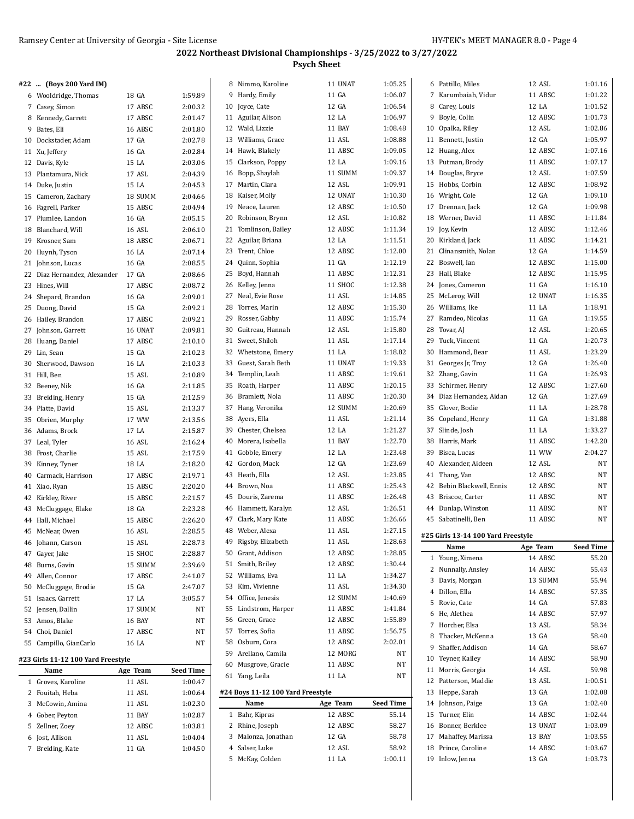| #22  (Boys 200 Yard IM)            |          |                  | 8 Nimmo, Karoline                 | 11 UNAT  | 1:05.25          | 6 Pattillo, Miles                  | 12 ASL   | 1:01.16          |
|------------------------------------|----------|------------------|-----------------------------------|----------|------------------|------------------------------------|----------|------------------|
| 6 Wooldridge, Thomas               | 18 GA    | 1:59.89          | 9 Hardy, Emily                    | 11 GA    | 1:06.07          | 7 Karumbaiah, Vidur                | 11 ABSC  | 1:01.22          |
| 7 Casey, Simon                     | 17 ABSC  | 2:00.32          | 10 Joyce, Cate                    | 12 GA    | 1:06.54          | 8 Carey, Louis                     | 12 LA    | 1:01.52          |
| 8 Kennedy, Garrett                 | 17 ABSC  | 2:01.47          | 11 Aguilar, Alison                | 12 LA    | 1:06.97          | 9 Boyle, Colin                     | 12 ABSC  | 1:01.73          |
| 9 Bates, Eli                       | 16 ABSC  | 2:01.80          | 12 Wald, Lizzie                   | 11 BAY   | 1:08.48          | 10 Opalka, Riley                   | 12 ASL   | 1:02.86          |
| 10 Dockstader, Adam                | 17 GA    | 2:02.78          | 13 Williams, Grace                | 11 ASL   | 1:08.88          | 11 Bennett, Justin                 | 12 GA    | 1:05.97          |
| 11 Xu, Jeffery                     | 16 GA    | 2:02.84          | 14 Hawk, Blakely                  | 11 ABSC  | 1:09.05          | 12<br>Huang, Alex                  | 12 ABSC  | 1:07.16          |
| 12 Davis, Kyle                     | 15 LA    | 2:03.06          | 15 Clarkson, Poppy                | 12 LA    | 1:09.16          | 13<br>Putman, Brody                | 11 ABSC  | 1:07.17          |
| 13 Plantamura, Nick                | 17 ASL   | 2:04.39          | 16 Bopp, Shaylah                  | 11 SUMM  | 1:09.37          | 14 Douglas, Bryce                  | 12 ASL   | 1:07.59          |
| 14 Duke, Justin                    | 15 LA    | 2:04.53          | 17 Martin, Clara                  | 12 ASL   | 1:09.91          | 15 Hobbs, Corbin                   | 12 ABSC  | 1:08.92          |
| 15 Cameron, Zachary                | 18 SUMM  | 2:04.66          | 18 Kaiser, Molly                  | 12 UNAT  | 1:10.30          | 16<br>Wright, Cole                 | 12 GA    | 1:09.10          |
| 16 Fagrell, Parker                 | 15 ABSC  | 2:04.94          | 19 Neace, Lauren                  | 12 ABSC  | 1:10.50          | 17<br>Drennan, Jack                | 12 GA    | 1:09.98          |
| 17 Plumlee, Landon                 | 16 GA    | 2:05.15          | 20 Robinson, Brynn                | 12 ASL   | 1:10.82          | 18<br>Werner, David                | 11 ABSC  | 1:11.84          |
| 18 Blanchard, Will                 | 16 ASL   | 2:06.10          | 21 Tomlinson, Bailey              | 12 ABSC  | 1:11.34          | 19 Joy, Kevin                      | 12 ABSC  | 1:12.46          |
| 19 Krosner, Sam                    | 18 ABSC  | 2:06.71          | 22 Aguilar, Briana                | 12 LA    | 1:11.51          | 20 Kirkland, Jack                  | 11 ABSC  | 1:14.21          |
| 20 Huynh, Tyson                    | 16 LA    | 2:07.14          | 23 Trent, Chloe                   | 12 ABSC  | 1:12.00          | 21 Clinansmith, Nolan              | 12 GA    | 1:14.59          |
|                                    | 16 GA    | 2:08.55          | 24 Quinn, Sophia                  | 11 GA    | 1:12.19          | Boswell, Ian<br>22                 | 12 ABSC  | 1:15.00          |
| 21 Johnson, Lucas                  |          |                  | 25 Boyd, Hannah                   | 11 ABSC  | 1:12.31          | 23 Hall, Blake                     | 12 ABSC  | 1:15.95          |
| 22 Diaz Hernandez, Alexander       | 17 GA    | 2:08.66          |                                   |          |                  |                                    |          |                  |
| 23 Hines, Will                     | 17 ABSC  | 2:08.72          | 26 Kelley, Jenna                  | 11 SHOC  | 1:12.38          | 24 Jones, Cameron                  | 11 GA    | 1:16.10          |
| 24 Shepard, Brandon                | 16 GA    | 2:09.01          | 27 Neal, Evie Rose                | 11 ASL   | 1:14.85          | 25 McLeroy, Will                   | 12 UNAT  | 1:16.35          |
| 25 Duong, David                    | 15 GA    | 2:09.21          | 28 Torres, Marin                  | 12 ABSC  | 1:15.30          | Williams, Ike<br>26                | 11 LA    | 1:18.91          |
| 26 Hailey, Brandon                 | 17 ABSC  | 2:09.21          | 29 Rosser, Gabby                  | 11 ABSC  | 1:15.74          | 27<br>Ramdeo, Nicolas              | 11 GA    | 1:19.55          |
| 27 Johnson, Garrett                | 16 UNAT  | 2:09.81          | 30 Guitreau, Hannah               | 12 ASL   | 1:15.80          | 28<br>Tovar, AJ                    | 12 ASL   | 1:20.65          |
| 28 Huang, Daniel                   | 17 ABSC  | 2:10.10          | 31 Sweet, Shiloh                  | 11 ASL   | 1:17.14          | 29 Tuck, Vincent                   | 11 GA    | 1:20.73          |
| 29 Lin, Sean                       | 15 GA    | 2:10.23          | 32 Whetstone, Emery               | 11 LA    | 1:18.82          | 30 Hammond, Bear                   | 11 ASL   | 1:23.29          |
| 30 Sherwood, Dawson                | 16 LA    | 2:10.33          | 33 Guest, Sarah Beth              | 11 UNAT  | 1:19.33          | 31 Georges Jr, Troy                | 12 GA    | 1:26.40          |
| 31 Hill, Ben                       | 15 ASL   | 2:10.89          | 34 Templin, Leah                  | 11 ABSC  | 1:19.61          | Zhang, Gavin<br>32                 | 11 GA    | 1:26.93          |
| 32 Beeney, Nik                     | 16 GA    | 2:11.85          | 35 Roath, Harper                  | 11 ABSC  | 1:20.15          | 33<br>Schirmer, Henry              | 12 ABSC  | 1:27.60          |
| 33 Breiding, Henry                 | 15 GA    | 2:12.59          | 36 Bramlett, Nola                 | 11 ABSC  | 1:20.30          | 34 Diaz Hernandez, Aidan           | 12 GA    | 1:27.69          |
| 34 Platte, David                   | 15 ASL   | 2:13.37          | 37 Hang, Veronika                 | 12 SUMM  | 1:20.69          | 35 Glover, Bodie                   | 11 LA    | 1:28.78          |
| 35 Obrien, Murphy                  | 17 WW    | 2:13.56          | 38 Ayers, Ella                    | 11 ASL   | 1:21.14          | Copeland, Henry<br>36              | 11 GA    | 1:31.88          |
| 36 Adams, Brock                    | 17 LA    | 2:15.87          | 39 Chester, Chelsea               | 12 LA    | 1:21.27          | Slinde, Josh<br>37                 | 11 LA    | 1:33.27          |
| 37 Leal, Tyler                     | 16 ASL   | 2:16.24          | 40 Morera, Isabella               | 11 BAY   | 1:22.70          | 38<br>Harris, Mark                 | 11 ABSC  | 1:42.20          |
| 38 Frost, Charlie                  | 15 ASL   | 2:17.59          | 41 Gobble, Emery                  | 12 LA    | 1:23.48          | 39<br>Bisca, Lucas                 | 11 WW    | 2:04.27          |
| 39 Kinney, Tyner                   | 18 LA    | 2:18.20          | 42 Gordon, Mack                   | 12 GA    | 1:23.69          | Alexander, Aideen<br>40            | 12 ASL   | NT               |
| 40 Carmack, Harrison               | 17 ABSC  | 2:19.71          | 43 Heath, Ella                    | 12 ASL   | 1:23.85          | 41 Thang, Van                      | 12 ABSC  | NT               |
| 41 Xiao, Ryan                      | 15 ABSC  | 2:20.20          | 44 Brown, Noa                     | 11 ABSC  | 1:25.43          | Bebin Blackwell, Ennis<br>42       | 12 ABSC  | NT               |
| 42 Kirkley, River                  | 15 ABSC  | 2:21.57          | 45 Douris, Zarema                 | 11 ABSC  | 1:26.48          | Briscoe, Carter<br>43              | 11 ABSC  | NT               |
| 43 McCluggage, Blake               | 18 GA    | 2:23.28          | 46 Hammett, Karalyn               | 12 ASL   | 1:26.51          | 44 Dunlap, Winston                 | 11 ABSC  | NT               |
| 44 Hall, Michael                   | 15 ABSC  | 2:26.20          | 47 Clark, Mary Kate               | 11 ABSC  | 1:26.66          | 45 Sabatinelli, Ben                | 11 ABSC  | NT               |
|                                    |          | 2:28.55          | 48 Weber, Alexa                   | 11 ASL   | 1:27.15          |                                    |          |                  |
| 45 McNear, Owen                    | 16 ASL   |                  | 49 Rigsby, Elizabeth              | 11 ASL   | 1:28.63          | #25 Girls 13-14 100 Yard Freestyle |          |                  |
| 46 Johann, Carson                  | 15 ASL   | 2:28.73          |                                   | 12 ABSC  | 1:28.85          | Name                               | Age Team | <b>Seed Time</b> |
| 47 Gayer, Jake                     | 15 SHOC  | 2:28.87          | 50 Grant, Addison                 |          |                  | 1 Young, Ximena                    | 14 ABSC  | 55.20            |
| 48 Burns, Gavin                    | 15 SUMM  | 2:39.69          | 51 Smith, Briley                  | 12 ABSC  | 1.30.44          | 2 Nunnally, Ansley                 | 14 ABSC  | 55.43            |
| 49 Allen, Connor                   | 17 ABSC  | 2:41.07          | 52 Williams, Eva                  | 11 LA    | 1:34.27          | 3 Davis, Morgan                    | 13 SUMM  | 55.94            |
| 50 McCluggage, Brodie              | 15 GA    | 2:47.07          | 53 Kim, Vivienne                  | 11 ASL   | 1.34.30          | 4 Dillon, Ella                     | 14 ABSC  | 57.35            |
| 51 Isaacs, Garrett                 | 17 LA    | 3:05.57          | 54 Office, Jenesis                | 12 SUMM  | 1:40.69          | 5 Rovie, Cate                      | 14 GA    | 57.83            |
| 52 Jensen, Dallin                  | 17 SUMM  | NT               | 55 Lindstrom, Harper              | 11 ABSC  | 1.41.84          | 6 He, Alethea                      | 14 ABSC  | 57.97            |
| 53 Amos, Blake                     | 16 BAY   | NT               | 56 Green, Grace                   | 12 ABSC  | 1:55.89          | 7 Horcher, Elsa                    | 13 ASL   | 58.34            |
| 54 Choi, Daniel                    | 17 ABSC  | NT               | 57 Torres, Sofia                  | 11 ABSC  | 1:56.75          | 8 Thacker, McKenna                 | 13 GA    | 58.40            |
| 55 Campillo, GianCarlo             | 16 LA    | NT               | 58 Osburn, Cora                   | 12 ABSC  | 2:02.01          | 9 Shaffer, Addison                 | 14 GA    | 58.67            |
| #23 Girls 11-12 100 Yard Freestyle |          |                  | 59 Arellano, Camila               | 12 MORG  | NT               | 10 Teyner, Kailey                  | 14 ABSC  | 58.90            |
| Name                               | Age Team | <b>Seed Time</b> | 60 Musgrove, Gracie               | 11 ABSC  | NT               | 11 Morris, Georgia                 | 14 ASL   | 59.98            |
| 1 Groves, Karoline                 | 11 ASL   | 1:00.47          | 61 Yang, Leila                    | 11 LA    | NT               | 12 Patterson, Maddie               | 13 ASL   | 1:00.51          |
|                                    |          |                  | #24 Boys 11-12 100 Yard Freestyle |          |                  | 13 Heppe, Sarah                    | 13 GA    | 1:02.08          |
| 2 Fouitah, Heba                    | 11 ASL   | 1:00.64          | Name                              |          | <b>Seed Time</b> | 14                                 | 13 GA    | 1:02.40          |
| 3 McCowin, Amina                   | 11 ASL   | 1:02.30          |                                   | Age Team |                  | Johnson, Paige                     |          |                  |
| 4 Gober, Peyton                    | 11 BAY   | 1:02.87          | 1 Bahr, Kipras                    | 12 ABSC  | 55.14            | Turner, Elin<br>15                 | 14 ABSC  | 1:02.44          |
| 5 Zellner, Zoey                    | 12 ABSC  | 1:03.81          | 2 Rhine, Joseph                   | 12 ABSC  | 58.27            | Bonner, Berklee<br>16              | 13 UNAT  | 1:03.09          |
| 6 Jost, Allison                    | 11 ASL   | 1:04.04          | 3 Malonza, Jonathan               | 12 GA    | 58.78            | 17 Mahaffey, Marissa               | 13 BAY   | 1:03.55          |
| 7 Breiding, Kate                   | 11 GA    | 1:04.50          | 4 Salser, Luke                    | 12 ASL   | 58.92            | 18<br>Prince, Caroline             | 14 ABSC  | 1:03.67          |
|                                    |          |                  | 5 McKay, Colden                   | 11 LA    | 1:00.11          | 19 Inlow, Jenna                    | 13 GA    | 1:03.73          |
|                                    |          |                  |                                   |          |                  |                                    |          |                  |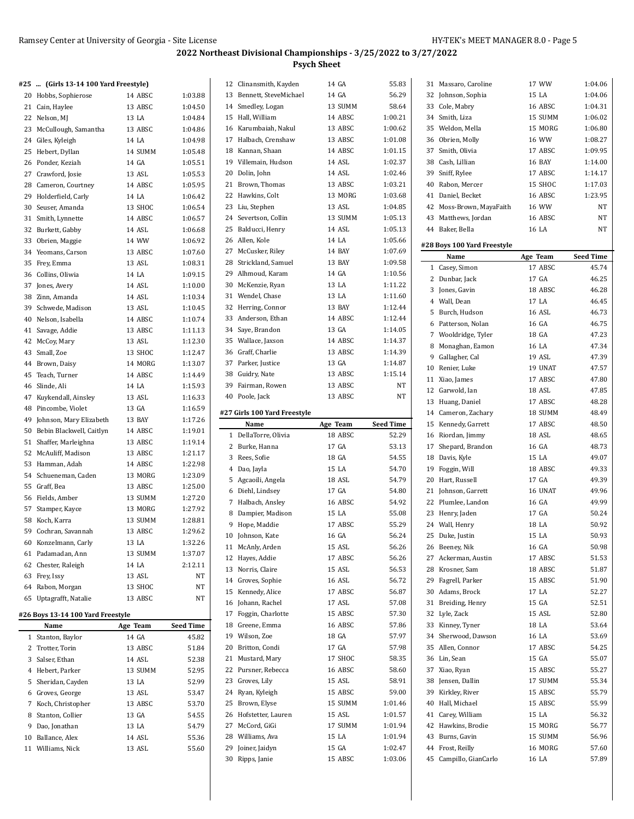| #25 | (Girls 13-14 100 Yard Freestyle)  |          |                  | 12 Clinansmith, Kayden       | 14 GA    | 55.83              | 31 Massaro, Caroline        | 17 WW    | 1:04.06          |
|-----|-----------------------------------|----------|------------------|------------------------------|----------|--------------------|-----------------------------|----------|------------------|
|     | 20 Hobbs, Sophierose              | 14 ABSC  | 1:03.88          | 13 Bennett, SteveMichael     | 14 GA    | 56.29              | 32 Johnson, Sophia          | 15 LA    | 1:04.06          |
|     | 21 Cain, Haylee                   | 13 ABSC  | 1:04.50          | 14 Smedley, Logan            | 13 SUMM  | 58.64              | 33 Cole, Mabry              | 16 ABSC  | 1:04.31          |
|     | 22 Nelson, MJ                     | 13 LA    | 1:04.84          | 15 Hall, William             | 14 ABSC  | 1:00.21            | 34 Smith, Liza              | 15 SUMM  | 1:06.02          |
|     | 23 McCullough, Samantha           | 13 ABSC  | 1:04.86          | 16 Karumbaiah, Nakul         | 13 ABSC  | 1:00.62            | 35 Weldon, Mella            | 15 MORG  | 1:06.80          |
|     | 24 Giles, Kyleigh                 | 14 LA    | 1:04.98          | 17 Halbach, Crenshaw         | 13 ABSC  | 1:01.08            | 36 Obrien, Molly            | 16 WW    | 1:08.27          |
|     | 25 Hebert, Dyllan                 | 14 SUMM  | 1:05.48          | 18 Kannan, Shaan             | 14 ABSC  | 1:01.15            | 37 Smith, Olivia            | 17 ABSC  | 1:09.95          |
|     | 26 Ponder, Keziah                 | 14 GA    | 1:05.51          | 19 Villemain, Hudson         | 14 ASL   | 1:02.37            | 38 Cash, Lillian            | 16 BAY   | 1:14.00          |
|     | 27 Crawford, Josie                | 13 ASL   | 1:05.53          | 20 Dolin, John               | 14 ASL   | 1:02.46            | 39 Sniff, Rylee             | 17 ABSC  | 1:14.17          |
|     | 28 Cameron, Courtney              | 14 ABSC  | 1:05.95          | 21 Brown, Thomas             | 13 ABSC  | 1:03.21            | 40 Rabon, Mercer            | 15 SHOC  | 1:17.03          |
|     | 29 Holderfield, Carly             | 14 LA    | 1:06.42          | 22 Hawkins, Colt             | 13 MORG  | 1:03.68            | 41 Daniel, Becket           | 16 ABSC  | 1:23.95          |
|     | 30 Seuser, Amanda                 | 13 SHOC  | 1:06.54          | 23 Liu, Stephen              | 13 ASL   | 1:04.85            | 42 Moss-Brown, MayaFaith    | 16 WW    | NT               |
|     | 31 Smith, Lynnette                | 14 ABSC  | 1:06.57          | 24 Severtson, Collin         | 13 SUMM  | 1:05.13            | 43 Matthews, Jordan         | 16 ABSC  | NT               |
|     | 32 Burkett, Gabby                 | 14 ASL   | 1:06.68          | 25 Balducci, Henry           | 14 ASL   | 1:05.13            | 44 Baker, Bella             | 16 LA    | <b>NT</b>        |
|     |                                   |          |                  | 26 Allen, Kole               | 14 LA    | 1:05.66            |                             |          |                  |
|     | 33 Obrien, Maggie                 | 14 WW    | 1:06.92          |                              | 14 BAY   |                    | #28 Boys 100 Yard Freestyle |          |                  |
|     | 34 Yeomans, Carson                | 13 ABSC  | 1:07.60          | 27 McCusker, Riley           |          | 1:07.69<br>1:09.58 | Name                        | Age Team | <b>Seed Time</b> |
|     | 35 Frey, Emma                     | 13 ASL   | 1:08.31          | 28 Strickland, Samuel        | 13 BAY   |                    | 1 Casey, Simon              | 17 ABSC  | 45.74            |
|     | 36 Collins, Oliwia                | 14 LA    | 1:09.15          | 29 Alhmoud, Karam            | 14 GA    | 1:10.56            | 2 Dunbar, Jack              | 17 GA    | 46.25            |
|     | 37 Jones, Avery                   | 14 ASL   | 1:10.00          | 30 McKenzie, Ryan            | 13 LA    | 1:11.22            | 3 Jones, Gavin              | 18 ABSC  | 46.28            |
|     | 38 Zinn, Amanda                   | 14 ASL   | 1:10.34          | 31 Wendel, Chase             | 13 LA    | 1:11.60            | 4 Wall, Dean                | 17 LA    | 46.45            |
|     | 39 Schwede, Madison               | 13 ASL   | 1:10.45          | 32 Herring, Connor           | 13 BAY   | 1:12.44            | 5 Burch, Hudson             | 16 ASL   | 46.73            |
|     | 40 Nelson, Isabella               | 14 ABSC  | 1:10.74          | 33 Anderson, Ethan           | 14 ABSC  | 1:12.44            | 6 Patterson, Nolan          | 16 GA    | 46.75            |
|     | 41 Savage, Addie                  | 13 ABSC  | 1:11.13          | 34 Saye, Brandon             | 13 GA    | 1:14.05            | 7 Wooldridge, Tyler         | 18 GA    | 47.23            |
|     | 42 McCoy, Mary                    | 13 ASL   | 1:12.30          | 35 Wallace, Jaxson           | 14 ABSC  | 1:14.37            | 8 Monaghan, Eamon           | 16 LA    | 47.34            |
|     | 43 Small, Zoe                     | 13 SHOC  | 1:12.47          | 36 Graff, Charlie            | 13 ABSC  | 1:14.39            | 9 Gallagher, Cal            | 19 ASL   | 47.39            |
|     | 44 Brown, Daisy                   | 14 MORG  | 1:13.07          | 37 Parker, Justice           | 13 GA    | 1:14.87            | 10 Renier, Luke             | 19 UNAT  | 47.57            |
|     | 45 Teach, Turner                  | 14 ABSC  | 1:14.49          | 38 Guidry, Nate              | 13 ABSC  | 1:15.14            | 11 Xiao, James              | 17 ABSC  | 47.80            |
|     | 46 Slinde, Ali                    | 14 LA    | 1:15.93          | 39 Fairman, Rowen            | 13 ABSC  | NT                 | 12 Garwold, Ian             | 18 ASL   | 47.85            |
|     | 47 Kuykendall, Ainsley            | 13 ASL   | 1:16.33          | 40 Poole, Jack               | 13 ABSC  | NT                 |                             | 17 ABSC  | 48.28            |
|     | 48 Pincombe, Violet               | 13 GA    | 1:16.59          |                              |          |                    | 13 Huang, Daniel            |          |                  |
|     | 49 Johnson, Mary Elizabeth        | 13 BAY   | 1:17.26          | #27 Girls 100 Yard Freestyle |          |                    | 14 Cameron, Zachary         | 18 SUMM  | 48.49            |
|     | 50 Bebin Blackwell, Caitlyn       | 14 ABSC  | 1:19.01          | Name                         | Age Team | <b>Seed Time</b>   | 15 Kennedy, Garrett         | 17 ABSC  | 48.50            |
|     | 51 Shaffer, Marleighna            | 13 ABSC  | 1:19.14          | 1 DellaTorre, Olivia         | 18 ABSC  | 52.29              | 16 Riordan, Jimmy           | 18 ASL   | 48.65            |
|     | 52 McAuliff, Madison              | 13 ABSC  | 1:21.17          | 2 Burke, Hanna               | 17 GA    | 53.13              | 17 Shepard, Brandon         | 16 GA    | 48.73            |
|     | 53 Hamman, Adah                   | 14 ABSC  | 1:22.98          | 3 Rees, Sofie                | 18 GA    | 54.55              | 18 Davis, Kyle              | 15 LA    | 49.07            |
|     | 54 Schueneman, Caden              | 13 MORG  | 1:23.09          | 4 Dao, Jayla                 | 15 LA    | 54.70              | 19 Foggin, Will             | 18 ABSC  | 49.33            |
|     | 55 Graff, Bea                     | 13 ABSC  | 1:25.00          | 5 Agcaoili, Angela           | 18 ASL   | 54.79              | 20 Hart, Russell            | 17 GA    | 49.39            |
|     | 56 Fields, Amber                  | 13 SUMM  | 1:27.20          | 6 Diehl, Lindsey             | 17 GA    | 54.80              | 21 Johnson, Garrett         | 16 UNAT  | 49.96            |
|     |                                   | 13 MORG  | 1:27.92          | 7 Halbach, Ansley            | 16 ABSC  | 54.92              | 22 Plumlee, Landon          | 16 GA    | 49.99            |
|     | 57 Stamper, Kayce                 |          |                  | 8 Dampier, Madison           | 15 LA    | 55.08              | 23 Henry, Jaden             | 17 GA    | 50.24            |
|     | 58 Koch, Karra                    | 13 SUMM  | 1:28.81          | 9 Hope, Maddie               | 17 ABSC  | 55.29              | 24 Wall, Henry              | 18 LA    | 50.92            |
|     | 59 Cochran, Savannah              | 13 ABSC  | 1:29.62          | 10 Johnson, Kate             | 16 GA    | 56.24              | 25 Duke, Justin             | 15 LA    | 50.93            |
|     | 60 Konzelmann, Carly              | 13 LA    | 1:32.26          | 11 McAnly, Arden             | 15 ASL   | 56.26              | 26 Beeney, Nik              | 16 GA    | 50.98            |
|     | 61 Padamadan, Ann                 | 13 SUMM  | 1:37.07          | 12 Hayes, Addie              | 17 ABSC  | 56.26              | 27 Ackerman, Austin         | 17 ABSC  | 51.53            |
|     | 62 Chester, Raleigh               | 14 LA    | 2:12.11          | 13 Norris, Claire            | 15 ASL   | 56.53              | 28 Krosner, Sam             | 18 ABSC  | 51.87            |
|     | 63 Frey, Issy                     | 13 ASL   | NT               | 14 Groves, Sophie            | 16 ASL   | 56.72              | 29 Fagrell, Parker          | 15 ABSC  | 51.90            |
|     | 64 Rabon, Morgan                  | 13 SHOC  | NT               | 15 Kennedy, Alice            | 17 ABSC  | 56.87              | 30 Adams, Brock             | 17 LA    | 52.27            |
|     | 65 Uptagrafft, Natalie            | 13 ABSC  | NT               | 16 Johann, Rachel            | 17 ASL   | 57.08              | 31 Breiding, Henry          | 15 GA    | 52.51            |
|     | #26 Boys 13-14 100 Yard Freestyle |          |                  | 17 Foggin, Charlotte         | 15 ABSC  | 57.30              | 32 Lyle, Zack               | 15 ASL   | 52.80            |
|     | Name                              | Age Team | <b>Seed Time</b> | 18 Greene, Emma              | 16 ABSC  | 57.86              | 33 Kinney, Tyner            | 18 LA    | 53.64            |
|     | 1 Stanton, Baylor                 | 14 GA    | 45.82            | 19 Wilson, Zoe               | 18 GA    | 57.97              | 34 Sherwood, Dawson         | 16 LA    | 53.69            |
|     | 2 Trotter, Torin                  | 13 ABSC  | 51.84            | 20 Britton, Condi            | 17 GA    | 57.98              | 35 Allen, Connor            | 17 ABSC  | 54.25            |
|     |                                   |          |                  | 21 Mustard, Mary             | 17 SHOC  | 58.35              | 36 Lin, Sean                | 15 GA    | 55.07            |
|     | 3 Salser, Ethan                   | 14 ASL   | 52.38            |                              |          |                    |                             |          |                  |
|     | 4 Hebert, Parker                  | 13 SUMM  | 52.95            | 22 Pursner, Rebecca          | 16 ABSC  | 58.60              | 37 Xiao, Ryan               | 15 ABSC  | 55.27            |
|     | 5 Sheridan, Cayden                | 13 LA    | 52.99            | 23 Groves, Lily              | 15 ASL   | 58.91              | 38 Jensen, Dallin           | 17 SUMM  | 55.34            |
|     | 6 Groves, George                  | 13 ASL   | 53.47            | 24 Ryan, Kyleigh             | 15 ABSC  | 59.00              | 39 Kirkley, River           | 15 ABSC  | 55.79            |
|     | 7 Koch, Christopher               | 13 ABSC  | 53.70            | 25 Brown, Elyse              | 15 SUMM  | 1:01.46            | 40 Hall, Michael            | 15 ABSC  | 55.99            |
|     | 8 Stanton, Collier                | 13 GA    | 54.55            | 26 Hofstetter, Lauren        | 15 ASL   | 1:01.57            | 41 Carey, William           | 15 LA    | 56.32            |
|     | 9 Dao, Jonathan                   | 13 LA    | 54.79            | 27 McCord, GiGi              | 17 SUMM  | 1:01.94            | 42 Hawkins, Brodie          | 15 MORG  | 56.77            |
|     | 10 Ballance, Alex                 | 14 ASL   | 55.36            | 28 Williams, Ava             | 15 LA    | 1:01.94            | 43 Burns, Gavin             | 15 SUMM  | 56.96            |
|     | 11 Williams, Nick                 | 13 ASL   | 55.60            | 29 Joiner, Jaidyn            | 15 GA    | 1:02.47            | 44 Frost, Reilly            | 16 MORG  | 57.60            |
|     |                                   |          |                  | 30 Ripps, Janie              | 15 ABSC  | 1:03.06            | 45 Campillo, GianCarlo      | 16 LA    | 57.89            |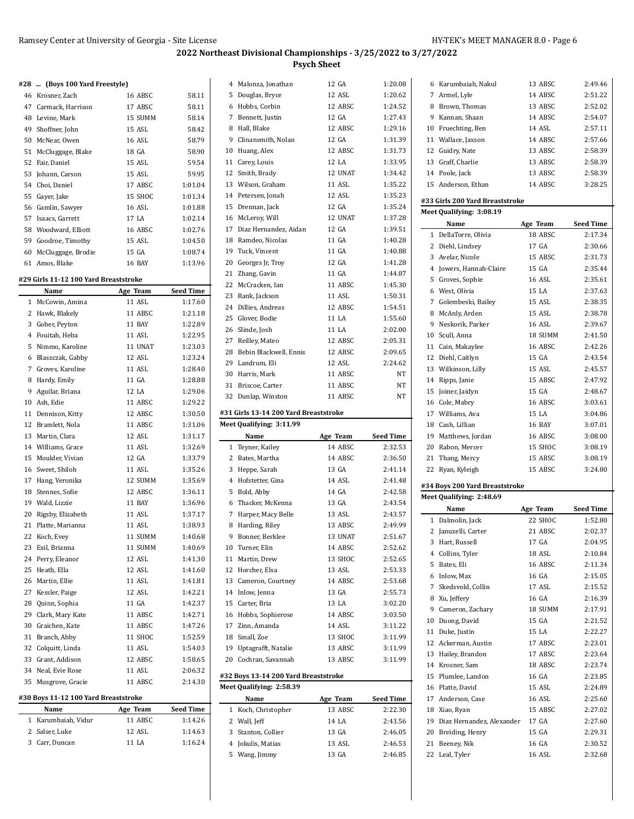#### **#28 ... (Boys 100 Yard Freestyle)**

| 46 Krosner, Zach      | 16 ABSC | 58.11   |
|-----------------------|---------|---------|
| 47 Carmack, Harrison  | 17 ABSC | 58.11   |
| 48 Levine, Mark       | 15 SUMM | 58.14   |
| 49 Shoffner, John     | 15 ASL  | 58.42   |
| 50 McNear, Owen       | 16 ASL  | 58.79   |
| 51 McCluggage, Blake  | 18 GA   | 58.90   |
| 52 Fair, Daniel       | 15 ASL  | 59.54   |
| 53 Johann, Carson     | 15 ASL  | 59.95   |
| 54 Choi, Daniel       | 17 ABSC | 1:01.04 |
| 55 Gayer, Jake        | 15 SHOC | 1:01.34 |
| 56 Gamlin, Sawyer     | 16 ASL  | 1:01.88 |
| 57 Isaacs, Garrett    | 17 LA   | 1:02.14 |
| 58 Woodward, Elliott  | 16 ABSC | 1:02.76 |
| 59 Goodroe, Timothy   | 15 ASL  | 1:04.50 |
| 60 McCluggage, Brodie | 15 GA   | 1:08.74 |
| 61 Amos, Blake        | 16 BAY  | 1:13.96 |

#### **#29 Girls 11-12 100 Yard Breaststroke**

|                                      | Name                 | Age Team      | <b>Seed Time</b> |
|--------------------------------------|----------------------|---------------|------------------|
| $\mathbf{1}$                         | McCowin, Amina       | 11 ASL        | 1:17.60          |
|                                      | 2 Hawk, Blakely      | 11 ABSC       | 1:21.18          |
| 3                                    | Gober, Peyton        | <b>11 BAY</b> | 1:22.89          |
| 4                                    | Fouitah, Heba        | 11 ASL        | 1:22.95          |
| 5                                    | Nimmo, Karoline      | 11 UNAT       | 1:23.03          |
|                                      | 6 Blaszczak, Gabby   | 12 ASL        | 1:23.24          |
| $7^{\circ}$                          | Groves, Karoline     | 11 ASL        | 1:28.40          |
|                                      | 8 Hardy, Emily       | 11 GA         | 1:28.88          |
|                                      | 9 Aguilar, Briana    | 12 I.A        | 1:29.06          |
|                                      | 10 Ash, Edie         | 11 ABSC       | 1:29.22          |
|                                      | 11 Dennison, Kitty   | 12 ABSC       | 1:30.50          |
|                                      | 12 Bramlett, Nola    | 11 ABSC       | 1:31.06          |
|                                      | 13 Martin, Clara     | 12 ASL        | 1:31.17          |
|                                      | 14 Williams, Grace   | 11 ASL        | 1:32.69          |
|                                      | 15 Moulder, Vivian   | 12 GA         | 1:33.79          |
|                                      | 16 Sweet, Shiloh     | 11 ASL        | 1:35.26          |
|                                      | 17 Hang, Veronika    | 12 SUMM       | 1:35.69          |
|                                      | 18 Stennes, Sofie    | 12 ABSC       | 1:36.11          |
|                                      | 19 Wald, Lizzie      | <b>11 BAY</b> | 1:36.96          |
|                                      | 20 Rigsby, Elizabeth | 11 ASL        | 1:37.17          |
|                                      | 21 Platte, Marianna  | 11 ASL        | 1:38.93          |
|                                      | 22 Koch, Evey        | 11 SUMM       | 1:40.68          |
|                                      | 23 Exil, Brianna     | 11 SUMM       | 1:40.69          |
|                                      | 24 Perry, Eleanor    | 12 ASL        | 1:41.30          |
|                                      | 25 Heath, Ella       | 12 ASL        | 1:41.60          |
|                                      | 26 Martin, Ellie     | 11 ASL        | 1:41.81          |
|                                      | 27 Kessler, Paige    | 12 ASL        | 1:42.21          |
|                                      | 28 Quinn, Sophia     | 11 GA         | 1:42.37          |
|                                      | 29 Clark, Mary Kate  | 11 ABSC       | 1:42.71          |
|                                      | 30 Graichen, Kate    | 11 ABSC       | 1:47.26          |
|                                      | 31 Branch, Abby      | 11 SHOC       | 1:52.59          |
|                                      | 32 Colquitt, Linda   | 11 ASL        | 1:54.03          |
|                                      | 33 Grant, Addison    | 12 ABSC       | 1:58.65          |
|                                      | 34 Neal, Evie Rose   | 11 ASL        | 2:06.32          |
| 35                                   | Musgrove, Gracie     | 11 ABSC       | 2:14.30          |
| #30 Boys 11-12 100 Yard Breaststroke |                      |               |                  |

| Name                | Age Team   | <b>Seed Time</b> |
|---------------------|------------|------------------|
| 1 Karumbaiah, Vidur | 11 ABSC    | 1:14.26          |
| 2 Salser, Luke      | 12 ASL     | 1:14.63          |
| 3 Carr, Duncan      | $11$ $I.A$ | 1:16.24          |

 $\overline{a}$ 

|    | Name                                  | Age Team | <b>Seed Time</b> |
|----|---------------------------------------|----------|------------------|
|    | Meet Qualifying: 3:11.99              |          |                  |
|    | #31 Girls 13-14 200 Yard Breaststroke |          |                  |
|    | 32 Dunlap, Winston                    | 11 ABSC  | NT               |
|    | 31 Briscoe, Carter                    | 11 ABSC  | NT               |
|    | 30 Harris, Mark                       | 11 ABSC  | NT               |
|    | 29 Landrum, Eli                       | 12 ASL   | 2:24.62          |
|    | 28 Bebin Blackwell, Ennis             | 12 ABSC  | 2:09.65          |
|    | 27 Reilley, Mateo                     | 12 ABSC  | 2:05.31          |
|    | 26 Slinde, Josh                       | 11 LA    | 2:02.00          |
|    | 25 Glover, Bodie                      | 11 LA    | 1:55.60          |
|    | 24 Dillies, Andreas                   | 12 ABSC  | 1:54.51          |
|    | 23 Rank, Jackson                      | 11 ASL   | 1:50.31          |
|    | 22 McCracken, Ian                     | 11 ABSC  | 1:45.30          |
|    | 21 Zhang, Gavin                       | 11 GA    | 1:44.87          |
|    | 20 Georges Jr, Troy                   | 12 GA    | 1:41.28          |
|    | 19 Tuck, Vincent                      | 11 GA    | 1:40.88          |
|    | 18 Ramdeo, Nicolas                    | 11 GA    | 1:40.28          |
|    | 17 Diaz Hernandez, Aidan              | 12 GA    | 1:39.51          |
|    | 16 McLeroy, Will                      | 12 UNAT  | 1:37.28          |
|    | 15 Drennan, Jack                      | 12 GA    | 1:35.24          |
|    | 14 Petersen, Jonah                    | 12 ASL   | 1:35.23          |
|    | 13 Wilson, Graham                     | 11 ASL   | 1:35.22          |
| 12 | Smith, Brady                          | 12 UNAT  | 1:34.42          |
|    | 11 Carey, Louis                       | 12 LA    | 1:33.95          |
|    | 10 Huang, Alex                        | 12 ABSC  | 1:31.73          |
| 9  | Clinansmith, Nolan                    | 12 GA    | 1:31.39          |
|    | 8 Hall, Blake                         | 12 ABSC  | 1:29.16          |
|    | 7 Bennett, Justin                     | 12 GA    | 1:27.43          |
|    | 6 Hobbs, Corbin                       | 12 ABSC  | 1:24.52          |
| 5. | Douglas, Bryce                        | 12 ASL   | 1:20.62          |
| 4  | Malonza, Jonathan                     | 12 GA    | 1:20.08          |

| 1              | Teyner, Kailey                       | 14 ABSC  | 2:32.53          |
|----------------|--------------------------------------|----------|------------------|
| 2              | Bates, Martha                        | 14 ABSC  | 2:36.50          |
| 3              | Heppe, Sarah                         | 13 GA    | 2:41.14          |
| $\overline{4}$ | Hofstetter, Gina                     | 14 ASL   | 2:41.48          |
| 5              | Bold, Abby                           | 14 GA    | 2:42.58          |
| 6              | Thacker, McKenna                     | 13 GA    | 2:43.54          |
| 7              | Harper, Macy Belle                   | 13 ASL   | 2:43.57          |
| 8              | Harding, Riley                       | 13 ABSC  | 2:49.99          |
| 9              | Bonner, Berklee                      | 13 UNAT  | 2:51.67          |
| 10             | Turner. Elin                         | 14 ABSC  | 2:52.62          |
| 11             | Martin, Drew                         | 13 SHOC  | 2:52.65          |
|                | 12 Horcher, Elsa                     | 13 ASL   | 2:53.33          |
| 13             | Cameron, Courtney                    | 14 ABSC  | 2:53.68          |
| 14             | Inlow, Jenna                         | 13 GA    | 2:55.73          |
| 15             | Carter, Bria                         | 13 I.A   | 3:02.20          |
| 16             | Hobbs, Sophierose                    | 14 ABSC  | 3:03.50          |
| 17             | Zinn, Amanda                         | 14 ASL   | 3:11.22          |
| 18             | Small, Zoe                           | 13 SHOC  | 3:11.99          |
| 19             | Uptagrafft, Natalie                  | 13 ABSC  | 3:11.99          |
| 20             | Cochran, Savannah                    | 13 ABSC  | 3:11.99          |
|                | #32 Boys 13-14 200 Yard Breaststroke |          |                  |
|                | Meet Qualifying: 2:58.39             |          |                  |
|                | Name                                 | Age Team | <b>Seed Time</b> |
| 1              | Koch, Christopher                    | 13 ABSC  | 2:22.30          |
| 2              | Wall, Jeff                           | 14 LA    | 2:43.56          |
| 3              | Stanton, Collier                     | 13 GA    | 2:46.05          |

 Jokulis, Matias 13 ASL 2:46.53 Wang, Jimmy 13 GA 2:46.85

|    | 6 Karumbaiah, Nakul             | 13 ABSC       | 2:49.46          |
|----|---------------------------------|---------------|------------------|
|    | 7 Armel, Lyle                   | 14 ABSC       | 2:51.22          |
|    | 8 Brown, Thomas                 | 13 ABSC       | 2:52.02          |
|    | 9 Kannan, Shaan                 | 14 ABSC       | 2:54.07          |
|    | 10 Fruechting, Ben              | 14 ASL        | 2:57.11          |
|    | 11 Wallace, Jaxson              | 14 ABSC       | 2:57.66          |
|    | 12 Guidry, Nate                 | 13 ABSC       | 2:58.39          |
|    | 13 Graff, Charlie               | 13 ABSC       | 2:58.39          |
|    | 14 Poole, Jack                  | 13 ABSC       | 2:58.39          |
|    | 15 Anderson, Ethan              | 14 ABSC       | 3:28.25          |
|    | #33 Girls 200 Yard Breaststroke |               |                  |
|    | Meet Qualifying: 3:08.19        |               |                  |
|    | Name                            | Age Team      | <b>Seed Time</b> |
|    | 1 DellaTorre, Olivia            | 18 ABSC       | 2:17.34          |
|    | 2 Diehl, Lindsey                | 17 GA         | 2:30.66          |
|    | 3 Avelar, Nicole                | 15 ABSC       | 2:31.73          |
|    | 4 Jowers, Hannah-Claire         | 15 GA         | 2:35.44          |
|    | 5 Groves, Sophie                | 16 ASL        | 2:35.61          |
|    | 6 West, Olivia                  | 15 LA         | 2:37.63          |
|    | 7 Golembeski, Bailey            | 15 ASL        | 2:38.35          |
|    | 8 McAnly, Arden                 | 15 ASL        | 2:38.78          |
| 9  | Neskorik, Parker                | <b>16 ASL</b> | 2:39.67          |
|    | 10 Scull, Anna                  | 18 SUMM       | 2:41.50          |
|    | 11 Cain, Makaylee               | 16 ABSC       | 2:42.26          |
|    | 12 Diehl, Caitlyn               | 15 GA         | 2:43.54          |
|    | 13 Wilkinson, Lilly             | 15 ASL        | 2:45.57          |
|    | 14 Ripps, Janie                 | 15 ABSC       | 2:47.92          |
| 15 | Joiner, Jaidyn                  | 15 GA         | 2:48.67          |
|    | 16 Cole, Mabry                  | 16 ABSC       | 3:03.61          |
|    | 17 Williams, Ava                | 15 LA         | 3:04.86          |
|    | 18 Cash, Lillian                | <b>16 BAY</b> | 3:07.01          |
|    | 19 Matthews, Jordan             | 16 ABSC       | 3:08.00          |
|    | 20 Rabon, Mercer                | 15 SHOC       | 3:08.19          |
|    | 21 Thang, Mercy                 | 15 ABSC       | 3:08.19          |
| 22 | Ryan, Kyleigh                   | 15 ABSC       | 3:24.80          |
|    | #34 Boys 200 Yard Breaststroke  |               |                  |
|    | Meet Qualifying: 2:48.69        |               |                  |
|    | Name                            | Age Team      | Seed Time        |
|    | 1 Dalmolin, Jack                | 22 SHOC       | 1:52.80          |
|    | 2 Januzelli, Carter             | 21 ABSC       | 2:02.37          |
|    | 3 Hart, Russell                 | 17 GA         | 2:04.95          |
|    | 4 Collins, Tyler                | 18 ASL        | 2:10.84          |
| 5  | Bates, Eli                      | 16 ABSC       | 2:11.34          |
| 6  | Inlow, Max                      | 16 GA         | 2:15.05          |
|    | 7 Skedsvold, Collin             | 17 ASL        | 2:15.52          |
|    | 8 Xu, Jeffery                   | 16 GA         | 2:16.39          |
| 9  | Cameron, Zachary                | 18 SUMM       | 2:17.91          |
|    |                                 |               |                  |

 Duong, David 15 GA 2:21.52 Duke, Justin 15 LA 2:22.27 Ackerman, Austin 17 ABSC 2:23.01 Hailey, Brandon 17 ABSC 2:23.64 Krosner, Sam 18 ABSC 2:23.74 Plumlee, Landon 16 GA 2:23.85 Platte, David 15 ASL 2:24.89 Anderson, Case 16 ASL 2:25.60 Xiao, Ryan 15 ABSC 2:27.02 Diaz Hernandez, Alexander 17 GA 2:27.60 Breiding, Henry 15 GA 2:29.31 Beeney, Nik 16 GA 2:30.52 Leal, Tyler 16 ASL 2:32.68

l,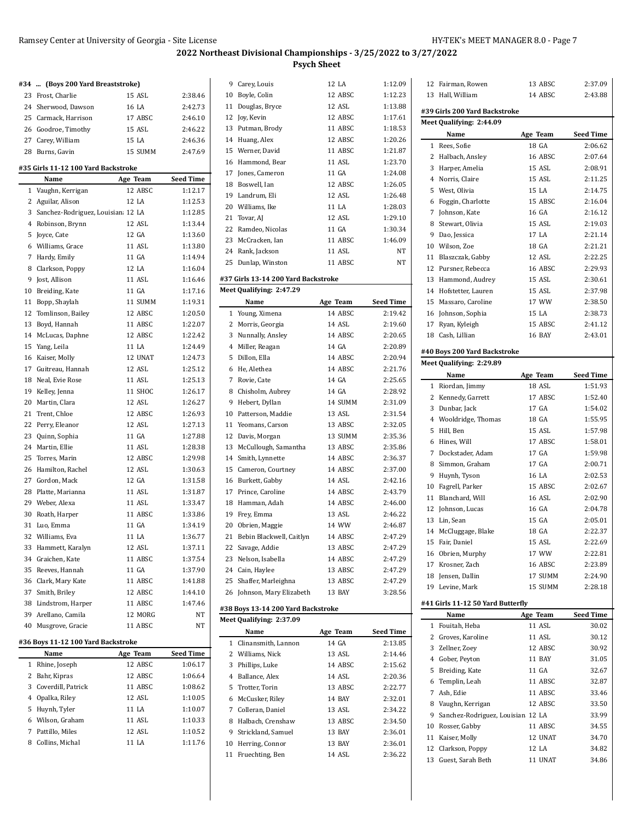|    | #34  (Boys 200 Yard Breaststroke)           |                   |                   |
|----|---------------------------------------------|-------------------|-------------------|
|    | 23 Frost, Charlie                           | 15 ASL            | 2:38.46           |
|    | 24 Sherwood, Dawson                         | 16 LA             | 2:42.73           |
|    | 25 Carmack, Harrison                        | 17 ABSC           | 2:46.10           |
|    | 26 Goodroe, Timothy                         | 15 ASL            | 2:46.22           |
|    | 27 Carey, William                           | 15 LA             | 2:46.36           |
|    | 28 Burns, Gavin                             | 15 SUMM           | 2:47.69           |
|    |                                             |                   |                   |
|    | #35 Girls 11-12 100 Yard Backstroke<br>Name | Age Team          | <b>Seed Time</b>  |
|    | 1 Vaughn, Kerrigan                          | 12 ABSC           | 1:12.17           |
|    | 2 Aguilar, Alison                           | 12 LA             | 1:12.53           |
|    | 3 Sanchez-Rodriguez, Louisian 12 LA         |                   | 1:12.85           |
|    | 4 Robinson, Brynn                           | 12 ASL            | 1:13.44           |
|    | 5 Joyce, Cate                               | 12 GA             | 1:13.60           |
|    | 6 Williams, Grace                           | 11 ASL            | 1:13.80           |
|    | 7 Hardy, Emily                              | 11 GA             | 1:14.94           |
|    | 8 Clarkson, Poppy                           | 12 LA             | 1:16.04           |
|    | 9 Jost, Allison                             | 11 ASL            | 1:16.46           |
|    | 10 Breiding, Kate                           | 11 GA             | 1:17.16           |
|    | 11 Bopp, Shaylah                            | 11 SUMM           | 1:19.31           |
|    | 12 Tomlinson, Bailey                        | 12 ABSC           | 1:20.50           |
|    | 13 Boyd, Hannah                             | 11 ABSC           | 1:22.07           |
|    | 14 McLucas, Daphne                          | 12 ABSC           | 1:22.42           |
|    | 15 Yang, Leila                              | 11 LA             | 1:24.49           |
|    | 16 Kaiser, Molly                            | 12 UNAT           | 1:24.73           |
|    | 17 Guitreau, Hannah                         | 12 ASL            | 1:25.12           |
|    | 18 Neal, Evie Rose                          | 11 ASL            | 1:25.13           |
|    | 19 Kelley, Jenna                            | 11 SHOC           | 1:26.17           |
|    | 20 Martin, Clara                            | 12 ASL            | 1:26.27           |
|    | 21 Trent, Chloe                             | 12 ABSC           | 1:26.93           |
|    | 22 Perry, Eleanor                           | 12 ASL            | 1:27.13           |
|    | 23 Quinn, Sophia                            | 11 GA             | 1:27.88           |
|    | 24 Martin, Ellie                            | 11 ASL            | 1:28.38           |
|    | 25 Torres, Marin                            | 12 ABSC           | 1:29.98           |
|    | 26 Hamilton, Rachel                         | 12 ASL            | 1:30.63           |
|    | 27 Gordon, Mack                             | 12 GA             | 1:31.58           |
|    | 28 Platte, Marianna                         | 11 ASL            | 1:31.87           |
|    | 29 Weber, Alexa                             | 11 ASL            | 1:33.47           |
|    | 30 Roath, Harper                            | 11 ABSC           | 1:33.86           |
|    | 31 Luo, Emma                                | 11 GA             | 1:34.19           |
|    | 32 Williams, Eva                            | 11 LA             | 1:36.77           |
|    | 33 Hammett, Karalyn                         | 12 ASL            | 1:37.11           |
|    | 34 Graichen, Kate                           | 11 ABSC           | 1:37.54           |
|    | 35 Reeves, Hannah                           | 11 GA             | 1:37.90           |
|    | 36 Clark, Mary Kate                         | 11 ABSC           | 1:41.88           |
|    | 37 Smith, Briley                            | 12 ABSC           | 1:44.10           |
|    | 38 Lindstrom, Harper                        | 11 ABSC           | 1:47.46           |
|    | 39 Arellano, Camila                         | 12 MORG           | NT                |
| 40 | Musgrove, Gracie                            | 11 ABSC           | NT                |
|    |                                             |                   |                   |
|    | #36 Boys 11-12 100 Yard Backstroke          |                   |                   |
|    | Name                                        | Age Team          | Seed Time         |
| 1  | Rhine, Joseph<br>$Dab$ $Ubm$                | 12 ABSC<br>12.000 | 1:06.17<br>1.0664 |

|    | 1 Rhine, Joseph      | 12 ABSC | 1:06.17 |
|----|----------------------|---------|---------|
|    | 2 Bahr, Kipras       | 12 ABSC | 1:06.64 |
|    | 3 Coverdill, Patrick | 11 ABSC | 1:08.62 |
|    | 4 Opalka, Riley      | 12 ASL  | 1:10.05 |
|    | 5 Huynh, Tyler       | 11 LA   | 1:10.07 |
|    | 6 Wilson, Graham     | 11 ASL  | 1:10.33 |
|    | 7 Pattillo, Miles    | 12 ASL  | 1:10.52 |
| 8. | Collins, Michal      | 11 LA   | 1:11.76 |
|    |                      |         |         |

| 9 | Carey, Louis       | 12 LA   | 1:12.09   |
|---|--------------------|---------|-----------|
|   | 10 Boyle, Colin    | 12 ABSC | 1:12.23   |
|   | 11 Douglas, Bryce  | 12 ASL  | 1:13.88   |
|   | 12 Joy, Kevin      | 12 ABSC | 1:17.61   |
|   | 13 Putman, Brody   | 11 ABSC | 1:18.53   |
|   | 14 Huang, Alex     | 12 ABSC | 1:20.26   |
|   | 15 Werner, David   | 11 ABSC | 1:21.87   |
|   | 16 Hammond, Bear   | 11 ASL  | 1:23.70   |
|   | 17 Jones, Cameron  | 11 GA   | 1:24.08   |
|   | 18 Boswell, Ian    | 12 ABSC | 1:26.05   |
|   | 19 Landrum, Eli    | 12 ASL  | 1:26.48   |
|   | 20 Williams, Ike   | 11 LA   | 1:28.03   |
|   | 21 Tovar, AJ       | 12 ASL  | 1:29.10   |
|   | 22 Ramdeo, Nicolas | 11 GA   | 1:30.34   |
|   | 23 McCracken, Ian  | 11 ABSC | 1:46.09   |
|   | 24 Rank, Jackson   | 11 ASL  | <b>NT</b> |
|   | 25 Dunlap, Winston | 11 ABSC | NT        |
|   |                    |         |           |

## **#37 Girls 13-14 200 Yard Backstroke**

|    | Meet Qualifying: 2:47.29           |          |                  |
|----|------------------------------------|----------|------------------|
|    | Name                               | Age Team | <b>Seed Time</b> |
| 1  | Young, Ximena                      | 14 ABSC  | 2:19.42          |
| 2  | Morris, Georgia                    | 14 ASL   | 2:19.60          |
| 3  | Nunnally, Ansley                   | 14 ABSC  | 2:20.65          |
| 4  | Miller, Reagan                     | 14 GA    | 2:20.89          |
| 5  | Dillon, Ella                       | 14 ABSC  | 2:20.94          |
|    | 6 He, Alethea                      | 14 ABSC  | 2:21.76          |
| 7  | Rovie. Cate                        | 14 GA    | 2:25.65          |
|    | 8 Chisholm, Aubrey                 | 14 GA    | 2:28.92          |
| 9  | Hebert, Dyllan                     | 14 SUMM  | 2:31.09          |
|    | 10 Patterson, Maddie               | 13 ASL   | 2:31.54          |
|    | 11 Yeomans, Carson                 | 13 ABSC  | 2:32.05          |
| 12 | Davis, Morgan                      | 13 SUMM  | 2:35.36          |
|    | 13 McCullough, Samantha            | 13 ABSC  | 2:35.86          |
| 14 | Smith, Lynnette                    | 14 ABSC  | 2:36.37          |
|    | 15 Cameron, Courtney               | 14 ABSC  | 2:37.00          |
|    | 16 Burkett, Gabby                  | 14 ASL   | 2:42.16          |
|    | 17 Prince, Caroline                | 14 ABSC  | 2:43.79          |
|    | 18 Hamman, Adah                    | 14 ABSC  | 2:46.00          |
| 19 | Frey, Emma                         | 13 ASL   | 2:46.22          |
|    | 20 Obrien, Maggie                  | 14 WW    | 2:46.87          |
| 21 | Bebin Blackwell, Caitlyn           | 14 ABSC  | 2:47.29          |
| 22 | Savage, Addie                      | 13 ABSC  | 2:47.29          |
| 23 | Nelson, Isabella                   | 14 ABSC  | 2:47.29          |
| 24 | Cain, Haylee                       | 13 ABSC  | 2:47.29          |
| 25 | Shaffer, Marleighna                | 13 ABSC  | 2:47.29          |
| 26 | Johnson, Mary Elizabeth            | 13 BAY   | 3:28.56          |
|    | #38 Boys 13-14 200 Yard Backstroke |          |                  |

## **Meet Qualifying: 2:37.09**

|    | Name                  | Age Team | <b>Seed Time</b> |
|----|-----------------------|----------|------------------|
|    | 1 Clinansmith, Lannon | 14 GA    | 2:13.85          |
|    | 2 Williams, Nick      | 13 ASL   | 2:14.46          |
|    | 3 Phillips, Luke      | 14 ABSC  | 2:15.62          |
|    | 4 Ballance, Alex      | 14 ASL   | 2:20.36          |
|    | 5 Trotter, Torin      | 13 ABSC  | 2.22.77          |
|    | 6 McCusker, Riley     | 14 BAY   | 2:32.01          |
|    | 7 Colleran, Daniel    | 13 ASL   | 2:34.22          |
| 8  | Halbach. Crenshaw     | 13 ABSC  | 2:34.50          |
|    | 9 Strickland, Samuel  | 13 BAY   | 2:36.01          |
| 10 | Herring, Connor       | 13 BAY   | 2:36.01          |
| 11 | Fruechting, Ben       | 14 ASL   | 2:36.22          |

| 12             | Fairman, Rowen                    | 13 ABSC                           | 2:37.09          |  |  |  |  |
|----------------|-----------------------------------|-----------------------------------|------------------|--|--|--|--|
|                |                                   | 14 ABSC                           | 2:43.88          |  |  |  |  |
|                | 13 Hall, William                  |                                   |                  |  |  |  |  |
|                | #39 Girls 200 Yard Backstroke     |                                   |                  |  |  |  |  |
|                | Meet Qualifying: 2:44.09          |                                   |                  |  |  |  |  |
|                | Name                              | Age Team                          | <b>Seed Time</b> |  |  |  |  |
| 1              | Rees. Sofie                       | 18 GA                             | 2:06.62          |  |  |  |  |
| $\overline{2}$ | Halbach, Ansley                   | 16 ABSC                           | 2:07.64          |  |  |  |  |
| 3              | Harper, Amelia                    | 15 ASL                            | 2:08.91          |  |  |  |  |
|                | 4 Norris, Claire                  | 15 ASL                            | 2:11.25          |  |  |  |  |
|                | 5 West, Olivia                    | 15 LA                             | 2:14.75          |  |  |  |  |
|                | 6 Foggin, Charlotte               | 15 ABSC                           | 2:16.04          |  |  |  |  |
|                | 7 Johnson, Kate                   | 16 GA                             | 2:16.12          |  |  |  |  |
| 8              | Stewart, Olivia                   | 15 ASL                            | 2:19.03          |  |  |  |  |
|                |                                   |                                   |                  |  |  |  |  |
| 9              | Dao, Jessica                      | 17 LA                             | 2:21.14          |  |  |  |  |
|                | 10 Wilson, Zoe                    | 18 GA                             | 2:21.21          |  |  |  |  |
|                | 11 Blaszczak, Gabby               | 12 ASL                            | 2:22.25          |  |  |  |  |
|                | 12 Pursner, Rebecca               | 16 ABSC                           | 2:29.93          |  |  |  |  |
| 13             | Hammond, Audrey                   | 15 ASL                            | 2:30.61          |  |  |  |  |
|                | 14 Hofstetter, Lauren             | 15 ASL                            | 2:37.98          |  |  |  |  |
|                | 15 Massaro, Caroline              | 17 WW                             | 2:38.50          |  |  |  |  |
|                | 16 Johnson, Sophia                | 15 LA                             | 2:38.73          |  |  |  |  |
| 17             | Ryan, Kyleigh                     | 15 ABSC                           | 2:41.12          |  |  |  |  |
|                | 18 Cash, Lillian                  | <b>16 BAY</b>                     | 2:43.01          |  |  |  |  |
|                |                                   |                                   |                  |  |  |  |  |
|                | #40 Boys 200 Yard Backstroke      |                                   |                  |  |  |  |  |
|                | <b>Meet Qualifying: 2:29.89</b>   |                                   |                  |  |  |  |  |
|                | Name                              | Age Team                          | <b>Seed Time</b> |  |  |  |  |
| 1              | Riordan, Jimmy                    | 18 ASL                            | 1:51.93          |  |  |  |  |
|                | 2 Kennedy, Garrett                | 17 ABSC                           | 1:52.40          |  |  |  |  |
| 3              | Dunbar, Jack                      | 17 GA                             | 1:54.02          |  |  |  |  |
|                | 4 Wooldridge, Thomas              | 18 GA                             | 1:55.95          |  |  |  |  |
| 5              | Hill, Ben                         | 15 ASL                            | 1:57.98          |  |  |  |  |
| 6              | Hines, Will                       | 17 ABSC                           | 1:58.01          |  |  |  |  |
| 7              | Dockstader, Adam                  | 17 GA                             | 1:59.98          |  |  |  |  |
| 8              | Simmon, Graham                    | 17 GA                             | 2:00.71          |  |  |  |  |
|                | 9 Huynh, Tyson                    | 16 LA                             | 2:02.53          |  |  |  |  |
|                | 10 Fagrell, Parker                | 15 ABSC                           | 2:02.67          |  |  |  |  |
|                | 11 Blanchard, Will                | <b>16 ASL</b>                     | 2:02.90          |  |  |  |  |
|                | 12 Johnson, Lucas                 | 16 GA                             | 2:04.78          |  |  |  |  |
| 13             | Lin, Sean                         | 15 GA                             | 2:05.01          |  |  |  |  |
| 14             | McCluggage, Blake                 | 18 GA                             | 2:22.37          |  |  |  |  |
|                | 15 Fair, Daniel                   | 15 ASL                            | 2:22.69          |  |  |  |  |
|                | 16 Obrien, Murphy                 | 17 WW                             | 2:22.81          |  |  |  |  |
| 17             | Krosner, Zach                     | 16 ABSC                           | 2:23.89          |  |  |  |  |
|                | 18 Jensen, Dallin                 | 17 SUMM                           | 2:24.90          |  |  |  |  |
| 19             | Levine, Mark                      | 15 SUMM                           | 2:28.18          |  |  |  |  |
|                |                                   |                                   |                  |  |  |  |  |
|                |                                   | #41 Girls 11-12 50 Yard Butterfly |                  |  |  |  |  |
|                |                                   |                                   |                  |  |  |  |  |
|                | Name                              | Age Team                          | Seed Time        |  |  |  |  |
| 1              | Fouitah, Heba                     | 11 ASL                            | 30.02            |  |  |  |  |
| 2              | Groves, Karoline                  | 11 ASL                            | 30.12            |  |  |  |  |
| 3              | Zellner, Zoey                     | 12 ABSC                           | 30.92            |  |  |  |  |
|                | 4 Gober, Peyton                   | 11 BAY                            | 31.05            |  |  |  |  |
| 5              | Breiding, Kate                    | 11 GA                             | 32.67            |  |  |  |  |
|                | 6 Templin, Leah                   | 11 ABSC                           | 32.87            |  |  |  |  |
| 7              | Ash, Edie                         | 11 ABSC                           | 33.46            |  |  |  |  |
|                | 8 Vaughn, Kerrigan                | 12 ABSC                           | 33.50            |  |  |  |  |
| 9              | Sanchez-Rodriguez, Louisian 12 LA |                                   | 33.99            |  |  |  |  |
|                | 10 Rosser, Gabby                  | 11 ABSC                           | 34.55            |  |  |  |  |
| 11             | Kaiser, Molly                     | 12 UNAT                           | 34.70            |  |  |  |  |

Guest, Sarah Beth 11 UNAT 34.86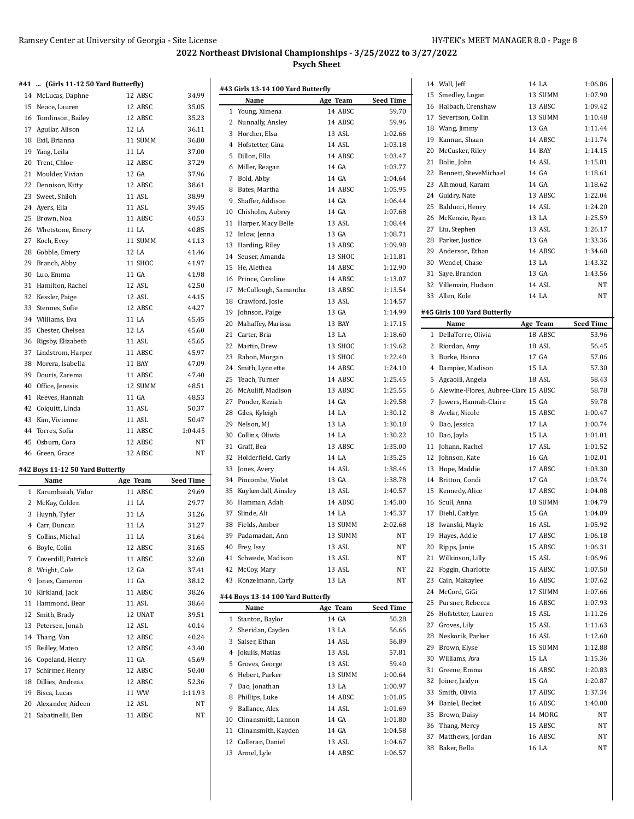#### **#41 ... (Girls 11-12 50 Yard Butterfly)**

| 14 McLucas, Daphne               | 12 ABSC | 34.99   |
|----------------------------------|---------|---------|
| 15 Neace, Lauren                 | 12 ABSC | 35.05   |
| 16 Tomlinson, Bailey             | 12 ABSC | 35.23   |
| 17 Aguilar, Alison               | 12 LA   | 36.11   |
| 18 Exil, Brianna                 | 11 SUMM | 36.80   |
| 19 Yang, Leila                   | 11 LA   | 37.00   |
| 20 Trent, Chloe                  | 12 ABSC | 37.29   |
| 21 Moulder, Vivian               | 12 GA   | 37.96   |
| 22 Dennison, Kitty               | 12 ABSC | 38.61   |
| 23 Sweet, Shiloh                 | 11 ASL  | 38.99   |
| 24 Ayers, Ella                   | 11 ASL  | 39.45   |
| 25 Brown, Noa                    | 11 ABSC | 40.53   |
| 26 Whetstone, Emery              | 11 LA   | 40.85   |
| 27 Koch, Evey                    | 11 SUMM | 41.13   |
| 28 Gobble, Emery                 | 12 LA   | 41.46   |
| 29 Branch, Abby                  | 11 SHOC | 41.97   |
| 30 Luo, Emma                     | 11 GA   | 41.98   |
| 31 Hamilton, Rachel              | 12 ASL  | 42.50   |
| 32 Kessler, Paige                | 12 ASL  | 44.15   |
| 33 Stennes, Sofie                | 12 ABSC | 44.27   |
| 34 Williams, Eva                 | 11 LA   | 45.45   |
| 35 Chester, Chelsea              | 12 LA   | 45.60   |
| 36 Rigsby, Elizabeth             | 11 ASL  | 45.65   |
| 37 Lindstrom, Harper             | 11 ABSC | 45.97   |
| 38 Morera, Isabella              | 11 BAY  | 47.09   |
| 39 Douris, Zarema                | 11 ABSC | 47.40   |
| 40 Office, Jenesis               | 12 SUMM | 48.51   |
| 41 Reeves, Hannah                | 11 GA   | 48.53   |
| 42 Colquitt, Linda               | 11 ASL  | 50.37   |
| 43 Kim, Vivienne                 | 11 ASL  | 50.47   |
| 44 Torres, Sofia                 | 11 ABSC | 1:04.45 |
| 45 Osburn. Cora                  | 12 ABSC | NT      |
| 46 Green, Grace                  | 12 ABSC | NT      |
| #42 Boys 11-12 50 Yard Butterfly |         |         |

|              | Name                 | Age Team        | <b>Seed Time</b> |
|--------------|----------------------|-----------------|------------------|
| $\mathbf{1}$ | Karumbaiah, Vidur    | 11 ABSC         | 29.69            |
| 2            | McKay, Colden        | 11 LA           | 29.77            |
| 3            | Huynh, Tyler         | 11 LA           | 31.26            |
| 4            | Carr, Duncan         | 11 LA           | 31.27            |
| 5            | Collins, Michal      | 11 LA           | 31.64            |
| 6            | Boyle, Colin         | 12 ABSC         | 31.65            |
| 7            | Coverdill, Patrick   | 11 ABSC         | 32.60            |
| 8            | Wright, Cole         | 12 GA           | 37.41            |
| 9            | Jones, Cameron       | 11 GA           | 38.12            |
| 10           | Kirkland, Jack       | 11 ABSC         | 38.26            |
| 11           | Hammond, Bear        | <b>11 ASL</b>   | 38.64            |
|              | 12 Smith, Brady      | 12 UNAT         | 39.51            |
| 13           | Petersen, Jonah      | 12 ASL          | 40.14            |
| 14           | Thang, Van           | 12 ABSC         | 40.24            |
| 15           | Reilley, Mateo       | 12 ABSC         | 43.40            |
| 16           | Copeland, Henry      | $11 \text{ GA}$ | 45.69            |
| 17           | Schirmer, Henry      | 12 ABSC         | 50.40            |
|              | 18 Dillies, Andreas  | 12 ABSC         | 52.36            |
| 19           | Bisca, Lucas         | 11 WW           | 1:11.93          |
|              | 20 Alexander, Aideen | 12 ASL          | <b>NT</b>        |
|              | 21 Sabatinelli, Ben  | 11 ABSC         | NT               |
|              |                      |                 |                  |

|     | Name                                  | Age Team          | <b>Seed Time</b>   |
|-----|---------------------------------------|-------------------|--------------------|
|     | 1 Young, Ximena                       | 14 ABSC           | 59.70              |
|     | 2 Nunnally, Ansley                    | 14 ABSC           | 59.96              |
|     | 3 Horcher, Elsa                       | 13 ASL            | 1:02.66            |
|     | 4 Hofstetter, Gina                    | 14 ASL            | 1:03.18            |
| 5   | Dillon, Ella                          | 14 ABSC           | 1:03.47            |
|     | 6 Miller, Reagan                      | 14 GA             | 1:03.77            |
|     | 7 Bold, Abby                          | 14 GA             | 1:04.64            |
|     | 8 Bates, Martha                       | 14 ABSC           | 1:05.95            |
| 9   | Shaffer, Addison                      | 14 GA             | 1:06.44            |
|     | 10 Chisholm, Aubrey                   | 14 GA             | 1:07.68            |
|     | 11 Harper, Macy Belle                 | 13 ASL            | 1:08.44            |
|     | 12 Inlow, Jenna                       | 13 GA             | 1:08.71            |
|     |                                       |                   |                    |
|     | 13 Harding, Riley                     | 13 ABSC           | 1:09.98            |
|     | 14 Seuser, Amanda                     | 13 SHOC           | 1:11.81            |
| 15  | He, Alethea                           | 14 ABSC           | 1:12.90            |
|     | 16 Prince, Caroline                   | 14 ABSC           | 1:13.07            |
|     | 17 McCullough, Samantha               | 13 ABSC           | 1:13.54            |
|     | 18 Crawford, Josie                    | 13 ASL            | 1:14.57            |
|     | 19 Johnson, Paige                     | 13 GA             | 1:14.99            |
| 20  | Mahaffey, Marissa                     | <b>13 BAY</b>     | 1:17.15            |
|     | 21 Carter, Bria                       | 13 LA             | 1:18.60            |
|     | 22 Martin, Drew                       | 13 SHOC           | 1:19.62            |
|     | 23 Rabon, Morgan                      | 13 SHOC           | 1:22.40            |
| 24  | Smith, Lynnette                       | 14 ABSC           | 1:24.10            |
| 25  | Teach, Turner                         | 14 ABSC           | 1:25.45            |
|     | 26 McAuliff, Madison                  | 13 ABSC           | 1:25.55            |
|     | 27 Ponder, Keziah                     | 14 GA             | 1:29.58            |
|     | 28 Giles, Kyleigh                     | 14 LA             | 1:30.12            |
| 29. | Nelson, MJ                            | 13 LA             | 1:30.18            |
| 30  | Collins, Oliwia                       | 14 LA             | 1:30.22            |
|     |                                       |                   |                    |
| 31  | Graff, Bea                            | 13 ABSC           | 1:35.00            |
|     | 32 Holderfield, Carly                 | 14 LA             | 1:35.25            |
| 33  | Jones, Avery                          | 14 ASL            | 1:38.46            |
|     | 34 Pincombe, Violet                   | 13 GA             | 1:38.78            |
| 35  | Kuykendall, Ainsley                   | 13 ASL            | 1:40.57            |
|     | 36 Hamman, Adah                       | 14 ABSC           | 1:45.00            |
| 37  | Slinde. Ali                           | 14 LA             | 1:45.37            |
|     | 38 Fields, Amber                      | 13 SUMM           | 2:02.68            |
|     | 39 Padamadan, Ann                     | 13 SUMM           | $_{\mathrm{NT}}$   |
|     | 40 Frey, Issy                         | 13 ASL            | NΤ                 |
|     | 41 Schwede, Madison                   | 13 ASL            | NΤ                 |
|     | 42 McCoy, Mary                        | 13 ASL            | NΤ                 |
|     | 43 Konzelmann, Carly                  | 13 LA             | NT                 |
|     |                                       |                   |                    |
|     | #44 Boys 13-14 100 Yard Butterfly     |                   |                    |
|     | Name                                  | Age Team          | <b>Seed Time</b>   |
| 1   | Stanton, Baylor                       | 14 GA             | 50.28              |
|     | 2 Sheridan, Cayden                    | 13 LA             | 56.66              |
|     | 3 Salser, Ethan                       | 14 ASL            | 56.89              |
|     | 4 Jokulis, Matias                     | 13 ASL            | 57.81              |
|     | 5 Groves, George                      | 13 ASL            | 59.40              |
|     | 6 Hebert, Parker                      | 13 SUMM           | 1:00.64            |
|     | 7 Dao, Jonathan                       | 13 LA             | 1:00.97            |
|     | 8 Phillips, Luke                      | 14 ABSC           | 1:01.05            |
|     | Ballance, Alex                        | 14 ASL            | 1:01.69            |
| 9   |                                       |                   |                    |
|     | 10 Clinansmith, Lannon                | 14 GA             |                    |
|     |                                       |                   | 1:01.80            |
|     | 11 Clinansmith, Kayden                | 14 GA             | 1:04.58            |
|     | 12 Colleran, Daniel<br>13 Armel, Lyle | 13 ASL<br>14 ABSC | 1:04.67<br>1:06.57 |

|                | 14 Wall, Jeff                          | 14 LA            | 1:06.86          |
|----------------|----------------------------------------|------------------|------------------|
| 15             | Smedley, Logan                         | 13 SUMM          | 1:07.90          |
|                | 16 Halbach, Crenshaw                   | 13 ABSC          | 1:09.42          |
|                | 17 Severtson, Collin                   | 13 SUMM          | 1:10.48          |
|                | 18 Wang, Jimmy                         | 13 GA            | 1:11.44          |
|                | 19 Kannan, Shaan                       | 14 ABSC          | 1:11.74          |
|                | 20 McCusker, Riley                     | 14 BAY           | 1:14.15          |
|                | 21 Dolin, John                         | 14 ASL           | 1:15.81          |
| 22             | Bennett, SteveMichael                  | 14 GA            | 1:18.61          |
|                | 23 Alhmoud, Karam                      | 14 GA            | 1:18.62          |
|                | 24 Guidry, Nate                        | 13 ABSC          | 1:22.04          |
| 25             | Balducci, Henry                        | 14 ASL           | 1:24.20          |
|                | 26 McKenzie, Ryan                      | 13 LA            | 1:25.59          |
|                | 27 Liu, Stephen                        | 13 ASL           | 1:26.17          |
|                | 28 Parker, Justice                     | 13 GA            | 1:33.36          |
|                |                                        |                  |                  |
|                | 29 Anderson, Ethan                     | 14 ABSC          | 1:34.60          |
|                | 30 Wendel, Chase                       | 13 LA            | 1:43.32          |
|                | 31 Saye, Brandon                       | 13 GA            | 1:43.56          |
|                | 32 Villemain, Hudson                   | 14 ASL           | NΤ               |
|                | 33 Allen, Kole                         | 14 LA            | NΤ               |
|                | #45 Girls 100 Yard Butterfly           |                  |                  |
|                | Name                                   | Age Team         | <b>Seed Time</b> |
| 1              | DellaTorre, Olivia                     | 18 ABSC          | 53.96            |
| $\overline{c}$ | Riordan, Amy                           | 18 ASL           | 56.45            |
|                | 3 Burke, Hanna                         | 17 GA            | 57.06            |
|                | 4 Dampier, Madison                     | 15 LA            | 57.30            |
| 5              |                                        | 18 ASL           |                  |
|                | Agcaoili, Angela                       |                  | 58.43            |
|                | 6 Alewine-Flores, Aubree-Clare 15 ABSC |                  | 58.78            |
|                | 7 Jowers, Hannah-Claire                | 15 GA<br>15 ABSC | 59.78            |
|                |                                        |                  |                  |
|                | 8 Avelar, Nicole                       |                  | 1:00.47          |
|                | 9 Dao, Jessica                         | 17 LA            | 1:00.74          |
|                | 10 Dao, Jayla                          | 15 LA            | 1:01.01          |
| 11             | Johann, Rachel                         | 17 ASL           | 1:01.52          |
| 12             | Johnson, Kate                          | 16 GA            | 1:02.01          |
| 13             | Hope, Maddie                           | 17 ABSC          | 1:03.30          |
|                | 14 Britton, Condi                      | 17 GA            | 1:03.74          |
| 15             | Kennedy, Alice                         | 17 ABSC          | 1:04.08          |
| 16             | Scull, Anna                            | 18 SUMM          | 1:04.79          |
| 17             | Diehl, Caitlyn                         | 15 GA            | 1:04.89          |
|                | 18 Iwanski, Mayle                      | <b>16 ASL</b>    | 1:05.92          |
| 19             | Hayes, Addie                           | 17 ABSC          | 1:06.18          |
|                | 20 Ripps, Janie                        | 15 ABSC          | 1:06.31          |
| 21             | Wilkinson, Lilly                       | 15 ASL           | 1:06.96          |
| 22             | Foggin, Charlotte                      | 15 ABSC          | 1:07.50          |
|                | 23 Cain, Makaylee                      | 16 ABSC          | 1:07.62          |
|                | 24 McCord, GiGi                        | 17 SUMM          | 1:07.66          |
| 25             | Pursner, Rebecca                       | 16 ABSC          | 1:07.93          |
| 26             | Hofstetter, Lauren                     | 15 ASL           | 1:11.26          |
| 27             |                                        | 15 ASL           | 1:11.63          |
|                | Groves, Lily                           |                  |                  |
| 28             | Neskorik, Parker                       | 16 ASL           | 1:12.60          |
| 29             | Brown, Elyse                           | 15 SUMM          | 1:12.88          |
|                | 30 Williams, Ava                       | 15 LA            | 1:15.36          |
| 31             | Greene, Emma                           | 16 ABSC          | 1:20.83          |
| 32             | Joiner, Jaidyn                         | 15 GA            | 1:20.87          |
|                | 33 Smith, Olivia                       | 17 ABSC          | 1:37.34          |
|                | 34 Daniel, Becket                      | 16 ABSC          | 1:40.00          |
| 35             | Brown, Daisy                           | 14 MORG          | NΤ               |
| 36             | Thang, Mercy                           | 15 ABSC          | NΤ               |
| 37<br>38       | Matthews, Jordan<br>Baker, Bella       | 16 ABSC<br>16 LA | NΤ<br>NΤ         |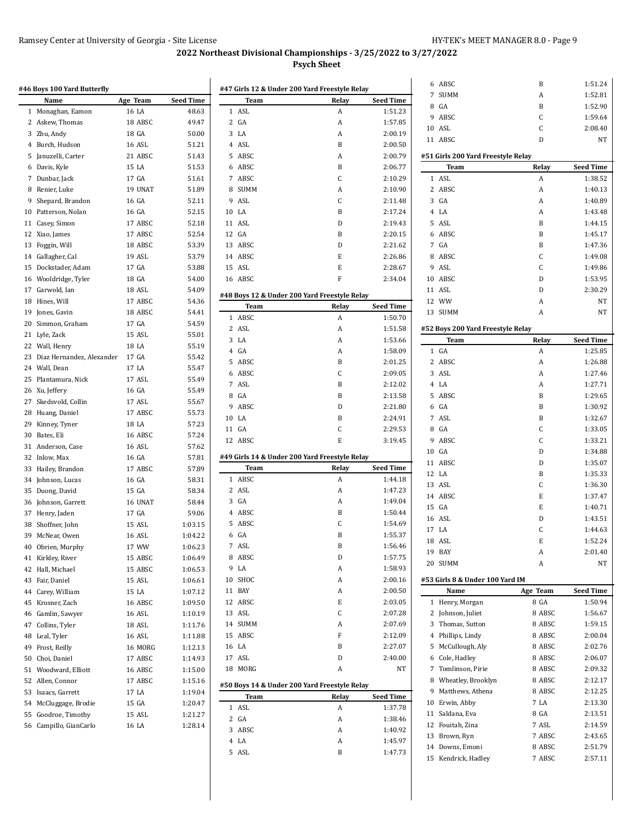|    | #46 Boys 100 Yard Butterfly<br>Name | Age Team | <b>Seed Time</b> | #47 Girls 12 & Under 200 Yard Freestyle Relay<br>Team | Relay  | <b>Seed Time</b>   |
|----|-------------------------------------|----------|------------------|-------------------------------------------------------|--------|--------------------|
|    | 1 Monaghan, Eamon                   | 16 LA    | 48.63            | 1 ASL                                                 | A      | 1:51.23            |
|    | 2 Askew, Thomas                     | 18 ABSC  | 49.47            | 2<br>GA                                               | A      | 1:57.85            |
|    | 3 Zhu, Andy                         | 18 GA    | 50.00            | 3<br>LA                                               | A      | 2:00.19            |
|    | 4 Burch, Hudson                     | 16 ASL   | 51.21            | 4 ASL                                                 | B      | 2:00.50            |
|    |                                     | 21 ABSC  | 51.43            | 5 ABSC                                                | A      | 2:00.79            |
|    | Januzelli, Carter                   |          |                  |                                                       |        |                    |
|    | Davis, Kyle                         | 15 LA    | 51.53            | 6 ABSC                                                | B      | 2:06.77            |
| 7  | Dunbar, Jack                        | 17 GA    | 51.61            | 7<br>ABSC                                             | C      | 2:10.29            |
|    | Renier, Luke                        | 19 UNAT  | 51.89            | 8<br>SUMM                                             | A      | 2:10.90            |
|    | Shepard, Brandon                    | 16 GA    | 52.11            | 9<br>ASL                                              | С      | 2:11.48            |
|    | Patterson, Nolan                    | 16 GA    | 52.15            | 10 LA                                                 | B      | 2:17.24            |
| 11 | Casey, Simon                        | 17 ABSC  | 52.18            | 11 ASL                                                | D      | 2:19.43            |
|    | Xiao, James                         | 17 ABSC  | 52.54            | 12 GA                                                 | B      | 2:20.15            |
|    | Foggin, Will                        | 18 ABSC  | 53.39            | 13 ABSC                                               | D      | 2:21.62            |
|    | Gallagher, Cal                      | 19 ASL   | 53.79            | 14 ABSC                                               | E      | 2:26.86            |
|    | Dockstader, Adam                    | 17 GA    | 53.88            | 15 ASL                                                | E      | 2:28.67            |
|    | Wooldridge, Tyler                   | 18 GA    | 54.00            | 16 ABSC                                               | F      | 2:34.04            |
|    | Garwold, Ian                        | 18 ASL   | 54.09            |                                                       |        |                    |
|    | Hines, Will                         | 17 ABSC  | 54.36            | #48 Boys 12 & Under 200 Yard Freestyle Relay          |        |                    |
|    | Jones, Gavin                        | 18 ABSC  | 54.41            | Team                                                  | Relay  | <b>Seed Time</b>   |
|    | Simmon, Graham                      | 17 GA    | 54.59            | 1 ABSC                                                | A      | 1:50.70            |
|    | 21 Lyle, Zack                       | 15 ASL   | 55.01            | 2 ASL                                                 | A      | 1:51.58            |
|    | Wall, Henry                         | 18 LA    | 55.19            | 3<br>LA                                               | A      | 1:53.66            |
|    | Diaz Hernandez, Alexander           | 17 GA    | 55.42            | GA<br>$\overline{4}$                                  | Α      | 1:58.09            |
|    |                                     | 17 LA    |                  | 5 ABSC                                                | B      | 2:01.25            |
|    | Wall, Dean                          |          | 55.47            | 6<br>ABSC                                             | C      | 2:09.05            |
|    | Plantamura, Nick                    | 17 ASL   | 55.49            | 7 ASL                                                 | B      | 2:12.02            |
| 26 | Xu, Jeffery                         | 16 GA    | 55.49            | 8<br>GA                                               | B      | 2:13.58            |
|    | Skedsvold, Collin                   | 17 ASL   | 55.67            | ABSC<br>9                                             | D      | 2:21.80            |
|    | Huang, Daniel                       | 17 ABSC  | 55.73            | 10 LA                                                 | B      | 2:24.91            |
|    | Kinney, Tyner                       | 18 LA    | 57.23            | 11 GA                                                 | C      | 2:29.53            |
|    | Bates, Eli                          | 16 ABSC  | 57.24            | 12 ABSC                                               | E      | 3:19.45            |
| 31 | Anderson, Case                      | 16 ASL   | 57.62            |                                                       |        |                    |
|    | Inlow, Max                          | 16 GA    | 57.81            | #49 Girls 14 & Under 200 Yard Freestyle Relay         |        |                    |
|    | Hailey, Brandon                     | 17 ABSC  | 57.89            | Team                                                  | Relay  | <b>Seed Time</b>   |
|    | Johnson, Lucas                      | 16 GA    | 58.31            | 1 ABSC                                                | A      | 1:44.18            |
|    | Duong, David                        | 15 GA    | 58.34            | 2 ASL                                                 | A      | 1:47.23            |
|    | Johnson, Garrett                    | 16 UNAT  | 58.44            | 3<br>GA                                               | A      | 1:49.04            |
|    | Henry, Jaden                        | 17 GA    | 59.06            | 4<br>ABSC                                             | B      | 1:50.44            |
|    | 38 Shoffner, John                   | 15 ASL   | 1:03.15          | 5 ABSC                                                | С      | 1:54.69            |
|    | 39 McNear, Owen                     | 16 ASL   | 1:04.22          | 6<br>GA                                               | B      | 1:55.37            |
|    | 40 Obrien, Murphy                   | 17 WW    | 1:06.23          | 7 ASL                                                 | B      | 1:56.46            |
|    | 41 Kirkley, River                   | 15 ABSC  | 1:06.49          | 8<br>ABSC                                             | D      | 1:57.75            |
|    | 42 Hall, Michael                    | 15 ABSC  | 1:06.53          | LA<br>9                                               | A      | 1:58.93            |
|    |                                     |          |                  | $10\,$<br>SHOC                                        | A      | 2:00.16            |
|    | Fair, Daniel                        | 15 ASL   | 1:06.61          |                                                       |        |                    |
|    | Carey, William                      | 15 LA    | 1:07.12          | 11 BAY                                                | A      | 2:00.50            |
|    | Krosner, Zach                       | 16 ABSC  | 1:09.50          | 12 ABSC                                               | E      | 2:03.05            |
|    | Gamlin, Sawyer                      | 16 ASL   | 1:10.19          | 13 ASL                                                | C      | 2.07.28            |
|    | Collins, Tyler                      | 18 ASL   | 1:11.76          | 14 SUMM                                               | A      | 2:07.69            |
|    | Leal, Tyler                         | 16 ASL   | 1:11.88          | 15 ABSC                                               | F      | 2:12.09            |
|    | Frost, Reilly                       | 16 MORG  | 1:12.13          | 16 LA                                                 | B      | 2.27.07            |
|    | Choi, Daniel                        | 17 ABSC  | 1:14.93          | 17 ASL                                                | D      | 2.40.00            |
| 51 | Woodward, Elliott                   | 16 ABSC  | 1:15.00          | 18 MORG                                               | A      | NΤ                 |
|    | Allen, Connor                       | 17 ABSC  | 1:15.16          |                                                       |        |                    |
|    | Isaacs, Garrett                     | 17 LA    | 1:19.04          | #50 Boys 14 & Under 200 Yard Freestyle Relay          |        |                    |
|    | McCluggage, Brodie                  | 15 GA    | 1:20.47          | Team                                                  | Relay  | <b>Seed Time</b>   |
|    | Goodroe, Timothy                    | 15 ASL   | 1:21.27          | 1 ASL                                                 | A      | 1.37.78            |
|    | 56 Campillo, GianCarlo              | 16 LA    | 1:28.14          | 2 GA                                                  | A      | 1:38.46            |
|    |                                     |          |                  | ABSC<br>3                                             | A      | 1:40.92            |
|    |                                     |          |                  |                                                       |        |                    |
|    |                                     |          |                  | 4 LA<br>5 ASL                                         | A<br>B | 1:45.97<br>1:47.73 |

| 6              | ABSC                               | B        | 1:51.24          |
|----------------|------------------------------------|----------|------------------|
| 7              | <b>SUMM</b>                        | A        | 1:52.81          |
| 8              | GA                                 | B        | 1:52.90          |
| 9              | ABSC                               | C        | 1:59.64          |
|                | 10 ASL                             | C        | 2:08.40          |
|                | 11 ABSC                            | D        | NT               |
|                |                                    |          |                  |
|                | #51 Girls 200 Yard Freestyle Relay |          |                  |
|                | Team                               | Relay    | <b>Seed Time</b> |
| 1              | ASL                                | A        | 1:38.52          |
| $\overline{2}$ | ABSC                               | A        | 1:40.13          |
|                | 3 GA                               | A        | 1:40.89          |
| $\overline{4}$ | LA                                 | A        | 1:43.48          |
| 5              | ASL                                | B        | 1:44.15          |
| 6              | ABSC                               | B        | 1:45.17          |
|                | 7 GA                               | B        | 1:47.36          |
| 8              | ABSC                               | C        | 1:49.08          |
| 9              | ASL                                | C        | 1:49.86          |
| 10             | ABSC                               | D        | 1:53.95          |
|                | 11 ASL                             | D        | 2:30.29          |
|                | 12 WW                              | A        | NT               |
| 13             | <b>SUMM</b>                        | A        | NT               |
|                |                                    |          |                  |
|                | #52 Boys 200 Yard Freestyle Relay  |          |                  |
|                | Team                               | Relay    | <b>Seed Time</b> |
| 1              | GA                                 | A        | 1:25.85          |
| $\overline{c}$ | ABSC                               | A        | 1:26.88          |
| 3              | ASL                                | A        | 1:27.46          |
| 4              | LA                                 | A        | 1:27.71          |
| 5              | ABSC                               | B        | 1:29.65          |
|                | 6 GA                               | B        | 1:30.92          |
|                | 7 ASL                              | B        | 1:32.67          |
| 8              | GA                                 | C        | 1:33.05          |
|                |                                    |          |                  |
|                |                                    |          |                  |
| 9              | ABSC                               | C        | 1:33.21          |
|                | 10 GA                              | D        | 1:34.88          |
| 11             | ABSC                               | D        | 1:35.07          |
| 12             | LA                                 | B        | 1:35.33          |
| 13             | ASL                                | C        | 1:36.30          |
| 14             | ABSC                               | E        | 1:37.47          |
| 15             | GA                                 | E        | 1:40.71          |
| 16             | ASL                                | D        | 1:43.51          |
| 17             | LA                                 | C        | 1:44.63          |
| 18             | ASL                                | E        | 1:52.24          |
| 19             | BAY                                | A        | 2:01.40          |
| 20             | <b>SUMM</b>                        | A        | NT               |
|                |                                    |          |                  |
|                | #53 Girls 8 & Under 100 Yard IM    |          |                  |
|                | Name                               | Age Team | Seed Time        |
| 1              | Henry, Morgan                      | 8 GA     | 1:50.94          |
| 2              | Johnson, Juliet                    | 8 ABSC   | 1:56.67          |
| 3              | Thomas, Sutton                     | 8 ABSC   | 1:59.15          |
| 4              | Phillips, Lindy                    | 8 ABSC   | 2:00.04          |
| 5              | McCullough, Aly                    | 8 ABSC   | 2:02.76          |
|                | 6 Cole, Hadley                     | 8 ABSC   | 2:06.07          |
| 7              | Tomlinson, Pirie                   | 8 ABSC   | 2:09.32          |
| 8              | Wheatley, Brooklyn                 | 8 ABSC   | 2:12.17          |
| 9              | Matthews, Athena                   | 8 ABSC   | 2:12.25          |
| 10             | Erwin, Abby                        | 7 LA     | 2:13.30          |
| 11             | Saldana, Eva                       | 8 GA     | 2:13.51          |
| 12             | Fouitah, Zina                      | 7 ASL    | 2:14.59          |
| 13             | Brown, Ryn                         | 7 ABSC   | 2:43.65          |
| 14             | Downs, Emoni                       | 8 ABSC   | 2:51.79          |
| 15             | Kendrick, Hadley                   | 7 ABSC   | 2:57.11          |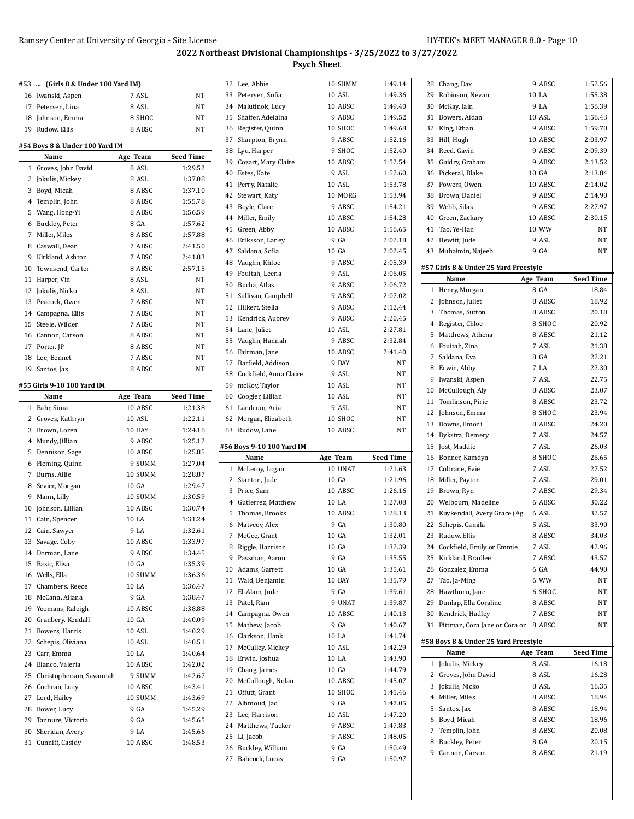| #53 | (Girls 8 & Under 100 Yard IM)          |          |                  |
|-----|----------------------------------------|----------|------------------|
|     | 16 Iwanski, Aspen                      | 7 ASL    | NT               |
|     | 17 Petersen, Lina                      | 8 ASL    | <b>NT</b>        |
|     | 18 Johnson, Emma                       | 8 SHOC   | NT               |
|     | 19 Rudow, Ellis                        | 8 ABSC   | NT               |
|     |                                        |          |                  |
|     | #54 Boys 8 & Under 100 Yard IM<br>Name | Age Team | <b>Seed Time</b> |
| 1   | Groves, John David                     | 8 ASL    | 1:29.52          |
|     | 2 Jokulis, Mickey                      | 8 ASL    | 1:37.08          |
|     | 3 Boyd, Micah                          | 8 ABSC   | 1:37.10          |
|     | 4 Templin, John                        | 8 ABSC   | 1:55.78          |
|     | 5 Wang, Hong-Yi                        | 8 ABSC   | 1:56.59          |
|     | 6 Buckley, Peter                       | 8 GA     | 1:57.62          |
|     | 7 Miller, Miles                        | 8 ABSC   | 1:57.88          |
|     | 8 Caswall, Dean                        | 7 ABSC   | 2:41.50          |
|     | 9 Kirkland, Ashton                     | 7 ABSC   | 2:41.83          |
|     | 10 Townsend, Carter                    | 8 ABSC   | 2:57.15          |
|     | 11 Harper, Vin                         | 8 ASL    | <b>NT</b>        |
|     | 12 Jokulis, Nicko                      | 8 ASL    | NT               |
|     | 13 Peacock, Owen                       | 7 ABSC   | NT               |
|     | 14 Campagna, Ellis                     | 7 ABSC   | NT               |
|     | 15 Steele, Wilder                      | 7 ABSC   | NT               |
|     | 16 Cannon, Carson                      | 8 ABSC   | NT               |
|     | 17 Porter, JP                          | 8 ABSC   | <b>NT</b>        |
| 18  | Lee, Bennet                            | 7 ABSC   | NT               |
|     | 19 Santos, Jax                         | 8 ABSC   | <b>NT</b>        |
|     |                                        |          |                  |
|     | #55 Girls 9-10 100 Yard IM<br>Name     | Age Team | Seed Time        |
| 1   | Bahr, Sima                             | 10 ABSC  | 1:21.38          |
|     |                                        |          |                  |
|     |                                        | 10 ASL   | 1:22.11          |
|     | 2 Groves, Kathryn<br>3 Brown, Loren    | 10 BAY   | 1:24.16          |
|     | 4 Mundy, Jillian                       | 9 ABSC   | 1:25.12          |
|     | 5 Dennison, Sage                       | 10 ABSC  | 1:25.85          |
|     | 6 Fleming, Quinn                       | 9 SUMM   | 1:27.04          |
|     | 7 Burns, Allie                         | 10 SUMM  | 1:28.87          |
|     | 8 Sevier, Morgan                       | 10 GA    | 1:29.47          |
|     | 9 Mann, Lilly                          | 10 SUMM  | 1:30.59          |
|     | 10 Johnson, Lillian                    | 10 ABSC  | 1:30.74          |
|     | 11 Cain, Spencer                       | 10 LA    | 1:31.24          |
|     | 12 Cain, Sawyer                        | 9 LA     | 1:32.61          |
| 13  | Savage, Coby                           | 10 ABSC  | 1:33.97          |
|     | 14 Dorman, Lane                        | 9 ABSC   | 1:34.45          |
|     | 15 Basic, Elisa                        | 10 GA    | 1:35.39          |
|     | 16 Wells, Ella                         | 10 SUMM  | 1:36.36          |
|     | 17 Chambers, Reece                     | 10 LA    | 1:36.47          |
|     | 18 McCann, Aliana                      | 9 GA     | 1:38.47          |
|     | 19 Yeomans, Raleigh                    | 10 ABSC  | 1:38.88          |
|     | 20 Granbery, Kendall                   | 10 GA    | 1:40.09          |
|     | 21 Bowers, Harris                      | 10 ASL   | 1:40.29          |
|     | 22 Schepis, Oliviana                   | 10 ASL   | 1:40.51          |
|     | 23 Carr, Emma                          | 10 LA    | 1:40.64          |
|     | 24 Blanco, Valeria                     | 10 ABSC  | 1:42.02          |
|     | 25 Christopherson, Savannah            | 9 SUMM   | 1:42.67          |
|     | 26 Cochran, Lucy                       | 10 ABSC  | 1:43.41          |
|     | 27 Lord, Hailey                        | 10 SUMM  | 1:43.69          |
|     | 28 Bower, Lucy                         | 9 GA     | 1:45.29          |
|     | 29 Tannure, Victoria                   | 9 GA     | 1:45.65          |
|     | 30 Sheridan, Avery                     | 9 LA     | 1:45.66          |

|              | 32 Lee, Abbie             | 10 SUMM  | 1:49.14          |
|--------------|---------------------------|----------|------------------|
|              | 33 Petersen, Sofia        | 10 ASL   | 1:49.36          |
|              | 34 Malutinok, Lucy        | 10 ABSC  | 1:49.40          |
|              | 35 Shaffer, Adelaina      | 9 ABSC   | 1:49.52          |
|              | 36 Register, Quinn        | 10 SHOC  | 1:49.68          |
|              | 37 Sharpton, Brynn        | 9 ABSC   | 1:52.16          |
|              | 38 Lyu, Harper            | 9 SHOC   | 1:52.40          |
| 39           | Cozart, Mary Claire       | 10 ABSC  | 1:52.54          |
| 40           | Estes, Kate               | 9 ASL    | 1:52.60          |
| 41           | Perry, Natalie            | 10 ASL   | 1:53.78          |
| 42           | Stewart, Katy             | 10 MORG  | 1:53.94          |
| 43           |                           | 9 ABSC   | 1:54.21          |
| 44           | Boyle, Clare              | 10 ABSC  | 1:54.28          |
|              | Miller, Emily             |          |                  |
| 45           | Green, Abby               | 10 ABSC  | 1:56.65          |
| 46           | Eriksson, Laney           | 9 GA     | 2:02.18          |
| 47           | Saldana, Sofia            | 10 GA    | 2:02.45          |
| 48           | Vaughn, Khloe             | 9 ABSC   | 2:05.39          |
| 49           | Fouitah, Leena            | 9 ASL    | 2:06.05          |
|              | 50 Bucha, Atlas           | 9 ABSC   | 2:06.72          |
| 51           | Sullivan, Campbell        | 9 ABSC   | 2:07.02          |
|              | 52 Hilkert, Stella        | 9 ABSC   | 2:12.44          |
|              | 53 Kendrick, Aubrey       | 9 ABSC   | 2:20.45          |
|              | 54 Lane, Juliet           | 10 ASL   | 2:27.81          |
|              | 55 Vaughn, Hannah         | 9 ABSC   | 2:32.84          |
|              | 56 Fairman, Jane          | 10 ABSC  | 2:41.40          |
|              | 57 Barfield, Addison      | 9 BAY    | <b>NT</b>        |
|              | 58 Cockfield, Anna Claire | 9 ASL    | NT               |
|              | 59 mcKoy, Taylor          | 10 ASL   | NT               |
|              | 60 Coogler, Lillian       | 10 ASL   | NT               |
|              | 61 Landrum, Aria          | 9 ASL    | NT               |
| 62           | Morgan, Elizabeth         | 10 SHOC  | NT               |
|              |                           |          |                  |
| 63           | Rudow, Lane               | 10 ABSC  | NT               |
|              |                           |          |                  |
|              | #56 Boys 9-10 100 Yard IM |          |                  |
|              | Name                      | Age Team | <b>Seed Time</b> |
| $\mathbf{1}$ | McLeroy, Logan            | 10 UNAT  | 1:21.63          |
|              | 2 Stanton, Jude           | 10 GA    | 1:21.96          |
| 3            | Price, Sam                | 10 ABSC  | 1:26.16          |
| $^{4}$       | Gutierrez, Matthew        | 10 LA    | 1:27.08          |
| 5            | Thomas, Brooks            | 10 ABSC  | 1:28.13          |
| 6            | Matveev, Alex             | 9 GA     | 1:30.80          |
| 7            | McGee, Grant              | 10 GA    | 1:32.01          |
|              | 8 Riggle, Harrison        | 10 GA    | 1:32.39          |
|              | 9 Passman, Aaron          | 9 GA     | 1:35.55          |
|              | 10 Adams, Garrett         | 10 GA    | 1:35.61          |
|              | 11 Wald, Benjamin         | 10 BAY   | 1:35.79          |
|              | 12 El-Alam, Jude          | 9 GA     | 1:39.61          |
|              | 13 Patel, Rian            | 9 UNAT   | 1:39.87          |
| 14           | Campagna, Owen            | 10 ABSC  | 1:40.13          |
|              | 15 Mathew, Jacob          | 9 GA     | 1:40.67          |
|              | 16 Clarkson, Hank         | 10 LA    | 1:41.74          |
|              | 17 McCulley, Mickey       | 10 ASL   | 1:42.29          |
|              | 18 Erwin, Joshua          | 10 LA    | 1:43.90          |
| 19           | Chang, James              | 10 GA    | 1:44.79          |
|              | 20 McCullough, Nolan      | 10 ABSC  | 1:45.07          |
|              | 21 Offutt, Grant          | 10 SHOC  | 1:45.46          |
|              | 22 Alhmoud, Jad           | 9 GA     | 1:47.05          |
|              | 23 Lee, Harrison          | 10 ASL   | 1:47.20          |
|              | 24 Matthews, Tucker       | 9 ABSC   | 1:47.83          |
|              | 25 Li, Jacob              | 9 ABSC   | 1:48.05          |
|              | 26 Buckley, William       | 9 GA     | 1:50.49          |
| 27           | Babcock, Lucas            | 9 GA     | 1:50.97          |

|              | 28 Chang, Dax                         | 9 ABSC   | 1:52.56          |
|--------------|---------------------------------------|----------|------------------|
|              | 29 Robinson, Nevan                    | 10 LA    | 1:55.38          |
|              | 30 McKay, Iain                        | 9 LA     | 1:56.39          |
|              | 31 Bowers, Aidan                      | 10 ASL   | 1:56.43          |
|              | 32 King, Ethan                        | 9 ABSC   | 1:59.70          |
|              | 33 Hill, Hugh                         | 10 ABSC  | 2:03.97          |
|              | 34 Reed, Gavin                        | 9 ABSC   | 2:09.39          |
|              | 35 Guidry, Graham                     | 9 ABSC   | 2:13.52          |
|              | 36 Pickeral, Blake                    | 10 GA    | 2:13.84          |
|              | 37 Powers, Owen                       | 10 ABSC  | 2:14.02          |
|              | 38 Brown, Daniel                      | 9 ABSC   | 2:14.90          |
|              | 39 Webb, Silas                        | 9 ABSC   | 2:27.97          |
|              | 40 Green, Zackary                     | 10 ABSC  | 2:30.15          |
|              |                                       |          |                  |
|              | 41 Tao, Ye-Han                        | 10 WW    | NΤ               |
|              | 42 Hewitt, Jude                       | 9 ASL    | NΤ               |
|              | 43 Muhaimin, Najeeb                   | 9 GA     | NΤ               |
|              | #57 Girls 8 & Under 25 Yard Freestyle |          |                  |
|              | Name                                  | Age Team | <b>Seed Time</b> |
| $\mathbf{1}$ | Henry, Morgan                         | 8 GA     | 18.84            |
|              | 2 Johnson, Juliet                     | 8 ABSC   | 18.92            |
|              | 3 Thomas, Sutton                      | 8 ABSC   | 20.10            |
|              | 4 Register, Chloe                     | 8 SHOC   | 20.92            |
|              | 5 Matthews, Athena                    | 8 ABSC   | 21.12            |
|              | 6 Fouitah, Zina                       | 7 ASL    | 21.38            |
| 7            | Saldana, Eva                          | 8 GA     | 22.21            |
|              |                                       | 7 LA     | 22.30            |
|              | 8 Erwin, Abby                         |          |                  |
|              | 9 Iwanski, Aspen                      | 7 ASL    | 22.75            |
|              | 10 McCullough, Aly                    | 8 ABSC   | 23.07            |
|              | 11 Tomlinson, Pirie                   | 8 ABSC   | 23.72            |
|              | 12 Johnson, Emma                      | 8 SHOC   | 23.94            |
|              | 13 Downs, Emoni                       | 8 ABSC   | 24.20            |
|              | 14 Dykstra, Demery                    | 7 ASL    | 24.57            |
|              | 15 Jost, Maddie                       | 7 ASL    | 26.03            |
|              |                                       |          |                  |
|              | 16 Bonner, Kamdyn                     | 8 SHOC   | 26.65            |
|              | 17 Coltrane, Evie                     | 7 ASL    | 27.52            |
|              | 18 Miller, Payton                     | 7 ASL    | 29.01            |
|              | 19 Brown, Ryn                         | 7 ABSC   | 29.34            |
|              | 20 Welbourn, Madeline                 | 6 ABSC   | 30.22            |
| 21           | Kuykendall, Avery Grace (Ag           | 6 ASL    | 32.57            |
|              | 22 Schepis, Camila                    | 5 ASL    | 33.90            |
|              | 23 Rudow, Ellis                       | 8 ABSC   | 34.03            |
|              | 24 Cockfield, Emily or Emmie          | 7 ASL    |                  |
|              | 25 Kirkland, Bradlee                  | 7 ABSC   | 42.96<br>43.57   |
|              | 26 Gonzalez, Emma                     | 6 GA     | 44.90            |
|              | 27 Tao, Ja-Ming                       | 6 WW     | NΤ               |
|              | 28 Hawthorn, Jane                     | 6 SHOC   | NΤ               |
|              | 29 Dunlap, Ella Coraline              | 8 ABSC   |                  |
|              |                                       | 7 ABSC   | NΤ               |
|              | 30 Kendrick, Hadley                   |          | NΤ               |
| 31           | Pittman, Cora Jane or Cora or         | 8 ABSC   | NΤ               |
|              | #58 Boys 8 & Under 25 Yard Freestyle  |          |                  |
|              | Name                                  | Age Team | <b>Seed Time</b> |
|              | 1 Jokulis, Mickey                     | 8 ASL    | 16.18            |
|              | 2 Groves, John David                  | 8 ASL    | 16.28            |
|              | 3 Jokulis, Nicko                      | 8 ASL    | 16.35            |
|              | 4 Miller, Miles                       | 8 ABSC   | 18.94            |
|              | 5 Santos, Jax                         | 8 ABSC   | 18.94            |
|              | 6 Boyd, Micah                         | 8 ABSC   | 18.96            |
| 7            | Templin, John                         | 8 ABSC   | 20.08            |
|              | 8 Buckley, Peter                      | 8 GA     | 20.15            |
| 9            | Cannon, Carson                        | 8 ABSC   | 21.19            |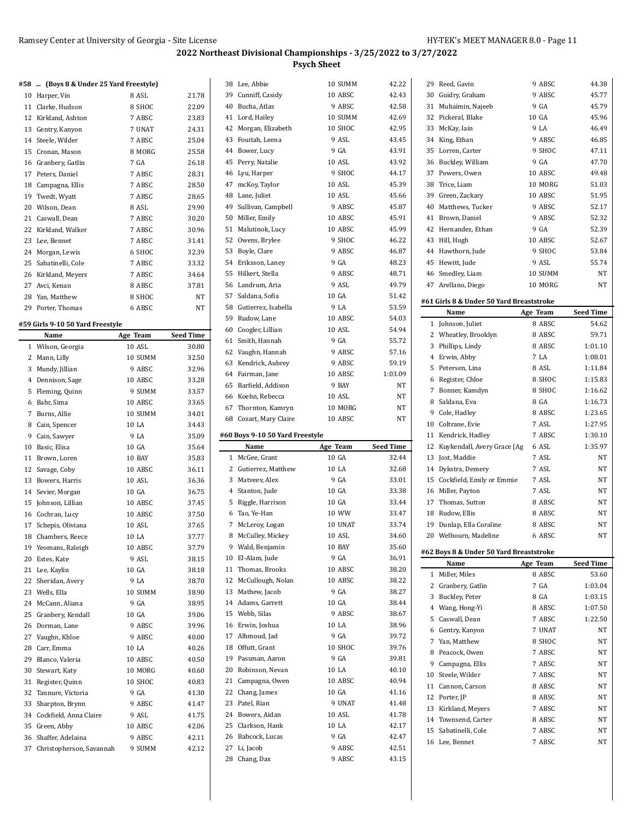$\ddot{\phantom{a}}$ 

#### **2022 Northeast Divisional Championships - 3/25/2022 to 3/27/2022 Psych Sheet**

#### **#58 ... (Boys 8 & Under 25 Yard Freestyle)**

|    | $100,000$ at onder no rara recogness |        |       |
|----|--------------------------------------|--------|-------|
| 10 | Harper, Vin                          | 8 ASL  | 21.78 |
| 11 | Clarke, Hudson                       | 8 SHOC | 22.09 |
| 12 | Kirkland, Ashton                     | 7 ABSC | 23.83 |
| 13 | Gentry, Kanyon                       | 7 UNAT | 24.31 |
| 14 | Steele, Wilder                       | 7 ABSC | 25.04 |
|    | 15 Cronan, Mason                     | 8 MORG | 25.58 |
| 16 | Granbery, Gatlin                     | 7 GA   | 26.18 |
|    | 17 Peters, Daniel                    | 7 ABSC | 28.31 |
|    | 18 Campagna, Ellis                   | 7 ABSC | 28.50 |
|    | 19 Twedt, Wyatt                      | 7 ABSC | 28.65 |
|    | 20 Wilson, Dean                      | 8 ASL  | 29.90 |
| 21 | Caswall, Dean                        | 7 ABSC | 30.20 |
| 22 | Kirkland, Walker                     | 7 ABSC | 30.96 |
|    | 23 Lee, Bennet                       | 7 ABSC | 31.41 |
|    | 24 Morgan, Lewis                     | 6 SHOC | 32.39 |
|    | 25 Sabatinelli, Cole                 | 7 ABSC | 33.32 |
| 26 | Kirkland, Meyers                     | 7 ABSC | 34.64 |
| 27 | Avci, Kenan                          | 8 ABSC | 37.81 |
|    | 28 Yan, Matthew                      | 8 SHOC | NT    |
| 29 | Porter, Thomas                       | 6 ABSC | NT    |

#### **#59 Girls 9-10 50 Yard Freestyle**

L

|    | Name                     | Age Team         | Seed Time |
|----|--------------------------|------------------|-----------|
| 1  | Wilson, Georgia          | 10 ASL           | 30.80     |
| 2  | Mann, Lilly              | 10 SUMM          | 32.50     |
| 3  | Mundy, Jillian           | 9 ABSC           | 32.96     |
| 4  | Dennison, Sage           | 10 ABSC          | 33.28     |
| 5  | Fleming, Quinn           | 9 SUMM           | 33.57     |
| 6  | Bahr, Sima               | 10 ABSC          | 33.65     |
| 7  | Burns, Allie             | 10 SUMM          | 34.01     |
|    | 8 Cain, Spencer          | 10 LA            | 34.43     |
| 9  | Cain, Sawyer             | 9 LA             | 35.09     |
|    | 10 Basic, Elisa          | 10 GA            | 35.64     |
| 11 | Brown, Loren             | 10 BAY           | 35.83     |
| 12 | Savage, Coby             | 10 ABSC          | 36.11     |
| 13 | Bowers, Harris           | 10 ASL           | 36.36     |
| 14 | Sevier, Morgan           | 10 <sub>GA</sub> | 36.75     |
| 15 | Johnson, Lillian         | 10 ABSC          | 37.45     |
|    | 16 Cochran, Lucy         | 10 ABSC          | 37.50     |
| 17 | Schepis, Oliviana        | 10 ASL           | 37.65     |
|    | 18 Chambers, Reece       | 10 LA            | 37.77     |
|    | 19 Yeomans, Raleigh      | 10 ABSC          | 37.79     |
|    | 20 Estes, Kate           | 9 ASL            | 38.15     |
| 21 | Lee, Kaylin              | 10 GA            | 38.18     |
| 22 | Sheridan, Avery          | 9 LA             | 38.70     |
|    | 23 Wells, Ella           | 10 SUMM          | 38.90     |
|    | 24 McCann, Aliana        | 9 GA             | 38.95     |
|    | 25 Granbery, Kendall     | 10 GA            | 39.06     |
|    | 26 Dorman, Lane          | 9 ABSC           | 39.96     |
| 27 | Vaughn, Khloe            | 9 ABSC           | 40.00     |
|    | 28 Carr, Emma            | 10 LA            | 40.26     |
| 29 | Blanco, Valeria          | 10 ABSC          | 40.50     |
| 30 | Stewart, Katy            | 10 MORG          | 40.60     |
| 31 | Register, Quinn          | 10 SHOC          | 40.83     |
| 32 | Tannure, Victoria        | 9 GA             | 41.30     |
| 33 | Sharpton, Brynn          | 9 ABSC           | 41.47     |
| 34 | Cockfield, Anna Claire   | 9 ASL            | 41.75     |
| 35 | Green, Abby              | 10 ABSC          | 42.06     |
| 36 | Shaffer, Adelaina        | 9 ABSC           | 42.11     |
| 37 | Christopherson, Savannah | 9 SUMM           | 42.12     |
|    |                          |                  |           |

|                | 38 Lee, Abbie                   | 10 SUMM          | 42.22            |
|----------------|---------------------------------|------------------|------------------|
|                | 39 Cunniff, Casidy              | 10 ABSC          | 42.43            |
| 40             | Bucha, Atlas                    | 9 ABSC           | 42.58            |
|                | 41 Lord, Hailey                 | 10 SUMM          | 42.69            |
| 42             | Morgan, Elizabeth               | 10 SHOC          | 42.95            |
| 43             | Fouitah, Leena                  | 9 ASL            | 43.45            |
| 44             | Bower, Lucy                     | 9 GA             | 43.91            |
| 45             | Perry, Natalie                  | 10 ASL           | 43.92            |
| 46             | Lyu, Harper                     | 9 SHOC           | 44.17            |
| 47             | mcKoy, Taylor                   | 10 ASL           | 45.39            |
| 48             | Lane, Juliet                    | 10 ASL           | 45.66            |
| 49             |                                 | 9 ABSC           | 45.87            |
|                | Sullivan, Campbell              |                  |                  |
| 50             | Miller, Emily                   | 10 ABSC          | 45.91            |
|                | 51 Malutinok, Lucy              | 10 ABSC          | 45.99            |
|                | 52 Owens, Brylee                | 9 SHOC           | 46.22            |
|                | 53 Boyle, Clare                 | 9 ABSC           | 46.87            |
|                | 54 Eriksson, Laney              | 9 GA             | 48.23            |
|                | 55 Hilkert, Stella              | 9 ABSC           | 48.71            |
|                | 56 Landrum. Aria                | 9 ASL            | 49.79            |
| 57             | Saldana, Sofia                  | 10 GA            | 51.42            |
|                | 58 Gutierrez, Isabella          | 9 LA             | 53.59            |
| 59             | Rudow, Lane                     | 10 ABSC          | 54.03            |
|                | 60 Coogler, Lillian             | 10 ASL           | 54.94            |
| 61             | Smith, Hannah                   | 9 GA             | 55.72            |
|                | 62 Vaughn, Hannah               | 9 ABSC           | 57.16            |
|                | 63 Kendrick, Aubrey             | 9 ABSC           | 59.19            |
|                | 64 Fairman, Jane                | 10 ABSC          | 1:03.09          |
|                | 65 Barfield, Addison            | 9 BAY            | NT               |
|                | 66 Koehn, Rebecca               | 10 ASL           | NT               |
|                | 67 Thornton, Kamryn             | 10 MORG          | NT               |
|                |                                 |                  |                  |
|                |                                 | 10 ABSC          |                  |
|                | 68 Cozart, Mary Claire          |                  | NT               |
|                | #60 Boys 9-10 50 Yard Freestyle |                  |                  |
|                | Name                            | Age Team         | <b>Seed Time</b> |
| $\mathbf{1}$   | McGee, Grant                    | 10 GA            | 32.44            |
|                | 2 Gutierrez, Matthew            | 10 LA            | 32.68            |
|                | 3 Matveev, Alex                 | 9 GA             | 33.01            |
|                | 4 Stanton, Jude                 | 10 GA            | 33.38            |
| 5              | Riggle, Harrison                | 10 GA            | 33.44            |
| 6              | Tao, Ye-Han                     | 10 WW            | 33.47            |
| $\overline{7}$ | McLeroy, Logan                  | 10 UNAT          | 33.74            |
| 8              | McCulley, Mickey                | 10 ASL           | 34.60            |
|                | 9 Wald, Benjamin                | 10 BAY           | 35.60            |
|                | 10 El-Alam, Jude                | 9 GA             | 36.91            |
| 11             | Thomas, Brooks                  | 10 ABSC          | 38.20            |
|                | 12 McCullough, Nolan            | 10 ABSC          | 38.22            |
|                | 13 Mathew, Jacob                | 9 GA             | 38.27            |
|                | 14 Adams, Garrett               | 10 GA            | 38.44            |
|                | 15 Webb, Silas                  | 9 ABSC           | 38.67            |
| 16             | Erwin, Joshua                   | 10 LA            | 38.96            |
| 17             | Alhmoud, Jad                    | 9 GA             | 39.72            |
|                | 18 Offutt, Grant                | 10 SHOC          | 39.76            |
| 19             | Passman, Aaron                  | 9 GA             | 39.81            |
| 20             |                                 | 10 LA            | 40.10            |
| 21             | Robinson, Nevan                 |                  |                  |
|                | Campagna, Owen                  | 10 ABSC          | 40.94            |
| 22             | Chang, James                    | 10 GA            | 41.16            |
| 23             | Patel, Rian                     | 9 UNAT           | 41.48            |
| 24             | Bowers, Aidan                   | 10 ASL           | 41.78            |
|                | 25 Clarkson, Hank               | 10 LA            | 42.17            |
| 26             | Babcock, Lucas                  | 9 GA             | 42.47            |
| 27<br>28       | Li, Jacob<br>Chang, Dax         | 9 ABSC<br>9 ABSC | 42.51<br>43.15   |

| 29 | Reed, Gavin                                      | 9 ABSC   | 44.38              |
|----|--------------------------------------------------|----------|--------------------|
|    | 30 Guidry, Graham                                | 9 ABSC   | 45.77              |
| 31 | Muhaimin, Najeeb                                 | 9 GA     | 45.79              |
|    | 32 Pickeral, Blake                               | 10 GA    | 45.96              |
|    | 33 McKay, Iain                                   | 9 LA     | 46.49              |
|    | 34 King, Ethan                                   | 9 ABSC   | 46.85              |
| 35 | Lorren, Carter                                   | 9 SHOC   | 47.11              |
|    | 36 Buckley, William                              | 9 GA     | 47.70              |
|    | 37 Powers, Owen                                  | 10 ABSC  | 49.48              |
|    | 38 Trice. Liam                                   | 10 MORG  | 51.03              |
| 39 | Green, Zackary                                   | 10 ABSC  | 51.95              |
|    | 40 Matthews, Tucker                              | 9 ABSC   | 52.17              |
| 41 | Brown, Daniel                                    | 9 ABSC   | 52.32              |
|    | 42 Hernandez, Ethan                              | 9 GA     | 52.39              |
|    | 43 Hill, Hugh                                    | 10 ABSC  | 52.67              |
|    | 44 Hawthorn, Jude                                | 9 SHOC   | 53.84              |
| 45 | Hewitt, Jude                                     | 9 ASL    | 55.74              |
|    |                                                  |          |                    |
|    | 46 Smedley, Liam                                 | 10 SUMM  | NΤ                 |
|    | 47 Arellano, Diego                               | 10 MORG  | NΤ                 |
|    | #61 Girls 8 & Under 50 Yard Breaststroke<br>Name | Age Team | <b>Seed Time</b>   |
| 1  | Johnson, Juliet                                  | 8 ABSC   | 54.62              |
| 2  | Wheatley, Brooklyn                               | 8 ABSC   | 59.71              |
|    | 3 Phillips, Lindy                                | 8 ABSC   | 1:01.10            |
| 4  | Erwin, Abby                                      | 7 LA     | 1:08.01            |
| 5  | Petersen, Lina                                   | 8 ASL    | 1:11.84            |
|    |                                                  |          |                    |
|    | 6 Register, Chloe                                | 8 SHOC   | 1:15.83            |
| 7  | Bonner, Kamdyn                                   | 8 SHOC   | 1:16.62            |
| 8  | Saldana, Eva                                     | 8 GA     | 1:16.73            |
| 9  | Cole, Hadley                                     | 8 ABSC   | 1:23.65            |
| 10 | Coltrane, Evie                                   | 7 ASL    | 1:27.95            |
|    | Kendrick, Hadley                                 |          |                    |
| 11 |                                                  | 7 ABSC   | 1:30.10            |
| 12 | Kuykendall, Avery Grace (Ag                      | 6 ASL    | 1:35.97            |
|    | 13 Jost, Maddie                                  | 7 ASL    | NΤ                 |
| 14 | Dykstra, Demery                                  | 7 ASL    | NΤ                 |
| 15 | Cockfield, Emily or Emmie                        | 7 ASL    | NΤ                 |
|    | 16 Miller, Payton                                | 7 ASL    | NΤ                 |
|    | 17 Thomas, Sutton                                | 8 ABSC   | NΤ                 |
|    | 18 Rudow, Ellis                                  | 8 ABSC   | <b>NT</b>          |
| 19 | Dunlap, Ella Coraline                            | 8 ABSC   | NΤ                 |
|    | 20 Welbourn, Madeline                            | 6 ABSC   | NΤ                 |
|    | #62 Boys 8 & Under 50 Yard Breaststroke          |          |                    |
|    | Name                                             |          |                    |
| 1  |                                                  | Age Team | Seed Time<br>53.60 |
|    | Miller, Miles                                    | 8 ABSC   |                    |
| 2  | Granbery, Gatlin                                 | 7 GA     | 1:03.04            |
| 3  | Buckley, Peter                                   | 8 GA     | 1:03.15            |
| 4  | Wang, Hong-Yi                                    | 8 ABSC   | 1:07.50            |
| 5  | Caswall, Dean                                    | 7 ABSC   | 1:22.50            |
| 6  | Gentry, Kanyon                                   | 7 UNAT   | NΤ                 |
| 7  | Yan, Matthew                                     | 8 SHOC   | NΤ                 |
| 8  | Peacock, Owen                                    | 7 ABSC   | NΤ                 |
| 9  | Campagna, Ellis                                  | 7 ABSC   | NΤ                 |
| 10 | Steele, Wilder                                   | 7 ABSC   | NΤ                 |
| 11 | Cannon, Carson                                   | 8 ABSC   | NΤ                 |
| 12 | Porter, JP                                       | 8 ABSC   | NΤ                 |
| 13 | Kirkland, Meyers                                 | 7 ABSC   | NΤ                 |
| 14 | Townsend, Carter                                 | 8 ABSC   | NΤ                 |
| 15 | Sabatinelli, Cole                                | 7 ABSC   | NΤ                 |
| 16 | Lee, Bennet                                      | 7 ABSC   | NΤ                 |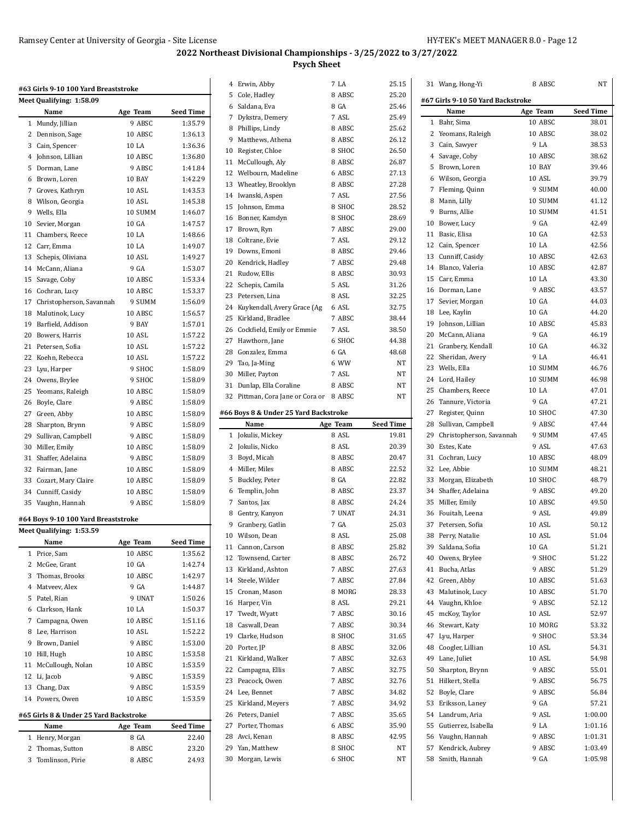| #63 Girls 9-10 100 Yard Breaststroke<br>Meet Qualifying: 1:58.09 |                                        |                   |                  |  |  |  |  |
|------------------------------------------------------------------|----------------------------------------|-------------------|------------------|--|--|--|--|
|                                                                  |                                        |                   |                  |  |  |  |  |
|                                                                  | Name                                   | Age Team          | <b>Seed Time</b> |  |  |  |  |
|                                                                  | 1 Mundy, Jillian                       | 9 ABSC            | 1:35.79          |  |  |  |  |
| 2                                                                | Dennison, Sage                         | 10 ABSC           | 1:36.13          |  |  |  |  |
|                                                                  | 3 Cain, Spencer                        | 10 LA             | 1:36.36          |  |  |  |  |
| 4                                                                | Johnson, Lillian                       | 10 ABSC           | 1:36.80          |  |  |  |  |
| 5                                                                | Dorman, Lane                           | 9 ABSC            | 1:41.84          |  |  |  |  |
| 6                                                                | Brown, Loren                           | 10 BAY            | 1:42.29          |  |  |  |  |
|                                                                  | 7 Groves, Kathryn                      | 10 ASL            | 1:43.53          |  |  |  |  |
| 8                                                                | Wilson, Georgia                        | 10 ASL            | 1:45.38          |  |  |  |  |
|                                                                  | 9 Wells, Ella                          | 10 SUMM           | 1:46.07          |  |  |  |  |
| 10                                                               | Sevier, Morgan                         | 10 GA             | 1:47.57          |  |  |  |  |
| 11                                                               | Chambers, Reece                        | 10 LA             | 1:48.66          |  |  |  |  |
| 12                                                               | Carr, Emma                             | 10 LA             | 1:49.07          |  |  |  |  |
| 13                                                               | Schepis, Oliviana                      | 10 ASL            | 1:49.27          |  |  |  |  |
|                                                                  | 14 McCann, Aliana                      | 9 GA              | 1:53.07          |  |  |  |  |
| 15                                                               | Savage, Coby                           | 10 ABSC           | 1:53.34          |  |  |  |  |
| 16                                                               | Cochran, Lucy                          | 10 ABSC           | 1:53.37          |  |  |  |  |
| 17                                                               | Christopherson, Savannah               | 9 SUMM            | 1:56.09          |  |  |  |  |
| 18                                                               | Malutinok, Lucy                        | 10 ABSC           | 1:56.57          |  |  |  |  |
| 19                                                               | Barfield, Addison                      | 9 BAY             | 1:57.01          |  |  |  |  |
| 20                                                               | Bowers, Harris                         | 10 ASL            | 1:57.22          |  |  |  |  |
| 21                                                               | Petersen, Sofia                        | 10 ASL            | 1:57.22          |  |  |  |  |
| 22                                                               | Koehn, Rebecca                         | 10 ASL            | 1:57.22          |  |  |  |  |
| 23                                                               | Lyu, Harper                            | 9 SHOC            | 1:58.09          |  |  |  |  |
|                                                                  | 24 Owens, Brylee                       | 9 SHOC            | 1:58.09          |  |  |  |  |
| 25                                                               | Yeomans, Raleigh                       | 10 ABSC           | 1:58.09          |  |  |  |  |
| 26                                                               | Boyle, Clare                           | 9 ABSC            | 1:58.09          |  |  |  |  |
| 27                                                               | Green, Abby                            | 10 ABSC           | 1:58.09          |  |  |  |  |
| 28                                                               | Sharpton, Brynn                        | 9 ABSC            | 1:58.09          |  |  |  |  |
| 29                                                               | Sullivan, Campbell                     | 9 ABSC            | 1:58.09          |  |  |  |  |
| 30                                                               | Miller, Emily                          | 10 ABSC           | 1:58.09          |  |  |  |  |
| 31                                                               | Shaffer, Adelaina                      | 9 ABSC            | 1:58.09          |  |  |  |  |
| 32                                                               | Fairman, Jane                          | 10 ABSC           | 1:58.09          |  |  |  |  |
|                                                                  |                                        |                   |                  |  |  |  |  |
|                                                                  | 33 Cozart, Mary Claire                 | 10 ABSC           | 1:58.09          |  |  |  |  |
|                                                                  | 34 Cunniff, Casidy                     | 10 ABSC<br>9 ABSC | 1:58.09          |  |  |  |  |
| 35                                                               | Vaughn, Hannah                         |                   | 1:58.09          |  |  |  |  |
|                                                                  | #64 Boys 9-10 100 Yard Breaststroke    |                   |                  |  |  |  |  |
|                                                                  | <b>Meet Qualifying: 1:53.59</b>        |                   |                  |  |  |  |  |
|                                                                  | Name                                   | Age Team          | Seed Time        |  |  |  |  |
| 1                                                                | Price, Sam                             | 10 ABSC           | 1:35.62          |  |  |  |  |
| 2                                                                | McGee, Grant                           | 10 GA             | 1:42.74          |  |  |  |  |
| 3                                                                | Thomas, Brooks                         | 10 ABSC           | 1:42.97          |  |  |  |  |
| 4                                                                | Matveev, Alex                          | 9 GA              | 1:44.87          |  |  |  |  |
| 5                                                                | Patel, Rian                            | 9 UNAT            | 1:50.26          |  |  |  |  |
| 6                                                                | Clarkson, Hank                         | 10 LA             | 1:50.37          |  |  |  |  |
| 7                                                                | Campagna, Owen                         | 10 ABSC           | 1:51.16          |  |  |  |  |
| 8                                                                | Lee, Harrison                          | 10 ASL            | 1:52.22          |  |  |  |  |
| 9                                                                | Brown, Daniel                          | 9 ABSC            | 1:53.00          |  |  |  |  |
| 10                                                               | Hill, Hugh                             | 10 ABSC           | 1:53.58          |  |  |  |  |
| 11                                                               | McCullough, Nolan                      | 10 ABSC           | 1:53.59          |  |  |  |  |
| 12                                                               | Li, Jacob                              | 9 ABSC            | 1:53.59          |  |  |  |  |
| 13                                                               | Chang, Dax                             | 9 ABSC            | 1:53.59          |  |  |  |  |
| 14                                                               | Powers, Owen                           | 10 ABSC           | 1:53.59          |  |  |  |  |
|                                                                  | #65 Girls 8 & Under 25 Yard Backstroke |                   |                  |  |  |  |  |
|                                                                  | Name                                   |                   | Seed Time        |  |  |  |  |
| 1                                                                |                                        | Age Team<br>8 GA  | 22.40            |  |  |  |  |
|                                                                  | Henry, Morgan                          |                   |                  |  |  |  |  |
| 2                                                                | Thomas, Sutton                         | 8 ABSC            | 23.20            |  |  |  |  |
| 3                                                                | Tomlinson, Pirie                       | 8 ABSC            | 24.93            |  |  |  |  |

| 4  | Erwin, Abby                           | 7 LA     | 25.15            |
|----|---------------------------------------|----------|------------------|
| 5  | Cole, Hadley                          | 8 ABSC   | 25.20            |
|    | 6 Saldana, Eva                        | 8 GA     | 25.46            |
| 7  | Dykstra, Demery                       | 7 ASL    | 25.49            |
|    | 8 Phillips, Lindy                     | 8 ABSC   | 25.62            |
| 9  | Matthews, Athena                      | 8 ABSC   | 26.12            |
| 10 | Register, Chloe                       | 8 SHOC   | 26.50            |
| 11 | McCullough, Aly                       | 8 ABSC   | 26.87            |
| 12 | Welbourn, Madeline                    | 6 ABSC   | 27.13            |
|    | 13 Wheatley, Brooklyn                 | 8 ABSC   | 27.28            |
| 14 | Iwanski, Aspen                        | 7 ASL    | 27.56            |
| 15 | Johnson, Emma                         | 8 SHOC   | 28.52            |
|    | 16 Bonner, Kamdyn                     | 8 SHOC   | 28.69            |
| 17 | Brown, Ryn                            | 7 ABSC   | 29.00            |
|    | 18 Coltrane, Evie                     | 7 ASL    | 29.12            |
| 19 | Downs, Emoni                          | 8 ABSC   | 29.46            |
| 20 | Kendrick, Hadley                      | 7 ABSC   | 29.48            |
| 21 | Rudow, Ellis                          | 8 ABSC   | 30.93            |
| 22 | Schepis, Camila                       | 5 ASL    | 31.26            |
| 23 | Petersen, Lina                        | 8 ASL    | 32.25            |
| 24 | Kuykendall, Avery Grace (Ag           | 6 ASL    | 32.75            |
| 25 | Kirkland, Bradlee                     | 7 ABSC   | 38.44            |
|    | 26 Cockfield, Emily or Emmie          | 7 ASL    | 38.50            |
| 27 | Hawthorn, Jane                        | 6 SHOC   | 44.38            |
|    | 28 Gonzalez, Emma                     | 6 GA     | 48.68            |
|    | 29 Tao, Ja-Ming                       | 6 WW     | NT               |
| 30 | Miller, Payton                        | 7 ASL    | NT               |
| 31 | Dunlap, Ella Coraline                 | 8 ABSC   | NT               |
|    |                                       |          |                  |
| 32 | Pittman, Cora Jane or Cora or 8 ABSC  |          | NT               |
|    | #66 Boys 8 & Under 25 Yard Backstroke |          |                  |
|    |                                       |          |                  |
|    | Name                                  | Age Team | <b>Seed Time</b> |
|    | 1 Jokulis, Mickey                     | 8 ASL    | 19.81            |
| 2  | Jokulis, Nicko                        | 8 ASL    | 20.39            |
| 3  | Boyd, Micah                           | 8 ABSC   | 20.47            |
|    | 4 Miller, Miles                       | 8 ABSC   | 22.52            |
| 5  | Buckley, Peter                        | 8 GA     | 22.82            |
| 6  | Templin, John                         | 8 ABSC   | 23.37            |
| 7  | Santos, Jax                           | 8 ABSC   | 24.24            |
|    | 8 Gentry, Kanyon                      | 7 UNAT   | 24.31            |
|    |                                       | 7 GA     | 25.03            |
|    | 9 Granbery, Gatlin                    | 8 ASL    | 25.08            |
|    | 10 Wilson, Dean                       |          |                  |
| 11 | Cannon, Carson                        | 8 ABSC   | 25.82            |
| 12 | Townsend, Carter                      | 8 ABSC   | 26.72            |
| 13 | Kirkland, Ashton                      | 7 ABSC   | 27.63            |
|    | 14 Steele, Wilder                     | 7 ABSC   | 27.84            |
| 15 | Cronan, Mason                         | 8 MORG   | 28.33            |
| 16 | Harper, Vin                           | 8 ASL    | 29.21            |
| 17 | Twedt, Wyatt                          | 7 ABSC   | 30.16            |
| 18 | Caswall, Dean                         | 7 ABSC   | 30.34            |
|    | 19 Clarke, Hudson                     | 8 SHOC   | 31.65            |
| 20 | Porter, JP                            | 8 ABSC   | 32.06            |
| 21 | Kirkland, Walker                      | 7 ABSC   | 32.63            |
| 22 | Campagna, Ellis                       | 7 ABSC   | 32.75            |
| 23 | Peacock, Owen                         | 7 ABSC   | 32.76            |
|    | 24 Lee, Bennet                        | 7 ABSC   | 34.82            |
| 25 | Kirkland, Meyers                      | 7 ABSC   | 34.92            |
| 26 | Peters, Daniel                        | 7 ABSC   | 35.65            |
| 27 | Porter, Thomas                        | 6 ABSC   | 35.90            |
|    | 28 Avci, Kenan                        | 8 ABSC   | 42.95            |
|    | 29 Yan, Matthew                       | 8 SHOC   | NΤ               |
|    | 30 Morgan, Lewis                      | 6 SHOC   | ΝT               |

|    | 31 Wang, Hong-Yi                  | 8 ABSC           | NT               |
|----|-----------------------------------|------------------|------------------|
|    | #67 Girls 9-10 50 Yard Backstroke |                  |                  |
|    | Name                              | Age Team         | <b>Seed Time</b> |
| 1  | Bahr, Sima                        | 10 ABSC          | 38.01            |
|    | 2 Yeomans, Raleigh                | 10 ABSC          | 38.02            |
|    | 3 Cain, Sawyer                    | 9 LA             | 38.53            |
|    | 4 Savage, Coby                    | 10 ABSC          | 38.62            |
| 5  | Brown, Loren                      | 10 BAY           | 39.46            |
|    | 6 Wilson, Georgia                 | 10 ASL           | 39.79            |
|    | 7 Fleming, Quinn                  | 9 SUMM           | 40.00            |
|    | 8 Mann, Lilly                     | 10 SUMM          | 41.12            |
| 9  | Burns, Allie                      | 10 SUMM          | 41.51            |
|    | 10 Bower, Lucy                    | 9 GA             | 42.49            |
|    | 11 Basic, Elisa                   | 10 GA            | 42.53            |
|    | 12 Cain, Spencer                  | 10 LA            | 42.56            |
|    | 13 Cunniff, Casidy                | 10 ABSC          | 42.63            |
|    | 14 Blanco, Valeria                | 10 ABSC          | 42.87            |
|    | 15 Carr, Emma                     | 10 LA            | 43.30            |
|    | 16 Dorman, Lane                   | 9 ABSC           | 43.57            |
|    | 17 Sevier, Morgan                 | 10 <sub>GA</sub> | 44.03            |
|    | 18 Lee, Kaylin                    | 10 GA            | 44.20            |
| 19 | Johnson, Lillian                  | 10 ABSC          | 45.83            |
|    | 20 McCann, Aliana                 | 9 GA             | 46.19            |
| 21 | Granbery, Kendall                 | 10 GA            | 46.32            |
|    | 22 Sheridan, Avery                | 9 LA             | 46.41            |
|    | 23 Wells, Ella                    | 10 SUMM          | 46.76            |
|    | 24 Lord, Hailey                   | 10 SUMM          | 46.98            |
|    | 25 Chambers, Reece                | 10 LA            | 47.01            |
| 26 | Tannure, Victoria                 | 9 GA             | 47.21            |
|    | 27 Register, Quinn                | 10 SHOC          | 47.30            |
|    | 28 Sullivan, Campbell             | 9 ABSC           | 47.44            |
| 29 | Christopherson, Savannah          | 9 SUMM           | 47.45            |
|    | 30 Estes, Kate                    | 9 ASL            | 47.63            |
| 31 | Cochran, Lucy                     | 10 ABSC          | 48.09            |
|    | 32 Lee, Abbie                     | 10 SUMM          | 48.21            |
|    | 33 Morgan, Elizabeth              | 10 SHOC          | 48.79            |
|    | 34 Shaffer, Adelaina              | 9 ABSC           | 49.20            |
|    | 35 Miller, Emily                  | 10 ABSC          | 49.50            |
|    | 36 Fouitah, Leena                 | 9 ASL            | 49.89            |
| 37 | Petersen. Sofia                   | 10 ASL           | 50.12            |
|    | 38 Perry, Natalie                 | 10 ASL           | 51.04            |
| 39 | Saldana, Sofia                    | 10 GA            | 51.21            |
| 40 | Owens, Brylee                     | 9 SHOC           | 51.22            |
| 41 | Bucha, Atlas                      | 9 ABSC           | 51.29            |
| 42 | Green, Abby                       | 10 ABSC          | 51.63            |
|    | 43 Malutinok, Lucy                | 10 ABSC          | 51.70            |
| 44 | Vaughn, Khloe                     | 9 ABSC           | 52.12            |
| 45 | mcKoy, Taylor                     | 10 ASL           | 52.97            |
| 46 | Stewart, Katy                     | 10 MORG          | 53.32            |
| 47 | Lyu, Harper                       | 9 SHOC           | 53.34            |
|    | 48 Coogler, Lillian               | 10 ASL           | 54.31            |
| 49 | Lane, Juliet                      | 10 ASL           | 54.98            |
| 50 | Sharpton, Brynn                   | 9 ABSC           | 55.01            |
| 51 | Hilkert, Stella                   | 9 ABSC           | 56.75            |
|    | 52 Boyle, Clare                   | 9 ABSC           | 56.84            |
|    | 53 Eriksson, Laney                | 9 GA             | 57.21            |
|    | 54 Landrum, Aria                  | 9 ASL            | 1:00.00          |
| 55 | Gutierrez, Isabella               | 9 LA             | 1:01.16          |
|    | 56 Vaughn, Hannah                 | 9 ABSC           | 1:01.31          |
| 57 | Kendrick, Aubrey                  | 9 ABSC           | 1:03.49          |
| 58 | Smith, Hannah                     | 9 GA             | 1:05.98          |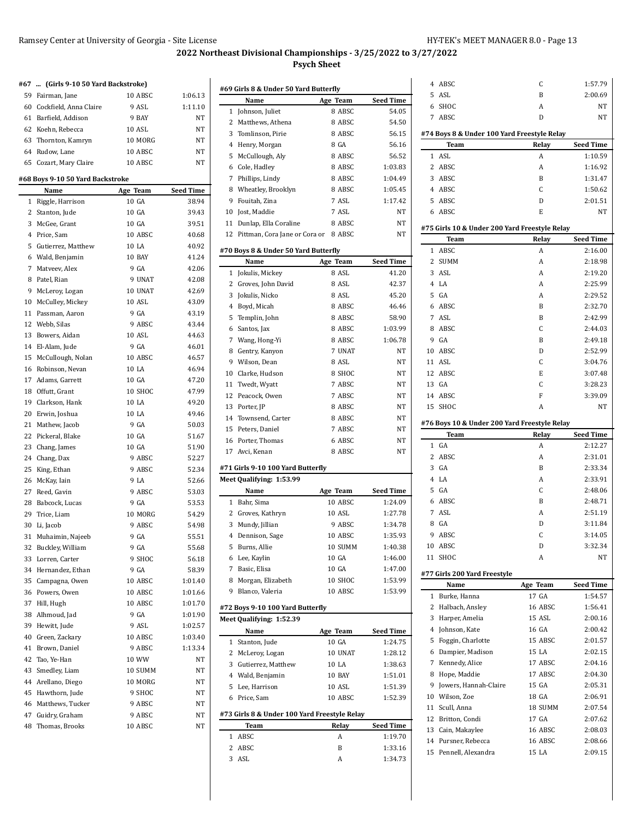| 59 Fairman, Jane<br>10 ABSC<br>60 Cockfield, Anna Claire<br>9 ASL<br>61 Barfield, Addison<br>9 BAY<br>62 Koehn, Rebecca<br>10 ASL<br>63 Thornton, Kamryn<br>10 MORG<br>64 Rudow, Lane<br>10 ABSC<br>65 Cozart, Mary Claire<br>10 ABSC<br>#68 Boys 9-10 50 Yard Backstroke<br>Name<br>Age Team<br>10 GA<br>1 Riggle, Harrison<br>2 Stanton, Jude<br>10 GA<br>3 McGee, Grant<br>10 GA<br>4 Price, Sam<br>10 ABSC<br>10 LA<br>5 Gutierrez, Matthew<br>10 BAY<br>6 Wald, Benjamin<br>7 Matveev, Alex<br>9 GA<br>9 UNAT<br>8 Patel, Rian<br>9 McLeroy, Logan<br>10 UNAT<br>10 McCulley, Mickey<br>10 ASL<br>11 Passman, Aaron<br>9 GA<br>12 Webb, Silas<br>9 ABSC<br>10 ASL<br>13 Bowers, Aidan<br>14 El-Alam, Jude<br>9 GA<br>15 McCullough, Nolan<br>10 ABSC<br>16 Robinson, Nevan<br>10 LA<br>17 Adams, Garrett<br>10 GA<br>10 SHOC<br>18 Offutt, Grant<br>10 LA<br>19 Clarkson, Hank<br>20 Erwin, Joshua<br>10 LA<br>21 Mathew, Jacob<br>9 GA<br>22 Pickeral, Blake<br>10 GA<br>23 Chang, James<br>10 GA | 1:06.13          |
|---------------------------------------------------------------------------------------------------------------------------------------------------------------------------------------------------------------------------------------------------------------------------------------------------------------------------------------------------------------------------------------------------------------------------------------------------------------------------------------------------------------------------------------------------------------------------------------------------------------------------------------------------------------------------------------------------------------------------------------------------------------------------------------------------------------------------------------------------------------------------------------------------------------------------------------------------------------------------------------------------------|------------------|
|                                                                                                                                                                                                                                                                                                                                                                                                                                                                                                                                                                                                                                                                                                                                                                                                                                                                                                                                                                                                         |                  |
|                                                                                                                                                                                                                                                                                                                                                                                                                                                                                                                                                                                                                                                                                                                                                                                                                                                                                                                                                                                                         | 1:11.10          |
|                                                                                                                                                                                                                                                                                                                                                                                                                                                                                                                                                                                                                                                                                                                                                                                                                                                                                                                                                                                                         | NT               |
|                                                                                                                                                                                                                                                                                                                                                                                                                                                                                                                                                                                                                                                                                                                                                                                                                                                                                                                                                                                                         | NT               |
|                                                                                                                                                                                                                                                                                                                                                                                                                                                                                                                                                                                                                                                                                                                                                                                                                                                                                                                                                                                                         | NT               |
|                                                                                                                                                                                                                                                                                                                                                                                                                                                                                                                                                                                                                                                                                                                                                                                                                                                                                                                                                                                                         | NT               |
|                                                                                                                                                                                                                                                                                                                                                                                                                                                                                                                                                                                                                                                                                                                                                                                                                                                                                                                                                                                                         | NT               |
|                                                                                                                                                                                                                                                                                                                                                                                                                                                                                                                                                                                                                                                                                                                                                                                                                                                                                                                                                                                                         |                  |
|                                                                                                                                                                                                                                                                                                                                                                                                                                                                                                                                                                                                                                                                                                                                                                                                                                                                                                                                                                                                         |                  |
|                                                                                                                                                                                                                                                                                                                                                                                                                                                                                                                                                                                                                                                                                                                                                                                                                                                                                                                                                                                                         | <b>Seed Time</b> |
|                                                                                                                                                                                                                                                                                                                                                                                                                                                                                                                                                                                                                                                                                                                                                                                                                                                                                                                                                                                                         | 38.94            |
|                                                                                                                                                                                                                                                                                                                                                                                                                                                                                                                                                                                                                                                                                                                                                                                                                                                                                                                                                                                                         | 39.43            |
|                                                                                                                                                                                                                                                                                                                                                                                                                                                                                                                                                                                                                                                                                                                                                                                                                                                                                                                                                                                                         | 39.51            |
|                                                                                                                                                                                                                                                                                                                                                                                                                                                                                                                                                                                                                                                                                                                                                                                                                                                                                                                                                                                                         | 40.68            |
|                                                                                                                                                                                                                                                                                                                                                                                                                                                                                                                                                                                                                                                                                                                                                                                                                                                                                                                                                                                                         | 40.92            |
|                                                                                                                                                                                                                                                                                                                                                                                                                                                                                                                                                                                                                                                                                                                                                                                                                                                                                                                                                                                                         | 41.24            |
|                                                                                                                                                                                                                                                                                                                                                                                                                                                                                                                                                                                                                                                                                                                                                                                                                                                                                                                                                                                                         | 42.06            |
|                                                                                                                                                                                                                                                                                                                                                                                                                                                                                                                                                                                                                                                                                                                                                                                                                                                                                                                                                                                                         | 42.08            |
|                                                                                                                                                                                                                                                                                                                                                                                                                                                                                                                                                                                                                                                                                                                                                                                                                                                                                                                                                                                                         | 42.69            |
|                                                                                                                                                                                                                                                                                                                                                                                                                                                                                                                                                                                                                                                                                                                                                                                                                                                                                                                                                                                                         | 43.09            |
|                                                                                                                                                                                                                                                                                                                                                                                                                                                                                                                                                                                                                                                                                                                                                                                                                                                                                                                                                                                                         | 43.19            |
|                                                                                                                                                                                                                                                                                                                                                                                                                                                                                                                                                                                                                                                                                                                                                                                                                                                                                                                                                                                                         | 43.44            |
|                                                                                                                                                                                                                                                                                                                                                                                                                                                                                                                                                                                                                                                                                                                                                                                                                                                                                                                                                                                                         | 44.63            |
|                                                                                                                                                                                                                                                                                                                                                                                                                                                                                                                                                                                                                                                                                                                                                                                                                                                                                                                                                                                                         | 46.01            |
|                                                                                                                                                                                                                                                                                                                                                                                                                                                                                                                                                                                                                                                                                                                                                                                                                                                                                                                                                                                                         | 46.57            |
|                                                                                                                                                                                                                                                                                                                                                                                                                                                                                                                                                                                                                                                                                                                                                                                                                                                                                                                                                                                                         | 46.94            |
|                                                                                                                                                                                                                                                                                                                                                                                                                                                                                                                                                                                                                                                                                                                                                                                                                                                                                                                                                                                                         | 47.20            |
|                                                                                                                                                                                                                                                                                                                                                                                                                                                                                                                                                                                                                                                                                                                                                                                                                                                                                                                                                                                                         | 47.99            |
|                                                                                                                                                                                                                                                                                                                                                                                                                                                                                                                                                                                                                                                                                                                                                                                                                                                                                                                                                                                                         | 49.20            |
|                                                                                                                                                                                                                                                                                                                                                                                                                                                                                                                                                                                                                                                                                                                                                                                                                                                                                                                                                                                                         | 49.46            |
|                                                                                                                                                                                                                                                                                                                                                                                                                                                                                                                                                                                                                                                                                                                                                                                                                                                                                                                                                                                                         | 50.03            |
|                                                                                                                                                                                                                                                                                                                                                                                                                                                                                                                                                                                                                                                                                                                                                                                                                                                                                                                                                                                                         | 51.67            |
|                                                                                                                                                                                                                                                                                                                                                                                                                                                                                                                                                                                                                                                                                                                                                                                                                                                                                                                                                                                                         | 51.90            |
| 24 Chang, Dax<br>9 ABSC                                                                                                                                                                                                                                                                                                                                                                                                                                                                                                                                                                                                                                                                                                                                                                                                                                                                                                                                                                                 | 52.27            |
| 25 King, Ethan<br>9 ABSC                                                                                                                                                                                                                                                                                                                                                                                                                                                                                                                                                                                                                                                                                                                                                                                                                                                                                                                                                                                | 52.34            |
| 26 McKay, Iain<br>9 LA                                                                                                                                                                                                                                                                                                                                                                                                                                                                                                                                                                                                                                                                                                                                                                                                                                                                                                                                                                                  | 52.66            |
| 27 Reed, Gavin<br>9 ABSC                                                                                                                                                                                                                                                                                                                                                                                                                                                                                                                                                                                                                                                                                                                                                                                                                                                                                                                                                                                | 53.03            |
| 28 Babcock, Lucas<br>9 GA                                                                                                                                                                                                                                                                                                                                                                                                                                                                                                                                                                                                                                                                                                                                                                                                                                                                                                                                                                               | 53.53            |
| 29 Trice, Liam<br>10 MORG                                                                                                                                                                                                                                                                                                                                                                                                                                                                                                                                                                                                                                                                                                                                                                                                                                                                                                                                                                               | 54.29            |
| 30 Li, Jacob<br>9 ABSC                                                                                                                                                                                                                                                                                                                                                                                                                                                                                                                                                                                                                                                                                                                                                                                                                                                                                                                                                                                  | 54.98            |
| 31<br>9 GA<br>Muhaimin, Najeeb                                                                                                                                                                                                                                                                                                                                                                                                                                                                                                                                                                                                                                                                                                                                                                                                                                                                                                                                                                          | 55.51            |
| Buckley, William<br>9 GA<br>32                                                                                                                                                                                                                                                                                                                                                                                                                                                                                                                                                                                                                                                                                                                                                                                                                                                                                                                                                                          | 55.68            |
| 33<br>9 SHOC<br>Lorren, Carter                                                                                                                                                                                                                                                                                                                                                                                                                                                                                                                                                                                                                                                                                                                                                                                                                                                                                                                                                                          | 56.18            |
| 34 Hernandez, Ethan<br>9 GA                                                                                                                                                                                                                                                                                                                                                                                                                                                                                                                                                                                                                                                                                                                                                                                                                                                                                                                                                                             | 58.39            |
| 35<br>10 ABSC<br>Campagna, Owen                                                                                                                                                                                                                                                                                                                                                                                                                                                                                                                                                                                                                                                                                                                                                                                                                                                                                                                                                                         | 1:01.40          |
| 36<br>Powers, Owen<br>10 ABSC                                                                                                                                                                                                                                                                                                                                                                                                                                                                                                                                                                                                                                                                                                                                                                                                                                                                                                                                                                           | 1:01.66          |
| 37<br>Hill, Hugh<br>10 ABSC                                                                                                                                                                                                                                                                                                                                                                                                                                                                                                                                                                                                                                                                                                                                                                                                                                                                                                                                                                             | 1:01.70          |
| 38<br>9 GA<br>Alhmoud, Jad                                                                                                                                                                                                                                                                                                                                                                                                                                                                                                                                                                                                                                                                                                                                                                                                                                                                                                                                                                              | 1:01.90          |
| 39<br>Hewitt, Jude<br>9 ASL                                                                                                                                                                                                                                                                                                                                                                                                                                                                                                                                                                                                                                                                                                                                                                                                                                                                                                                                                                             | 1:02.57          |
|                                                                                                                                                                                                                                                                                                                                                                                                                                                                                                                                                                                                                                                                                                                                                                                                                                                                                                                                                                                                         | 1:03.40          |
| 10 ABSC<br>40<br>Green, Zackary                                                                                                                                                                                                                                                                                                                                                                                                                                                                                                                                                                                                                                                                                                                                                                                                                                                                                                                                                                         |                  |
| Brown, Daniel<br>9 ABSC<br>41                                                                                                                                                                                                                                                                                                                                                                                                                                                                                                                                                                                                                                                                                                                                                                                                                                                                                                                                                                           | 1:13.34          |
| 10 WW<br>42<br>Tao, Ye-Han                                                                                                                                                                                                                                                                                                                                                                                                                                                                                                                                                                                                                                                                                                                                                                                                                                                                                                                                                                              | NT               |
| 43<br>Smedley, Liam<br>10 SUMM                                                                                                                                                                                                                                                                                                                                                                                                                                                                                                                                                                                                                                                                                                                                                                                                                                                                                                                                                                          | NT               |
| 44 Arellano, Diego<br>10 MORG                                                                                                                                                                                                                                                                                                                                                                                                                                                                                                                                                                                                                                                                                                                                                                                                                                                                                                                                                                           | NΤ               |
| 45<br>Hawthorn, Jude<br>9 SHOC                                                                                                                                                                                                                                                                                                                                                                                                                                                                                                                                                                                                                                                                                                                                                                                                                                                                                                                                                                          | NΤ               |
| Matthews, Tucker<br>9 ABSC<br>46                                                                                                                                                                                                                                                                                                                                                                                                                                                                                                                                                                                                                                                                                                                                                                                                                                                                                                                                                                        | NT               |
| 47<br>Guidry, Graham<br>9 ABSC                                                                                                                                                                                                                                                                                                                                                                                                                                                                                                                                                                                                                                                                                                                                                                                                                                                                                                                                                                          | NT               |
| 10 ABSC<br>48<br>Thomas, Brooks                                                                                                                                                                                                                                                                                                                                                                                                                                                                                                                                                                                                                                                                                                                                                                                                                                                                                                                                                                         | NT               |

|    | #69 Girls 8 & Under 50 Yard Butterfly        |                     |                      |
|----|----------------------------------------------|---------------------|----------------------|
|    | Name                                         | Age Team            | <b>Seed Time</b>     |
| 1  | Johnson, Juliet                              | 8 ABSC              | 54.05                |
| 2  | Matthews, Athena                             | 8 ABSC              | 54.50                |
|    | 3 Tomlinson, Pirie                           | 8 ABSC              | 56.15                |
|    | 4 Henry, Morgan                              | 8 GA                | 56.16                |
| 5  | McCullough, Aly                              | 8 ABSC              | 56.52                |
|    | 6 Cole, Hadley                               | 8 ABSC              | 1:03.83              |
|    | 7 Phillips, Lindy                            | 8 ABSC              | 1:04.49              |
|    | 8 Wheatley, Brooklyn                         | 8 ABSC              | 1:05.45              |
|    | 9 Fouitah, Zina                              | 7 ASL               | 1:17.42              |
|    | 10 Jost, Maddie                              | 7 ASL               | NT                   |
| 11 |                                              | 8 ABSC              | NT                   |
| 12 | Dunlap, Ella Coraline                        | 8 ABSC              | NT                   |
|    | Pittman, Cora Jane or Cora or                |                     |                      |
|    | #70 Boys 8 & Under 50 Yard Butterfly         |                     |                      |
|    | Name                                         | Age Team            | <b>Seed Time</b>     |
| 1  | Jokulis, Mickey                              | 8 ASL               | 41.20                |
| 2  | Groves, John David                           | 8 ASL               | 42.37                |
|    | 3 Jokulis, Nicko                             | 8 ASL               | 45.20                |
|    | 4 Boyd, Micah                                | 8 ABSC              | 46.46                |
|    | 5 Templin, John                              | 8 ABSC              | 58.90                |
|    | 6 Santos, Jax                                | 8 ABSC              | 1:03.99              |
|    | 7 Wang, Hong-Yi                              | 8 ABSC              | 1:06.78              |
|    | 8 Gentry, Kanyon                             | 7 UNAT              | NT                   |
|    | 9 Wilson, Dean                               | 8 ASL               | NT                   |
|    | 10 Clarke, Hudson                            | 8 SHOC              | NΤ                   |
|    | 11 Twedt, Wyatt                              | 7 ABSC              | NΤ                   |
|    | 12 Peacock, Owen                             | 7 ABSC              | NT                   |
|    | 13 Porter, JP                                | 8 ABSC              | NT                   |
|    | 14 Townsend, Carter                          | 8 ABSC              | NT                   |
| 15 | Peters, Daniel                               | 7 ABSC              | NΤ                   |
|    | 16 Porter, Thomas                            | 6 ABSC              | NT                   |
|    | 17 Avci, Kenan                               | 8 ABSC              | NT                   |
|    | #71 Girls 9-10 100 Yard Butterfly            |                     |                      |
|    | Meet Qualifying: 1:53.99                     |                     |                      |
|    |                                              |                     |                      |
|    | Name                                         |                     |                      |
|    | 1 Bahr, Sima                                 | Age Team<br>10 ABSC | Seed Time<br>1:24.09 |
|    | 2 Groves, Kathryn                            | 10 ASL              | 1:27.78              |
| 3  |                                              | 9 ABSC              | 1:34.78              |
| 4  | Mundy, Jillian<br>Dennison, Sage             | 10 ABSC             | 1:35.93              |
| 5  |                                              | 10 SUMM             | 1:40.38              |
|    | Burns, Allie                                 | 10 GA               | 1:46.00              |
|    | 6 Lee, Kaylin                                |                     |                      |
|    | 7 Basic, Elisa                               | 10 GA               | 1:47.00              |
|    | 8 Morgan, Elizabeth                          | 10 SHOC             | 1:53.99              |
| 9  | Blanco, Valeria                              | 10 ABSC             | 1:53.99              |
|    | #72 Boys 9-10 100 Yard Butterfly             |                     |                      |
|    | Meet Qualifying: 1:52.39                     |                     |                      |
|    | Name                                         | Age Team            | Seed Time            |
|    | 1 Stanton, Jude                              | 10 GA               | 1:24.75              |
|    | 2 McLeroy, Logan                             | 10 UNAT             | 1:28.12              |
|    | 3 Gutierrez, Matthew                         | 10 LA               | 1:38.63              |
|    | 4 Wald, Benjamin                             | 10 BAY              | 1:51.01              |
|    | 5 Lee, Harrison                              | 10 ASL              | 1:51.39              |
|    | 6 Price, Sam                                 | 10 ABSC             | 1:52.39              |
|    | #73 Girls 8 & Under 100 Yard Freestyle Relay |                     |                      |
|    | Team                                         | Relay               | <b>Seed Time</b>     |
| 1  | ABSC                                         | A                   | 1:19.70              |
|    | 2 ABSC                                       | B                   | 1:33.16              |
| 3  | ASL                                          | A                   | 1:34.73              |

| 4              | ABSC                                          | C        | 1:57.79          |
|----------------|-----------------------------------------------|----------|------------------|
| 5              | ASL                                           | B        | 2:00.69          |
| 6              | SHOC                                          | A        | NΤ               |
| 7              | ABSC                                          | D        | NΤ               |
|                |                                               |          |                  |
|                | #74 Boys 8 & Under 100 Yard Freestyle Relay   |          |                  |
|                | Team                                          | Relay    | <b>Seed Time</b> |
| 1              | ASL                                           | A        | 1:10.59          |
| 2              | ABSC                                          | A        | 1:16.92          |
| 3              | ABSC                                          | B        | 1:31.47          |
| 4              | ABSC                                          | C        | 1:50.62          |
| 5              | ABSC                                          | D        | 2:01.51          |
|                |                                               |          |                  |
| 6              | ABSC                                          | E        | NT               |
|                | #75 Girls 10 & Under 200 Yard Freestyle Relay |          |                  |
|                | Team                                          | Relay    | <b>Seed Time</b> |
| 1              | ABSC                                          | A        | 2:16.00          |
| 2              | <b>SUMM</b>                                   | A        | 2:18.98          |
| 3              | ASL                                           | A        | 2:19.20          |
|                |                                               |          |                  |
| 4              | LA                                            | A        | 2:25.99          |
| 5              | GA                                            | A        | 2:29.52          |
| 6              | ABSC                                          | B        | 2:32.70          |
| 7              | ASL                                           | B        | 2:42.99          |
| 8              | ABSC                                          | C        | 2:44.03          |
| 9              | GA                                            | B        | 2:49.18          |
| 10             | ABSC                                          | D        | 2:52.99          |
| 11             | ASL                                           | C        | 3:04.76          |
| 12             | ABSC                                          | E        | 3:07.48          |
|                |                                               |          |                  |
| 13             | GA                                            | C        | 3:28.23          |
| 14             | ABSC                                          | F        | 3:39.09          |
| 15             | SHOC                                          | A        | NΤ               |
|                | #76 Boys 10 & Under 200 Yard Freestyle Relay  |          |                  |
|                | Team                                          | Relay    | Seed Time        |
| 1              | GA                                            | A        | 2:12.27          |
| 2              | ABSC                                          | A        | 2:31.01          |
|                |                                               |          |                  |
| 3              | GA                                            | B        | 2:33.34          |
| 4              | LA                                            | A        | 2:33.91          |
| 5              | GA                                            | C        | 2:48.06          |
| 6              | ABSC                                          | B        | 2:48.71          |
| 7              | ASL                                           | A        | 2:51.19          |
| 8              | GA                                            | D        | 3:11.84          |
| 9              | ABSC                                          | C        | 3:14.05          |
|                | 10 ABSC                                       | D        | 3:32.34          |
| 11             | SHOC                                          | A        | NT               |
|                |                                               |          |                  |
|                | #77 Girls 200 Yard Freestyle                  |          |                  |
|                | Name                                          | Age Team | <b>Seed Time</b> |
| 1              | Burke, Hanna                                  | 17 GA    | 1:54.57          |
| $\overline{c}$ | Halbach, Ansley                               | 16 ABSC  | 1:56.41          |
|                | 3 Harper, Amelia                              | 15 ASL   | 2:00.16          |
|                | 4 Johnson, Kate                               | 16 GA    | 2:00.42          |
| 5              | Foggin, Charlotte                             | 15 ABSC  | 2:01.57          |
|                | 6 Dampier, Madison                            | 15 LA    | 2:02.15          |
|                |                                               |          |                  |
|                | 7 Kennedy, Alice                              | 17 ABSC  | 2:04.16          |
|                | 8 Hope, Maddie                                | 17 ABSC  | 2:04.30          |
| 9              | Jowers, Hannah-Claire                         | 15 GA    | 2:05.31          |
|                | 10 Wilson, Zoe                                | 18 GA    | 2:06.91          |
|                | 11 Scull, Anna                                | 18 SUMM  | 2:07.54          |
|                | 12 Britton, Condi                             | 17 GA    | 2:07.62          |
|                | 13 Cain, Makaylee                             | 16 ABSC  | 2:08.03          |
|                | 14 Pursner, Rebecca                           | 16 ABSC  | 2:08.66          |
|                | 15 Pennell, Alexandra                         | 15 LA    | 2:09.15          |
|                |                                               |          |                  |
|                |                                               |          |                  |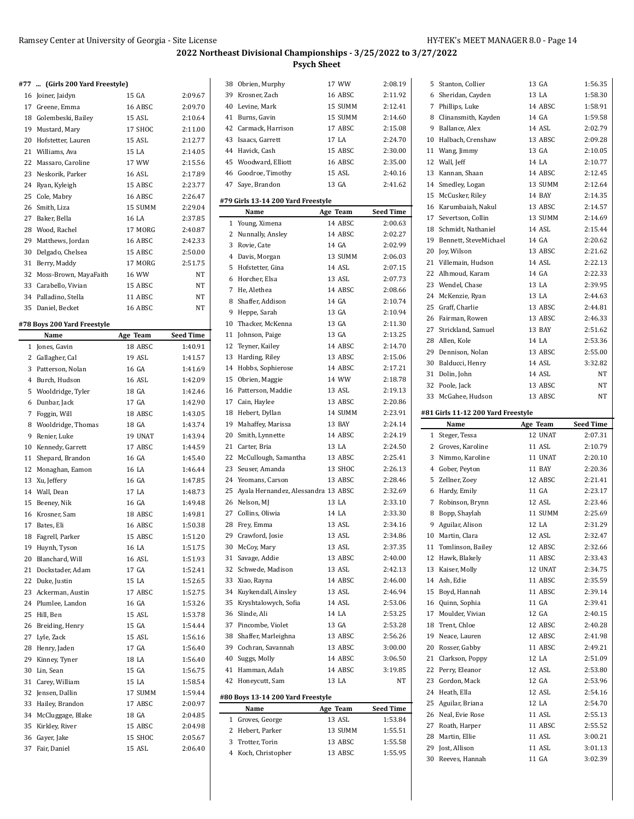$\overline{a}$ 

#### **#77 ... (Girls 200 Yard Freestyle)**

|                | $\ldots$ (and so identifies $\ldots$ |          |                  |
|----------------|--------------------------------------|----------|------------------|
| 16             | Joiner, Jaidyn                       | 15 GA    | 2:09.67          |
| 17             | Greene, Emma                         | 16 ABSC  | 2:09.70          |
| 18             | Golembeski, Bailey                   | 15 ASL   | 2:10.64          |
| 19             | Mustard, Mary                        | 17 SHOC  | 2:11.00          |
| 20             | Hofstetter, Lauren                   | 15 ASL   | 2:12.77          |
| 21             | Williams, Ava                        | 15 LA    | 2:14.05          |
| 22             | Massaro, Caroline                    | 17 WW    | 2:15.56          |
| 23             | Neskorik, Parker                     | 16 ASL   | 2:17.89          |
| 24             | Ryan, Kyleigh                        | 15 ABSC  | 2:23.77          |
| 25             | Cole, Mabry                          | 16 ABSC  | 2:26.47          |
| 26             | Smith, Liza                          | 15 SUMM  | 2:29.04          |
| 27             | Baker, Bella                         | 16 LA    | 2:37.85          |
| 28             | Wood, Rachel                         | 17 MORG  | 2:40.87          |
| 29             | Matthews, Jordan                     | 16 ABSC  | 2:42.33          |
| 30             | Delgado, Chelsea                     | 15 ABSC  | 2:50.00          |
| 31             | Berry, Maddy                         | 17 MORG  | 2:51.75          |
| 32             | Moss-Brown, MayaFaith                | 16 WW    | NT               |
| 33             | Carabello, Vivian                    | 15 ABSC  | NT               |
|                | 34 Palladino, Stella                 | 11 ABSC  | NT               |
| 35             | Daniel, Becket                       | 16 ABSC  | NT               |
|                | #78 Boys 200 Yard Freestyle          |          |                  |
|                | Name                                 | Age Team | <b>Seed Time</b> |
| 1              | Jones, Gavin                         | 18 ABSC  | 1:40.91          |
| 2              | Gallagher, Cal                       | 19 ASL   | 1:41.57          |
| 3              | Patterson, Nolan                     | 16 GA    | 1:41.69          |
| $\overline{4}$ | Burch, Hudson                        | 16 ASL   | 1:42.09          |
| 5              | Wooldridge, Tyler                    | 18 GA    | 1:42.46          |

 Dunbar, Jack 17 GA 1:42.90 Foggin, Will 18 ABSC 1:43.05 Wooldridge, Thomas 18 GA 1:43.74 Renier, Luke 19 UNAT 1:43.94 10 Kennedy, Garrett 17 ABSC 1:44.59 Shepard, Brandon 16 GA 1:45.40 Monaghan, Eamon 16 LA 1:46.44 Xu, Jeffery 16 GA 1:47.85 Wall, Dean 17 LA 1:48.73 Beeney, Nik 16 GA 1:49.48 Krosner, Sam 18 ABSC 1:49.81 Bates, Eli 16 ABSC 1:50.38 Fagrell, Parker 15 ABSC 1:51.20 Huynh, Tyson 16 LA 1:51.75 Blanchard, Will 16 ASL 1:51.93 Dockstader, Adam 17 GA 1:52.41 Duke, Justin 15 LA 1:52.65 Ackerman, Austin 17 ABSC 1:52.75 Plumlee, Landon 16 GA 1:53.26 25 Hill, Ben 15 ASL 1:53.78 Breiding, Henry 15 GA 1:54.44 Lyle, Zack 15 ASL 1:56.16 Henry, Jaden 17 GA 1:56.40 Kinney, Tyner 18 LA 1:56.40 Lin, Sean 15 GA 1:56.75 Carey, William 15 LA 1:58.54 Jensen, Dallin 17 SUMM 1:59.44 Hailey, Brandon 17 ABSC 2:00.97 McCluggage, Blake 18 GA 2:04.85 Kirkley, River 15 ABSC 2:04.98 Gayer, Jake 15 SHOC 2:05.67 Fair, Daniel 15 ASL 2:06.40

| 38 | Obrien, Murphy                         | 17 WW    | 2:08.19            |
|----|----------------------------------------|----------|--------------------|
|    | 39 Krosner, Zach                       | 16 ABSC  | 2:11.92            |
|    | 40 Levine, Mark                        | 15 SUMM  | 2:12.41            |
| 41 | Burns, Gavin                           | 15 SUMM  | 2:14.60            |
|    | 42 Carmack, Harrison                   | 17 ABSC  | 2:15.08            |
| 43 | Isaacs, Garrett                        | 17 LA    | 2:24.70            |
|    | 44 Havick, Cash                        | 15 ABSC  | 2:30.00            |
|    | 45 Woodward, Elliott                   | 16 ABSC  | 2:35.00            |
|    | 46 Goodroe, Timothy                    | 15 ASL   | 2:40.16            |
| 47 | Saye, Brandon                          | 13 GA    | 2:41.62            |
|    |                                        |          |                    |
|    | #79 Girls 13-14 200 Yard Freestyle     |          |                    |
|    | Name                                   | Age Team | <b>Seed Time</b>   |
| 1  | Young, Ximena                          | 14 ABSC  | 2:00.63            |
| 2  | Nunnally, Ansley                       | 14 ABSC  | 2:02.27            |
| 3  | Rovie, Cate                            | 14 GA    | 2:02.99            |
| 4  | Davis, Morgan                          | 13 SUMM  | 2:06.03            |
| 5  | Hofstetter, Gina                       | 14 ASL   | 2:07.15            |
| 6  | Horcher, Elsa                          | 13 ASL   | 2:07.73            |
| 7  | He, Alethea                            | 14 ABSC  | 2:08.66            |
| 8  | Shaffer, Addison                       | 14 GA    | 2:10.74            |
| 9  | Heppe, Sarah                           | 13 GA    | 2:10.94            |
|    | 10 Thacker, McKenna                    | 13 GA    | 2:11.30            |
| 11 | Johnson, Paige                         | 13 GA    | 2:13.25            |
| 12 | Teyner, Kailey                         | 14 ABSC  | 2:14.70            |
| 13 | Harding, Riley                         | 13 ABSC  | 2:15.06            |
| 14 | Hobbs, Sophierose                      | 14 ABSC  | 2:17.21            |
|    | 15 Obrien, Maggie                      | 14 WW    | 2:18.78            |
| 16 | Patterson, Maddie                      | 13 ASL   | 2:19.13            |
| 17 | Cain, Haylee                           | 13 ABSC  | 2:20.86            |
| 18 | Hebert, Dyllan                         | 14 SUMM  | 2:23.91            |
| 19 | Mahaffey, Marissa                      | 13 BAY   | 2:24.14            |
|    | 20 Smith, Lynnette                     | 14 ABSC  | 2:24.19            |
| 21 | Carter, Bria                           | 13 LA    | 2:24.50            |
| 22 | McCullough, Samantha                   | 13 ABSC  | 2:25.41            |
| 23 | Seuser, Amanda                         | 13 SHOC  | 2:26.13            |
|    | 24 Yeomans, Carson                     | 13 ABSC  | 2:28.46            |
|    | 25 Ayala Hernandez, Alessandra 13 ABSC |          | 2:32.69            |
|    | 26 Nelson, MJ                          | 13 LA    | 2.33.10            |
| 27 | Collins, Oliwia                        | 14 LA    | 2.33.30            |
| 28 | Frey, Emma                             | 13 ASL   | 2:34.16            |
|    | 29 Crawford, Josie                     | 13 ASL   | 2:34.86            |
|    |                                        |          |                    |
|    | 30 McCoy, Mary                         | 13 ASL   | 2:37.35            |
| 31 | Savage, Addie                          | 13 ABSC  | 2:40.00<br>2:42.13 |
| 32 | Schwede, Madison                       | 13 ASL   |                    |
| 33 | Xiao, Rayna                            | 14 ABSC  | 2:46.00            |
| 34 | Kuykendall, Ainsley                    | 13 ASL   | 2:46.94            |
| 35 | Kryshtalowych, Sofia                   | 14 ASL   | 2:53.06            |
|    | 36 Slinde, Ali                         | 14 LA    | 2:53.25            |
|    | 37 Pincombe, Violet                    | 13 GA    | 2:53.28            |
|    | 38 Shaffer, Marleighna                 | 13 ABSC  | 2:56.26            |
|    | 39 Cochran, Savannah                   | 13 ABSC  | 3:00.00            |
|    | 40 Suggs, Molly                        | 14 ABSC  | 3:06.50            |
|    | 41 Hamman, Adah                        | 14 ABSC  | 3:19.85            |
|    | 42 Honeycutt, Sam                      | 13 LA    | NΤ                 |
|    | #80 Boys 13-14 200 Yard Freestyle      |          |                    |
|    | Name                                   | Age Team | <b>Seed Time</b>   |
|    | 1 Groves, George                       | 13 ASL   | 1:53.84            |
|    | 2 Hebert, Parker                       | 13 SUMM  | 1:55.51            |
| 3  | Trotter, Torin                         | 13 ABSC  | 1:55.58            |
|    | 4 Koch, Christopher                    | 13 ABSC  | 1:55.95            |

| 5  | Stanton, Collier                   | 13 GA           | 1:56.35            |
|----|------------------------------------|-----------------|--------------------|
|    | 6 Sheridan, Cayden                 | 13 LA           | 1:58.30            |
|    | 7 Phillips, Luke                   | 14 ABSC         | 1:58.91            |
|    | 8 Clinansmith, Kayden              | 14 GA           | 1:59.58            |
| 9  | Ballance, Alex                     | 14 ASL          | 2:02.79            |
|    | 10 Halbach, Crenshaw               | 13 ABSC         | 2:09.28            |
| 11 | Wang, Jimmy                        | 13 GA           | 2:10.05            |
|    | 12 Wall, Jeff                      | 14 LA           | 2:10.77            |
|    | 13 Kannan, Shaan                   | 14 ABSC         | 2:12.45            |
|    | 14 Smedley, Logan                  | 13 SUMM         | 2:12.64            |
|    |                                    | 14 BAY          | 2:14.35            |
|    | 15 McCusker, Riley                 |                 |                    |
|    | 16 Karumbaiah, Nakul               | 13 ABSC         | 2:14.57            |
| 17 | Severtson, Collin                  | 13 SUMM         | 2:14.69            |
|    | 18 Schmidt, Nathaniel              | 14 ASL          | 2:15.44            |
|    | 19 Bennett, SteveMichael           | 14 GA           | 2:20.62            |
|    | 20 Joy, Wilson                     | 13 ABSC         | 2:21.62            |
| 21 | Villemain, Hudson                  | 14 ASL          | 2:22.13            |
|    | 22 Alhmoud, Karam                  | 14 GA           | 2:22.33            |
|    | 23 Wendel, Chase                   | 13 LA           | 2:39.95            |
|    | 24 McKenzie, Ryan                  | 13 LA           | 2:44.63            |
|    | 25 Graff, Charlie                  | 13 ABSC         | 2:44.81            |
|    | 26 Fairman, Rowen                  | 13 ABSC         | 2:46.33            |
|    | 27 Strickland, Samuel              | 13 BAY          | 2:51.62            |
|    | 28 Allen, Kole                     | 14 LA           | 2:53.36            |
|    | 29 Dennison, Nolan                 | 13 ABSC         | 2:55.00            |
|    | 30 Balducci, Henry                 | 14 ASL          | 3:32.82            |
|    | 31 Dolin, John                     | 14 ASL          | NT                 |
|    | 32 Poole, Jack                     | 13 ABSC         | NT                 |
|    | 33 McGahee, Hudson                 | 13 ABSC         | NT                 |
|    |                                    |                 |                    |
|    | #81 Girls 11-12 200 Yard Freestyle |                 |                    |
|    |                                    |                 |                    |
|    | Name                               | Age Team        | <b>Seed Time</b>   |
| 1  | Steger, Tessa                      | 12 UNAT         | 2:07.31            |
|    | 2 Groves, Karoline                 | 11 ASL          | 2:10.79            |
| 3  | Nimmo, Karoline                    | 11 UNAT         | 2:20.10            |
|    | 4 Gober, Peyton                    | 11 BAY          | 2:20.36            |
| 5  | Zellner, Zoey                      | 12 ABSC         | 2:21.41            |
| 6  | Hardy, Emily                       | 11 GA           | 2:23.17            |
| 7  | Robinson, Brynn                    | 12 ASL          | 2:23.46            |
| 8  | Bopp, Shaylah                      | 11 SUMM         | 2:25.69            |
| 9  | Aguilar, Alison                    | 12 LA           | 2:31.29            |
|    | 10 Martin, Clara                   | 12 ASL          | 2:32.47            |
|    | 11 Tomlinson, Bailey               | 12 ABSC         | 2:32.66            |
|    | 12 Hawk, Blakely                   | 11 ABSC         | 2:33.43            |
|    | 13 Kaiser, Molly                   | 12 UNAT         | 2:34.75            |
|    | 14 Ash, Edie                       | 11 ABSC         | 2:35.59            |
|    | 15 Boyd, Hannah                    | 11 ABSC         | 2:39.14            |
|    |                                    | 11 GA           | 2:39.41            |
| 17 | 16 Quinn, Sophia                   |                 |                    |
|    | Moulder, Vivian                    | 12 GA           | 2:40.15            |
|    | 18 Trent, Chloe                    | 12 ABSC         | 2:40.28            |
| 19 | Neace, Lauren                      | 12 ABSC         | 2:41.98            |
|    | 20 Rosser, Gabby                   | 11 ABSC         | 2:49.21            |
|    | 21 Clarkson, Poppy                 | 12 LA           | 2:51.09            |
|    | 22 Perry, Eleanor                  | 12 ASL          | 2:53.80            |
| 23 | Gordon, Mack                       | 12 GA           | 2:53.96            |
|    | 24 Heath, Ella                     | 12 ASL          | 2:54.16            |
|    | 25 Aguilar, Briana                 | 12 LA           | 2:54.70            |
|    | 26 Neal, Evie Rose                 | 11 ASL          | 2:55.13            |
| 27 | Roath, Harper                      | 11 ABSC         | 2:55.52            |
|    | 28 Martin, Ellie                   | 11 ASL          | 3:00.21            |
| 30 | 29 Jost, Allison<br>Reeves, Hannah | 11 ASL<br>11 GA | 3:01.13<br>3:02.39 |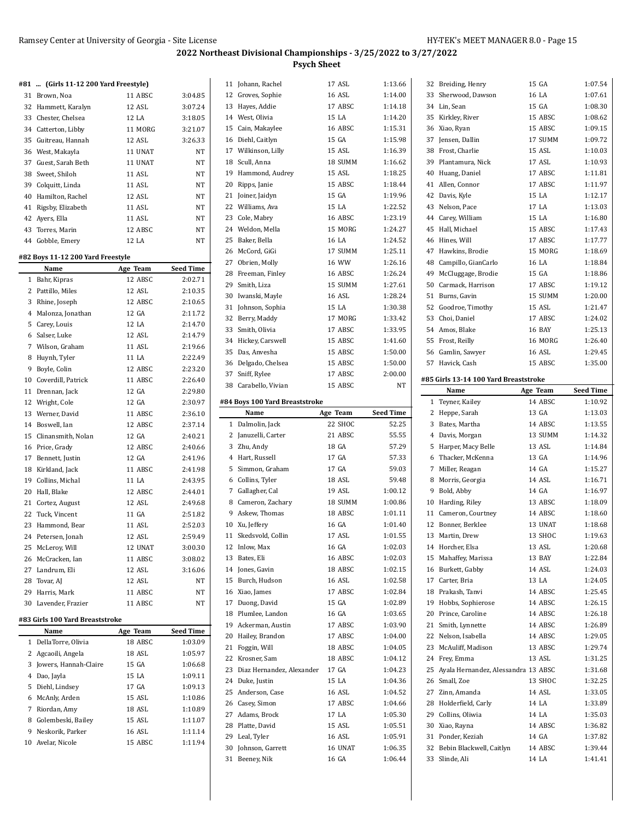# **2022 Northeast Divisional Championships - 3/25/2022 to 3/27/2022**

**Psych Sheet**

|    | #81  (Girls 11-12 200 Yard Freestyle) |          |                  | 11 Johann, Rachel                     | 17 ASL           | 1:13.66            | 32 Breiding, Henry                            | 15 GA             | 1:07.54            |
|----|---------------------------------------|----------|------------------|---------------------------------------|------------------|--------------------|-----------------------------------------------|-------------------|--------------------|
|    | 31 Brown, Noa                         | 11 ABSC  | 3:04.85          | 12 Groves, Sophie                     | 16 ASL           | 1:14.00            | 33 Sherwood, Dawson                           | 16 LA             | 1:07.61            |
|    | 32 Hammett, Karalyn                   | 12 ASL   | 3:07.24          | 13 Hayes, Addie                       | 17 ABSC          | 1:14.18            | 34 Lin, Sean                                  | 15 GA             | 1:08.30            |
|    | 33 Chester, Chelsea                   | 12 LA    | 3:18.05          | 14 West, Olivia                       | 15 LA            | 1:14.20            | 35 Kirkley, River                             | 15 ABSC           | 1:08.62            |
|    | 34 Catterton, Libby                   | 11 MORG  | 3:21.07          | 15 Cain, Makaylee                     | 16 ABSC          | 1:15.31            | 36 Xiao, Ryan                                 | 15 ABSC           | 1:09.15            |
| 35 | Guitreau, Hannah                      | 12 ASL   | 3:26.33          | 16 Diehl, Caitlyn                     | 15 GA            | 1:15.98            | 37 Jensen, Dallin                             | 17 SUMM           | 1:09.72            |
| 36 | West, Makayla                         | 11 UNAT  | $_{\rm NT}$      | 17 Wilkinson, Lilly                   | 15 ASL           | 1:16.39            | 38 Frost, Charlie                             | 15 ASL            | 1:10.03            |
| 37 | Guest, Sarah Beth                     | 11 UNAT  | NT               | 18 Scull, Anna                        | 18 SUMM          | 1:16.62            | 39 Plantamura, Nick                           | 17 ASL            | 1:10.93            |
| 38 | Sweet, Shiloh                         | 11 ASL   | NT               | 19 Hammond, Audrey                    | 15 ASL           | 1:18.25            | 40 Huang, Daniel                              | 17 ABSC           | 1:11.81            |
| 39 | Colquitt, Linda                       | 11 ASL   | NT               | 20 Ripps, Janie                       | 15 ABSC          | 1:18.44            | 41 Allen, Connor                              | 17 ABSC           | 1:11.97            |
| 40 | Hamilton, Rachel                      | 12 ASL   | $_{\rm NT}$      | 21 Joiner, Jaidyn                     | 15 GA            | 1:19.96            | 42 Davis, Kyle                                | 15 LA             | 1:12.17            |
|    | 41 Rigsby, Elizabeth                  | 11 ASL   | NT               | 22 Williams, Ava                      | 15 LA            | 1:22.52            | 43 Nelson, Pace                               | 17 LA             | 1:13.03            |
|    | 42 Ayers, Ella                        | 11 ASL   | NT               | 23 Cole, Mabry                        | 16 ABSC          | 1:23.19            | 44 Carey, William                             | 15 LA             | 1:16.80            |
|    | 43 Torres, Marin                      | 12 ABSC  | NT               | 24 Weldon, Mella                      | 15 MORG          | 1:24.27            | 45 Hall, Michael                              | 15 ABSC           | 1:17.43            |
|    | 44 Gobble, Emery                      | 12 LA    | NT               | 25 Baker, Bella                       | 16 LA            | 1:24.52            | 46 Hines, Will                                | 17 ABSC           | 1:17.77            |
|    |                                       |          |                  | 26 McCord, GiGi                       | 17 SUMM          | 1:25.11            | 47 Hawkins, Brodie                            | 15 MORG           | 1:18.69            |
|    | #82 Boys 11-12 200 Yard Freestyle     |          |                  | 27 Obrien, Molly                      | 16 WW            | 1:26.16            | 48 Campillo, GianCarlo                        | 16 LA             | 1:18.84            |
|    | Name                                  | Age Team | <b>Seed Time</b> | 28 Freeman, Finley                    | 16 ABSC          | 1:26.24            | 49 McCluggage, Brodie                         | 15 GA             | 1:18.86            |
|    | 1 Bahr, Kipras                        | 12 ABSC  | 2:02.71          | 29 Smith, Liza                        | 15 SUMM          | 1:27.61            | 50 Carmack, Harrison                          | 17 ABSC           | 1:19.12            |
|    | 2 Pattillo, Miles                     | 12 ASL   | 2:10.35          |                                       |                  |                    | 51 Burns, Gavin                               |                   | 1:20.00            |
|    | 3 Rhine, Joseph                       | 12 ABSC  | 2:10.65          | 30 Iwanski, Mayle                     | 16 ASL           | 1:28.24<br>1:30.38 | 52 Goodroe, Timothy                           | 15 SUMM           | 1:21.47            |
|    | 4 Malonza, Jonathan                   | 12 GA    | 2:11.72          | 31 Johnson, Sophia<br>32 Berry, Maddy | 15 LA<br>17 MORG | 1:33.42            | 53 Choi, Daniel                               | 15 ASL<br>17 ABSC | 1:24.02            |
|    | 5 Carey, Louis                        | 12 LA    | 2:14.70          |                                       | 17 ABSC          |                    | 54 Amos, Blake                                |                   |                    |
|    | 6 Salser, Luke                        | 12 ASL   | 2:14.79          | 33 Smith, Olivia                      |                  | 1:33.95            |                                               | 16 BAY            | 1:25.13            |
|    | 7 Wilson, Graham                      | 11 ASL   | 2:19.66          | 34 Hickey, Carswell                   | 15 ABSC          | 1:41.60            | 55 Frost, Reilly                              | 16 MORG           | 1:26.40            |
|    | 8 Huynh, Tyler                        | 11 LA    | 2:22.49          | 35 Das, Anvesha                       | 15 ABSC          | 1:50.00            | 56 Gamlin, Sawyer                             | 16 ASL            | 1:29.45            |
|    | 9 Boyle, Colin                        | 12 ABSC  | 2:23.20          | 36 Delgado, Chelsea                   | 15 ABSC          | 1:50.00            | 57 Havick, Cash                               | 15 ABSC           | 1:35.00            |
| 10 | Coverdill, Patrick                    | 11 ABSC  | 2:26.40          | 37 Sniff, Rylee                       | 17 ABSC          | 2:00.00            | #85 Girls 13-14 100 Yard Breaststroke         |                   |                    |
|    | 11 Drennan, Jack                      | 12 GA    | 2:29.80          | 38 Carabello, Vivian                  | 15 ABSC          | <b>NT</b>          | Name                                          | Age Team          | <b>Seed Time</b>   |
|    | 12 Wright, Cole                       | 12 GA    | 2:30.97          | #84 Boys 100 Yard Breaststroke        |                  |                    | 1 Teyner, Kailey                              | 14 ABSC           | 1:10.92            |
|    | 13 Werner, David                      | 11 ABSC  | 2:36.10          | Name                                  | Age Team         | <b>Seed Time</b>   | 2 Heppe, Sarah                                | 13 GA             | 1:13.03            |
|    | 14 Boswell, Ian                       | 12 ABSC  | 2:37.14          | 1 Dalmolin, Jack                      | 22 SHOC          | 52.25              | 3 Bates, Martha                               | 14 ABSC           | 1:13.55            |
| 15 | Clinansmith, Nolan                    |          |                  | 2 Januzelli, Carter                   | 21 ABSC          |                    | 4 Davis, Morgan                               | 13 SUMM           | 1:14.32            |
|    |                                       | 12 GA    | 2:40.21          |                                       |                  | 55.55              |                                               |                   |                    |
|    | 16 Price, Grady                       | 12 ABSC  | 2:40.66          | 3 Zhu, Andy                           | 18 GA            | 57.29              | 5 Harper, Macy Belle                          | 13 ASL            | 1:14.84            |
|    | 17 Bennett, Justin                    | 12 GA    | 2:41.96          | 4 Hart, Russell                       | 17 GA            | 57.33              | 6 Thacker, McKenna                            | 13 GA             | 1:14.96            |
|    | 18 Kirkland, Jack                     | 11 ABSC  | 2:41.98          | 5 Simmon, Graham                      | 17 GA            | 59.03              | 7 Miller, Reagan                              | 14 GA             | 1:15.27            |
| 19 | Collins, Michal                       | 11 LA    | 2:43.95          | 6 Collins, Tyler                      | 18 ASL           | 59.48              | 8 Morris, Georgia                             | 14 ASL            | 1:16.71            |
| 20 |                                       |          |                  | 7 Gallagher, Cal                      | 19 ASL           | 1:00.12            | 9 Bold, Abby                                  | 14 GA             | 1:16.97            |
|    | Hall, Blake                           | 12 ABSC  | 2:44.01          | 8 Cameron, Zachary                    | 18 SUMM          |                    |                                               | 13 ABSC           | 1:18.09            |
|    | 21 Cortez, August                     | 12 ASL   | 2:49.68          | 9 Askew, Thomas                       | 18 ABSC          | 1:00.86<br>1:01.11 | 10 Harding, Riley<br>11 Cameron, Courtney     | 14 ABSC           | 1:18.60            |
|    | 22 Tuck, Vincent<br>23 Hammond, Bear  | 11 GA    | 2:51.82          | 10 Xu, Jeffery                        | 16 GA            | 1:01.40            | 12 Bonner, Berklee                            | 13 UNAT           | 1:18.68            |
|    |                                       | 11 ASL   | 2:52.03          |                                       |                  |                    |                                               |                   |                    |
|    | 24 Petersen, Jonah                    | 12 ASL   | 2:59.49          | 11 Skedsvold, Collin                  | 17 ASL           | 1:01.55            | 13 Martin, Drew                               | 13 SHOC           | 1:19.63            |
|    | 25 McLeroy, Will                      | 12 UNAT  | 3:00.30          | 12 Inlow, Max                         | 16 GA            | 1:02.03            | 14 Horcher, Elsa                              | 13 ASL            | 1:20.68            |
|    | 26 McCracken, Ian                     | 11 ABSC  | 3:08.02          | 13 Bates, Eli                         | 16 ABSC          | 1:02.03            | 15 Mahaffey, Marissa                          | 13 BAY            | 1:22.84            |
|    | 27 Landrum, Eli                       | 12 ASL   | 3:16.06          | 14 Jones, Gavin                       | 18 ABSC          | 1:02.15            | 16 Burkett, Gabby                             | 14 ASL            | 1:24.03            |
|    | 28 Tovar, AJ                          | 12 ASL   | NT               | 15 Burch, Hudson                      | 16 ASL           | 1:02.58            | 17 Carter, Bria                               | 13 LA             | 1:24.05            |
| 29 | Harris, Mark                          | 11 ABSC  | NT               | 16 Xiao, James                        | 17 ABSC          | 1:02.84            | 18 Prakash, Tanvi                             | 14 ABSC           | 1:25.45            |
|    | 30 Lavender, Frazier                  | 11 ABSC  | NΤ               | 17 Duong, David                       | 15 GA            | 1:02.89            | 19 Hobbs, Sophierose                          | 14 ABSC           | 1:26.15            |
|    | #83 Girls 100 Yard Breaststroke       |          |                  | 18 Plumlee, Landon                    | 16 GA            | 1:03.65            | 20 Prince, Caroline                           | 14 ABSC           | 1:26.18            |
|    | Name                                  | Age Team | <b>Seed Time</b> | 19 Ackerman, Austin                   | 17 ABSC          | 1:03.90            | 21 Smith, Lynnette                            | 14 ABSC           | 1:26.89            |
|    | 1 DellaTorre, Olivia                  | 18 ABSC  | 1:03.09          | 20 Hailey, Brandon                    | 17 ABSC          | 1:04.00            | 22 Nelson, Isabella                           | 14 ABSC           | 1:29.05            |
|    | 2 Agcaoili, Angela                    | 18 ASL   | 1:05.97          | 21 Foggin, Will                       | 18 ABSC          | 1:04.05            | 23 McAuliff, Madison                          | 13 ABSC           | 1:29.74            |
|    | 3 Jowers, Hannah-Claire               | 15 GA    | 1:06.68          | 22 Krosner, Sam                       | 18 ABSC          | 1:04.12            | 24 Frey, Emma                                 | 13 ASL            | 1:31.25            |
|    | 4 Dao, Jayla                          | 15 LA    | 1:09.11          | 23 Diaz Hernandez, Alexander          | 17 GA            | 1:04.23            | 25 Ayala Hernandez, Alessandra 13 ABSC        |                   | 1:31.68            |
|    | 5 Diehl, Lindsey                      | 17 GA    | 1:09.13          | 24 Duke, Justin                       | 15 LA            | 1.04.36            | 26 Small, Zoe                                 | 13 SHOC           | 1:32.25            |
|    | 6 McAnly, Arden                       | 15 ASL   | 1:10.86          | 25 Anderson, Case                     | 16 ASL           | 1:04.52            | 27 Zinn, Amanda                               | 14 ASL            | 1:33.05            |
|    | 7 Riordan, Amy                        | 18 ASL   | 1:10.89          | 26 Casey, Simon                       | 17 ABSC          | 1:04.66            | 28 Holderfield, Carly                         | 14 LA             | 1:33.89            |
|    | 8 Golembeski, Bailey                  | 15 ASL   | 1:11.07          | 27 Adams, Brock                       | 17 LA            | 1:05.30            | 29 Collins, Oliwia                            | 14 LA             | 1:35.03            |
|    | 9 Neskorik, Parker                    | 16 ASL   | 1:11.14          | 28 Platte, David                      | 15 ASL           | 1:05.51            | 30 Xiao, Rayna                                | 14 ABSC           | 1:36.82            |
|    | 10 Avelar, Nicole                     | 15 ABSC  | 1:11.94          | 29 Leal, Tyler                        | 16 ASL           | 1:05.91            | 31 Ponder, Keziah                             | 14 GA             | 1:37.82            |
|    |                                       |          |                  | 30 Johnson, Garrett<br>31 Beeney, Nik | 16 UNAT<br>16 GA | 1:06.35<br>1:06.44 | 32 Bebin Blackwell, Caitlyn<br>33 Slinde, Ali | 14 ABSC<br>14 LA  | 1:39.44<br>1:41.41 |

| 1  | Toypor Kailoy                         | $14.$ ARSC    | 1.10 Q2          |
|----|---------------------------------------|---------------|------------------|
|    | Name                                  | Age Team      | <b>Seed Time</b> |
|    | #85 Girls 13-14 100 Yard Breaststroke |               |                  |
|    | 57 Havick, Cash                       | 15 ABSC       | 1:35.00          |
|    | 56 Gamlin, Sawyer                     | 16 ASL        | 1:29.45          |
|    | 55 Frost, Reilly                      | 16 MORG       | 1:26.40          |
|    | 54 Amos, Blake                        | <b>16 BAY</b> | 1:25.13          |
|    | 53 Choi, Daniel                       | 17 ABSC       | 1:24.02          |
|    | 52 Goodroe, Timothy                   | 15 ASL        | 1:21.47          |
| 51 | Burns, Gavin                          | 15 SUMM       | 1:20.00          |
| 50 | Carmack, Harrison                     | 17 ABSC       | 1:19.12          |
|    | 49 McCluggage, Brodie                 | 15 GA         | 1:18.86          |
| 48 | Campillo, GianCarlo                   | 16 LA         | 1:18.84          |
|    | 47 Hawkins, Brodie                    | 15 MORG       | 1:18.69          |
|    | 46 Hines, Will                        | 17 ABSC       | 1:17.77          |
| 45 | Hall, Michael                         | 15 ABSC       | 1:17.43          |
|    | 44 Carey, William                     | 15 LA         | 1:16.80          |
|    | 43 Nelson, Pace                       | 17 LA         | 1:13.03          |
| 42 | Davis, Kyle                           | 15 LA         | 1:12.17          |
| 41 | Allen, Connor                         | 17 ABSC       | 1:11.97          |
|    | 40 Huang, Daniel                      | 17 ABSC       | 1:11.81          |
|    | 39 Plantamura, Nick                   | 17 ASL        | 1:10.93          |
|    | 38 Frost, Charlie                     | 15 ASL        | 1:10.03          |
|    | 37 Jensen, Dallin                     | 17 SUMM       | 1:09.72          |
|    | 36 Xiao, Ryan                         | 15 ABSC       | 1:09.15          |
| 35 | Kirkley, River                        | 15 ABSC       | 1:08.62          |
|    | 34 Lin, Sean                          | 15 GA         | 1:08.30          |
| 33 | Sherwood, Dawson                      | 16 LA         | 1:07.61          |
| 32 | Breiding, Henry                       | 15 GA         | 1:07.54          |

| 1  | Teyner, Kailey                      | 14 ABSC | 1:10.92 |
|----|-------------------------------------|---------|---------|
|    | 2 Heppe, Sarah                      | 13 GA   | 1:13.03 |
|    | 3 Bates, Martha                     | 14 ABSC | 1:13.55 |
|    | 4 Davis, Morgan                     | 13 SUMM | 1:14.32 |
| 5  | Harper, Macy Belle                  | 13 ASL  | 1:14.84 |
| 6  | Thacker, McKenna                    | 13 GA   | 1:14.96 |
| 7  | Miller, Reagan                      | 14 GA   | 1:15.27 |
|    | 8 Morris, Georgia                   | 14 ASL  | 1:16.71 |
| 9  | Bold, Abby                          | 14 GA   | 1:16.97 |
| 10 | Harding, Riley                      | 13 ABSC | 1:18.09 |
| 11 | Cameron, Courtney                   | 14 ABSC | 1:18.60 |
|    | 12 Bonner, Berklee                  | 13 UNAT | 1:18.68 |
|    | 13 Martin, Drew                     | 13 SHOC | 1:19.63 |
|    | 14 Horcher, Elsa                    | 13 ASL  | 1:20.68 |
| 15 | Mahaffey, Marissa                   | 13 BAY  | 1:22.84 |
|    | 16 Burkett, Gabby                   | 14 ASL  | 1:24.03 |
| 17 | Carter, Bria                        | 13 LA   | 1:24.05 |
|    | 18 Prakash, Tanvi                   | 14 ABSC | 1:25.45 |
|    | 19 Hobbs, Sophierose                | 14 ABSC | 1:26.15 |
|    | 20 Prince, Caroline                 | 14 ABSC | 1:26.18 |
| 21 | Smith, Lynnette                     | 14 ABSC | 1:26.89 |
|    | 22 Nelson, Isabella                 | 14 ABSC | 1:29.05 |
|    | 23 McAuliff, Madison                | 13 ABSC | 1:29.74 |
|    | 24 Frey, Emma                       | 13 ASL  | 1:31.25 |
| 25 | Ayala Hernandez, Alessandra 13 ABSC |         | 1:31.68 |
|    | 26 Small, Zoe                       | 13 SHOC | 1:32.25 |
| 27 | Zinn, Amanda                        | 14 ASL  | 1:33.05 |
| 28 | Holderfield, Carly                  | 14 LA   | 1:33.89 |
|    | 29 Collins, Oliwia                  | 14 LA   | 1:35.03 |
| 30 | Xiao, Rayna                         | 14 ABSC | 1:36.82 |
|    | 31 Ponder, Keziah                   | 14 GA   | 1:37.82 |
| 32 | Bebin Blackwell, Caitlyn            | 14 ABSC | 1:39.44 |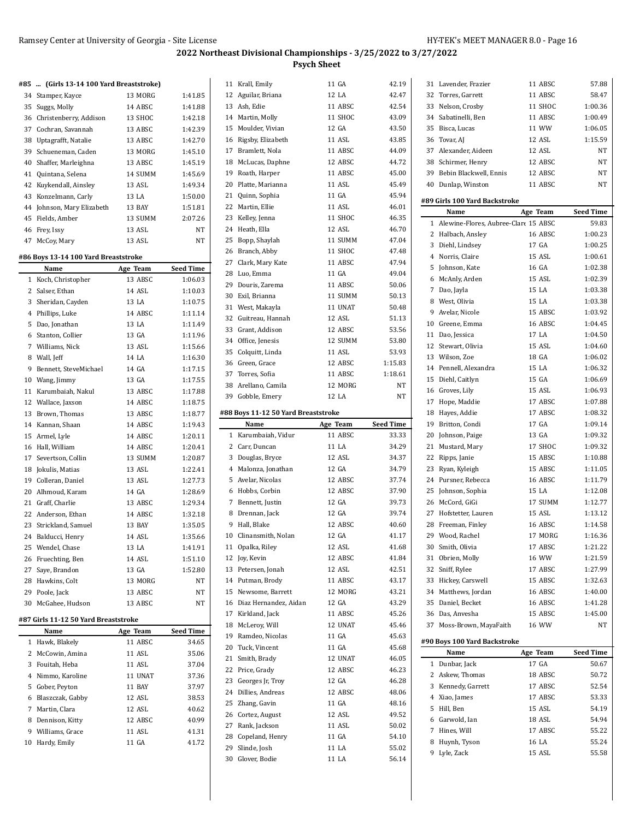# **2022 Northeast Divisional Championships - 3/25/2022 to 3/27/2022**

**Psych Sheet**

|              | #85  (Girls 13-14 100 Yard Breaststroke) |          |                  | $\mathbf{1}$   |
|--------------|------------------------------------------|----------|------------------|----------------|
|              | 34 Stamper, Kayce                        | 13 MORG  | 1:41.85          | 1              |
|              | 35 Suggs, Molly                          | 14 ABSC  | 1:41.88          | $\mathbf{1}$   |
|              | 36 Christenberry, Addison                | 13 SHOC  | 1:42.18          | $1\cdot$       |
|              | 37 Cochran, Savannah                     | 13 ABSC  | 1:42.39          | 1!             |
|              | 38 Uptagrafft, Natalie                   | 13 ABSC  | 1:42.70          | $1\,$          |
|              | 39 Schueneman, Caden                     | 13 MORG  | 1:45.10          | $1^{\circ}$    |
|              | 40 Shaffer, Marleighna                   | 13 ABSC  | 1:45.19          | 1              |
|              | 41 Quintana, Selena                      | 14 SUMM  | 1:45.69          | $1^{\circ}$    |
|              | 42 Kuykendall, Ainsley                   | 13 ASL   | 1:49.34          | $\overline{2}$ |
|              | 43 Konzelmann, Carly                     | 13 LA    | 1:50.00          | $\overline{2}$ |
|              | 44 Johnson, Mary Elizabeth               | 13 BAY   | 1:51.81          | 2.             |
|              | 45 Fields, Amber                         | 13 SUMM  | 2:07.26          | $\overline{2}$ |
|              | 46 Frey, Issy                            | 13 ASL   | NT               | 2.             |
|              | 47 McCoy, Mary                           | 13 ASL   | NT               | 2!             |
|              | #86 Boys 13-14 100 Yard Breaststroke     |          |                  | $\overline{2}$ |
|              | Name                                     | Age Team | Seed Time        | $2^{\circ}$    |
|              | 1 Koch, Christopher                      | 13 ABSC  | 1:06.03          | 21             |
|              | 2 Salser, Ethan                          | 14 ASL   | 1:10.03          | $2^{\prime}$   |
|              | 3 Sheridan, Cayden                       | 13 LA    | 1:10.75          | 3              |
|              | 4 Phillips, Luke                         | 14 ABSC  | 1:11.14          | 3              |
|              | 5 Dao, Jonathan                          | 13 LA    | 1:11.49          | 3.             |
|              | 6 Stanton, Collier                       | 13 GA    | 1:11.96          | 3.             |
|              | 7 Williams, Nick                         | 13 ASL   | 1:15.66          | 3.             |
|              | 8 Wall, Jeff                             | 14 LA    | 1:16.30          | 3.             |
|              | 9 Bennett, SteveMichael                  | 14 GA    | 1:17.15          | 3              |
|              | 10 Wang, Jimmy                           | 13 GA    | 1:17.55          | 3              |
|              | 11 Karumbaiah, Nakul                     | 13 ABSC  | 1:17.88          | 31             |
|              | 12 Wallace, Jaxson                       | 14 ABSC  | 1:18.75          | 3'             |
|              | 13 Brown, Thomas                         | 13 ABSC  | 1:18.77          | #88            |
|              | 14 Kannan, Shaan                         | 14 ABSC  | 1:19.43          |                |
|              | 15 Armel, Lyle                           | 14 ABSC  | 1:20.11          |                |
|              | 16 Hall, William                         | 14 ABSC  | 1:20.41          |                |
|              | 17 Severtson, Collin                     | 13 SUMM  | 1:20.87          |                |
|              | 18 Jokulis, Matias                       | 13 ASL   | 1:22.41          |                |
|              | 19 Colleran, Daniel                      | 13 ASL   | 1:27.73          |                |
|              | 20 Alhmoud, Karam                        | 14 GA    | 1:28.69          |                |
|              | 21 Graff, Charlie                        | 13 ABSC  | 1:29.34          |                |
|              | 22 Anderson, Ethan                       | 14 ABSC  | 1:32.18          |                |
|              | 23 Strickland, Samuel                    | 13 BAY   | 1:35.05          |                |
|              | 24 Balducci, Henry                       | 14 ASL   | 1:35.66          |                |
|              | 25 Wendel, Chase                         | 13 LA    | 1:41.91          | $\mathbf{1}$   |
|              | 26 Fruechting, Ben                       | 14 ASL   | 1:51.10          | 1              |
|              | 27 Saye, Brandon                         | 13 GA    | 1:52.80          | 1              |
|              | 28 Hawkins, Colt                         | 13 MORG  | NT               | $1\cdot$       |
|              | 29 Poole, Jack                           | 13 ABSC  | NT               | 1!             |
| 30           | McGahee, Hudson                          | 13 ABSC  | ΝT               | $\mathbf{1}$   |
|              |                                          |          |                  | $1^{\circ}$    |
|              | #87 Girls 11-12 50 Yard Breaststroke     |          |                  | 1              |
|              | Name                                     | Age Team | <b>Seed Time</b> | $1^{\prime}$   |
| $\mathbf{1}$ | Hawk, Blakely                            | 11 ABSC  | 34.65            | $\overline{2}$ |
| 2            | McCowin, Amina                           | 11 ASL   | 35.06            | $\mathbf{Z}$   |
|              | 3 Fouitah, Heba                          | 11 ASL   | 37.04            | 2.             |
|              | 4 Nimmo, Karoline                        | 11 UNAT  | 37.36            | 2.             |
|              | 5 Gober, Peyton                          | 11 BAY   | 37.97            | 2,             |
|              | 6 Blaszczak, Gabby                       | 12 ASL   | 38.53            | 2!             |
|              | 7 Martin, Clara                          | 12 ASL   | 40.62            | $\mathbf{2}$   |
|              | 8 Dennison, Kitty                        | 12 ABSC  | 40.99            | $2^{\circ}$    |
|              | 9 Williams, Grace                        | 11 ASL   | 41.31            | $\mathbf{2}$   |
|              | 10 Hardy, Emily                          | 11 GA    | 41.72            | $2^{\prime}$   |
|              |                                          |          |                  | $\mathsf{3}$   |
|              |                                          |          |                  |                |

| 11 | Krall, Emily                        | 11 GA             | 42.19            |
|----|-------------------------------------|-------------------|------------------|
|    | 12 Aguilar, Briana                  | 12 LA             | 42.47            |
|    | 13 Ash, Edie                        | 11 ABSC           | 42.54            |
|    | 14 Martin, Molly                    | 11 SHOC           | 43.09            |
|    | 15 Moulder, Vivian                  | 12 GA             | 43.50            |
|    | 16 Rigsby, Elizabeth                | 11 ASL            | 43.85            |
|    | 17 Bramlett, Nola                   | 11 ABSC           | 44.09            |
|    | 18 McLucas, Daphne                  | 12 ABSC           | 44.72            |
|    | 19 Roath, Harper                    | 11 ABSC           | 45.00            |
|    | 20 Platte, Marianna                 | 11 ASL            | 45.49            |
|    | 21 Quinn, Sophia                    | 11 GA             | 45.94            |
|    | 22 Martin, Ellie                    | 11 ASL            | 46.01            |
|    |                                     |                   |                  |
|    | 23 Kelley, Jenna                    | 11 SHOC           | 46.35            |
|    | 24 Heath, Ella                      | 12 ASL            | 46.70            |
| 25 | Bopp, Shaylah                       | 11 SUMM           | 47.04            |
|    | 26 Branch, Abby                     | 11 SHOC           | 47.48            |
|    | 27 Clark, Mary Kate                 | 11 ABSC           | 47.94            |
|    | 28 Luo, Emma                        | 11 GA             | 49.04            |
|    | 29 Douris, Zarema                   | 11 ABSC           | 50.06            |
|    | 30 Exil, Brianna                    | 11 SUMM           | 50.13            |
|    | 31 West, Makayla                    | 11 UNAT           | 50.48            |
|    | 32 Guitreau, Hannah                 | 12 ASL            | 51.13            |
|    | 33 Grant, Addison                   | 12 ABSC           | 53.56            |
|    | 34 Office, Jenesis                  | 12 SUMM           | 53.80            |
|    | 35 Colquitt, Linda                  | 11 ASL            | 53.93            |
|    | 36 Green, Grace                     | 12 ABSC           | 1:15.83          |
|    | 37 Torres, Sofia                    | 11 ABSC           | 1:18.61          |
|    | 38 Arellano, Camila                 | 12 MORG           | NT               |
|    | 39 Gobble, Emery                    | 12 LA             | NT               |
|    |                                     |                   |                  |
|    | #88 Boys 11-12 50 Yard Breaststroke |                   |                  |
|    | Name                                | Age Team          | <b>Seed Time</b> |
|    |                                     |                   |                  |
|    | 1 Karumbaiah, Vidur                 | 11 ABSC           | 33.33            |
|    | 2 Carr, Duncan                      | 11 LA             | 34.29            |
|    | 3 Douglas, Bryce                    | 12 ASL            | 34.37            |
|    | 4 Malonza, Jonathan                 | 12 GA             | 34.79            |
|    | 5 Avelar, Nicolas                   | 12 ABSC           | 37.74            |
|    | 6 Hobbs, Corbin                     | 12 ABSC           | 37.90            |
|    | 7 Bennett, Justin                   | 12 GA             | 39.73            |
|    | 8 Drennan, Jack                     | 12 GA             | 39.74            |
|    | 9 Hall, Blake                       | 12 ABSC           | 40.60            |
|    | 10 Clinansmith, Nolan               | 12 GA             | 41.17            |
| 11 |                                     |                   | 41.68            |
|    | Opalka, Riley                       | 12 ASL<br>12 ABSC | 41.84            |
| 13 | 12 Joy, Kevin                       | 12 ASL            | 42.51            |
|    | Petersen, Jonah                     |                   |                  |
|    | 14 Putman, Brody                    | 11 ABSC           | 43.17            |
|    | 15 Newsome, Barrett                 | 12 MORG           | 43.21            |
| 16 | Diaz Hernandez, Aidan               | 12 GA             | 43.29            |
|    | 17 Kirkland, Jack                   | 11 ABSC           | 45.26            |
| 18 | McLeroy, Will                       | 12 UNAT           | 45.46            |
|    | 19 Ramdeo, Nicolas                  | 11 GA             | 45.63            |
|    | 20 Tuck, Vincent                    | 11 GA             | 45.68            |
| 21 | Smith, Brady                        | 12 UNAT           | 46.05            |
|    | 22 Price, Grady                     | 12 ABSC           | 46.23            |
|    | 23 Georges Jr, Troy                 | 12 GA             | 46.28            |
|    | 24 Dillies, Andreas                 | 12 ABSC           | 48.06            |
|    | 25 Zhang, Gavin                     | 11 GA             | 48.16            |
|    | 26 Cortez, August                   | 12 ASL            | 49.52            |
|    | 27 Rank, Jackson                    | 11 ASL            | 50.02            |
|    | 28 Copeland, Henry                  | 11 GA             | 54.10            |
|    | 29 Slinde, Josh                     | 11 LA             | 55.02            |
|    | 30 Glover, Bodie                    | 11 LA             | 56.14            |

| 31 | Lavender, Frazier                    | 11 ABSC  | 57.88            |
|----|--------------------------------------|----------|------------------|
| 32 | Torres, Garrett                      | 11 ABSC  | 58.47            |
|    | 33 Nelson, Crosby                    | 11 SHOC  | 1:00.36          |
|    | 34 Sabatinelli, Ben                  | 11 ABSC  | 1:00.49          |
|    | 35 Bisca, Lucas                      | 11 WW    | 1:06.05          |
|    | 36 Tovar, AJ                         | 12 ASL   | 1:15.59          |
|    | 37 Alexander, Aideen                 | 12 ASL   | NΤ               |
|    | 38 Schirmer, Henry                   | 12 ABSC  | NT               |
|    | 39 Bebin Blackwell, Ennis            | 12 ABSC  | NΤ               |
|    | 40 Dunlap, Winston                   | 11 ABSC  | NΤ               |
|    |                                      |          |                  |
|    | #89 Girls 100 Yard Backstroke        |          |                  |
|    | Name                                 | Age Team | <b>Seed Time</b> |
| 1  | Alewine-Flores, Aubree-Clare 15 ABSC |          | 59.83            |
|    | 2 Halbach, Ansley                    | 16 ABSC  | 1:00.23          |
|    | 3 Diehl, Lindsey                     | 17 GA    | 1:00.25          |
|    | 4 Norris, Claire                     | 15 ASL   | 1:00.61          |
| 5  | Johnson, Kate                        | 16 GA    | 1:02.38          |
|    |                                      | 15 ASL   | 1:02.39          |
|    | 6 McAnly, Arden                      | 15 LA    |                  |
|    | 7 Dao, Jayla                         |          | 1:03.38          |
|    | 8 West, Olivia                       | 15 LA    | 1:03.38          |
|    | 9 Avelar, Nicole                     | 15 ABSC  | 1:03.92          |
|    | 10 Greene, Emma                      | 16 ABSC  | 1:04.45          |
|    | 11 Dao, Jessica                      | 17 LA    | 1:04.50          |
|    | 12 Stewart, Olivia                   | 15 ASL   | 1:04.60          |
|    | 13 Wilson. Zoe                       | 18 GA    | 1:06.02          |
|    | 14 Pennell, Alexandra                | 15 LA    | 1:06.32          |
|    | 15 Diehl, Caitlyn                    | 15 GA    | 1:06.69          |
|    | 16 Groves, Lily                      | 15 ASL   | 1:06.93          |
|    | 17 Hope, Maddie                      | 17 ABSC  | 1:07.88          |
|    | 18 Hayes, Addie                      | 17 ABSC  | 1:08.32          |
|    | 19 Britton, Condi                    | 17 GA    | 1:09.14          |
|    | 20 Johnson, Paige                    | 13 GA    | 1:09.32          |
|    |                                      |          |                  |
| 21 | Mustard, Mary                        | 17 SHOC  | 1:09.32          |
|    | 22 Ripps, Janie                      | 15 ABSC  | 1:10.88          |
| 23 | Ryan, Kyleigh                        | 15 ABSC  | 1:11.05          |
|    | 24 Pursner, Rebecca                  | 16 ABSC  | 1:11.79          |
| 25 | Johnson, Sophia                      | 15 LA    | 1:12.08          |
|    | 26 McCord, GiGi                      | 17 SUMM  | 1:12.77          |
|    | 27 Hofstetter, Lauren                | 15 ASL   | 1:13.12          |
|    | 28 Freeman, Finley                   | 16 ABSC  | 1:14.58          |
|    | 29 Wood, Rachel                      | 17 MORG  | 1:16.36          |
| 30 | Smith, Olivia                        | 17 ABSC  | 1:21.22          |
| 31 | Obrien, Molly                        | 16 WW    | 1:21.59          |
|    | 32 Sniff, Rylee                      | 17 ABSC  | 1:27.99          |
|    | 33 Hickey, Carswell                  | 15 ABSC  | 1:32.63          |
|    | 34 Matthews, Jordan                  | 16 ABSC  | 1:40.00          |
|    | 35 Daniel, Becket                    | 16 ABSC  | 1:41.28          |
|    | 36 Das, Anvesha                      | 15 ABSC  | 1:45.00          |
|    | 37 Moss-Brown, MayaFaith             | 16 WW    | NΤ               |
|    |                                      |          |                  |
|    | #90 Boys 100 Yard Backstroke         |          |                  |
|    | Name                                 | Age Team | <b>Seed Time</b> |
| 1  |                                      |          |                  |
|    | Dunbar, Jack                         | 17 GA    | 50.67            |
|    | 2 Askew, Thomas                      | 18 ABSC  | 50.72            |
|    | 3 Kennedy, Garrett                   | 17 ABSC  | 52.54            |
|    |                                      | 17 ABSC  |                  |
|    | 4 Xiao, James                        | 15 ASL   | 53.33            |
|    | 5 Hill, Ben                          |          | 54.19            |
|    | 6 Garwold, Ian                       | 18 ASL   | 54.94            |
|    | 7 Hines, Will                        | 17 ABSC  | 55.22            |
|    | 8 Huynh, Tyson                       | 16 LA    | 55.24            |
|    | 9 Lyle, Zack                         | 15 ASL   | 55.58            |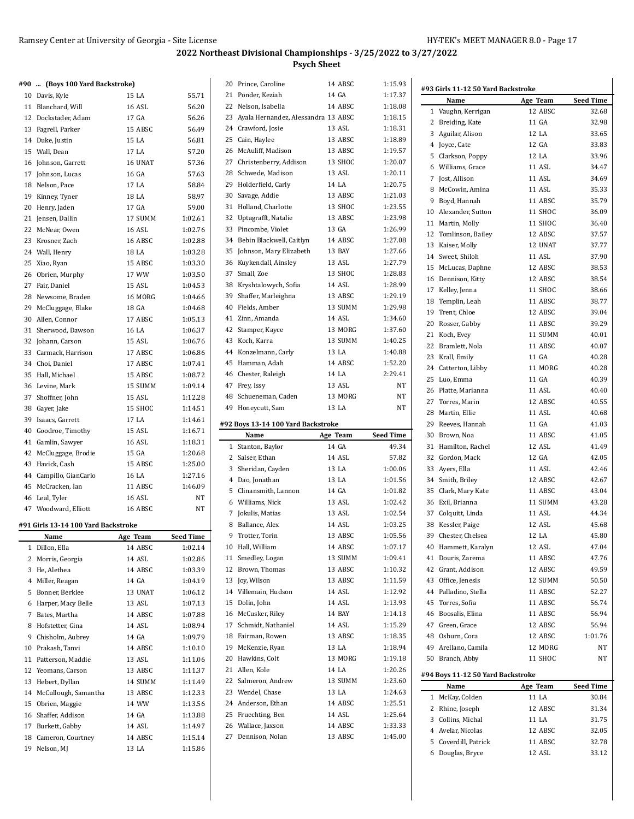20 Prince, Caroline 14 ABSC 1:15.93

#### **#90 ... (Boys 100 Yard Backstroke)**

|    | 10 Davis, Kyle                      | 15 LA         | 55.71     |
|----|-------------------------------------|---------------|-----------|
| 11 | Blanchard, Will                     | 16 ASL        | 56.20     |
|    | 12 Dockstader, Adam                 | 17 GA         | 56.26     |
|    | 13 Fagrell, Parker                  | 15 ABSC       | 56.49     |
|    | 14 Duke, Justin                     | 15 LA         | 56.81     |
|    | 15 Wall, Dean                       | 17 LA         | 57.20     |
|    | 16 Johnson, Garrett                 | 16 UNAT       | 57.36     |
|    | 17 Johnson, Lucas                   | 16 GA         | 57.63     |
|    | 18 Nelson, Pace                     | 17 LA         | 58.84     |
|    | 19 Kinney, Tyner                    | 18 LA         | 58.97     |
|    | 20 Henry, Jaden                     | 17 GA         | 59.00     |
|    | 21 Jensen, Dallin                   | 17 SUMM       | 1:02.61   |
|    | 22 McNear, Owen                     | <b>16 ASL</b> | 1:02.76   |
|    |                                     |               |           |
|    | 23 Krosner, Zach                    | 16 ABSC       | 1:02.88   |
|    | 24 Wall, Henry                      | 18 LA         | 1:03.28   |
|    | 25 Xiao, Ryan                       | 15 ABSC       | 1:03.30   |
|    | 26 Obrien, Murphy                   | 17 WW         | 1:03.50   |
|    | 27 Fair, Daniel                     | 15 ASL        | 1:04.53   |
|    | 28 Newsome, Braden                  | 16 MORG       | 1:04.66   |
|    | 29 McCluggage, Blake                | 18 GA         | 1:04.68   |
|    | 30 Allen, Connor                    | 17 ABSC       | 1:05.13   |
| 31 | Sherwood, Dawson                    | 16 LA         | 1:06.37   |
|    | 32 Johann, Carson                   | 15 ASL        | 1:06.76   |
|    | 33 Carmack, Harrison                | 17 ABSC       | 1:06.86   |
|    | 34 Choi, Daniel                     | 17 ABSC       | 1:07.41   |
|    | 35 Hall, Michael                    | 15 ABSC       | 1:08.72   |
|    | 36 Levine, Mark                     | 15 SUMM       | 1:09.14   |
|    | 37 Shoffner, John                   | 15 ASL        | 1:12.28   |
|    | 38 Gayer, Jake                      | 15 SHOC       | 1:14.51   |
|    | 39 Isaacs, Garrett                  | 17 LA         | 1:14.61   |
|    | 40 Goodroe, Timothy                 | 15 ASL        | 1:16.71   |
|    | 41 Gamlin, Sawyer                   | 16 ASL        | 1:18.31   |
|    | 42 McCluggage, Brodie               | 15 GA         | 1:20.68   |
|    | 43 Havick, Cash                     | 15 ABSC       | 1:25.00   |
|    | 44 Campillo, GianCarlo              | 16 LA         | 1:27.16   |
|    | 45 McCracken, Ian                   | 11 ABSC       | 1:46.09   |
|    | 46 Leal, Tyler                      | <b>16 ASL</b> | NΤ        |
|    | 47 Woodward, Elliott                | 16 ABSC       | NT        |
|    |                                     |               |           |
|    | #91 Girls 13-14 100 Yard Backstroke |               |           |
|    | Name                                | Age Team      | Seed Time |
| 1  | Dillon, Ella                        | 14 ABSC       | 1:02.14   |
| 2  | Morris, Georgia                     | 14 ASL        | 1:02.86   |
|    | 3 He, Alethea                       | 14 ABSC       | 1:03.39   |
|    | 4 Miller, Reagan                    | 14 GA         | 1:04.19   |
| 5  | Bonner, Berklee                     | 13 UNAT       | 1:06.12   |
|    | 6 Harper, Macy Belle                | 13 ASL        | 1:07.13   |
|    | 7 Bates, Martha                     | 14 ABSC       | 1:07.88   |
|    | 8 Hofstetter, Gina                  | 14 ASL        | 1:08.94   |
| 9  | Chisholm, Aubrey                    | 14 GA         | 1:09.79   |
| 10 | Prakash, Tanvi                      | 14 ABSC       | 1:10.10   |
| 11 | Patterson, Maddie                   | 13 ASL        | 1:11.06   |
| 12 | Yeomans, Carson                     | 13 ABSC       | 1:11.37   |
| 13 | Hebert, Dyllan                      | 14 SUMM       | 1:11.49   |
|    | 14 McCullough, Samantha             | 13 ABSC       | 1:12.33   |
| 15 | Obrien, Maggie                      | 14 WW         | 1:13.56   |
| 16 | Shaffer, Addison                    | 14 GA         | 1:13.88   |
| 17 | Burkett, Gabby                      | 14 ASL        | 1:14.97   |
|    | 18 Cameron, Courtney                | 14 ABSC       | 1:15.14   |
|    | Nelson, MJ                          | 13 LA         | 1:15.86   |

| 21 | Ponder, Keziah                           | 14 GA              | 1:17.37            |
|----|------------------------------------------|--------------------|--------------------|
|    | 22 Nelson, Isabella                      | 14 ABSC            | 1:18.08            |
|    | 23 Ayala Hernandez, Alessandra 13 ABSC   |                    | 1:18.15            |
|    | 24 Crawford, Josie                       | 13 ASL             | 1:18.31            |
|    | 25 Cain, Haylee                          | 13 ABSC            | 1:18.89            |
|    | 26 McAuliff, Madison                     | 13 ABSC            | 1:19.57            |
|    | 27 Christenberry, Addison                | 13 SHOC            | 1:20.07            |
|    | 28 Schwede, Madison                      | 13 ASL             | 1:20.11            |
|    | 29 Holderfield, Carly                    | 14 LA              | 1:20.75            |
|    | 30 Savage, Addie                         | 13 ABSC            | 1:21.03            |
|    | 31 Holland, Charlotte                    | 13 SHOC            | 1:23.55            |
|    |                                          | 13 ABSC            | 1:23.98            |
|    | 32 Uptagrafft, Natalie                   |                    |                    |
| 33 | Pincombe, Violet                         | 13 GA              | 1:26.99            |
|    | 34 Bebin Blackwell, Caitlyn              | 14 ABSC            | 1:27.08            |
| 35 | Johnson, Mary Elizabeth                  | 13 BAY             | 1:27.66            |
| 36 | Kuykendall, Ainsley                      | 13 ASL             | 1:27.79            |
| 37 | Small, Zoe                               | 13 SHOC            | 1:28.83            |
| 38 | Kryshtalowych, Sofia                     | 14 ASL             | 1:28.99            |
|    | 39 Shaffer, Marleighna                   | 13 ABSC            | 1:29.19            |
|    | 40 Fields, Amber                         | 13 SUMM            | 1:29.98            |
|    | 41 Zinn, Amanda                          | 14 ASL             | 1:34.60            |
|    | 42 Stamper, Kayce                        | 13 MORG            | 1:37.60            |
|    | 43 Koch, Karra                           | 13 SUMM            | 1:40.25            |
|    | 44 Konzelmann, Carly                     | 13 LA              | 1:40.88            |
| 45 | Hamman, Adah                             | 14 ABSC            | 1:52.20            |
|    | 46 Chester, Raleigh                      | 14 LA              | 2:29.41            |
|    | 47 Frey, Issy                            | 13 ASL             | NT                 |
| 48 | Schueneman, Caden                        | 13 MORG            | NT                 |
| 49 | Honeycutt, Sam                           | 13 LA              | NT                 |
|    |                                          |                    |                    |
|    |                                          |                    |                    |
|    | #92 Boys 13-14 100 Yard Backstroke       |                    |                    |
|    | Name                                     | Age Team           | <b>Seed Time</b>   |
|    | 1 Stanton, Baylor                        | 14 GA              | 49.34              |
|    | 2 Salser, Ethan                          | 14 ASL             | 57.82              |
|    | 3 Sheridan, Cayden                       | 13 LA              | 1:00.06            |
|    | 4 Dao, Jonathan                          | 13 LA              | 1:01.56            |
|    | 5 Clinansmith, Lannon                    | 14 GA              | 1:01.82            |
|    | 6 Williams, Nick                         | 13 ASL             | 1:02.42            |
|    | 7 Jokulis, Matias                        | 13 ASL             | 1:02.54            |
|    | 8 Ballance, Alex                         | 14 ASL             | 1:03.25            |
|    | 9 Trotter, Torin                         | 13 ABSC            | 1:05.56            |
|    | 10 Hall, William                         | 14 ABSC            | 1:07.17            |
| 11 | Smedley, Logan                           | 13 SUMM            | 1:09.41            |
| 12 | Brown, Thomas                            | 13 ABSC            | 1:10.32            |
| 13 | Joy, Wilson                              | 13 ABSC            | 1:11.59            |
|    | 14 Villemain, Hudson                     | 14 ASL             | 1:12.92            |
| 15 | Dolin, John                              | 14 ASL             | 1:13.93            |
| 16 | McCusker, Riley                          | 14 BAY             | 1:14.13            |
| 17 | Schmidt, Nathaniel                       | 14 ASL             | 1:15.29            |
| 18 | Fairman, Rowen                           | 13 ABSC            | 1:18.35            |
| 19 | McKenzie, Ryan                           | 13 LA              | 1:18.94            |
|    | 20 Hawkins, Colt                         | 13 MORG            | 1:19.18            |
|    | 21 Allen, Kole                           | 14 LA              | 1:20.26            |
|    | 22 Salmeron, Andrew                      | 13 SUMM            | 1:23.60            |
|    |                                          |                    |                    |
|    | 23 Wendel, Chase                         | 13 LA              | 1:24.63            |
|    | 24 Anderson, Ethan                       | 14 ABSC            | 1:25.51            |
|    | 25 Fruechting, Ben                       | 14 ASL             | 1:25.64            |
|    | 26 Wallace, Jaxson<br>27 Dennison, Nolan | 14 ABSC<br>13 ABSC | 1:33.33<br>1:45.00 |

| #93 Girls 11-12 50 Yard Backstroke |                                       |          |                  |
|------------------------------------|---------------------------------------|----------|------------------|
|                                    | Name                                  | Age Team | <b>Seed Time</b> |
| $\mathbf 1$                        | Vaughn, Kerrigan                      | 12 ABSC  | 32.68            |
|                                    | 2 Breiding, Kate                      | 11 GA    | 32.98            |
|                                    | 3 Aguilar, Alison                     | 12 LA    | 33.65            |
|                                    | 4 Joyce, Cate                         | 12 GA    | 33.83            |
| 5                                  | Clarkson, Poppy                       | 12 LA    | 33.96            |
|                                    | 6 Williams, Grace                     | 11 ASL   | 34.47            |
|                                    | 7 Jost, Allison                       | 11 ASL   | 34.69            |
|                                    | 8 McCowin. Amina                      | 11 ASL   | 35.33            |
|                                    | 9 Boyd, Hannah                        | 11 ABSC  | 35.79            |
|                                    | 10 Alexander, Sutton                  | 11 SHOC  | 36.09            |
|                                    | 11 Martin, Molly                      | 11 SHOC  | 36.40            |
|                                    | 12 Tomlinson, Bailey                  | 12 ABSC  | 37.57            |
|                                    | 13 Kaiser, Molly                      | 12 UNAT  | 37.77            |
|                                    |                                       | 11 ASL   | 37.90            |
|                                    | 14 Sweet, Shiloh                      | 12 ABSC  |                  |
| 15                                 | McLucas, Daphne                       |          | 38.53            |
|                                    | 16 Dennison, Kitty                    | 12 ABSC  | 38.54            |
|                                    | 17 Kelley, Jenna                      | 11 SHOC  | 38.66            |
|                                    | 18 Templin, Leah                      | 11 ABSC  | 38.77            |
|                                    | 19 Trent, Chloe                       | 12 ABSC  | 39.04            |
|                                    | 20 Rosser, Gabby                      | 11 ABSC  | 39.29            |
|                                    | 21 Koch, Evey                         | 11 SUMM  | 40.01            |
|                                    | 22 Bramlett, Nola                     | 11 ABSC  | 40.07            |
|                                    | 23 Krall, Emily                       | 11 GA    | 40.28            |
|                                    | 24 Catterton, Libby                   | 11 MORG  | 40.28            |
| 25                                 | Luo, Emma                             | 11 GA    | 40.39            |
|                                    | 26 Platte, Marianna                   | 11 ASL   | 40.40            |
|                                    | 27 Torres, Marin                      | 12 ABSC  | 40.55            |
|                                    | 28 Martin, Ellie                      | 11 ASL   | 40.68            |
|                                    | 29 Reeves, Hannah                     | 11 GA    | 41.03            |
|                                    | 30 Brown, Noa                         | 11 ABSC  | 41.05            |
|                                    | 31 Hamilton, Rachel                   | 12 ASL   | 41.49            |
|                                    | 32 Gordon, Mack                       | 12 GA    | 42.05            |
|                                    | 33 Ayers, Ella                        | 11 ASL   | 42.46            |
|                                    | 34 Smith, Briley                      | 12 ABSC  | 42.67            |
|                                    | 35 Clark, Mary Kate                   | 11 ABSC  | 43.04            |
|                                    | 36 Exil, Brianna                      | 11 SUMM  | 43.28            |
|                                    | 37 Colquitt, Linda                    | 11 ASL   | 44.34            |
|                                    | 38 Kessler, Paige                     | 12 ASL   | 45.68            |
| 39                                 | Chester, Chelsea                      | 12 LA    | 45.80            |
|                                    | 40 Hammett, Karalyn                   | 12 ASL   | 47.04            |
|                                    | 41 Douris, Zarema                     | 11 ABSC  | 47.76            |
|                                    | 42 Grant, Addison                     | 12 ABSC  | 49.59            |
|                                    | 43 Office, Jenesis                    | 12 SUMM  | 50.50            |
|                                    | 44 Palladino, Stella                  | 11 ABSC  | 52.27            |
|                                    | 45 Torres, Sofia                      | 11 ABSC  | 56.74            |
|                                    |                                       | 11 ABSC  |                  |
|                                    | 46 Boosalis, Elina<br>47 Green, Grace | 12 ABSC  | 56.94<br>56.94   |
|                                    |                                       |          |                  |
|                                    | 48 Osburn, Cora                       | 12 ABSC  | 1:01.76          |
|                                    | 49 Arellano, Camila                   | 12 MORG  | NT               |
|                                    | 50 Branch, Abby                       | 11 SHOC  | NΤ               |
|                                    | #94 Boys 11-12 50 Yard Backstroke     |          |                  |
|                                    | Name                                  | Age Team | Seed Time        |
| 1                                  | McKay, Colden                         | 11 LA    | 30.84            |
|                                    | 2 Rhine, Joseph                       | 12 ABSC  | 31.34            |
|                                    | 3 Collins, Michal                     | 11 LA    | 31.75            |
|                                    | 4 Avelar, Nicolas                     | 12 ABSC  | 32.05            |
| 5                                  | Coverdill, Patrick                    | 11 ABSC  | 32.78            |
| 6                                  | Douglas, Bryce                        | 12 ASL   | 33.12            |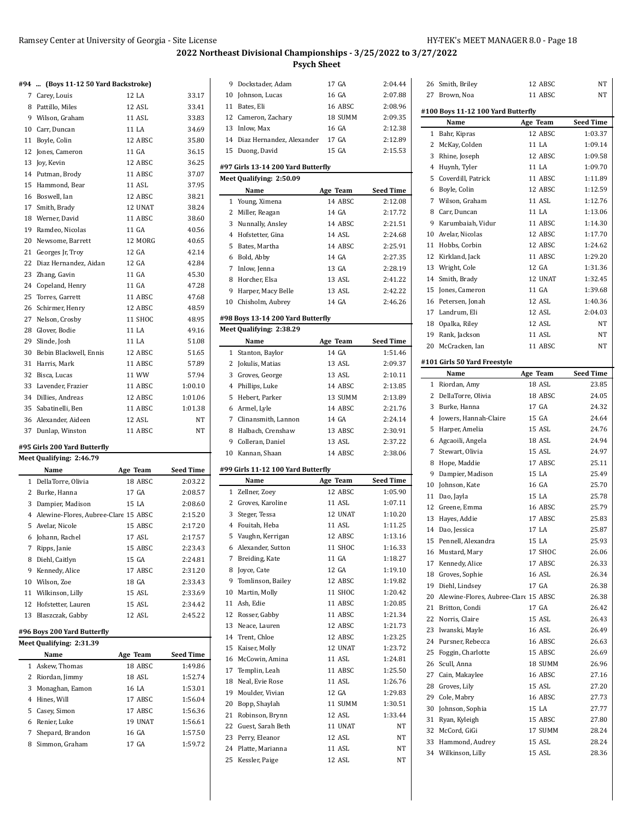#### **#94 ... (Boys 11-12 50 Yard Backstroke)**

|    | 7 Carey, Louis         | 12 LA   | 33.17   |
|----|------------------------|---------|---------|
| 8  | Pattillo, Miles        | 12 ASL  | 33.41   |
| 9  | Wilson, Graham         | 11 ASL  | 33.83   |
|    | 10 Carr, Duncan        | 11 LA   | 34.69   |
| 11 | Boyle, Colin           | 12 ABSC | 35.80   |
|    | 12 Jones, Cameron      | 11 GA   | 36.15   |
| 13 | Joy, Kevin             | 12 ABSC | 36.25   |
| 14 | Putman, Brody          | 11 ABSC | 37.07   |
| 15 | Hammond, Bear          | 11 ASL  | 37.95   |
|    | 16 Boswell, Ian        | 12 ABSC | 38.21   |
|    | 17 Smith, Brady        | 12 UNAT | 38.24   |
|    | 18 Werner, David       | 11 ABSC | 38.60   |
| 19 | Ramdeo, Nicolas        | 11 GA   | 40.56   |
| 20 | Newsome, Barrett       | 12 MORG | 40.65   |
|    | 21 Georges Jr, Troy    | 12 GA   | 42.14   |
| 22 | Diaz Hernandez, Aidan  | 12 GA   | 42.84   |
|    | 23 Zhang, Gavin        | 11 GA   | 45.30   |
| 24 | Copeland, Henry        | 11 GA   | 47.28   |
| 25 | Torres, Garrett        | 11 ABSC | 47.68   |
| 26 | Schirmer, Henry        | 12 ABSC | 48.59   |
|    | 27 Nelson, Crosby      | 11 SHOC | 48.95   |
|    | 28 Glover, Bodie       | 11 LA   | 49.16   |
| 29 | Slinde, Josh           | 11 LA   | 51.08   |
| 30 | Bebin Blackwell, Ennis | 12 ABSC | 51.65   |
| 31 | Harris, Mark           | 11 ABSC | 57.89   |
| 32 | Bisca, Lucas           | 11 WW   | 57.94   |
|    | 33 Lavender, Frazier   | 11 ABSC | 1:00.10 |
| 34 | Dillies, Andreas       | 12 ABSC | 1:01.06 |
| 35 | Sabatinelli, Ben       | 11 ABSC | 1:01.38 |
|    | 36 Alexander, Aideen   | 12 ASL  | NΤ      |
| 37 | Dunlap, Winston        | 11 ABSC | NT      |
|    |                        |         |         |

# **#95 Girls 200 Yard Butterfly**

| Meet Qualifying: 2:46.79 |                                      |                 |                  |
|--------------------------|--------------------------------------|-----------------|------------------|
|                          | Name                                 | Age Team        | <b>Seed Time</b> |
| 1                        | DellaTorre, Olivia                   | 18 ABSC         | 2:03.22          |
| 2                        | Burke, Hanna                         | 17 GA           | 2:08.57          |
| 3                        | Dampier, Madison                     | 15 LA           | 2:08.60          |
| 4                        | Alewine-Flores, Aubree-Clare 15 ABSC |                 | 2:15.20          |
| 5.                       | Avelar, Nicole                       | 15 ABSC         | 2:17.20          |
| 6                        | Johann, Rachel                       | 17 ASL          | 2:17.57          |
| 7                        | Ripps, Janie                         | 15 ABSC         | 2:23.43          |
| 8                        | Diehl, Caitlyn                       | $15 \text{ GA}$ | 2:24.81          |
| 9                        | Kennedy, Alice                       | 17 ABSC         | 2:31.20          |
| 10                       | Wilson, Zoe                          | 18 GA           | 2:33.43          |
| 11                       | Wilkinson, Lilly                     | 15 ASL          | 2:33.69          |
| 12                       | Hofstetter, Lauren                   | 15 ASL          | 2:34.42          |
| 13                       | Blaszczak, Gabby                     | 12 ASL          | 2:45.22          |

#### **#96 Boys 200 Yard Butterfly**

|   | Meet Qualifying: 2:31.39 |          |                  |
|---|--------------------------|----------|------------------|
|   | Name                     | Age Team | <b>Seed Time</b> |
|   | 1 Askew, Thomas          | 18 ABSC  | 1:49.86          |
|   | 2 Riordan, Jimmy         | 18 ASL   | 1:52.74          |
|   | 3 Monaghan, Eamon        | 16 LA    | 1:53.01          |
|   | 4 Hines. Will            | 17 ABSC  | 1:56.04          |
|   | 5 Casey, Simon           | 17 ABSC  | 1:56.36          |
|   | Renier, Luke             | 19 UNAT  | 1:56.61          |
|   | Shepard, Brandon         | 16 GA    | 1:57.50          |
| 8 | Simmon, Graham           | 17 GA    | 1:59.72          |

|    |                                    | un oncer |                  |
|----|------------------------------------|----------|------------------|
| 9  | Dockstader, Adam                   | 17 GA    | 2:04.44          |
| 10 | Johnson, Lucas                     | 16 GA    | 2:07.88          |
|    | 11 Bates, Eli                      | 16 ABSC  | 2:08.96          |
|    | 12 Cameron, Zachary                | 18 SUMM  | 2:09.35          |
|    | 13 Inlow, Max                      | 16 GA    | 2:12.38          |
|    | 14 Diaz Hernandez, Alexander       | 17 GA    | 2:12.89          |
|    | 15 Duong, David                    | 15 GA    | 2:15.53          |
|    |                                    |          |                  |
|    | #97 Girls 13-14 200 Yard Butterfly |          |                  |
|    | Meet Qualifying: 2:50.09           |          |                  |
|    | Name                               | Age Team | <b>Seed Time</b> |
|    | 1 Young, Ximena                    | 14 ABSC  | 2:12.08          |
| 2  | Miller, Reagan                     | 14 GA    | 2:17.72          |
| 3  | Nunnally, Ansley                   | 14 ABSC  | 2:21.51          |
| 4  | Hofstetter, Gina                   | 14 ASL   | 2:24.68          |
| 5  | Bates, Martha                      | 14 ABSC  | 2:25.91          |
| 6  | Bold, Abby                         | 14 GA    | 2:27.35          |
| 7  | Inlow, Jenna                       | 13 GA    | 2:28.19          |
| 8  | Horcher, Elsa                      | 13 ASL   | 2:41.22          |
| 9  | Harper, Macy Belle                 | 13 ASL   | 2:42.22          |
|    | 10 Chisholm, Aubrey                | 14 GA    | 2:46.26          |
|    |                                    |          |                  |
|    | #98 Boys 13-14 200 Yard Butterfly  |          |                  |
|    | Meet Qualifying: 2:38.29           |          |                  |
|    | Name                               | Age Team | <b>Seed Time</b> |
| 1  | Stanton, Baylor                    | 14 GA    | 1:51.46          |
| 2  | Jokulis, Matias                    | 13 ASL   | 2:09.37          |
| 3  | Groves, George                     | 13 ASL   | 2:10.11          |
| 4  | Phillips, Luke                     | 14 ABSC  | 2:13.85          |
| 5  | Hebert, Parker                     | 13 SUMM  | 2:13.89          |
| 6  | Armel, Lyle                        | 14 ABSC  | 2:21.76          |
|    | 7 Clinansmith, Lannon              | 14 GA    | 2:24.14          |
| 8  | Halbach, Crenshaw                  | 13 ABSC  | 2:30.91          |
| 9  | Colleran, Daniel                   | 13 ASL   | 2:37.22          |
| 10 | Kannan, Shaan                      | 14 ABSC  | 2:38.06          |
|    | #99 Girls 11-12 100 Yard Butterfly |          |                  |
|    | Name                               | Age Team | <b>Seed Time</b> |
| 1  | Zellner, Zoev                      | 12 ABSC  | 1:05.90          |
| 2  | Groves, Karoline                   | 11 ASL   | 1:07.11          |
| 3  | Steger, Tessa                      | 12 UNAT  | 1:10.20          |
| 4  | Fouitah, Heba                      | 11 ASL   | 1:11.25          |
| 5  | Vaughn, Kerrigan                   | 12 ABSC  | 1:13.16          |
| 6  | Alexander, Sutton                  | 11 SHOC  | 1:16.33          |
| 7  | Breiding, Kate                     | 11 GA    | 1:18.27          |
| 8  | Joyce, Cate                        | 12 GA    | 1:19.10          |
| 9  | Tomlinson, Bailey                  | 12 ABSC  | 1:19.82          |
| 10 | Martin, Molly                      | 11 SHOC  | 1:20.42          |
| 11 | Ash, Edie                          | 11 ABSC  | 1:20.85          |
| 12 | Rosser, Gabby                      | 11 ABSC  | 1:21.34          |
| 13 | Neace, Lauren                      | 12 ABSC  | 1:21.73          |
| 14 | Trent, Chloe                       | 12 ABSC  | 1:23.25          |
| 15 | Kaiser, Molly                      | 12 UNAT  | 1:23.72          |
| 16 |                                    |          |                  |
|    | McCowin, Amina                     | 11 ASL   | 1:24.81          |
| 17 | Templin, Leah                      | 11 ABSC  | 1:25.50          |
| 18 | Neal, Evie Rose                    | 11 ASL   | 1:26.76          |
| 19 | Moulder, Vivian                    | 12 GA    | 1:29.83          |
| 20 | Bopp, Shaylah                      | 11 SUMM  | 1:30.51          |
| 21 | Robinson, Brynn                    | 12 ASL   | 1:33.44          |
| 22 | Guest, Sarah Beth                  | 11 UNAT  | NΤ               |

24 Platte, Marianna 11 ASL NT Kessler, Paige 12 ASL NT

|              | 26 Smith, Briley                          | 12 ABSC          | NT               |
|--------------|-------------------------------------------|------------------|------------------|
|              | 27 Brown, Noa                             | 11 ABSC          | NΤ               |
|              |                                           |                  |                  |
|              | #100 Boys 11-12 100 Yard Butterfly        |                  |                  |
|              | Name                                      | Age Team         | <b>Seed Time</b> |
| 1            | Bahr, Kipras                              | 12 ABSC          | 1:03.37          |
|              | 2 McKay, Colden                           | 11 LA            | 1:09.14          |
|              | 3 Rhine, Joseph                           | 12 ABSC          | 1:09.58          |
|              | 4 Huynh, Tyler                            | 11 LA            | 1:09.70          |
| 5            | Coverdill, Patrick                        | 11 ABSC          | 1:11.89          |
|              | 6 Boyle, Colin                            | 12 ABSC          | 1:12.59          |
|              | 7 Wilson, Graham                          | 11 ASL           | 1:12.76          |
|              | 8 Carr, Duncan                            | 11 I.A           | 1:13.06          |
|              | 9 Karumbaiah, Vidur                       | 11 ABSC          | 1:14.30          |
|              | 10 Avelar, Nicolas                        | 12 ABSC          | 1:17.70          |
|              | 11 Hobbs, Corbin                          | 12 ABSC          | 1:24.62          |
|              | 12 Kirkland, Jack                         | 11 ABSC          | 1:29.20          |
|              | 13 Wright, Cole                           | 12 GA            | 1:31.36          |
|              | 14 Smith, Brady                           | 12 UNAT          | 1:32.45          |
|              | 15 Jones, Cameron                         | 11 GA            | 1:39.68          |
|              | 16 Petersen, Jonah                        | 12 ASL           | 1:40.36          |
|              | 17 Landrum, Eli                           | 12 ASL           | 2:04.03          |
|              | 18 Opalka, Riley                          | 12 ASL           | NT               |
|              | 19 Rank, Jackson                          | 11 ASL           | NΤ               |
|              | 20 McCracken, Ian                         | 11 ABSC          | NΤ               |
|              |                                           |                  |                  |
|              | #101 Girls 50 Yard Freestyle<br>Name      | Age Team         | <b>Seed Time</b> |
| $\mathbf{1}$ | Riordan, Amy                              | 18 ASL           | 23.85            |
|              | 2 DellaTorre, Olivia                      | 18 ABSC          | 24.05            |
|              | 3 Burke, Hanna                            | 17 GA            | 24.32            |
|              | 4 Jowers, Hannah-Claire                   | 15 GA            | 24.64            |
|              |                                           |                  |                  |
|              |                                           |                  |                  |
| 5            | Harper, Amelia                            | 15 ASL           | 24.76            |
|              | 6 Agcaoili, Angela                        | 18 ASL           | 24.94            |
| 7            | Stewart, Olivia                           | 15 ASL           | 24.97            |
|              | 8 Hope, Maddie                            | 17 ABSC          | 25.11            |
|              | 9 Dampier, Madison                        | 15 LA            | 25.49            |
|              | 10 Johnson, Kate                          | 16 GA            | 25.70            |
|              | 11 Dao, Jayla                             | 15 LA            | 25.78            |
|              | 12 Greene, Emma                           | 16 ABSC          | 25.79            |
|              | 13 Hayes, Addie                           | 17 ABSC          | 25.83            |
|              | 14 Dao, Jessica                           | 17 LA            | 25.87            |
|              | 15 Pennell, Alexandra                     | 15 LA            | 25.93            |
|              | 16 Mustard, Mary                          | 17 SHOC          | 26.06            |
|              | 17 Kennedy, Alice                         | 17 ABSC          | 26.33            |
|              | 18 Groves, Sophie                         | 16 ASL           | 26.34            |
|              | 19 Diehl, Lindsey                         | 17 GA            | 26.38            |
|              | 20 Alewine-Flores, Aubree-Clare 15 ABSC   |                  | 26.38            |
|              | 21 Britton, Condi                         | 17 GA            | 26.42            |
|              | 22 Norris, Claire                         | 15 ASL           | 26.43            |
|              | 23 Iwanski, Mayle                         | 16 ASL           | 26.49            |
|              | 24 Pursner, Rebecca                       | 16 ABSC          | 26.63            |
|              | 25 Foggin, Charlotte                      | 15 ABSC          | 26.69            |
|              | 26 Scull, Anna                            | 18 SUMM          | 26.96            |
|              | 27 Cain, Makaylee                         | 16 ABSC          | 27.16            |
|              | 28 Groves, Lily                           | 15 ASL           | 27.20            |
|              | 29 Cole, Mabry                            | 16 ABSC          | 27.73            |
|              | 30 Johnson, Sophia                        | 15 LA            | 27.77            |
|              | 31 Ryan, Kyleigh                          | 15 ABSC          | 27.80            |
|              | 32 McCord, GiGi                           | 17 SUMM          | 28.24            |
|              | 33 Hammond, Audrey<br>34 Wilkinson, Lilly | 15 ASL<br>15 ASL | 28.24<br>28.36   |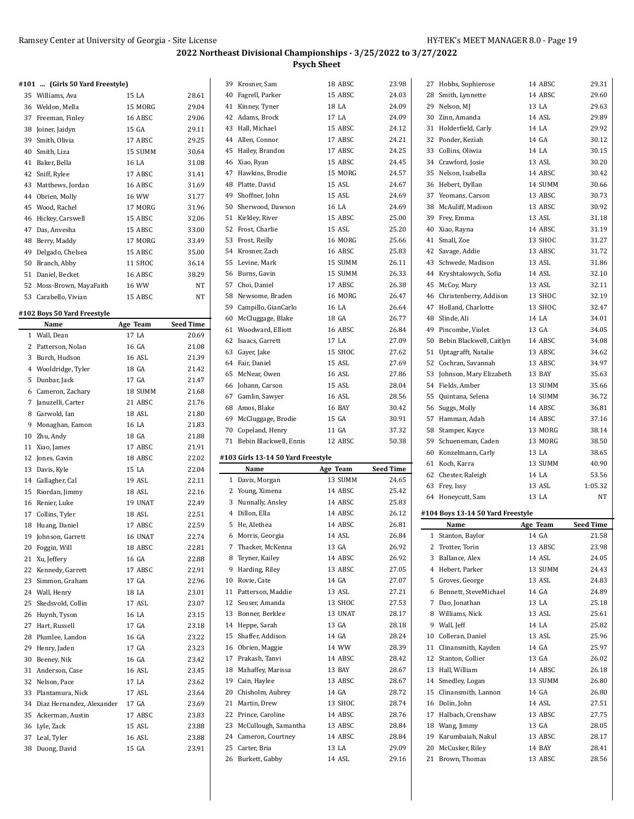|    | #101  (Girls 50 Yard Freestyle) |         |       |
|----|---------------------------------|---------|-------|
|    | 35 Williams, Ava                | 15 LA   | 28.61 |
|    | 36 Weldon, Mella                | 15 MORG | 29.04 |
| 37 | Freeman, Finley                 | 16 ABSC | 29.06 |
| 38 | Joiner, Jaidyn                  | 15 GA   | 29.11 |
| 39 | Smith, Olivia                   | 17 ABSC | 29.25 |
| 40 | Smith, Liza                     | 15 SUMM | 30.64 |
| 41 | Baker, Bella                    | 16 LA   | 31.08 |
|    | 42 Sniff, Rylee                 | 17 ABSC | 31.41 |
| 43 | Matthews, Jordan                | 16 ABSC | 31.69 |
| 44 | Obrien, Molly                   | 16 WW   | 31.77 |
|    | 45 Wood, Rachel                 | 17 MORG | 31.96 |
| 46 | Hickey, Carswell                | 15 ABSC | 32.06 |
| 47 | Das, Anvesha                    | 15 ABSC | 33.00 |
| 48 | Berry, Maddy                    | 17 MORG | 33.49 |
| 49 | Delgado, Chelsea                | 15 ABSC | 35.00 |
| 50 | Branch, Abby                    | 11 SHOC | 36.14 |
| 51 | Daniel, Becket                  | 16 ABSC | 38.29 |
| 52 | Moss-Brown, MayaFaith           | 16 WW   | NT    |
|    | 53 Carabello, Vivian            | 15 ABSC | NT    |

#### **#102 Boys 50 Yard Freestyle**

|              | Name                         | Age Team | Seed Time |
|--------------|------------------------------|----------|-----------|
| $\mathbf{1}$ | Wall, Dean                   | 17 LA    | 20.69     |
| 2            | Patterson, Nolan             | 16 GA    | 21.08     |
| 3            | Burch, Hudson                | 16 ASL   | 21.39     |
|              | 4 Wooldridge, Tyler          | 18 GA    | 21.42     |
| 5            | Dunbar, Jack                 | 17 GA    | 21.47     |
| 6            | Cameron, Zachary             | 18 SUMM  | 21.68     |
| 7            | Januzelli, Carter            | 21 ABSC  | 21.76     |
| 8            | Garwold, Ian                 | 18 ASL   | 21.80     |
| 9            | Monaghan, Eamon              | 16 LA    | 21.83     |
| 10           | Zhu, Andy                    | 18 GA    | 21.88     |
| 11           | Xiao, James                  | 17 ABSC  | 21.91     |
| 12           | Jones, Gavin                 | 18 ABSC  | 22.02     |
| 13           | Davis, Kyle                  | 15 LA    | 22.04     |
|              | 14 Gallagher, Cal            | 19 ASL   | 22.11     |
| 15           | Riordan, Jimmy               | 18 ASL   | 22.16     |
| 16           | Renier, Luke                 | 19 UNAT  | 22.49     |
| 17           | Collins, Tyler               | 18 ASL   | 22.51     |
| 18           | Huang, Daniel                | 17 ABSC  | 22.59     |
| 19           | Johnson, Garrett             | 16 UNAT  | 22.74     |
| 20           | Foggin, Will                 | 18 ABSC  | 22.81     |
| 21           | Xu, Jeffery                  | 16 GA    | 22.88     |
| 22           | Kennedy, Garrett             | 17 ABSC  | 22.91     |
| 23           | Simmon, Graham               | 17 GA    | 22.96     |
|              | 24 Wall, Henry               | 18 I.A   | 23.01     |
| 25           | Skedsvold, Collin            | 17 ASL   | 23.07     |
| 26           | Huynh, Tyson                 | 16 LA    | 23.15     |
| 27           | Hart, Russell                | 17 GA    | 23.18     |
| 28           | Plumlee, Landon              | 16 GA    | 23.22     |
| 29           | Henry, Jaden                 | 17 GA    | 23.23     |
| 30           | Beeney, Nik                  | 16 GA    | 23.42     |
| 31           | Anderson, Case               | 16 ASL   | 23.45     |
| 32           | Nelson, Pace                 | 17 LA    | 23.62     |
| 33           | Plantamura, Nick             | 17 ASL   | 23.64     |
|              | 34 Diaz Hernandez, Alexander | 17 GA    | 23.69     |
|              | 35 Ackerman, Austin          | 17 ABSC  | 23.83     |
|              | 36 Lyle, Zack                | 15 ASL   | 23.88     |
| 37           | Leal, Tyler                  | 16 ASL   | 23.88     |
| 38           | Duong, David                 | 15 GA    | 23.91     |

| 39 | Krosner, Sam                       | 18 ABSC  | 23.98     |
|----|------------------------------------|----------|-----------|
|    | 40 Fagrell, Parker                 | 15 ABSC  | 24.03     |
|    | 41 Kinney, Tyner                   | 18 LA    | 24.09     |
|    | 42 Adams, Brock                    | 17 LA    | 24.09     |
|    | 43 Hall, Michael                   | 15 ABSC  | 24.12     |
|    | 44 Allen, Connor                   | 17 ABSC  | 24.21     |
|    | 45 Hailey, Brandon                 | 17 ABSC  | 24.25     |
|    | 46 Xiao, Ryan                      | 15 ABSC  | 24.45     |
|    | 47 Hawkins, Brodie                 | 15 MORG  | 24.57     |
|    | 48 Platte, David                   | 15 ASL   | 24.67     |
|    | 49 Shoffner, John                  | 15 ASL   | 24.69     |
|    | 50 Sherwood, Dawson                | 16 LA    | 24.69     |
|    | 51 Kirkley, River                  | 15 ABSC  | 25.00     |
|    | 52 Frost, Charlie                  | 15 ASL   | 25.20     |
|    | 53 Frost, Reilly                   | 16 MORG  | 25.66     |
|    |                                    |          |           |
|    | 54 Krosner, Zach                   | 16 ABSC  | 25.83     |
|    | 55 Levine, Mark                    | 15 SUMM  | 26.11     |
|    | 56 Burns, Gavin                    | 15 SUMM  | 26.33     |
|    | 57 Choi, Daniel                    | 17 ABSC  | 26.38     |
|    | 58 Newsome, Braden                 | 16 MORG  | 26.47     |
|    | 59 Campillo, GianCarlo             | 16 LA    | 26.64     |
|    | 60 McCluggage, Blake               | 18 GA    | 26.77     |
| 61 | Woodward, Elliott                  | 16 ABSC  | 26.84     |
|    | 62 Isaacs, Garrett                 | 17 LA    | 27.09     |
|    | 63 Gayer, Jake                     | 15 SHOC  | 27.62     |
|    | 64 Fair, Daniel                    | 15 ASL   | 27.69     |
|    | 65 McNear, Owen                    | 16 ASL   | 27.86     |
|    | 66 Johann, Carson                  | 15 ASL   | 28.04     |
|    | 67 Gamlin, Sawyer                  | 16 ASL   | 28.56     |
|    | 68 Amos, Blake                     | 16 BAY   | 30.42     |
|    | 69 McCluggage, Brodie              | 15 GA    | 30.91     |
|    |                                    |          |           |
|    | 70 Copeland, Henry                 | 11 GA    | 37.32     |
| 71 | Bebin Blackwell, Ennis             | 12 ABSC  | 50.38     |
|    |                                    |          |           |
|    | #103 Girls 13-14 50 Yard Freestyle |          |           |
|    | Name                               | Age Team | Seed Time |
| 1  | Davis, Morgan                      | 13 SUMM  | 24.65     |
|    | 2 Young, Ximena                    | 14 ABSC  | 25.42     |
|    | 3 Nunnally, Ansley                 | 14 ABSC  | 25.83     |
|    | 4 Dillon, Ella                     | 14 ABSC  | 26.12     |
|    | 5 He, Alethea                      | 14 ABSC  | 26.81     |
| 6  | Morris, Georgia                    | 14 ASL   | 26.84     |
| 7  | Thacker, McKenna                   | 13 GA    | 26.92     |
| 8  | Teyner, Kailey                     | 14 ABSC  | 26.92     |
| 9  | Harding, Riley                     | 13 ABSC  | 27.05     |
| 10 | Rovie, Cate                        | 14 GA    | 27.07     |
| 11 | Patterson, Maddie                  | 13 ASL   | 27.21     |
|    | 12 Seuser, Amanda                  | 13 SHOC  | 27.53     |
|    | 13 Bonner, Berklee                 | 13 UNAT  | 28.17     |
|    | 14 Heppe, Sarah                    | 13 GA    | 28.18     |
|    | 15 Shaffer, Addison                | 14 GA    | 28.24     |
|    | 16 Obrien, Maggie                  | 14 WW    | 28.39     |
| 17 | Prakash, Tanvi                     | 14 ABSC  | 28.42     |
| 18 | Mahaffey, Marissa                  | 13 BAY   | 28.67     |
|    | 19 Cain, Haylee                    | 13 ABSC  | 28.67     |
|    | 20 Chisholm, Aubrey                | 14 GA    | 28.72     |
| 21 | Martin, Drew                       | 13 SHOC  | 28.74     |
|    | 22 Prince, Caroline                | 14 ABSC  | 28.76     |
| 23 | McCullough, Samantha               | 13 ABSC  | 28.84     |
|    | 24 Cameron, Courtney               | 14 ABSC  | 28.84     |
| 25 | Carter, Bria                       | 13 LA    | 29.09     |
| 26 | Burkett, Gabby                     | 14 ASL   | 29.16     |

 $\overline{\phantom{0}}$ 

| 27           | Hobbs, Sophierose                      | 14 ABSC           | 29.31            |
|--------------|----------------------------------------|-------------------|------------------|
|              | 28 Smith, Lynnette                     | 14 ABSC           | 29.60            |
|              | 29 Nelson, MJ                          | 13 LA             | 29.63            |
|              | 30 Zinn, Amanda                        | 14 ASL            | 29.89            |
|              | 31 Holderfield, Carly                  | 14 LA             | 29.92            |
|              | 32 Ponder, Keziah                      | 14 GA             | 30.12            |
|              | 33 Collins, Oliwia                     | 14 LA             | 30.15            |
|              | 34 Crawford, Josie                     | 13 ASL            | 30.20            |
|              | 35 Nelson, Isabella                    | 14 ABSC           | 30.42            |
|              | 36 Hebert, Dyllan                      | 14 SUMM           | 30.66            |
|              |                                        |                   |                  |
|              | 37 Yeomans, Carson                     | 13 ABSC           | 30.73            |
|              | 38 McAuliff, Madison                   | 13 ABSC           | 30.92            |
|              | 39 Frey, Emma                          | 13 ASL            | 31.18            |
|              | 40 Xiao, Rayna                         | 14 ABSC           | 31.19            |
|              | 41 Small, Zoe                          | 13 SHOC           | 31.27            |
|              | 42 Savage, Addie                       | 13 ABSC           | 31.72            |
|              | 43 Schwede, Madison                    | 13 ASL            | 31.86            |
|              | 44 Kryshtalowych, Sofia                | 14 ASL            | 32.10            |
|              | 45 McCoy, Mary                         | 13 ASL            | 32.11            |
|              | 46 Christenberry, Addison              | 13 SHOC           | 32.19            |
|              | 47 Holland, Charlotte                  | 13 SHOC           | 32.47            |
|              | 48 Slinde, Ali                         | 14 LA             | 34.01            |
|              | 49 Pincombe, Violet                    | 13 GA             | 34.05            |
|              | 50 Bebin Blackwell, Caitlyn            | 14 ABSC           | 34.08            |
|              | 51 Uptagrafft, Natalie                 | 13 ABSC           | 34.62            |
|              | 52 Cochran, Savannah                   | 13 ABSC           | 34.97            |
|              | 53 Johnson, Mary Elizabeth             | 13 BAY            | 35.63            |
|              | 54 Fields, Amber                       | 13 SUMM           | 35.66            |
|              |                                        | 14 SUMM           | 36.72            |
|              | 55 Quintana, Selena                    |                   |                  |
|              | 56 Suggs, Molly                        | 14 ABSC           | 36.81            |
|              | 57 Hamman, Adah                        | 14 ABSC           | 37.16            |
|              |                                        |                   |                  |
|              | 58 Stamper, Kayce                      | 13 MORG           | 38.14            |
|              | 59 Schueneman, Caden                   | 13 MORG           | 38.50            |
|              | 60 Konzelmann, Carly                   | 13 LA             | 38.65            |
|              | 61 Koch, Karra                         | 13 SUMM           | 40.90            |
|              | 62 Chester, Raleigh                    | 14 LA             | 53.56            |
|              | 63 Frey, Issy                          | 13 ASL            | 1:05.32          |
|              | 64 Honeycutt, Sam                      | 13 LA             | NT               |
|              |                                        |                   |                  |
|              | #104 Boys 13-14 50 Yard Freestyle      |                   |                  |
|              | Name                                   | Age Team          | <b>Seed Time</b> |
| $\mathbf{1}$ | Stanton, Baylor                        | 14 GA             | 21.58            |
|              | 2 Trotter, Torin                       | 13 ABSC           | 23.98            |
|              | 3 Ballance, Alex                       | 14 ASL            | 24.05            |
|              | 4 Hebert, Parker                       | 13 SUMM           | 24.43            |
|              | 5 Groves, George                       | 13 ASL            | 24.83            |
|              | 6 Bennett, SteveMichael                | 14 GA             | 24.89            |
|              | 7 Dao, Jonathan                        | 13 LA             | 25.18            |
|              | 8 Williams, Nick                       | 13 ASL            | 25.61            |
|              | 9 Wall, Jeff                           | 14 LA             | 25.82            |
|              | 10 Colleran, Daniel                    | 13 ASL            | 25.96            |
|              | 11 Clinansmith, Kayden                 | 14 GA             | 25.97            |
|              | 12 Stanton, Collier                    | 13 GA             | 26.02            |
|              | 13 Hall, William                       | 14 ABSC           | 26.18            |
|              | 14 Smedley, Logan                      | 13 SUMM           | 26.80            |
|              | 15 Clinansmith, Lannon                 | 14 GA             | 26.80            |
|              | 16 Dolin, John                         | 14 ASL            | 27.51            |
|              | 17 Halbach, Crenshaw                   | 13 ABSC           | 27.75            |
|              | 18 Wang, Jimmy                         | 13 GA             | 28.05            |
|              |                                        | 13 ABSC           | 28.17            |
|              | 19 Karumbaiah, Nakul                   |                   |                  |
|              | 20 McCusker, Riley<br>21 Brown, Thomas | 14 BAY<br>13 ABSC | 28.41<br>28.56   |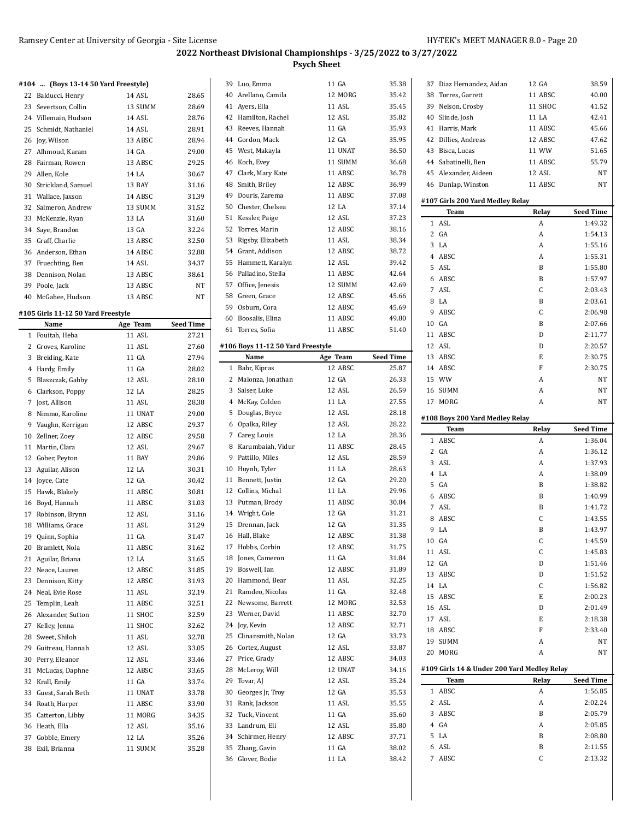## **2022 Northeast Divisional Championships - 3/25/2022 to 3/27/2022**

**Psych Sheet**

#### **#104 ... (Boys 13-14 50 Yard Freestyle)**

|    | 22 Balducci, Henry    | 14 ASL  | 28.65 |
|----|-----------------------|---------|-------|
|    | 23 Severtson, Collin  | 13 SUMM | 28.69 |
|    | 24 Villemain, Hudson  | 14 ASL  | 28.76 |
|    | 25 Schmidt, Nathaniel | 14 ASL  | 28.91 |
|    | 26 Joy, Wilson        | 13 ABSC | 28.94 |
|    | 27 Alhmoud, Karam     | 14 GA   | 29.00 |
|    | 28 Fairman, Rowen     | 13 ABSC | 29.25 |
|    | 29 Allen, Kole        | 14 LA   | 30.67 |
|    | 30 Strickland, Samuel | 13 BAY  | 31.16 |
|    | 31 Wallace, Jaxson    | 14 ABSC | 31.39 |
|    | 32 Salmeron, Andrew   | 13 SUMM | 31.52 |
|    | 33 McKenzie, Ryan     | 13 LA   | 31.60 |
|    | 34 Saye, Brandon      | 13 GA   | 32.24 |
| 35 | Graff, Charlie        | 13 ABSC | 32.50 |
|    | 36 Anderson, Ethan    | 14 ABSC | 32.88 |
|    | 37 Fruechting, Ben    | 14 ASL  | 34.37 |
|    | 38 Dennison, Nolan    | 13 ABSC | 38.61 |
|    | 39 Poole, Jack        | 13 ABSC | NT    |
|    | 40 McGahee, Hudson    | 13 ABSC | NT    |
|    |                       |         |       |

#### **#105 Girls 11-12 50 Yard Freestyle**

|                | Name               | Age Team | Seed Time |
|----------------|--------------------|----------|-----------|
| $\mathbf{1}$   | Fouitah, Heba      | 11 ASL   | 27.21     |
| 2              | Groves, Karoline   | 11 ASL   | 27.60     |
| 3              | Breiding, Kate     | 11 GA    | 27.94     |
| $\overline{4}$ | Hardy, Emily       | 11 GA    | 28.02     |
| 5              | Blaszczak, Gabby   | 12 ASL   | 28.10     |
| 6              | Clarkson, Poppy    | 12 LA    | 28.25     |
| 7              | Jost, Allison      | 11 ASL   | 28.38     |
| 8              | Nimmo, Karoline    | 11 UNAT  | 29.00     |
| 9              | Vaughn, Kerrigan   | 12 ABSC  | 29.37     |
| 10             | Zellner, Zoey      | 12 ABSC  | 29.58     |
| 11             | Martin, Clara      | 12 ASL   | 29.67     |
| 12             | Gober, Peyton      | 11 BAY   | 29.86     |
|                | 13 Aguilar, Alison | 12 LA    | 30.31     |
|                | 14 Joyce, Cate     | 12 GA    | 30.42     |
| 15             | Hawk, Blakely      | 11 ABSC  | 30.81     |
| 16             | Boyd, Hannah       | 11 ABSC  | 31.03     |
| 17             | Robinson, Brynn    | 12 ASL   | 31.16     |
| 18             | Williams, Grace    | 11 ASL   | 31.29     |
| 19             | Quinn, Sophia      | 11 GA    | 31.47     |
| 20             | Bramlett, Nola     | 11 ABSC  | 31.62     |
| 21             | Aguilar, Briana    | 12 LA    | 31.65     |
| 22             | Neace, Lauren      | 12 ABSC  | 31.85     |
| 23             | Dennison, Kitty    | 12 ABSC  | 31.93     |
| 24             | Neal, Evie Rose    | 11 ASL   | 32.19     |
| 25             | Templin, Leah      | 11 ABSC  | 32.51     |
| 26             | Alexander, Sutton  | 11 SHOC  | 32.59     |
| 27             | Kelley, Jenna      | 11 SHOC  | 32.62     |
| 28             | Sweet, Shiloh      | 11 ASL   | 32.78     |
| 29             | Guitreau, Hannah   | 12 ASL   | 33.05     |
| 30             | Perry, Eleanor     | 12 ASL   | 33.46     |
| 31             | McLucas, Daphne    | 12 ABSC  | 33.65     |
| 32             | Krall, Emily       | 11 GA    | 33.74     |
| 33             | Guest, Sarah Beth  | 11 UNAT  | 33.78     |
| 34             | Roath, Harper      | 11 ABSC  | 33.90     |
| 35             | Catterton, Libby   | 11 MORG  | 34.35     |
| 36             | Heath, Ella        | 12 ASL   | 35.16     |
| 37             | Gobble, Emery      | 12 LA    | 35.26     |
| 38             | Exil, Brianna      | 11 SUMM  | 35.28     |

|                | 39 Luo, Emma                        | 11 GA          | 35.38            |
|----------------|-------------------------------------|----------------|------------------|
|                | 40 Arellano, Camila                 | 12 MORG        | 35.42            |
|                | 41 Ayers, Ella                      | 11 ASL         | 35.45            |
|                | 42 Hamilton, Rachel                 | 12 ASL         | 35.82            |
|                | 43 Reeves, Hannah                   | 11 GA          | 35.93            |
|                | 44 Gordon, Mack                     | 12 GA          | 35.95            |
|                | 45 West, Makayla                    | 11 UNAT        | 36.50            |
| 46             | Koch, Evey                          | 11 SUMM        | 36.68            |
|                | 47 Clark, Mary Kate                 | 11 ABSC        | 36.78            |
|                | 48 Smith, Briley                    | 12 ABSC        | 36.99            |
| 49             | Douris, Zarema                      | 11 ABSC        | 37.08            |
|                | 50 Chester, Chelsea                 | 12 LA          | 37.14            |
|                | 51 Kessler, Paige                   | 12 ASL         | 37.23            |
|                | 52 Torres, Marin                    | 12 ABSC        | 38.16            |
|                | 53 Rigsby, Elizabeth                | 11 ASL         | 38.34            |
|                | 54 Grant, Addison                   | 12 ABSC        | 38.72            |
|                | 55 Hammett, Karalyn                 | 12 ASL         | 39.42            |
|                | 56 Palladino, Stella                | 11 ABSC        | 42.64            |
|                |                                     | 12 SUMM        | 42.69            |
|                | 57 Office, Jenesis                  |                |                  |
|                | 58 Green, Grace                     | 12 ABSC        | 45.66            |
|                | 59 Osburn, Cora                     | 12 ABSC        | 45.69            |
|                | 60 Boosalis, Elina                  | 11 ABSC        | 49.80            |
|                | 61 Torres, Sofia                    | 11 ABSC        | 51.40            |
|                | #106 Boys 11-12 50 Yard Freestyle   |                |                  |
|                | Name                                | Age Team       | <b>Seed Time</b> |
| $\mathbf{1}$   | Bahr, Kipras                        | 12 ABSC        | 25.87            |
| $\overline{2}$ | Malonza, Jonathan                   | 12 GA          | 26.33            |
|                | 3 Salser, Luke                      | 12 ASL         | 26.59            |
|                | 4 McKay, Colden                     | 11 LA          | 27.55            |
| 5              | Douglas, Bryce                      | 12 ASL         | 28.18            |
|                |                                     |                |                  |
|                | 6 Opalka, Riley                     | 12 ASL         | 28.22            |
|                | 7 Carey, Louis                      | 12 LA          | 28.36            |
| 8              | Karumbaiah, Vidur                   | 11 ABSC        | 28.45            |
| 9              | Pattillo, Miles                     | 12 ASL         | 28.59            |
| 10             | Huynh, Tyler                        | 11 LA          | 28.63            |
|                | 11 Bennett, Justin                  | 12 GA          | 29.20            |
|                | 12 Collins, Michal                  | 11 LA          | 29.96            |
| 13             | Putman, Brody                       | 11 ABSC        | 30.84            |
|                | 14 Wright, Cole                     | 12 GA          | 31.21            |
|                | 15 Drennan, Jack                    | 12 GA          | 31.35            |
| 16             | Hall, Blake                         | 12 ABSC        | 31.38            |
| 17             | Hobbs, Corbin                       | 12 ABSC        | 31.75            |
| 18             | Jones, Cameron                      | 11 GA          | 31.84            |
|                | 19 Boswell, Ian                     | 12 ABSC        | 31.89            |
|                | 20 Hammond, Bear                    | 11 ASL         | 32.25            |
|                | 21 Ramdeo, Nicolas                  | 11 GA          | 32.48            |
| 22             | Newsome, Barrett                    | 12 MORG        | 32.53            |
| 23             | Werner, David                       | 11 ABSC        | 32.70            |
| 24             | Joy, Kevin                          | 12 ABSC        | 32.71            |
| 25             | Clinansmith, Nolan                  | 12 GA          | 33.73            |
|                | 26 Cortez, August                   | 12 ASL         | 33.87            |
| 27             | Price, Grady                        | 12 ABSC        | 34.03            |
| 28             | McLeroy, Will                       | 12 UNAT        | 34.16            |
|                | 29 Tovar, AJ                        | 12 ASL         | 35.24            |
|                |                                     | 12 GA          | 35.53            |
| 31             | 30 Georges Jr, Troy                 | 11 ASL         | 35.55            |
|                | Rank, Jackson                       | 11 GA          | 35.60            |
|                | 32 Tuck, Vincent                    |                |                  |
| 33             | Landrum, Eli                        | 12 ASL         | 35.80            |
|                | 34 Schirmer, Henry                  | 12 ABSC        | 37.71            |
|                | 35 Zhang, Gavin<br>36 Glover, Bodie | 11 GA<br>11 LA | 38.02<br>38.42   |

| 37                  | Diaz Hernandez, Aidan                               | 12 GA   | 38.59              |
|---------------------|-----------------------------------------------------|---------|--------------------|
|                     | 38 Torres, Garrett                                  | 11 ABSC | 40.00              |
|                     | 39 Nelson, Crosby                                   | 11 SHOC | 41.52              |
|                     | 40 Slinde, Josh                                     | 11 LA   | 42.41              |
|                     | 41 Harris, Mark                                     | 11 ABSC | 45.66              |
|                     | 42 Dillies, Andreas                                 | 12 ABSC | 47.62              |
|                     | 43 Bisca, Lucas                                     | 11 WW   | 51.65              |
|                     | 44 Sabatinelli, Ben                                 | 11 ABSC | 55.79              |
|                     |                                                     |         |                    |
| 45                  | Alexander, Aideen                                   | 12 ASL  | NΤ                 |
|                     | 46 Dunlap, Winston                                  | 11 ABSC | NT                 |
|                     | #107 Girls 200 Yard Medley Relay                    |         |                    |
|                     | Team                                                | Relay   | <b>Seed Time</b>   |
| 1                   | ASL                                                 | A       | 1:49.32            |
|                     | 2 GA                                                | A       | 1:54.13            |
| 3                   | LA                                                  | A       | 1:55.16            |
|                     | 4 ABSC                                              | A       | 1:55.31            |
| 5.                  | ASL                                                 | B       | 1:55.80            |
|                     | 6 ABSC                                              | B       |                    |
|                     | 7 ASL                                               |         | 1:57.97            |
|                     |                                                     | C       | 2:03.43            |
|                     | 8 LA                                                | B       | 2:03.61            |
|                     | 9 ABSC                                              | C       | 2:06.98            |
|                     | 10 GA                                               | B       | 2:07.66            |
|                     | 11 ABSC                                             | D       | 2:11.77            |
|                     | 12 ASL                                              | D       | 2:20.57            |
|                     | 13 ABSC                                             | E       | 2:30.75            |
|                     | 14 ABSC                                             | F       | 2:30.75            |
|                     | 15 WW                                               | A       | NT                 |
|                     | 16 SUMM                                             | A       | NT                 |
|                     | 17 MORG                                             | A       | NT                 |
|                     |                                                     |         |                    |
|                     | #108 Boys 200 Yard Medley Relay                     |         |                    |
|                     |                                                     |         |                    |
|                     | Team                                                | Relay   | <b>Seed Time</b>   |
| 1                   | ABSC                                                | A       | 1:36.04            |
|                     | 2 G A                                               | A       | 1:36.12            |
| 3                   | ASL                                                 | A       | 1:37.93            |
|                     | 4 LA                                                | A       | 1:38.09            |
| 5                   | GA                                                  | B       | 1:38.82            |
|                     | 6 ABSC                                              | B       | 1:40.99            |
| 7                   | ASL                                                 | B       | 1:41.72            |
| 8                   | ABSC                                                | C       | 1:43.55            |
| 9                   | LA                                                  | B       | 1:43.97            |
|                     | 10 GA                                               | C       | 1:45.59            |
| 11                  | ASL                                                 | C       | 1:45.83            |
| 12                  | GA                                                  | D       |                    |
|                     |                                                     |         | 1:51.46            |
| 13                  | ABSC                                                | D       | 1:51.52            |
|                     | 14 LA                                               | C       | 1:56.82            |
| 15                  | ABSC                                                | E       | 2:00.23            |
|                     | 16 ASL                                              | D       | 2:01.49            |
|                     | 17 ASL                                              | E       | 2:18.38            |
| 18                  | ABSC                                                | F       | 2:33.40            |
|                     | 19 SUMM                                             | A       | NΤ                 |
| 20                  | MORG                                                | A       | NΤ                 |
|                     |                                                     |         |                    |
|                     | #109 Girls 14 & Under 200 Yard Medley Relay<br>Team | Relay   | Seed Time          |
| 1                   | ABSC                                                | A       | 1:56.85            |
| 2                   |                                                     |         |                    |
|                     | ASL                                                 | A       | 2:02.24            |
| 3                   | ABSC                                                | B       | 2:05.79            |
| 4                   | GA                                                  | A       | 2:05.85            |
| 5                   | LA                                                  | B       | 2:08.80            |
| 6<br>$\overline{7}$ | ASL<br>ABSC                                         | B<br>C  | 2:11.55<br>2:13.32 |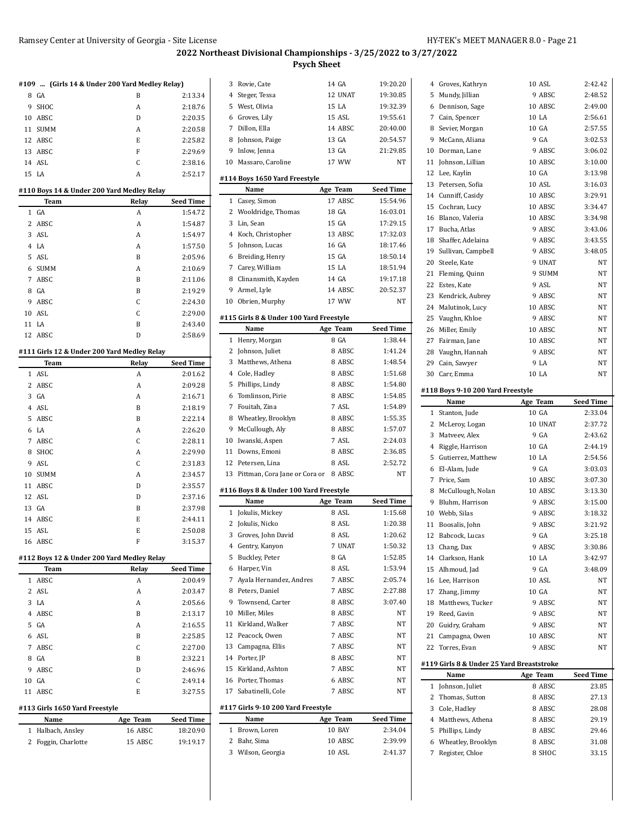|                | #109  (Girls 14 & Under 200 Yard Medley Relay) |       |                  |
|----------------|------------------------------------------------|-------|------------------|
| 8              | GA                                             | B     | 2:13.34          |
| 9              | SHOC                                           | A     | 2:18.76          |
| 10             | ABSC                                           | D     | 2:20.35          |
| 11             | <b>SUMM</b>                                    | A     | 2:20.58          |
|                | 12 ABSC                                        | E.    | 2:25.82          |
|                | 13 ABSC                                        | F     | 2:29.69          |
|                | 14 ASL                                         | C     | 2:38.16          |
|                | 15 LA                                          | A     | 2:52.17          |
|                |                                                |       |                  |
|                | #110 Boys 14 & Under 200 Yard Medley Relay     |       |                  |
|                | Team                                           | Relay | <b>Seed Time</b> |
| $\mathbf{1}$   | $G_A$                                          | A     | 1:54.72          |
| $\overline{2}$ | ABSC                                           | A     | 1:54.87          |
|                | 3 ASL                                          | A     | 1:54.97          |
|                | 4 I.A                                          | A     | 1:57.50          |
|                | 5 ASL                                          | B     | 2:05.96          |
| 6              | <b>SUMM</b>                                    | A     | 2:10.69          |

|    | теанн  | reiav | зееа типе |
|----|--------|-------|-----------|
|    | 1 GA   | A     | 1:54.72   |
|    | 2 ABSC | А     | 1:54.87   |
|    | 3 ASL  | A     | 1:54.97   |
|    | 4 LA   | А     | 1:57.50   |
|    | 5 ASL  | B     | 2:05.96   |
|    | 6 SUMM | A     | 2:10.69   |
| 7  | ABSC   | B     | 2:11.06   |
|    | 8 GA   | B     | 2:19.29   |
| 9  | ABSC   | C     | 2:24.30   |
| 10 | ASL    | C     | 2:29.00   |
| 11 | LA     | B     | 2:43.40   |

12 ABSC D 2:58.69

# **#111 Girls 12 & Under 200 Yard Medley Relay**

|    | Team        | Relay | <b>Seed Time</b> |
|----|-------------|-------|------------------|
|    | 1 ASL       | A     | 2:01.62          |
|    | 2 ABSC      | A     | 2:09.28          |
|    | 3 GA        | A     | 2:16.71          |
|    | 4 ASL       | B     | 2:18.19          |
| 5  | ABSC        | B     | 2:22.14          |
|    | 6 LA        | A     | 2:26.20          |
| 7  | ABSC        | C     | 2:28.11          |
| 8  | SHOC        | A     | 2:29.90          |
| 9  | <b>ASL</b>  | C     | 2:31.83          |
| 10 | <b>SUMM</b> | A     | 2:34.57          |
| 11 | ABSC        | D     | 2:35.57          |
|    | 12 ASL      | D     | 2:37.16          |
|    | 13 GA       | B     | 2:37.98          |
| 14 | ABSC        | E     | 2:44.11          |
|    | 15 ASL      | E     | 2:50.08          |
|    | 16 ABSC     | F     | 3:15.37          |

#### **#112 Boys 12 & Under 200 Yard Medley Relay**

| Team                           | Relay | <b>Seed Time</b> |
|--------------------------------|-------|------------------|
| 1 ABSC                         | A     | 2:00.49          |
| 2 ASL                          | A     | 2:03.47          |
| 3 LA                           | A     | 2:05.66          |
| 4 ABSC                         | B     | 2:13.17          |
| 5 GA                           | A     | 2:16.55          |
| 6 ASL                          | B     | 2:25.85          |
| 7 ABSC                         | C     | 2:27.00          |
| 8 GA                           | B     | 2:32.21          |
| 9 ABSC                         | D     | 2:46.96          |
| 10 GA                          | C     | 2:49.14          |
| 11 ABSC                        | E     | 3:27.55          |
| #112 Cirls 1650 Vand Exposteds |       |                  |

#### **#113 Girls 1650 Yard Freestyle Name Age Team Seed Time**

| 1 Halbach, Ansley   | 16 ABSC | 18:20.90 |
|---------------------|---------|----------|
| 2 Foggin, Charlotte | 15 ABSC | 19:19.17 |

| 3 | Rovie. Cate                   | 14 GA    | 19:20.20         |
|---|-------------------------------|----------|------------------|
|   | 4 Steger, Tessa               | 12 UNAT  | 19:30.85         |
| 5 | West. Olivia                  | 15 LA    | 19:32:39         |
| 6 | Groves, Lily                  | 15 ASL   | 19:55.61         |
| 7 | Dillon, Ella                  | 14 ABSC  | 20:40.00         |
| 8 | Johnson, Paige                | 13 GA    | 20:54.57         |
| 9 | Inlow, Jenna                  | 13 GA    | 21:29.85         |
|   | 10 Massaro, Caroline          | 17 WW    | NT               |
|   | #114 Boys 1650 Yard Freestyle |          |                  |
|   | Name                          | Age Team | <b>Seed Time</b> |
|   | 1 Casey, Simon                | 17 ABSC  | 15:54.96         |
|   | 2 Wooldridge, Thomas          | 18 GA    | 16:03:01         |
| 3 | Lin, Sean                     | 15 GA    | 17:29.15         |
| 4 | Koch, Christopher             | 13 ABSC  | 17:32.03         |

#### Johnson, Lucas 16 GA 18:17.46 Breiding, Henry 15 GA 18:50.14 Carey, William 15 LA 18:51.94 Clinansmith, Kayden 14 GA 19:17.18 Armel, Lyle 14 ABSC 20:52.37 Obrien, Murphy 17 WW NT

#### **#115 Girls 8 & Under 100 Yard Freestyle**

|                                        | Name                          | Age Team | <b>Seed Time</b> |  |
|----------------------------------------|-------------------------------|----------|------------------|--|
| 1                                      | Henry, Morgan                 | 8 GA     | 1:38.44          |  |
| 2                                      | Johnson, Juliet               | 8 ABSC   | 1.41.24          |  |
| 3                                      | Matthews, Athena              | 8 ABSC   | 1:48.54          |  |
| 4                                      | Cole, Hadley                  | 8 ABSC   | 1:51.68          |  |
| 5                                      | Phillips, Lindy               | 8 ABSC   | 1:54.80          |  |
| 6                                      | Tomlinson, Pirie              | 8 ABSC   | 1:54.85          |  |
| 7                                      | Fouitah, Zina                 | 7 ASL    | 1:54.89          |  |
| 8                                      | Wheatley, Brooklyn            | 8 ABSC   | 1:55.35          |  |
| 9                                      | McCullough, Aly               | 8 ABSC   | 1:57.07          |  |
| 10                                     | Iwanski, Aspen                | 7 ASL    | 2:24.03          |  |
| 11                                     | Downs, Emoni                  | 8 ABSC   | 2:36.85          |  |
| 12                                     | Petersen, Lina                | 8 ASL    | 2:52.72          |  |
| 13                                     | Pittman, Cora Jane or Cora or | 8 ABSC   | <b>NT</b>        |  |
| #116 Boys 8 & Under 100 Yard Freestyle |                               |          |                  |  |
|                                        | Name                          | Age Team | <b>Seed Time</b> |  |
|                                        | 1 Jokulis, Mickey             | 8 ASL    | 1:15.68          |  |
| 2                                      | Jokulis, Nicko                | 8 ASL    | 1:20.38          |  |
| 3                                      | Groves, John David            | 8 ASL    | 1:20.62          |  |
|                                        |                               |          |                  |  |

|    | urovca, jollil David               |        | 1.40.04   |
|----|------------------------------------|--------|-----------|
|    | 4 Gentry, Kanyon                   | 7 UNAT | 1:50.32   |
|    | 5 Buckley, Peter                   | 8 GA   | 1:52.85   |
|    | 6 Harper, Vin                      | 8 ASL  | 1:53.94   |
|    | 7 Ayala Hernandez, Andres          | 7 ABSC | 2:05.74   |
| 8. | Peters, Daniel                     | 7 ABSC | 2:27.88   |
|    | 9 Townsend, Carter                 | 8 ABSC | 3:07.40   |
| 10 | Miller, Miles                      | 8 ABSC | NT        |
|    | 11 Kirkland, Walker                | 7 ABSC | <b>NT</b> |
|    | 12 Peacock, Owen                   | 7 ABSC | <b>NT</b> |
|    | 13 Campagna, Ellis                 | 7 ABSC | <b>NT</b> |
|    | 14 Porter, JP                      | 8 ABSC | <b>NT</b> |
|    | 15 Kirkland, Ashton                | 7 ABSC | <b>NT</b> |
|    | 16 Porter, Thomas                  | 6 ABSC | <b>NT</b> |
|    | 17 Sabatinelli, Cole               | 7 ABSC | NT        |
|    | #117 Girls 9-10 200 Yard Freestyle |        |           |

#### **Name Age Team Seed Time** Brown, Loren 10 BAY 2:34.04 Bahr, Sima 10 ABSC 2:39.99 Wilson, Georgia 10 ASL 2:41.37

|    | 4 Groves, Kathryn                         |          | 10 ASL  | 2:42.42          |
|----|-------------------------------------------|----------|---------|------------------|
| 5  | Mundy, Jillian                            |          | 9 ABSC  | 2:48.52          |
| 6  | Dennison, Sage                            |          | 10 ABSC | 2:49.00          |
|    | 7 Cain, Spencer                           |          | 10 LA   | 2:56.61          |
|    | 8 Sevier, Morgan                          |          | 10 GA   | 2:57.55          |
| 9  | McCann. Aliana                            |          | 9 GA    | 3:02.53          |
|    | 10 Dorman, Lane                           |          | 9 ABSC  | 3:06.02          |
|    | 11 Johnson, Lillian                       |          | 10 ABSC | 3:10.00          |
|    | 12 Lee, Kaylin                            |          | 10 GA   | 3:13.98          |
|    | 13 Petersen, Sofia                        |          | 10 ASL  |                  |
|    |                                           |          |         | 3:16.03          |
|    | 14 Cunniff, Casidy                        |          | 10 ABSC | 3:29.91          |
|    | 15 Cochran, Lucy                          |          | 10 ABSC | 3:34.47          |
|    | 16 Blanco, Valeria                        |          | 10 ABSC | 3:34.98          |
|    | 17 Bucha, Atlas                           |          | 9 ABSC  | 3:43.06          |
|    | 18 Shaffer, Adelaina                      |          | 9 ABSC  | 3:43.55          |
|    | 19 Sullivan, Campbell                     |          | 9 ABSC  | 3:48.05          |
|    | 20 Steele, Kate                           |          | 9 UNAT  | NT               |
|    | 21 Fleming, Quinn                         |          | 9 SUMM  | NT               |
| 22 | Estes, Kate                               |          | 9 ASL   | NΤ               |
|    | 23 Kendrick, Aubrey                       |          | 9 ABSC  | NΤ               |
|    | 24 Malutinok, Lucy                        |          | 10 ABSC | NΤ               |
|    | 25 Vaughn, Khloe                          |          | 9 ABSC  | NT               |
|    | 26 Miller, Emily                          |          | 10 ABSC | NT               |
|    | 27 Fairman, Jane                          |          | 10 ABSC | NT               |
|    | 28 Vaughn, Hannah                         |          | 9 ABSC  | NΤ               |
|    | 29 Cain, Sawyer                           |          | 9 LA    | NT               |
|    | 30 Carr, Emma                             |          | 10 LA   | NT               |
|    |                                           |          |         |                  |
|    | #118 Boys 9-10 200 Yard Freestyle<br>Name | Age Team |         | <b>Seed Time</b> |
|    | 1 Stanton, Jude                           |          | 10 GA   | 2:33.04          |
|    |                                           |          |         |                  |
|    |                                           |          |         |                  |
|    | 2 McLeroy, Logan                          |          | 10 UNAT | 2:37.72          |
| 3  | Matveev, Alex                             |          | 9 GA    | 2:43.62          |
| 4  | Riggle, Harrison                          |          | 10 GA   | 2:44.19          |
| 5  | Gutierrez, Matthew                        |          | 10 LA   | 2:54.56          |
| 6  | El-Alam, Jude                             |          | 9 GA    | 3:03.03          |
|    | 7 Price, Sam                              |          | 10 ABSC | 3:07.30          |
| 8  | McCullough, Nolan                         |          | 10 ABSC | 3:13.30          |
| 9  | Bluhm, Harrison                           |          | 9 ABSC  | 3:15.00          |
|    | 10 Webb, Silas                            |          | 9 ABSC  | 3:18.32          |
|    | 11 Boosalis, John                         |          | 9 ABSC  | 3:21.92          |
| 12 | Babcock, Lucas                            |          | 9 GA    | 3:25.18          |
|    | 13 Chang, Dax                             |          | 9 ABSC  | 3:30.86          |
|    | 14 Clarkson, Hank                         |          | 10 LA   | 3:42.97          |
|    | 15 Alhmoud, Jad                           |          | 9 GA    | 3:48.09          |
|    | 16 Lee, Harrison                          |          | 10 ASL  | NΤ               |
|    | 17 Zhang, Jimmy                           |          | 10 GA   | NΤ               |
|    | 18 Matthews, Tucker                       |          | 9 ABSC  | NΤ               |
|    | 19 Reed, Gavin                            |          | 9 ABSC  | NΤ               |
|    | 20 Guidry, Graham                         |          | 9 ABSC  | NT               |
|    | 21 Campagna, Owen                         |          | 10 ABSC | NΤ               |
|    | 22 Torres, Evan                           |          | 9 ABSC  | NT               |
|    |                                           |          |         |                  |
|    | #119 Girls 8 & Under 25 Yard Breaststroke |          |         |                  |
|    | Name                                      | Age Team |         | Seed Time        |
| 1  | Johnson, Juliet                           |          | 8 ABSC  | 23.85            |
|    | 2 Thomas, Sutton                          |          | 8 ABSC  | 27.13            |
|    | 3 Cole, Hadley                            |          | 8 ABSC  | 28.08            |
|    | 4 Matthews, Athena                        |          | 8 ABSC  | 29.19            |
| 5  | Phillips, Lindy                           |          | 8 ABSC  | 29.46            |
|    | 6 Wheatley, Brooklyn                      |          | 8 ABSC  | 31.08            |
| 7  | Register, Chloe                           |          | 8 SHOC  | 33.15            |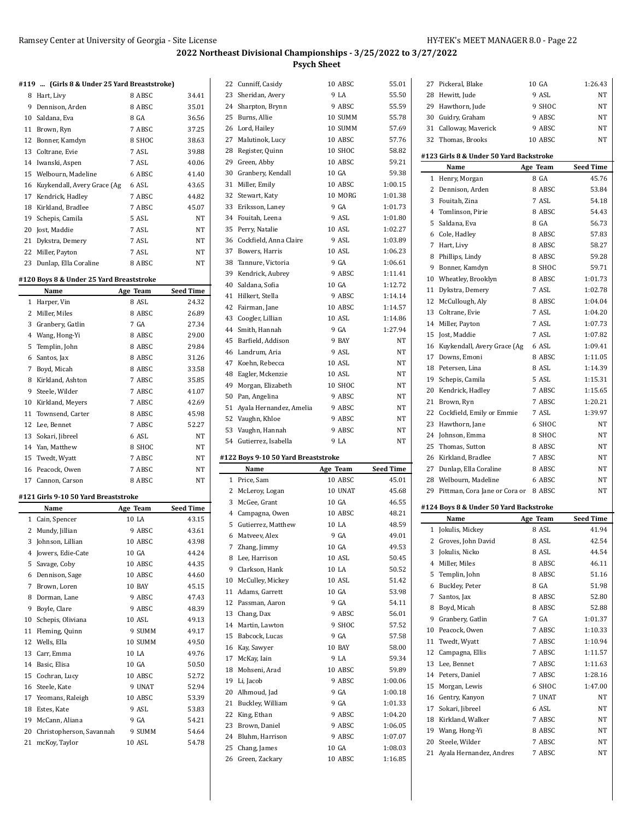22 Cunniff, Casidy 10 ABSC 55.01

#### **#119 ... (Girls 8 & Under 25 Yard Breaststroke)**

|    | $\cdots$ and $\circ \infty$ onder $\bullet \circ \cdots$ and $\circ \cdots$ |        |       |
|----|-----------------------------------------------------------------------------|--------|-------|
| 8  | Hart, Livy                                                                  | 8 ABSC | 34.41 |
| 9  | Dennison, Arden                                                             | 8 ABSC | 35.01 |
|    | 10 Saldana, Eva                                                             | 8 GA   | 36.56 |
| 11 | Brown, Ryn                                                                  | 7 ABSC | 37.25 |
|    | 12 Bonner, Kamdyn                                                           | 8 SHOC | 38.63 |
|    | 13 Coltrane, Evie                                                           | 7 ASL  | 39.88 |
|    | 14 Iwanski, Aspen                                                           | 7 ASL  | 40.06 |
|    | 15 Welbourn, Madeline                                                       | 6 ABSC | 41.40 |
|    | 16 Kuykendall, Avery Grace (Ag                                              | 6 ASL  | 43.65 |
|    | 17 Kendrick, Hadley                                                         | 7 ABSC | 44.82 |
|    | 18 Kirkland, Bradlee                                                        | 7 ABSC | 45.07 |
|    | 19 Schepis, Camila                                                          | 5 ASL  | NT    |
|    | 20 Jost, Maddie                                                             | 7 ASL  | NT    |
|    | 21 Dykstra, Demery                                                          | 7 ASL  | NT    |
|    | 22 Miller, Payton                                                           | 7 ASL  | NT    |
|    | 23 Dunlap, Ella Coraline                                                    | 8 ABSC | NT    |

## **#120 Boys 8 & Under 25 Yard Breaststroke**

|    | Name                | Age Team | <b>Seed Time</b> |
|----|---------------------|----------|------------------|
|    | 1 Harper, Vin       | 8 ASL    | 24.32            |
| 2  | Miller, Miles       | 8 ABSC   | 26.89            |
| 3  | Granbery, Gatlin    | 7 GA     | 27.34            |
| 4  | Wang, Hong-Yi       | 8 ABSC   | 29.00            |
| 5  | Templin, John       | 8 ABSC   | 29.84            |
| 6  | Santos, Jax         | 8 ABSC   | 31.26            |
| 7  | Boyd, Micah         | 8 ABSC   | 33.58            |
| 8  | Kirkland, Ashton    | 7 ABSC   | 35.85            |
| 9  | Steele, Wilder      | 7 ABSC   | 41.07            |
| 10 | Kirkland, Meyers    | 7 ABSC   | 42.69            |
|    | 11 Townsend, Carter | 8 ABSC   | 45.98            |
|    | 12 Lee, Bennet      | 7 ABSC   | 52.27            |
|    | 13 Sokari, Jibreel  | 6 ASL    | NT               |
|    | 14 Yan, Matthew     | 8 SHOC   | NT               |
|    | 15 Twedt, Wyatt     | 7 ABSC   | NT               |
|    | 16 Peacock, Owen    | 7 ABSC   | NT               |
| 17 | Cannon, Carson      | 8 ABSC   | NT               |

## **#121 Girls 9-10 50 Yard Breaststroke**

L,

|              | Name                     | Age Team | <b>Seed Time</b> |
|--------------|--------------------------|----------|------------------|
| $\mathbf{1}$ | Cain, Spencer            | 10 LA    | 43.15            |
| 2            | Mundy, Jillian           | 9 ABSC   | 43.61            |
| 3            | Johnson, Lillian         | 10 ABSC  | 43.98            |
| 4            | Jowers, Edie-Cate        | 10 GA    | 44.24            |
| 5            | Savage, Coby             | 10 ABSC  | 44.35            |
| 6            | Dennison, Sage           | 10 ABSC  | 44.60            |
| 7            | Brown, Loren             | 10 BAY   | 45.15            |
| 8            | Dorman, Lane             | 9 ABSC   | 47.43            |
| 9            | Boyle, Clare             | 9 ABSC   | 48.39            |
| 10           | Schepis, Oliviana        | 10 ASL   | 49.13            |
| 11           | Fleming, Quinn           | 9 SUMM   | 49.17            |
| 12           | Wells, Ella              | 10 SUMM  | 49.50            |
| 13           | Carr, Emma               | 10 LA    | 49.76            |
| 14           | Basic, Elisa             | 10 GA    | 50.50            |
| 15           | Cochran, Lucy            | 10 ABSC  | 52.72            |
| 16           | Steele, Kate             | 9 UNAT   | 52.94            |
| 17           | Yeomans, Raleigh         | 10 ABSC  | 53.39            |
| 18           | Estes, Kate              | 9 ASL    | 53.83            |
| 19           | McCann, Aliana           | 9 GA     | 54.21            |
| 20           | Christopherson, Savannah | 9 SUMM   | 54.64            |
| 21           | mcKoy, Taylor            | 10 ASL   | 54.78            |

| 23 | Sheridan, Avery         | 9 LA    | 55.50   |
|----|-------------------------|---------|---------|
| 24 | Sharpton, Brynn         | 9 ABSC  | 55.59   |
| 25 | Burns, Allie            | 10 SUMM | 55.78   |
|    | 26 Lord, Hailey         | 10 SUMM | 57.69   |
| 27 | Malutinok, Lucy         | 10 ABSC | 57.76   |
| 28 | Register, Quinn         | 10 SHOC | 58.82   |
| 29 | Green, Abby             | 10 ABSC | 59.21   |
| 30 | Granbery, Kendall       | 10 GA   | 59.38   |
| 31 | Miller, Emily           | 10 ABSC | 1:00.15 |
|    | 32 Stewart, Katy        | 10 MORG | 1:01.38 |
| 33 | Eriksson, Laney         | 9 GA    | 1:01.73 |
| 34 | Fouitah, Leena          | 9 ASL   | 1:01.80 |
| 35 | Perry, Natalie          | 10 ASL  | 1:02.27 |
| 36 | Cockfield, Anna Claire  | 9 ASL   | 1:03.89 |
|    | 37 Bowers, Harris       | 10 ASL  | 1:06.23 |
|    | 38 Tannure, Victoria    | 9 GA    | 1:06.61 |
| 39 | Kendrick, Aubrey        | 9 ABSC  | 1:11.41 |
| 40 | Saldana, Sofia          | 10 GA   | 1:12.72 |
| 41 | Hilkert, Stella         | 9 ABSC  | 1:14.14 |
| 42 | Fairman, Jane           | 10 ABSC | 1:14.57 |
|    | 43 Coogler, Lillian     | 10 ASL  | 1:14.86 |
| 44 | Smith, Hannah           | 9 GA    | 1:27.94 |
| 45 | Barfield, Addison       | 9 BAY   | NT      |
| 46 | Landrum, Aria           | 9 ASL   | NT      |
| 47 | Koehn, Rebecca          | 10 ASL  | NT      |
| 48 | Eagler, Mckenzie        | 10 ASL  | NΤ      |
| 49 | Morgan, Elizabeth       | 10 SHOC | NT      |
| 50 | Pan, Angelina           | 9 ABSC  | NT      |
| 51 | Ayala Hernandez, Amelia | 9 ABSC  | NT      |
|    | 52 Vaughn, Khloe        | 9 ABSC  | NΤ      |
|    | 53 Vaughn, Hannah       | 9 ABSC  | NT      |
| 54 | Gutierrez, Isabella     | 9 LA    | NT      |

#### **#122 Boys 9-10 50 Yard Breaststroke**

|              | Name               | Age Team      | <b>Seed Time</b> |
|--------------|--------------------|---------------|------------------|
| $\mathbf{1}$ | Price, Sam         | 10 ABSC       | 45.01            |
| 2            | McLeroy, Logan     | 10 UNAT       | 45.68            |
| 3            | McGee, Grant       | 10 GA         | 46.55            |
| 4            | Campagna, Owen     | 10 ABSC       | 48.21            |
| 5            | Gutierrez, Matthew | 10 LA         | 48.59            |
| 6            | Matveev, Alex      | 9 GA          | 49.01            |
| 7            | Zhang, Jimmy       | 10 GA         | 49.53            |
| 8            | Lee, Harrison      | 10 ASL        | 50.45            |
|              | 9 Clarkson, Hank   | 10 LA         | 50.52            |
| 10           | McCulley, Mickey   | 10 ASL        | 51.42            |
| 11           | Adams, Garrett     | 10 GA         | 53.98            |
| 12           | Passman, Aaron     | 9 GA          | 54.11            |
| 13           | Chang, Dax         | 9 ABSC        | 56.01            |
|              | 14 Martin, Lawton  | 9 SHOC        | 57.52            |
| 15           | Babcock, Lucas     | 9 GA          | 57.58            |
| 16           | Kay, Sawyer        | <b>10 BAY</b> | 58.00            |
| 17           | McKay, Iain        | 9 LA          | 59.34            |
| 18           | Mohseni, Arad      | 10 ABSC       | 59.89            |
| 19           | Li, Jacob          | 9 ABSC        | 1:00.06          |
| 20           | Alhmoud, Jad       | 9 GA          | 1:00.18          |
| 21           | Buckley, William   | 9 GA          | 1:01.33          |
| 22           | King, Ethan        | 9 ABSC        | 1:04.20          |
| 23           | Brown, Daniel      | 9 ABSC        | 1:06.05          |
|              | 24 Bluhm, Harrison | 9 ABSC        | 1:07.07          |
| 25           | Chang, James       | 10 GA         | 1:08.03          |
| 26           | Green, Zackary     | 10 ABSC       | 1:16.85          |

| 27 | Pickeral, Blake                         | 10 GA    | 1:26.43          |
|----|-----------------------------------------|----------|------------------|
|    | 28 Hewitt, Jude                         | 9 ASL    | NT               |
|    | 29 Hawthorn, Jude                       | 9 SHOC   | NT               |
|    | 30 Guidry, Graham                       | 9 ABSC   | NΤ               |
|    | 31 Calloway, Maverick                   | 9 ABSC   | NΤ               |
|    | 32 Thomas, Brooks                       | 10 ABSC  | NT               |
|    |                                         |          |                  |
|    | #123 Girls 8 & Under 50 Yard Backstroke |          |                  |
|    | Name                                    | Age Team | <b>Seed Time</b> |
| 1  | Henry, Morgan                           | 8 GA     | 45.76            |
| 2  | Dennison, Arden                         | 8 ABSC   | 53.84            |
|    | 3 Fouitah, Zina                         | 7 ASL    | 54.18            |
|    | 4 Tomlinson, Pirie                      | 8 ABSC   | 54.43            |
| 5  | Saldana, Eva                            | 8 GA     | 56.73            |
|    | 6 Cole, Hadley                          | 8 ABSC   | 57.83            |
|    | 7 Hart, Livy                            | 8 ABSC   | 58.27            |
|    | 8 Phillips, Lindy                       | 8 ABSC   | 59.28            |
| 9  | Bonner, Kamdyn                          | 8 SHOC   | 59.71            |
|    | 10 Wheatley, Brooklyn                   | 8 ABSC   | 1:01.73          |
| 11 | Dykstra, Demery                         | 7 ASL    | 1:02.78          |
|    | 12 McCullough, Aly                      | 8 ABSC   | 1:04.04          |
|    | 13 Coltrane, Evie                       | 7 ASL    | 1:04.20          |
|    | 14 Miller, Payton                       | 7 ASL    | 1:07.73          |
| 15 | Jost, Maddie                            | 7 ASL    | 1:07.82          |
| 16 | Kuykendall, Avery Grace (Ag             | 6 ASL    | 1:09.41          |
|    | 17 Downs, Emoni                         | 8 ABSC   | 1:11.05          |
|    | 18 Petersen, Lina                       | 8 ASL    | 1:14.39          |
|    | 19 Schepis, Camila                      | 5 ASL    | 1:15.31          |
|    | 20 Kendrick, Hadley                     | 7 ABSC   | 1:15.65          |
|    | 21 Brown, Ryn                           | 7 ABSC   | 1:20.21          |
|    | 22 Cockfield, Emily or Emmie            | 7 ASL    | 1:39.97          |
|    | 23 Hawthorn, Jane                       | 6 SHOC   | NΤ               |
| 24 | Johnson, Emma                           | 8 SHOC   | NΤ               |
| 25 | Thomas, Sutton                          | 8 ABSC   | NT               |
| 26 | Kirkland, Bradlee                       | 7 ABSC   | NΤ               |
|    | 27 Dunlap, Ella Coraline                | 8 ABSC   | NΤ               |
|    | 28 Welbourn, Madeline                   | 6 ABSC   | NΤ               |
| 29 | Pittman, Cora Jane or Cora or 8 ABSC    |          | NΤ               |
|    |                                         |          |                  |
|    | #124 Boys 8 & Under 50 Yard Backstroke  |          |                  |
|    | Name                                    | Age Team | <b>Seed Time</b> |
| 1  | Jokulis, Mickey                         | 8 ASL    | 41.94            |
|    | 2 Groves, John David                    | 8 ASL    | 42.54            |
| 3  | Jokulis, Nicko                          | 8 ASL    | 44.54            |
| 4  | Miller, Miles                           | 8 ABSC   | 46.11            |
| 5  | Templin, John                           | 8 ABSC   | 51.16            |
|    | 6 Buckley, Peter                        | 8 GA     | 51.98            |
|    | 7 Santos, Jax                           | 8 ABSC   | 52.80            |
|    | 8 Boyd, Micah                           | 8 ABSC   | 52.88            |
| 9  | Granbery, Gatlin                        | 7 GA     | 1:01.37          |
| 10 | Peacock, Owen                           | 7 ABSC   | 1:10.33          |
|    | 11 Twedt. Wyatt                         | 7 ABSC   | 1:10.94          |

12 Campagna, Ellis 7 ABSC 1:11.57 Lee, Bennet 7 ABSC 1:11.63 Peters, Daniel 7 ABSC 1:28.16 Morgan, Lewis 6 SHOC 1:47.00 16 Gentry, Kanyon 7 UNAT NT Sokari, Jibreel 6 ASL NT 18 Kirkland, Walker 7 ABSC NT Wang, Hong-Yi 8 ABSC NT Steele, Wilder 7 ABSC NT 21 Ayala Hernandez, Andres 7 ABSC NT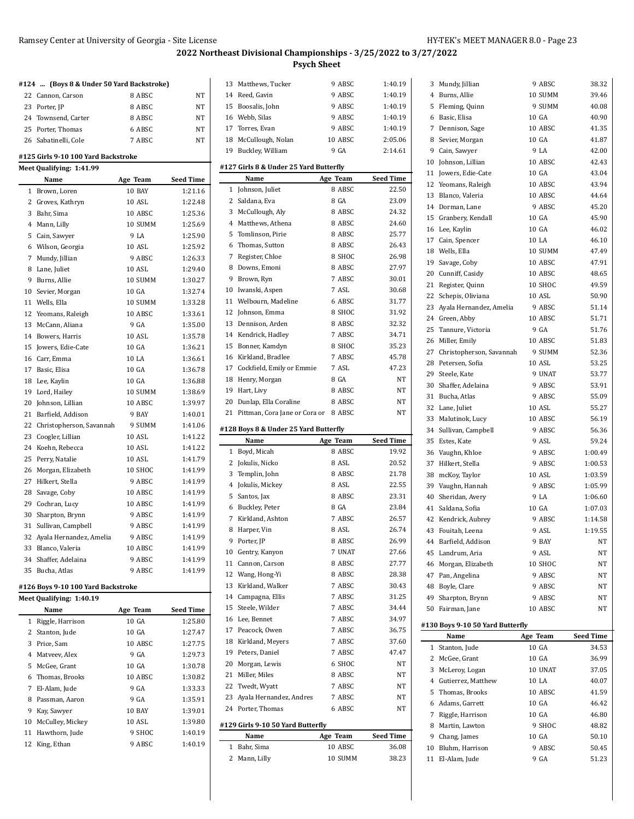|                | #124  (Boys 8 & Under 50 Yard Backstroke) |          |                  |
|----------------|-------------------------------------------|----------|------------------|
|                | 22 Cannon, Carson                         | 8 ABSC   | NΤ               |
|                | 23 Porter, JP                             | 8 ABSC   | NT               |
|                | 24 Townsend, Carter                       | 8 ABSC   | NT               |
|                | 25 Porter, Thomas                         | 6 ABSC   | NΤ               |
|                | 26 Sabatinelli, Cole                      | 7 ABSC   | NT               |
|                |                                           |          |                  |
|                | #125 Girls 9-10 100 Yard Backstroke       |          |                  |
|                | Meet Qualifying: 1:41.99                  |          |                  |
|                | Name                                      | Age Team | Seed Time        |
| 1              | Brown, Loren                              | 10 BAY   | 1:21.16          |
| $\mathbf{2}$   | Groves, Kathryn                           | 10 ASL   | 1:22.48          |
|                | 3 Bahr, Sima                              | 10 ABSC  | 1:25.36          |
| $\overline{4}$ | Mann, Lilly                               | 10 SUMM  | 1:25.69          |
| 5              | Cain, Sawyer                              | 9 LA     | 1:25.90          |
|                | 6 Wilson, Georgia                         | 10 ASL   | 1:25.92          |
| 7              | Mundy, Jillian                            | 9 ABSC   | 1:26.33          |
| 8              | Lane, Juliet                              | 10 ASL   | 1:29.40          |
| 9              | Burns, Allie                              | 10 SUMM  | 1:30.27          |
|                | 10 Sevier, Morgan                         | 10 GA    | 1:32.74          |
| 11             | Wells, Ella                               | 10 SUMM  | 1:33.28          |
|                | 12 Yeomans, Raleigh                       | 10 ABSC  | 1:33.61          |
|                | 13 McCann, Aliana                         | 9 GA     | 1:35.00          |
| 14             | Bowers, Harris                            | 10 ASL   | 1:35.78          |
| 15             | Jowers, Edie-Cate                         | 10 GA    | 1:36.21          |
|                | 16 Carr, Emma                             | 10 LA    | 1:36.61          |
| 17             | Basic, Elisa                              | 10 GA    | 1:36.78          |
|                | 18 Lee, Kaylin                            | 10 GA    | 1:36.88          |
|                | 19 Lord, Hailey                           | 10 SUMM  | 1:38.69          |
|                | 20 Johnson, Lillian                       | 10 ABSC  | 1:39.97          |
|                | 21 Barfield, Addison                      | 9 BAY    | 1:40.01          |
|                | 22 Christopherson, Savannah               | 9 SUMM   | 1:41.06          |
| 23             | Coogler, Lillian                          | 10 ASL   | 1:41.22          |
| 24             | Koehn, Rebecca                            | 10 ASL   | 1:41.22          |
| 25             | Perry, Natalie                            | 10 ASL   | 1:41.79          |
| 26             | Morgan, Elizabeth                         | 10 SHOC  | 1:41.99          |
| 27             | Hilkert, Stella                           | 9 ABSC   | 1:41.99          |
| 28             | Savage, Coby                              | 10 ABSC  | 1:41.99          |
|                | 29 Cochran, Lucy                          | 10 ABSC  | 1:41.99          |
|                | 30 Sharpton, Brynn                        | 9 ABSC   | 1:41.99          |
| 31             | Sullivan, Campbell                        | 9 ABSC   | 1:41.99          |
| 32             | Ayala Hernandez, Amelia                   | 9 ABSC   | 1:41.99          |
|                | 33 Blanco, Valeria                        | 10 ABSC  | 1:41.99          |
| 34             | Shaffer, Adelaina                         | 9 ABSC   | 1:41.99          |
| 35             | Bucha, Atlas                              | 9 ABSC   | 1:41.99          |
|                | #126 Boys 9-10 100 Yard Backstroke        |          |                  |
|                | Meet Qualifying: 1:40.19                  |          |                  |
|                | Name                                      | Age Team | <b>Seed Time</b> |
| 1              | Riggle, Harrison                          | 10 GA    | 1:25.80          |
| 2              | Stanton, Jude                             | 10 GA    | 1:27.47          |
|                | 3 Price, Sam                              | 10 ABSC  | 1:27.75          |
|                | 4 Matveev, Alex                           | 9 GA     | 1:29.73          |
| 5              | McGee, Grant                              | 10 GA    | 1:30.78          |
| 6              | Thomas, Brooks                            | 10 ABSC  | 1:30.82          |
| 7              | El-Alam, Jude                             | 9 GA     | 1:33.33          |
|                | 8 Passman, Aaron                          | 9 GA     | 1:35.91          |
|                | 9 Kay, Sawyer                             | 10 BAY   | 1:39.01          |
|                | 10 McCulley, Mickey                       | 10 ASL   | 1:39.80          |
| 11             | Hawthorn, Jude                            | 9 SHOC   | 1:40.19          |
| 12             | King, Ethan                               | 9 ABSC   | 1:40.19          |

| 13                                    |                                            |                    |                    |  |
|---------------------------------------|--------------------------------------------|--------------------|--------------------|--|
|                                       | Matthews, Tucker                           | 9 ABSC<br>9 ABSC   | 1:40.19<br>1:40.19 |  |
|                                       | 14 Reed, Gavin                             | 9 ABSC             | 1:40.19            |  |
|                                       | 15 Boosalis, John                          |                    |                    |  |
|                                       | 16 Webb, Silas                             | 9 ABSC             | 1:40.19            |  |
|                                       | 17 Torres, Evan                            | 9 ABSC             | 1:40.19            |  |
| 18                                    | McCullough, Nolan                          | 10 ABSC            | 2:05.06            |  |
| 19                                    | Buckley, William                           | 9 GA               | 2:14.61            |  |
|                                       | #127 Girls 8 & Under 25 Yard Butterfly     |                    |                    |  |
|                                       | Name                                       | Age Team           | <b>Seed Time</b>   |  |
| $\mathbf{1}$                          | Johnson, Juliet                            | 8 ABSC             | 22.50              |  |
| 2                                     | Saldana, Eva                               | 8 GA               | 23.09              |  |
|                                       | 3 McCullough, Aly                          | 8 ABSC             | 24.32              |  |
| $\overline{4}$                        | Matthews. Athena                           | 8 ABSC             | 24.60              |  |
| 5                                     | Tomlinson, Pirie                           | 8 ABSC             | 25.77              |  |
| 6                                     | Thomas, Sutton                             | 8 ABSC             | 26.43              |  |
| 7                                     | Register, Chloe                            | 8 SHOC             | 26.98              |  |
| 8                                     | Downs, Emoni                               | 8 ABSC             | 27.97              |  |
| 9                                     | Brown, Ryn                                 | 7 ABSC             | 30.01              |  |
|                                       | 10 Iwanski, Aspen                          | 7 ASL              | 30.68              |  |
| 11                                    | Welbourn, Madeline                         | 6 ABSC             | 31.77              |  |
| 12                                    | Johnson, Emma                              | 8 SHOC             | 31.92              |  |
|                                       | 13 Dennison, Arden                         | 8 ABSC             | 32.32              |  |
|                                       | 14 Kendrick, Hadley                        | 7 ABSC             | 34.71              |  |
|                                       | 15 Bonner, Kamdyn                          | 8 SHOC             | 35.23              |  |
| 16                                    | Kirkland, Bradlee                          | 7 ABSC             | 45.78              |  |
|                                       | 17 Cockfield, Emily or Emmie               | 7 ASL              | 47.23              |  |
|                                       | 18 Henry, Morgan                           | 8 GA               | NT                 |  |
| 19                                    | Hart, Livy                                 | 8 ABSC             | NT                 |  |
|                                       | 20 Dunlap, Ella Coraline                   | 8 ABSC             | NT                 |  |
| 21                                    | Pittman, Cora Jane or Cora or 8 ABSC       |                    | NT                 |  |
|                                       |                                            |                    |                    |  |
| #128 Boys 8 & Under 25 Yard Butterfly |                                            |                    |                    |  |
|                                       |                                            |                    |                    |  |
|                                       | Name                                       | Age Team           | <b>Seed Time</b>   |  |
| 1                                     | Boyd, Micah                                | 8 ABSC             | 19.92              |  |
| 2                                     | Jokulis, Nicko                             | 8 ASL              | 20.52              |  |
| 3                                     | Templin, John                              | 8 ABSC             | 21.78              |  |
| 4                                     | Jokulis, Mickey                            | 8 ASL              | 22.55              |  |
|                                       | 5 Santos, Jax                              | 8 ABSC             | 23.31              |  |
|                                       | 6 Buckley, Peter                           | 8 GA               | 23.84              |  |
| 7                                     | Kirkland, Ashton                           | 7 ABSC             | 26.57              |  |
| 8                                     | Harper, Vin                                | 8 ASL              | 26.74              |  |
| 9                                     | Porter, JP                                 | 8 ABSC             | 26.99              |  |
|                                       | 10 Gentry, Kanyon                          | 7 UNAT             | 27.66              |  |
|                                       | 11 Cannon, Carson                          | 8 ABSC             | 27.77              |  |
|                                       | 12 Wang, Hong-Yi                           | 8 ABSC             | 28.38              |  |
| 13                                    | Kirkland, Walker                           | 7 ABSC             | 30.43              |  |
|                                       | 14 Campagna, Ellis                         | 7 ABSC             | 31.25              |  |
| 15                                    | Steele, Wilder                             | 7 ABSC             | 34.44              |  |
|                                       | 16 Lee, Bennet                             | 7 ABSC             | 34.97              |  |
|                                       | 17 Peacock, Owen                           | 7 ABSC             | 36.75              |  |
| 18                                    | Kirkland, Meyers                           | 7 ABSC             | 37.60              |  |
|                                       | 19 Peters, Daniel                          | 7 ABSC             | 47.47              |  |
| 20                                    | Morgan, Lewis                              | 6 SHOC             | NΤ                 |  |
| 21                                    | Miller, Miles                              | 8 ABSC             | NΤ                 |  |
|                                       |                                            |                    |                    |  |
| 23                                    | 22 Twedt, Wyatt<br>Ayala Hernandez, Andres | 7 ABSC<br>7 ABSC   | NΤ<br>NΤ           |  |
|                                       | 24 Porter, Thomas                          | 6 ABSC             | NΤ                 |  |
|                                       |                                            |                    |                    |  |
|                                       | #129 Girls 9-10 50 Yard Butterfly          |                    |                    |  |
|                                       | Name                                       | Age Team           | <b>Seed Time</b>   |  |
| 1<br>2                                | Bahr, Sima<br>Mann, Lilly                  | 10 ABSC<br>10 SUMM | 36.08<br>38.23     |  |

| 3  | Mundy, Jillian                                    | 9 ABSC   | 38.32     |
|----|---------------------------------------------------|----------|-----------|
|    | 4 Burns, Allie                                    | 10 SUMM  | 39.46     |
| 5  | Fleming, Quinn                                    | 9 SUMM   | 40.08     |
|    | 6 Basic, Elisa                                    | 10 GA    | 40.90     |
| 7  | Dennison, Sage                                    | 10 ABSC  | 41.35     |
| 8  | Sevier, Morgan                                    | 10 GA    | 41.87     |
| 9  | Cain, Sawyer                                      | 9 I.A    | 42.00     |
|    | 10 Johnson, Lillian                               | 10 ABSC  | 42.43     |
|    | 11 Jowers, Edie-Cate                              | 10 GA    | 43.04     |
|    | 12 Yeomans, Raleigh                               | 10 ABSC  | 43.94     |
| 13 | Blanco, Valeria                                   | 10 ABSC  | 44.64     |
| 14 | Dorman, Lane                                      | 9 ABSC   | 45.20     |
| 15 | Granbery, Kendall                                 | 10 GA    | 45.90     |
|    | 16 Lee, Kaylin                                    | 10 GA    | 46.02     |
|    | 17 Cain, Spencer                                  | 10 LA    | 46.10     |
|    | 18 Wells, Ella                                    | 10 SUMM  | 47.49     |
| 19 | Savage, Coby                                      | 10 ABSC  | 47.91     |
|    | 20 Cunniff, Casidy                                | 10 ABSC  | 48.65     |
|    | 21 Register, Quinn                                | 10 SHOC  | 49.59     |
|    | 22 Schepis, Oliviana                              | 10 ASL   | 50.90     |
|    | 23 Ayala Hernandez, Amelia                        | 9 ABSC   | 51.14     |
|    | 24 Green, Abby                                    | 10 ABSC  | 51.71     |
| 25 | Tannure, Victoria                                 | 9 GA     | 51.76     |
|    | 26 Miller, Emily                                  | 10 ABSC  | 51.83     |
|    |                                                   | 9 SUMM   | 52.36     |
|    | 27 Christopherson, Savannah<br>28 Petersen, Sofia | 10 ASL   |           |
|    |                                                   |          | 53.25     |
| 29 | Steele, Kate                                      | 9 UNAT   | 53.77     |
| 30 | Shaffer, Adelaina                                 | 9 ABSC   | 53.91     |
| 31 | Bucha, Atlas                                      | 9 ABSC   | 55.09     |
|    | 32 Lane, Juliet                                   | 10 ASL   | 55.27     |
|    | 33 Malutinok, Lucy                                | 10 ABSC  | 56.19     |
| 34 | Sullivan, Campbell                                | 9 ABSC   | 56.36     |
| 35 | Estes, Kate                                       | 9 ASL    | 59.24     |
|    | 36 Vaughn, Khloe                                  | 9 ABSC   | 1:00.49   |
| 37 | Hilkert, Stella                                   | 9 ABSC   | 1:00.53   |
|    | 38 mcKoy, Taylor                                  | 10 ASL   | 1:03.59   |
| 39 | Vaughn, Hannah                                    | 9 ABSC   | 1:05.99   |
| 40 | Sheridan, Avery                                   | 9 LA     | 1:06.60   |
| 41 | Saldana, Sofia                                    | 10 GA    | 1:07.03   |
|    | 42 Kendrick, Aubrey                               | 9 ABSC   | 1:14.58   |
|    | 43 Fouitah, Leena                                 | 9 ASL    | 1:19.55   |
|    | 44 Barfield, Addison                              | 9 BAY    | NT        |
|    | 45 Landrum, Aria                                  | 9 ASL    | NΤ        |
|    | 46 Morgan, Elizabeth                              |          |           |
|    |                                                   | 10 SHOC  | NΤ        |
|    | 47 Pan, Angelina                                  | 9 ABSC   | NΤ        |
|    | 48 Boyle, Clare                                   | 9 ABSC   | NΤ        |
| 49 | Sharpton, Brynn                                   | 9 ABSC   | NΤ        |
|    | 50 Fairman, Jane                                  | 10 ABSC  | NΤ        |
|    |                                                   |          |           |
|    | #130 Boys 9-10 50 Yard Butterfly                  |          |           |
|    | Name                                              | Age Team | Seed Time |
| 1  | Stanton, Jude                                     | 10 GA    | 34.53     |
| 2  | McGee, Grant                                      | 10 GA    | 36.99     |
| 3  | McLeroy, Logan                                    | 10 UNAT  | 37.05     |
|    | 4 Gutierrez, Matthew                              | 10 LA    | 40.07     |
| 5  | Thomas, Brooks                                    | 10 ABSC  | 41.59     |
|    | 6 Adams, Garrett                                  | 10 GA    | 46.42     |
| 7  | Riggle, Harrison                                  | 10 GA    | 46.80     |
| 8  | Martin, Lawton                                    | 9 SHOC   | 48.82     |
| 9. | Chang, James                                      | 10 GA    | 50.10     |
|    | 10 Bluhm, Harrison                                | 9 ABSC   | 50.45     |
|    | 11 El-Alam, Jude                                  | 9 GA     | 51.23     |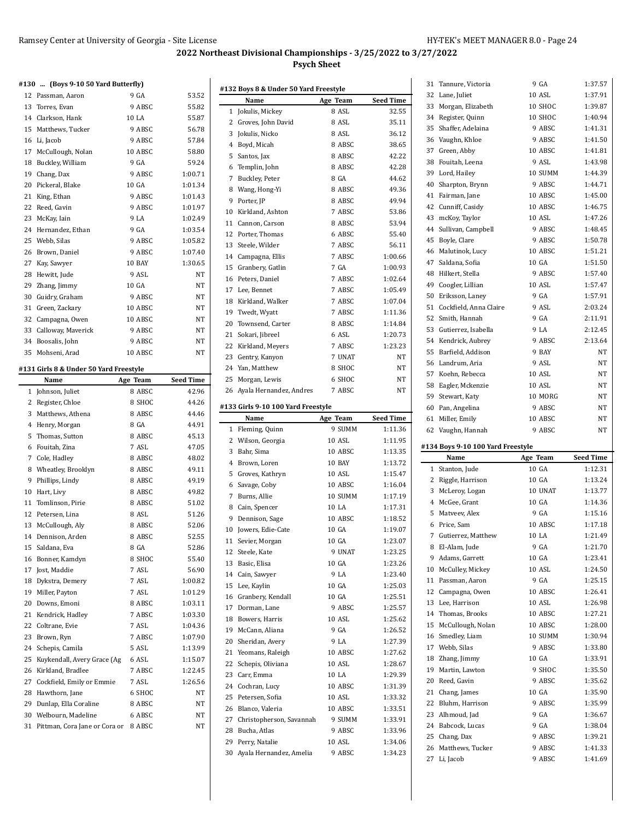#### **#130 ... (Boys 9-10 50 Yard Butterfly)**

|    | 12 Passman, Aaron    | 9 GA    | 53.52     |
|----|----------------------|---------|-----------|
|    | 13 Torres, Evan      | 9 ABSC  | 55.82     |
| 14 | Clarkson, Hank       | 10 LA   | 55.87     |
|    | 15 Matthews, Tucker  | 9 ABSC  | 56.78     |
| 16 | Li, Jacob            | 9 ABSC  | 57.84     |
|    | 17 McCullough, Nolan | 10 ABSC | 58.80     |
| 18 | Buckley, William     | 9 GA    | 59.24     |
|    | 19 Chang, Dax        | 9 ABSC  | 1:00.71   |
|    | 20 Pickeral, Blake   | 10 GA   | 1:01.34   |
| 21 | King, Ethan          | 9 ABSC  | 1:01.43   |
|    | 22 Reed, Gavin       | 9 ABSC  | 1:01.97   |
|    | 23 McKay, Iain       | 9 LA    | 1:02.49   |
| 24 | Hernandez, Ethan     | 9 GA    | 1:03.54   |
|    | 25 Webb, Silas       | 9 ABSC  | 1:05.82   |
|    | 26 Brown, Daniel     | 9 ABSC  | 1:07.40   |
| 27 | Kay, Sawyer          | 10 BAY  | 1:30.65   |
| 28 | Hewitt, Jude         | 9 ASL   | <b>NT</b> |
| 29 | Zhang, Jimmy         | 10 GA   | <b>NT</b> |
| 30 | Guidry, Graham       | 9 ABSC  | <b>NT</b> |
| 31 | Green, Zackary       | 10 ABSC | <b>NT</b> |
| 32 | Campagna, Owen       | 10 ABSC | <b>NT</b> |
| 33 | Calloway, Maverick   | 9 ABSC  | <b>NT</b> |
| 34 | Boosalis, John       | 9 ABSC  | NT        |
| 35 | Mohseni, Arad        | 10 ABSC | NT        |
|    |                      |         |           |

## **#131 Girls 8 & Under 50 Yard Freestyle**

|              | Name                          | Age Team | <b>Seed Time</b> |
|--------------|-------------------------------|----------|------------------|
| $\mathbf{1}$ | Johnson, Juliet               | 8 ABSC   | 42.96            |
|              | 2 Register, Chloe             | 8 SHOC   | 44.26            |
| 3            | Matthews, Athena              | 8 ABSC   | 44.46            |
| 4            | Henry, Morgan                 | 8 GA     | 44.91            |
| 5            | Thomas, Sutton                | 8 ABSC   | 45.13            |
| 6            | Fouitah, Zina                 | 7 ASL    | 47.05            |
| 7            | Cole, Hadley                  | 8 ABSC   | 48.02            |
| 8            | Wheatley, Brooklyn            | 8 ABSC   | 49.11            |
| 9            | Phillips, Lindy               | 8 ABSC   | 49.19            |
| 10           | Hart, Livy                    | 8 ABSC   | 49.82            |
| 11           | Tomlinson, Pirie              | 8 ABSC   | 51.02            |
| 12           | Petersen, Lina                | 8 ASL    | 51.26            |
| 13           | McCullough, Aly               | 8 ABSC   | 52.06            |
| 14           | Dennison, Arden               | 8 ABSC   | 52.55            |
| 15           | Saldana, Eva                  | 8 GA     | 52.86            |
| 16           | Bonner, Kamdyn                | 8 SHOC   | 55.40            |
| 17           | Jost, Maddie                  | 7 ASL    | 56.90            |
|              | 18 Dykstra, Demery            | 7 ASL    | 1:00.82          |
| 19           | Miller, Payton                | 7 ASL    | 1:01.29          |
| 20           | Downs, Emoni                  | 8 ABSC   | 1:03.11          |
| 21           | Kendrick, Hadley              | 7 ABSC   | 1:03.30          |
| 22           | Coltrane, Evie                | 7 ASL    | 1:04.36          |
| 23           | Brown, Ryn                    | 7 ABSC   | 1:07.90          |
| 24           | Schepis, Camila               | 5 ASL    | 1:13.99          |
| 25           | Kuykendall, Avery Grace (Ag   | 6 ASL    | 1:15.07          |
| 26           | Kirkland, Bradlee             | 7 ABSC   | 1:22.45          |
| 27           | Cockfield, Emily or Emmie     | 7 ASL    | 1:26.56          |
| 28           | Hawthorn, Jane                | 6 SHOC   | NT               |
| 29           | Dunlap, Ella Coraline         | 8 ABSC   | NT               |
| 30           | Welbourn, Madeline            | 6 ABSC   | NT               |
| 31           | Pittman, Cora Jane or Cora or | 8 ABSC   | NT               |
|              |                               |          |                  |

|          | #132 Boys 8 & Under 50 Yard Freestyle     |                  |                    |
|----------|-------------------------------------------|------------------|--------------------|
|          | Name                                      | Age Team         | <b>Seed Time</b>   |
| 1        | Jokulis, Mickey                           | 8 ASL            | 32.55              |
| 2        | Groves, John David                        | 8 ASL            | 35.11              |
| 3        | Jokulis, Nicko                            | 8 ASL            | 36.12              |
| 4        | Boyd, Micah                               | 8 ABSC           | 38.65              |
| 5        | Santos, Jax                               | 8 ABSC           | 42.22              |
| 6        | Templin, John                             | 8 ABSC           | 42.28              |
| 7        | Buckley, Peter                            | 8 GA             | 44.62              |
| 8        | Wang, Hong-Yi                             | 8 ABSC           | 49.36              |
| 9        | Porter, JP                                | 8 ABSC           | 49.94              |
| 10       | Kirkland, Ashton                          | 7 ABSC           | 53.86              |
| 11       | Cannon, Carson                            | 8 ABSC           | 53.94              |
| 12       | Porter, Thomas                            | 6 ABSC           | 55.40              |
| 13       | Steele, Wilder                            | 7 ABSC           | 56.11              |
| 14       | Campagna, Ellis                           | 7 ABSC           | 1:00.66            |
| 15       | Granbery, Gatlin                          | 7 GA             | 1:00.93            |
| 16       | Peters, Daniel                            | 7 ABSC           | 1:02.64            |
| 17       | Lee, Bennet                               | 7 ABSC           | 1:05.49            |
| 18       | Kirkland, Walker                          | 7 ABSC           | 1:07.04            |
| 19       | Twedt, Wyatt                              | 7 ABSC           | 1:11.36            |
| 20       | Townsend, Carter                          | 8 ABSC           | 1:14.84            |
| 21       | Sokari, Jibreel                           | 6 ASL            | 1:20.73            |
| 22       | Kirkland, Meyers                          | 7 ABSC           | 1:23.23            |
| 23       | Gentry, Kanyon                            | 7 UNAT           | NΤ                 |
| 24       | Yan, Matthew                              | 8 SHOC           | NT                 |
| 25       | Morgan, Lewis                             | 6 SHOC           | NΤ                 |
| 26       | Ayala Hernandez, Andres                   | 7 ABSC           | NT                 |
|          | #133 Girls 9-10 100 Yard Freestyle        |                  |                    |
|          | Name                                      | Age Team         | <b>Seed Time</b>   |
| 1        | Fleming, Quinn                            | 9 SUMM           | 1:11.36            |
| 2        | Wilson, Georgia                           | 10 ASL           | 1:11.95            |
| 3        | Bahr, Sima                                | 10 ABSC          | 1:13.35            |
| 4        | Brown, Loren                              | 10 BAY           | 1:13.72            |
| 5        | Groves, Kathryn                           | 10 ASL           | 1:15.47            |
| 6        | Savage, Coby                              | 10 ABSC          | 1:16.04            |
| 7        | Burns, Allie                              | 10 SUMM          | 1:17.19            |
| 8        | Cain, Spencer                             | 10 LA            | 1:17.31            |
| 9        | Dennison, Sage                            | 10 ABSC          | 1:18.52            |
| 10       | Jowers, Edie-Cate                         | 10 GA            | 1:19.07            |
| 11       | Sevier, Morgan                            | 10 GA            | 1:23.07            |
| 12       | Steele, Kate                              | 9 UNAT           | 1:23.25            |
| 13       | Basic, Elisa                              | 10 GA            | 1:23.26            |
|          | 14 Cain, Sawyer                           | 9 LA             | 1:23.40            |
| 15       | Lee, Kaylin                               | 10 GA            | 1:25.03            |
| 16       | Granbery, Kendall                         | 10 GA            | 1:25.51            |
|          |                                           |                  |                    |
|          |                                           |                  |                    |
| 18       | 17 Dorman, Lane<br>Bowers, Harris         | 9 ABSC           | 1:25.57            |
| 19       |                                           | 10 ASL           | 1:25.62            |
|          | McCann, Aliana                            | 9 GA             | 1:26.52            |
| 20       | Sheridan, Avery                           | 9 LA             | 1:27.39            |
| 21       | Yeomans, Raleigh                          | 10 ABSC          | 1:27.62<br>1:28.67 |
| 22       | Schepis, Oliviana                         | 10 ASL           |                    |
| 23       | Carr, Emma                                | 10 LA            | 1:29.39            |
| 24       | Cochran, Lucy                             | 10 ABSC          | 1:31.39            |
| 25       | Petersen, Sofia                           | 10 ASL           | 1:33.32            |
| 26       | Blanco, Valeria                           | 10 ABSC          | 1:33.51            |
|          | 27 Christopherson, Savannah               | 9 SUMM           | 1:33.91            |
|          | 28 Bucha, Atlas                           | 9 ABSC           | 1:33.96            |
| 29<br>30 | Perry, Natalie<br>Ayala Hernandez, Amelia | 10 ASL<br>9 ABSC | 1:34.06<br>1:34.23 |

| 31           | Tannure, Victoria                 | 9 GA             | 1:37.57            |
|--------------|-----------------------------------|------------------|--------------------|
|              | 32 Lane, Juliet                   | 10 ASL           | 1:37.91            |
|              | 33 Morgan, Elizabeth              | 10 SHOC          | 1:39.87            |
|              | 34 Register, Quinn                | 10 SHOC          | 1:40.94            |
|              | 35 Shaffer, Adelaina              | 9 ABSC           | 1:41.31            |
|              | 36 Vaughn, Khloe                  | 9 ABSC           | 1:41.50            |
|              | 37 Green, Abby                    | 10 ABSC          | 1:41.81            |
|              | 38 Fouitah, Leena                 | 9 ASL            | 1:43.98            |
|              | 39 Lord, Hailey                   | 10 SUMM          | 1:44.39            |
|              | 40 Sharpton, Brynn                | 9 ABSC           | 1:44.71            |
|              | 41 Fairman, Jane                  | 10 ABSC          | 1:45.00            |
|              | 42 Cunniff, Casidy                | 10 ABSC          | 1:46.75            |
|              | 43 mcKoy, Taylor                  | 10 ASL           | 1:47.26            |
| 44           | Sullivan, Campbell                | 9 ABSC           | 1:48.45            |
|              | 45 Boyle, Clare                   | 9 ABSC           | 1:50.78            |
|              | 46 Malutinok, Lucy                | 10 ABSC          | 1:51.21            |
| 47           | Saldana, Sofia                    | 10 GA            | 1:51.50            |
|              | 48 Hilkert, Stella                | 9 ABSC           | 1:57.40            |
|              | 49 Coogler, Lillian               | 10 ASL           | 1:57.47            |
|              | 50 Eriksson, Laney                | 9 GA             | 1:57.91            |
| 51           | Cockfield, Anna Claire            | 9 ASL            | 2:03.24            |
|              | 52 Smith, Hannah                  | 9 GA             | 2:11.91            |
|              | 53 Gutierrez, Isabella            | 9 LA             | 2:12.45            |
|              | 54 Kendrick, Aubrey               | 9 ABSC           | 2:13.64            |
|              | 55 Barfield, Addison              | 9 BAY            | NΤ                 |
|              | 56 Landrum, Aria                  | 9 ASL            | NΤ                 |
|              | 57 Koehn, Rebecca                 | 10 ASL           | NΤ                 |
|              | 58 Eagler, Mckenzie               | 10 ASL           | NΤ                 |
|              | 59 Stewart, Katy                  | 10 MORG          | NΤ                 |
|              | 60 Pan, Angelina                  | 9 ABSC           | NΤ                 |
|              | 61 Miller, Emily                  | 10 ABSC          | NΤ                 |
|              |                                   |                  |                    |
|              |                                   |                  |                    |
|              | 62 Vaughn, Hannah                 | 9 ABSC           | NΤ                 |
|              | #134 Boys 9-10 100 Yard Freestyle |                  |                    |
|              | Name                              | Age Team         | <b>Seed Time</b>   |
| $\mathbf{1}$ | Stanton, Jude                     | 10 GA            | 1:12.31            |
| 2            | Riggle, Harrison                  | 10 GA            | 1:13.24            |
| 3            | McLeroy, Logan                    | 10 UNAT          | 1:13.77            |
|              | 4 McGee, Grant                    | 10 GA            | 1:14.36            |
| 5            | Matveev, Alex                     | 9 GA             | 1:15.16            |
|              | 6 Price, Sam                      | 10 ABSC          | 1:17.18            |
|              | 7 Gutierrez, Matthew              | 10 LA            | 1:21.49            |
|              | 8 El-Alam, Jude                   | 9 GA             | 1:21.70            |
|              | 9 Adams, Garrett                  | 10 GA            | 1:23.41            |
|              | 10 McCulley, Mickey               | 10 ASL           | 1:24.50            |
|              | 11 Passman, Aaron                 | 9 GA             | 1:25.15            |
|              | 12 Campagna, Owen                 | 10 ABSC          | 1:26.41            |
|              | 13 Lee, Harrison                  | 10 ASL           | 1:26.98            |
|              | 14 Thomas, Brooks                 | 10 ABSC          | 1:27.21            |
|              | 15 McCullough, Nolan              | 10 ABSC          | 1:28.00            |
|              | 16 Smedley, Liam                  | 10 SUMM          | 1:30.94            |
|              | 17 Webb, Silas                    | 9 ABSC           | 1:33.80            |
|              | 18 Zhang, Jimmy                   | 10 GA            | 1:33.91            |
|              | 19 Martin, Lawton                 | 9 SHOC           | 1:35.50            |
|              | 20 Reed, Gavin                    | 9 ABSC           | 1:35.62            |
| 21           | Chang, James                      | 10 GA            | 1:35.90            |
|              | 22 Bluhm, Harrison                | 9 ABSC           | 1:35.99            |
|              | 23 Alhmoud, Jad                   | 9 GA             | 1:36.67            |
|              | 24 Babcock, Lucas                 | 9 GA             | 1:38.04            |
|              | 25 Chang, Dax                     | 9 ABSC           | 1:39.21            |
| 27           | 26 Matthews, Tucker<br>Li, Jacob  | 9 ABSC<br>9 ABSC | 1:41.33<br>1:41.69 |